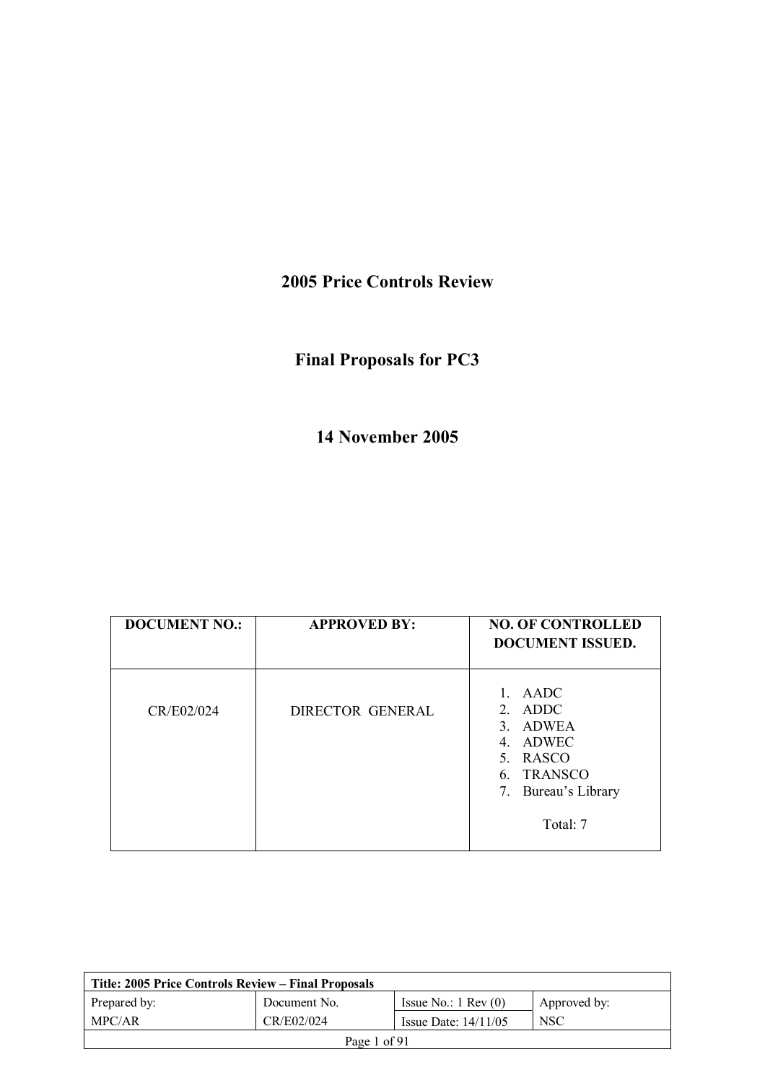# **2005 Price Controls Review**

# **Final Proposals for PC3**

## **14 November 2005**

| <b>DOCUMENT NO.:</b> | <b>APPROVED BY:</b>     | <b>NO. OF CONTROLLED</b><br><b>DOCUMENT ISSUED.</b>                                                     |
|----------------------|-------------------------|---------------------------------------------------------------------------------------------------------|
| CR/E02/024           | <b>DIRECTOR GENERAL</b> | 1. AADC<br>2. ADDC<br>3. ADWEA<br>4. ADWEC<br>5. RASCO<br>6. TRANSCO<br>7. Bureau's Library<br>Total: 7 |

| Title: 2005 Price Controls Review – Final Proposals |              |                               |              |  |  |
|-----------------------------------------------------|--------------|-------------------------------|--------------|--|--|
| Prepared by:                                        | Document No. | Issue No.: $1 \text{ Rev}(0)$ | Approved by: |  |  |
| MPC/AR                                              | CR/E02/024   | Issue Date: $14/11/05$        | <b>NSC</b>   |  |  |
| Page 1 of 91                                        |              |                               |              |  |  |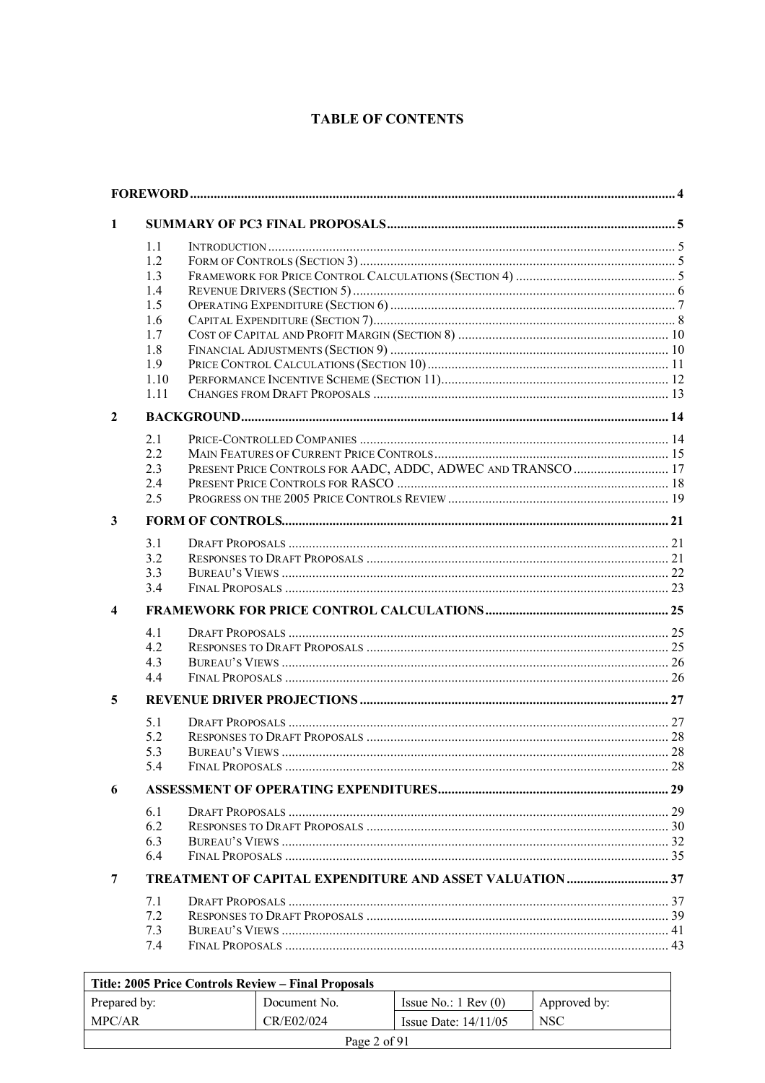## **TABLE OF CONTENTS**

| 1                |                                                                     |  |
|------------------|---------------------------------------------------------------------|--|
|                  | 1.1                                                                 |  |
|                  | 1.2                                                                 |  |
|                  | 1.3                                                                 |  |
|                  | 1.4                                                                 |  |
|                  | 1.5                                                                 |  |
|                  | 1.6                                                                 |  |
|                  | 1.7                                                                 |  |
|                  | 1.8                                                                 |  |
|                  | 1.9                                                                 |  |
|                  | 1.10                                                                |  |
|                  | 1.11                                                                |  |
| $\boldsymbol{2}$ |                                                                     |  |
|                  | 2.1                                                                 |  |
|                  | 2.2                                                                 |  |
|                  | 2.3<br>PRESENT PRICE CONTROLS FOR AADC, ADDC, ADWEC AND TRANSCO  17 |  |
|                  | 2.4<br>2.5                                                          |  |
|                  |                                                                     |  |
| 3                |                                                                     |  |
|                  | 3.1                                                                 |  |
|                  | 3.2                                                                 |  |
|                  | 3.3                                                                 |  |
|                  | 3.4                                                                 |  |
| 4                |                                                                     |  |
|                  | 4.1                                                                 |  |
|                  | 4.2                                                                 |  |
|                  | 4.3                                                                 |  |
|                  | 4.4                                                                 |  |
| 5                |                                                                     |  |
|                  | 5.1                                                                 |  |
|                  | 5.2                                                                 |  |
|                  | 5.3                                                                 |  |
|                  | 5.4                                                                 |  |
| 6                |                                                                     |  |
|                  | 6.1                                                                 |  |
|                  | 6.2                                                                 |  |
|                  | 6.3                                                                 |  |
|                  | 6.4                                                                 |  |
| 7                |                                                                     |  |
|                  | 7.1                                                                 |  |
|                  | 7.2                                                                 |  |
|                  | 7.3                                                                 |  |
|                  | 7.4                                                                 |  |
|                  | 2005 Brice Centucle Devices Final Brancols                          |  |

| Title: 2005 Price Controls Review – Final Proposals |              |                               |              |  |  |
|-----------------------------------------------------|--------------|-------------------------------|--------------|--|--|
| Prepared by:                                        | Document No. | Issue No.: $1 \text{ Rev}(0)$ | Approved by: |  |  |
| MPC/AR                                              | CR/E02/024   | Issue Date: $14/11/05$        | <b>NSC</b>   |  |  |
| Page 2 of 91                                        |              |                               |              |  |  |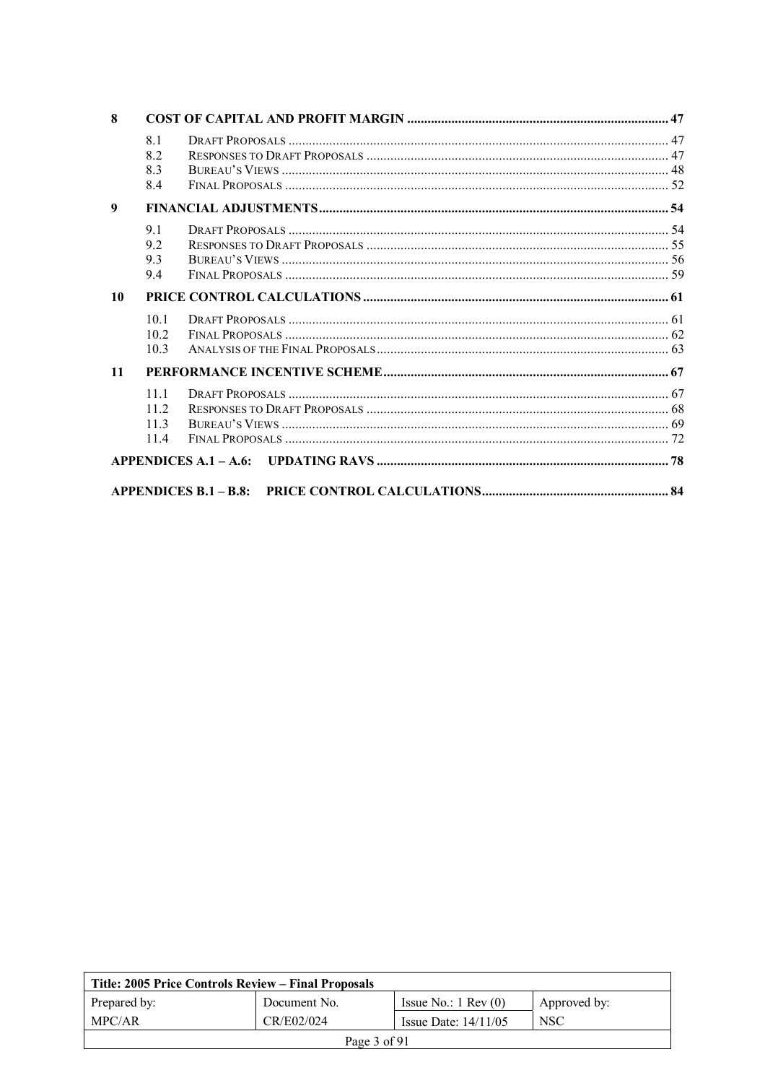| 8  |                          |  |
|----|--------------------------|--|
|    | 81<br>8.2<br>8.3<br>84   |  |
| 9  |                          |  |
|    | 91<br>9.2<br>9.3<br>94   |  |
| 10 |                          |  |
|    | 10.1<br>102<br>103       |  |
| 11 |                          |  |
|    | 111<br>112<br>113<br>114 |  |
|    |                          |  |

| Title: 2005 Price Controls Review – Final Proposals |              |                               |              |  |
|-----------------------------------------------------|--------------|-------------------------------|--------------|--|
| Prepared by:                                        | Document No. | Issue No.: $1 \text{ Rev}(0)$ | Approved by: |  |
| MPC/AR                                              | CR/E02/024   | Issue Date: $14/11/05$        | <b>NSC</b>   |  |
| Page 3 of 91                                        |              |                               |              |  |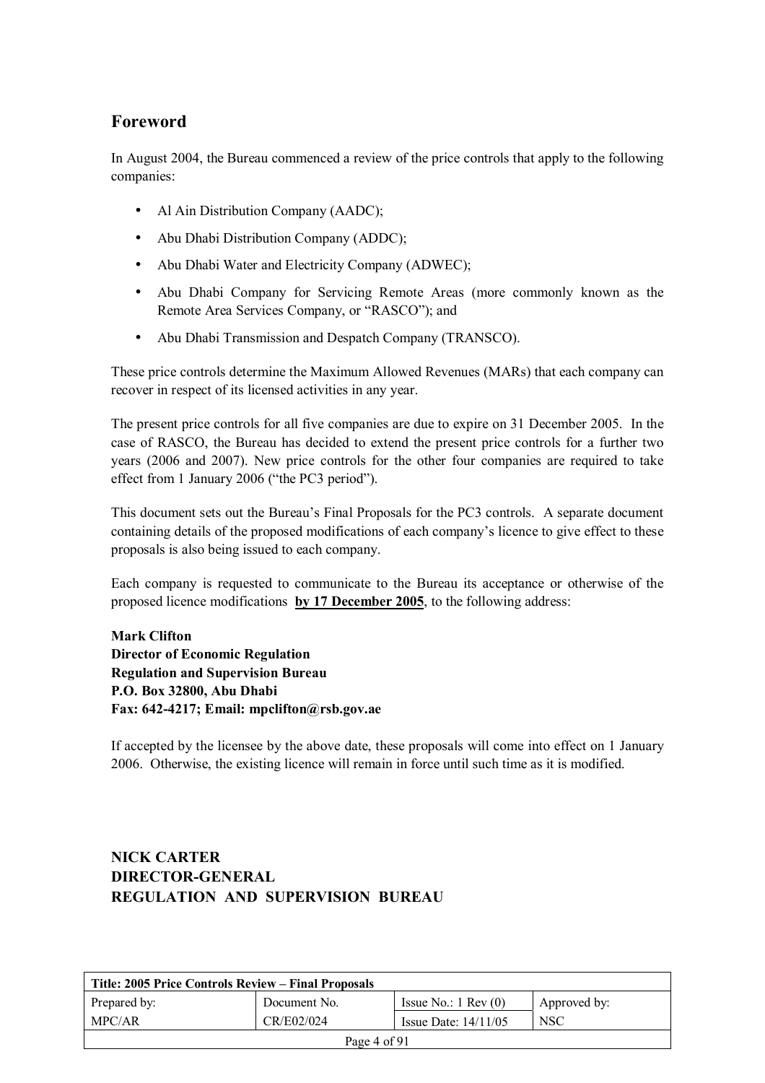## **Foreword**

In August 2004, the Bureau commenced a review of the price controls that apply to the following companies:

- Al Ain Distribution Company (AADC);
- Abu Dhabi Distribution Company (ADDC);
- Abu Dhabi Water and Electricity Company (ADWEC);
- Abu Dhabi Company for Servicing Remote Areas (more commonly known as the Remote Area Services Company, or "RASCO"); and
- Abu Dhabi Transmission and Despatch Company (TRANSCO).

These price controls determine the Maximum Allowed Revenues (MARs) that each company can recover in respect of its licensed activities in any year.

The present price controls for all five companies are due to expire on 31 December 2005. In the case of RASCO, the Bureau has decided to extend the present price controls for a further two years (2006 and 2007). New price controls for the other four companies are required to take effect from 1 January 2006 ("the PC3 period").

This document sets out the Bureau's Final Proposals for the PC3 controls. A separate document containing details of the proposed modifications of each company's licence to give effect to these proposals is also being issued to each company.

Each company is requested to communicate to the Bureau its acceptance or otherwise of the proposed licence modifications **by 17 December 2005**, to the following address:

**Mark Clifton Director of Economic Regulation Regulation and Supervision Bureau P.O. Box 32800, Abu Dhabi Fax: 642-4217; Email: mpclifton@rsb.gov.ae** 

If accepted by the licensee by the above date, these proposals will come into effect on 1 January 2006. Otherwise, the existing licence will remain in force until such time as it is modified.

## **NICK CARTER DIRECTOR-GENERAL REGULATION AND SUPERVISION BUREAU**

| Title: 2005 Price Controls Review – Final Proposals |              |                               |              |  |
|-----------------------------------------------------|--------------|-------------------------------|--------------|--|
| Prepared by:                                        | Document No. | Issue No.: $1 \text{ Rev}(0)$ | Approved by: |  |
| MPC/AR                                              | CR/E02/024   | Issue Date: $14/11/05$        | <b>NSC</b>   |  |
| Page 4 of 91                                        |              |                               |              |  |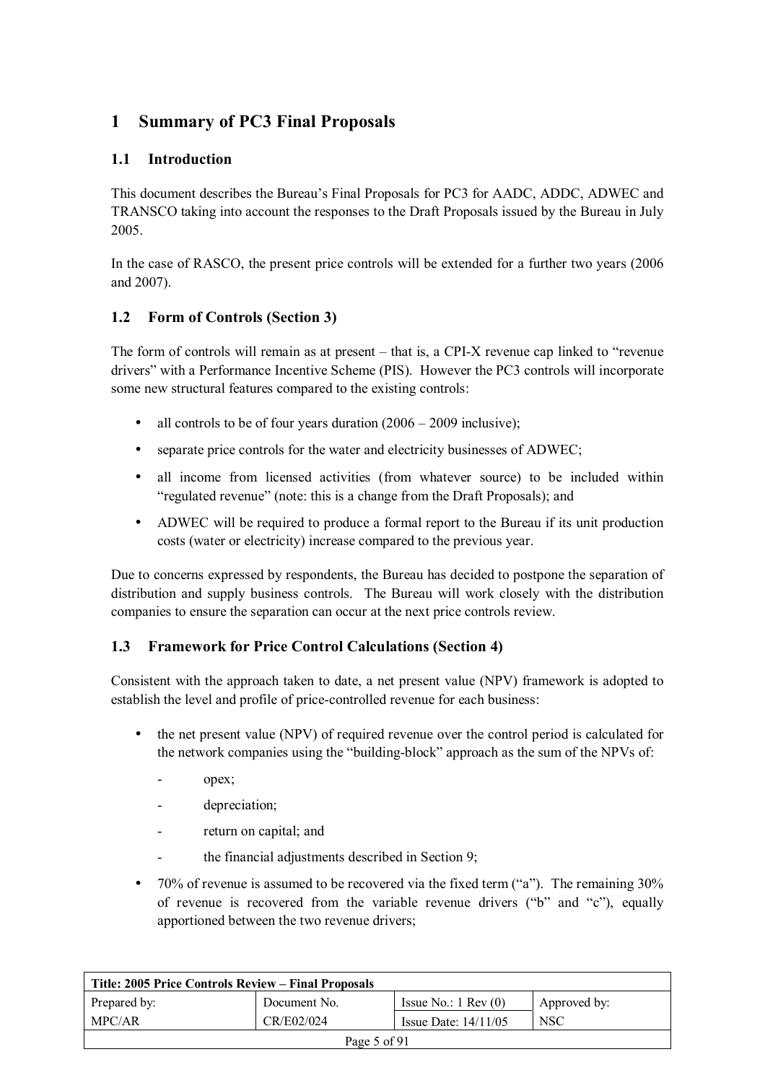## **1 Summary of PC3 Final Proposals**

## **1.1 Introduction**

This document describes the Bureauís Final Proposals for PC3 for AADC, ADDC, ADWEC and TRANSCO taking into account the responses to the Draft Proposals issued by the Bureau in July 2005.

In the case of RASCO, the present price controls will be extended for a further two years (2006 and 2007).

## **1.2 Form of Controls (Section 3)**

The form of controls will remain as at present  $-$  that is, a CPI-X revenue cap linked to "revenue" drivers" with a Performance Incentive Scheme (PIS). However the PC3 controls will incorporate some new structural features compared to the existing controls:

- all controls to be of four years duration  $(2006 2009)$  inclusive);
- separate price controls for the water and electricity businesses of ADWEC;
- all income from licensed activities (from whatever source) to be included within "regulated revenue" (note: this is a change from the Draft Proposals); and
- ADWEC will be required to produce a formal report to the Bureau if its unit production costs (water or electricity) increase compared to the previous year.

Due to concerns expressed by respondents, the Bureau has decided to postpone the separation of distribution and supply business controls. The Bureau will work closely with the distribution companies to ensure the separation can occur at the next price controls review.

### **1.3 Framework for Price Control Calculations (Section 4)**

Consistent with the approach taken to date, a net present value (NPV) framework is adopted to establish the level and profile of price-controlled revenue for each business:

- the net present value (NPV) of required revenue over the control period is calculated for the network companies using the "building-block" approach as the sum of the NPVs of:
	- opex;
	- depreciation;
	- return on capital; and
	- the financial adjustments described in Section 9:
- $170\%$  of revenue is assumed to be recovered via the fixed term ( $\degree$ a"). The remaining 30% of revenue is recovered from the variable revenue drivers ( $\theta$ <sup>o</sup> $\theta$ ) and  $\theta$ <sup>o</sup> $\theta$ ), equally apportioned between the two revenue drivers;

| Title: 2005 Price Controls Review – Final Proposals |              |                               |              |  |  |
|-----------------------------------------------------|--------------|-------------------------------|--------------|--|--|
| Prepared by:                                        | Document No. | Issue No.: $1 \text{ Rev}(0)$ | Approved by: |  |  |
| MPC/AR                                              | CR/E02/024   | Issue Date: $14/11/05$        | <b>NSC</b>   |  |  |
| Page 5 of 91                                        |              |                               |              |  |  |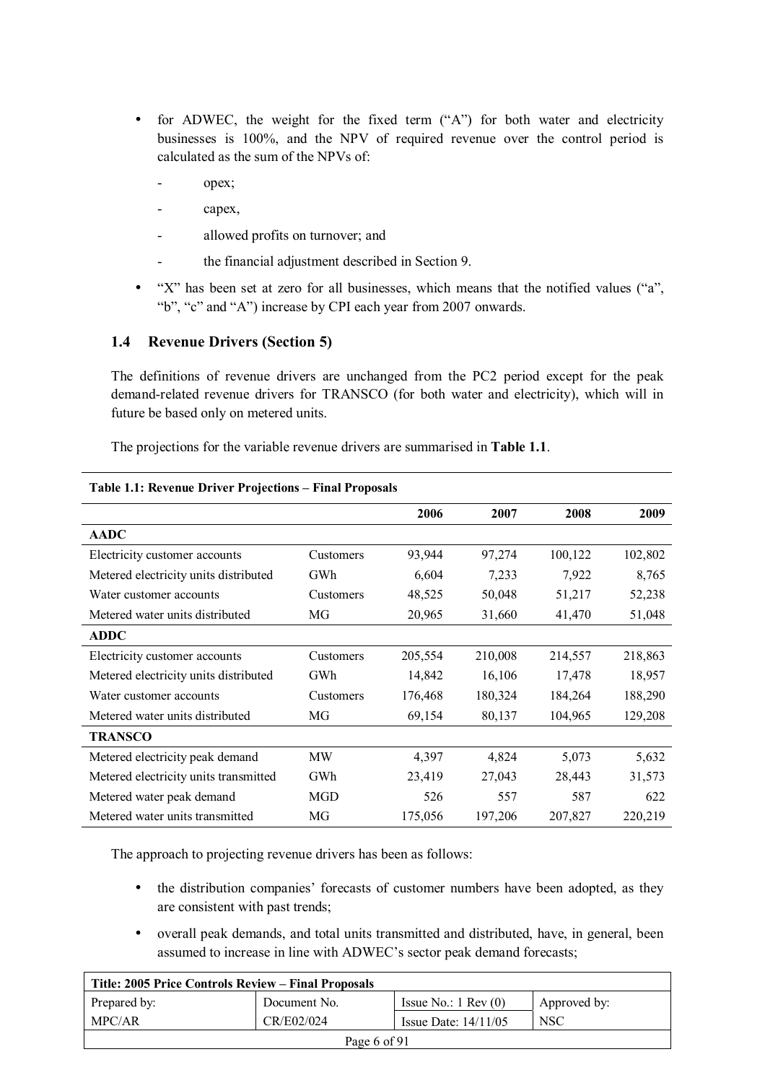- for ADWEC, the weight for the fixed term  $("A")$  for both water and electricity businesses is 100%, and the NPV of required revenue over the control period is calculated as the sum of the NPVs of:
	- opex;
	- capex,
	- allowed profits on turnover; and
	- the financial adjustment described in Section 9.
- $X''$  has been set at zero for all businesses, which means that the notified values ( $a''$ , "b", "c" and "A") increase by CPI each year from 2007 onwards.

#### **1.4 Revenue Drivers (Section 5)**

The definitions of revenue drivers are unchanged from the PC2 period except for the peak demand-related revenue drivers for TRANSCO (for both water and electricity), which will in future be based only on metered units.

The projections for the variable revenue drivers are summarised in **Table 1.1**.

|                                       |           | 2006    | 2007    | 2008    | 2009    |
|---------------------------------------|-----------|---------|---------|---------|---------|
| AADC                                  |           |         |         |         |         |
| Electricity customer accounts         | Customers | 93,944  | 97,274  | 100,122 | 102,802 |
| Metered electricity units distributed | GWh       | 6,604   | 7,233   | 7,922   | 8,765   |
| Water customer accounts               | Customers | 48,525  | 50,048  | 51,217  | 52,238  |
| Metered water units distributed       | MG        | 20,965  | 31,660  | 41,470  | 51,048  |
| <b>ADDC</b>                           |           |         |         |         |         |
| Electricity customer accounts         | Customers | 205,554 | 210,008 | 214,557 | 218,863 |
| Metered electricity units distributed | GWh       | 14,842  | 16,106  | 17,478  | 18,957  |
| Water customer accounts               | Customers | 176,468 | 180,324 | 184,264 | 188,290 |
| Metered water units distributed       | МG        | 69,154  | 80,137  | 104,965 | 129,208 |
| <b>TRANSCO</b>                        |           |         |         |         |         |
| Metered electricity peak demand       | MW        | 4,397   | 4,824   | 5,073   | 5,632   |
| Metered electricity units transmitted | GWh       | 23,419  | 27,043  | 28,443  | 31,573  |
| Metered water peak demand             | MGD       | 526     | 557     | 587     | 622     |
| Metered water units transmitted       | MG        | 175,056 | 197,206 | 207,827 | 220,219 |

#### **Table 1.1: Revenue Driver Projections – Final Proposals**

The approach to projecting revenue drivers has been as follows:

- the distribution companies' forecasts of customer numbers have been adopted, as they are consistent with past trends;
- overall peak demands, and total units transmitted and distributed, have, in general, been assumed to increase in line with ADWEC's sector peak demand forecasts;

| Title: 2005 Price Controls Review – Final Proposals |              |                               |              |  |
|-----------------------------------------------------|--------------|-------------------------------|--------------|--|
| Prepared by:                                        | Document No. | Issue No.: $1 \text{ Rev}(0)$ | Approved by: |  |
| MPC/AR                                              | CR/E02/024   | Issue Date: $14/11/05$        | <b>NSC</b>   |  |
| Page 6 of 91                                        |              |                               |              |  |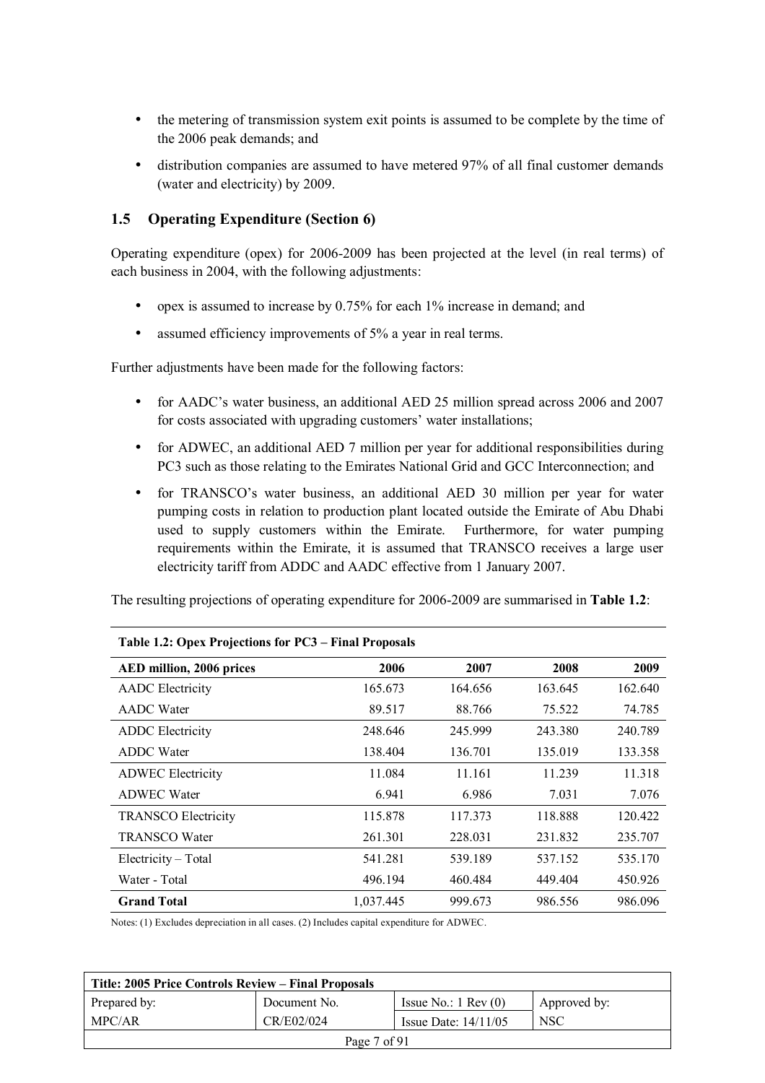- the metering of transmission system exit points is assumed to be complete by the time of the 2006 peak demands; and
- distribution companies are assumed to have metered 97% of all final customer demands (water and electricity) by 2009.

#### **1.5 Operating Expenditure (Section 6)**

Operating expenditure (opex) for 2006-2009 has been projected at the level (in real terms) of each business in 2004, with the following adjustments:

- opex is assumed to increase by 0.75% for each 1% increase in demand; and
- assumed efficiency improvements of 5% a year in real terms.

Further adjustments have been made for the following factors:

- for AADC's water business, an additional AED 25 million spread across 2006 and 2007 for costs associated with upgrading customers' water installations;
- for ADWEC, an additional AED 7 million per year for additional responsibilities during PC3 such as those relating to the Emirates National Grid and GCC Interconnection; and
- for TRANSCO's water business, an additional AED 30 million per year for water pumping costs in relation to production plant located outside the Emirate of Abu Dhabi used to supply customers within the Emirate. Furthermore, for water pumping requirements within the Emirate, it is assumed that TRANSCO receives a large user electricity tariff from ADDC and AADC effective from 1 January 2007.

The resulting projections of operating expenditure for 2006-2009 are summarised in **Table 1.2**:

| Table 1.2: Opex Projections for PC3 – Final Proposals |           |         |         |         |  |
|-------------------------------------------------------|-----------|---------|---------|---------|--|
| AED million, 2006 prices                              | 2006      | 2007    | 2008    | 2009    |  |
| <b>AADC</b> Electricity                               | 165.673   | 164.656 | 163.645 | 162.640 |  |
| <b>AADC</b> Water                                     | 89.517    | 88.766  | 75.522  | 74.785  |  |
| <b>ADDC</b> Electricity                               | 248.646   | 245.999 | 243.380 | 240.789 |  |
| <b>ADDC</b> Water                                     | 138.404   | 136.701 | 135.019 | 133.358 |  |
| <b>ADWEC Electricity</b>                              | 11.084    | 11.161  | 11.239  | 11.318  |  |
| <b>ADWEC Water</b>                                    | 6.941     | 6.986   | 7.031   | 7.076   |  |
| <b>TRANSCO Electricity</b>                            | 115.878   | 117.373 | 118.888 | 120.422 |  |
| <b>TRANSCO Water</b>                                  | 261.301   | 228.031 | 231.832 | 235.707 |  |
| Electricity – Total                                   | 541.281   | 539.189 | 537.152 | 535.170 |  |
| Water - Total                                         | 496.194   | 460.484 | 449.404 | 450.926 |  |
| <b>Grand Total</b>                                    | 1,037.445 | 999.673 | 986.556 | 986.096 |  |

Notes: (1) Excludes depreciation in all cases. (2) Includes capital expenditure for ADWEC.

| Title: 2005 Price Controls Review – Final Proposals |              |                               |              |  |
|-----------------------------------------------------|--------------|-------------------------------|--------------|--|
| Prepared by:                                        | Document No. | Issue No.: $1 \text{ Rev}(0)$ | Approved by: |  |
| MPC/AR                                              | CR/E02/024   | Issue Date: $14/11/05$        | <b>NSC</b>   |  |
| Page 7 of 91                                        |              |                               |              |  |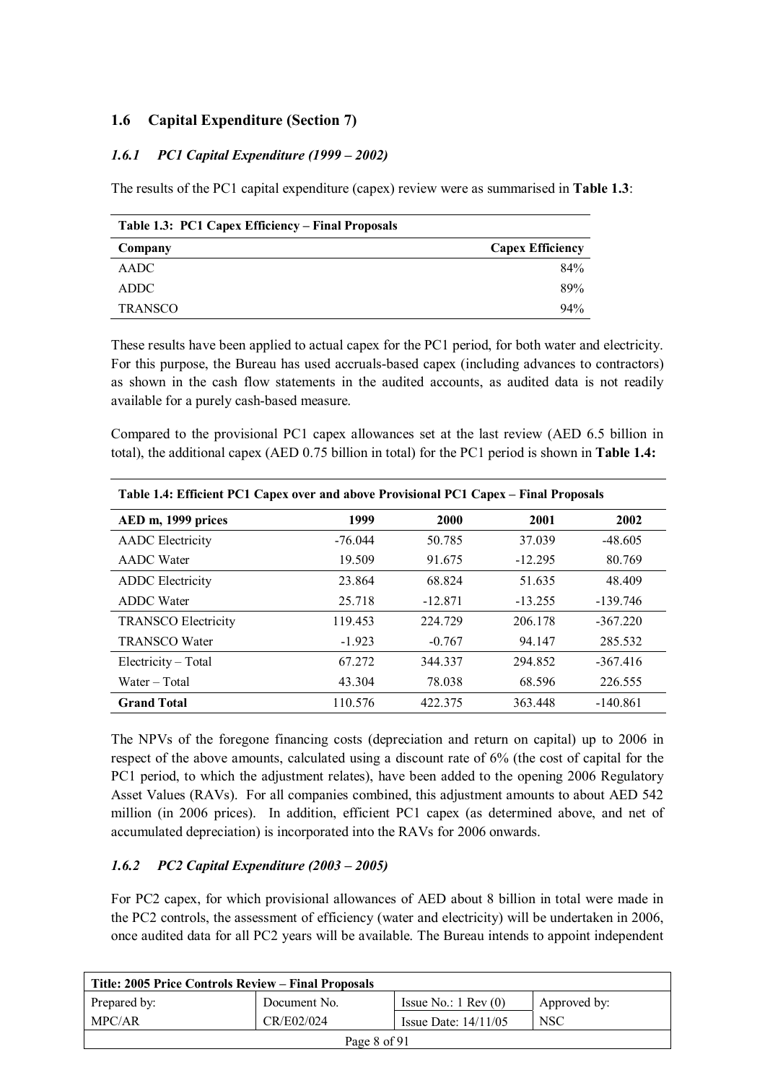## **1.6 Capital Expenditure (Section 7)**

#### *1.6.1 PC1 Capital Expenditure (1999 – 2002)*

The results of the PC1 capital expenditure (capex) review were as summarised in **Table 1.3**:

| Table 1.3: PC1 Capex Efficiency – Final Proposals |                         |
|---------------------------------------------------|-------------------------|
| Company                                           | <b>Capex Efficiency</b> |
| AADC                                              | 84%                     |
| <b>ADDC</b>                                       | 89%                     |
| <b>TRANSCO</b>                                    | 94%                     |

These results have been applied to actual capex for the PC1 period, for both water and electricity. For this purpose, the Bureau has used accruals-based capex (including advances to contractors) as shown in the cash flow statements in the audited accounts, as audited data is not readily available for a purely cash-based measure.

Compared to the provisional PC1 capex allowances set at the last review (AED 6.5 billion in total), the additional capex (AED 0.75 billion in total) for the PC1 period is shown in **Table 1.4:**

| Table 1.4: Efficient PC1 Capex over and above Provisional PC1 Capex – Final Proposals |           |           |           |            |
|---------------------------------------------------------------------------------------|-----------|-----------|-----------|------------|
| AED m, 1999 prices                                                                    | 1999      | 2000      | 2001      | 2002       |
| <b>AADC</b> Electricity                                                               | $-76.044$ | 50.785    | 37.039    | $-48.605$  |
| <b>AADC</b> Water                                                                     | 19.509    | 91.675    | $-12.295$ | 80.769     |
| <b>ADDC</b> Electricity                                                               | 23.864    | 68.824    | 51.635    | 48.409     |
| <b>ADDC</b> Water                                                                     | 25.718    | $-12.871$ | $-13.255$ | -139.746   |
| <b>TRANSCO Electricity</b>                                                            | 119.453   | 224.729   | 206.178   | $-367.220$ |
| <b>TRANSCO Water</b>                                                                  | $-1.923$  | $-0.767$  | 94.147    | 285.532    |
| Electricity – Total                                                                   | 67.272    | 344.337   | 294.852   | $-367.416$ |
| $Water - Total$                                                                       | 43.304    | 78.038    | 68.596    | 226.555    |
| <b>Grand Total</b>                                                                    | 110.576   | 422.375   | 363.448   | $-140.861$ |

The NPVs of the foregone financing costs (depreciation and return on capital) up to 2006 in respect of the above amounts, calculated using a discount rate of 6% (the cost of capital for the PC1 period, to which the adjustment relates), have been added to the opening 2006 Regulatory Asset Values (RAVs). For all companies combined, this adjustment amounts to about AED 542 million (in 2006 prices). In addition, efficient PC1 capex (as determined above, and net of accumulated depreciation) is incorporated into the RAVs for 2006 onwards.

### *1.6.2 PC2 Capital Expenditure (2003 – 2005)*

For PC2 capex, for which provisional allowances of AED about 8 billion in total were made in the PC2 controls, the assessment of efficiency (water and electricity) will be undertaken in 2006, once audited data for all PC2 years will be available. The Bureau intends to appoint independent

| Title: 2005 Price Controls Review – Final Proposals          |              |                               |              |  |
|--------------------------------------------------------------|--------------|-------------------------------|--------------|--|
| Prepared by:                                                 | Document No. | Issue No.: $1 \text{ Rev}(0)$ | Approved by: |  |
| CR/E02/024<br><b>NSC</b><br>MPC/AR<br>Issue Date: $14/11/05$ |              |                               |              |  |
| Page 8 of 91                                                 |              |                               |              |  |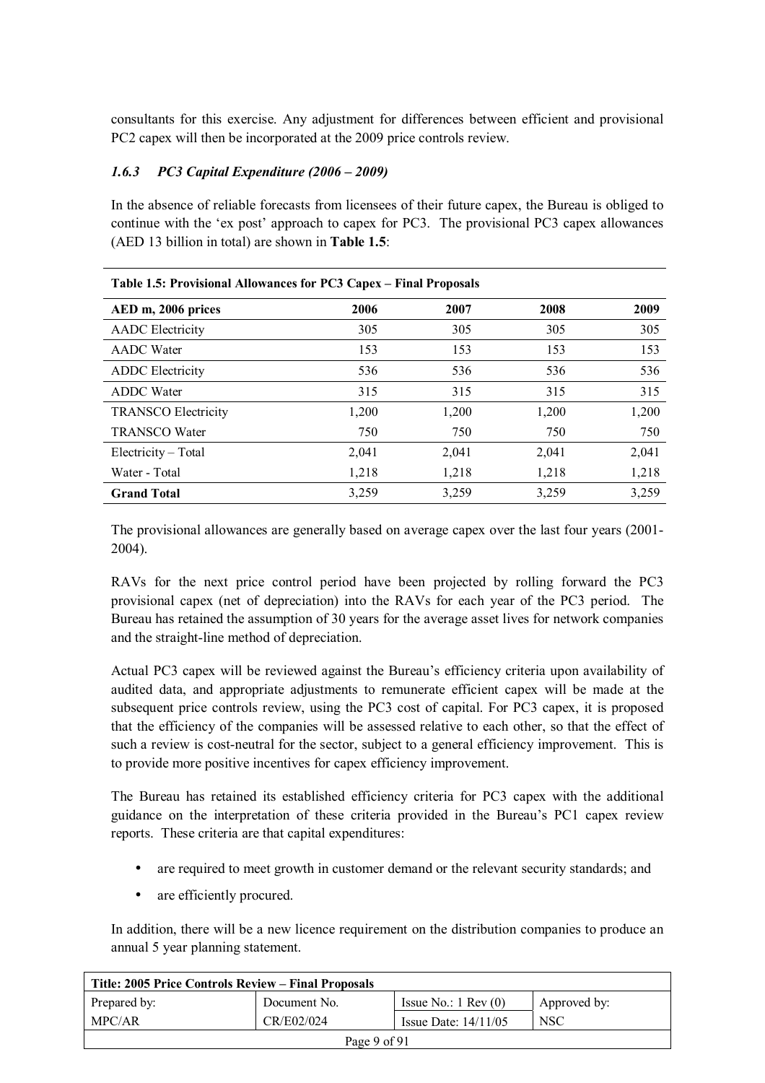consultants for this exercise. Any adjustment for differences between efficient and provisional PC2 capex will then be incorporated at the 2009 price controls review.

#### *1.6.3 PC3 Capital Expenditure (2006 – 2009)*

In the absence of reliable forecasts from licensees of their future capex, the Bureau is obliged to continue with the 'ex post' approach to capex for PC3. The provisional PC3 capex allowances (AED 13 billion in total) are shown in **Table 1.5**:

| Table 1.5: Provisional Allowances for PC3 Capex – Final Proposals |       |       |       |       |  |
|-------------------------------------------------------------------|-------|-------|-------|-------|--|
| AED m, 2006 prices                                                | 2006  | 2007  | 2008  | 2009  |  |
| <b>AADC</b> Electricity                                           | 305   | 305   | 305   | 305   |  |
| <b>AADC</b> Water                                                 | 153   | 153   | 153   | 153   |  |
| <b>ADDC</b> Electricity                                           | 536   | 536   | 536   | 536   |  |
| <b>ADDC</b> Water                                                 | 315   | 315   | 315   | 315   |  |
| <b>TRANSCO Electricity</b>                                        | 1,200 | 1,200 | 1,200 | 1,200 |  |
| <b>TRANSCO Water</b>                                              | 750   | 750   | 750   | 750   |  |
| Electricity - Total                                               | 2,041 | 2,041 | 2,041 | 2,041 |  |
| Water - Total                                                     | 1,218 | 1,218 | 1,218 | 1,218 |  |
| <b>Grand Total</b>                                                | 3,259 | 3,259 | 3,259 | 3,259 |  |

The provisional allowances are generally based on average capex over the last four years (2001- 2004).

RAVs for the next price control period have been projected by rolling forward the PC3 provisional capex (net of depreciation) into the RAVs for each year of the PC3 period. The Bureau has retained the assumption of 30 years for the average asset lives for network companies and the straight-line method of depreciation.

Actual PC3 capex will be reviewed against the Bureau's efficiency criteria upon availability of audited data, and appropriate adjustments to remunerate efficient capex will be made at the subsequent price controls review, using the PC3 cost of capital. For PC3 capex, it is proposed that the efficiency of the companies will be assessed relative to each other, so that the effect of such a review is cost-neutral for the sector, subject to a general efficiency improvement. This is to provide more positive incentives for capex efficiency improvement.

The Bureau has retained its established efficiency criteria for PC3 capex with the additional guidance on the interpretation of these criteria provided in the Bureau's PC1 capex review reports. These criteria are that capital expenditures:

- are required to meet growth in customer demand or the relevant security standards; and
- are efficiently procured.

In addition, there will be a new licence requirement on the distribution companies to produce an annual 5 year planning statement.

| Title: 2005 Price Controls Review – Final Proposals |              |                               |              |  |
|-----------------------------------------------------|--------------|-------------------------------|--------------|--|
| Prepared by:                                        | Document No. | Issue No.: $1 \text{ Rev}(0)$ | Approved by: |  |
| MPC/AR                                              | CR/E02/024   | Issue Date: $14/11/05$        | <b>NSC</b>   |  |
| Page 9 of 91                                        |              |                               |              |  |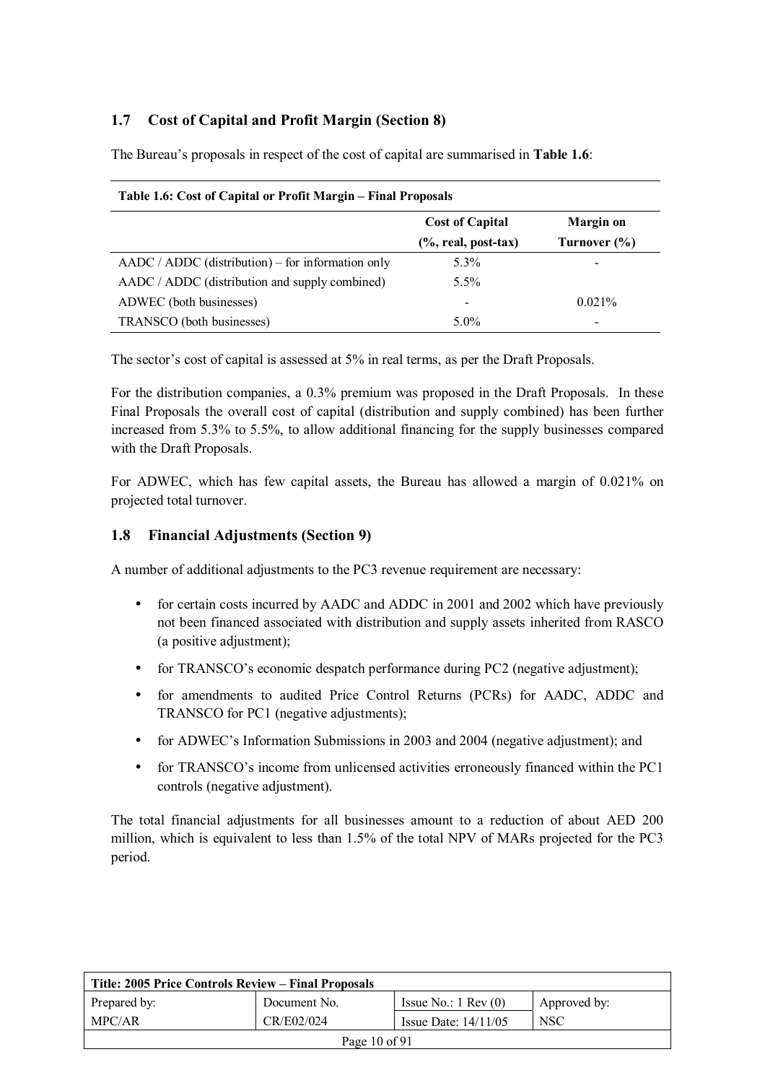## **1.7 Cost of Capital and Profit Margin (Section 8)**

The Bureau's proposals in respect of the cost of capital are summarised in **Table 1.6**:

| Table 1.0: Cost of Capital of Profit Margin – Pliial Proposais |                         |                  |  |
|----------------------------------------------------------------|-------------------------|------------------|--|
|                                                                | <b>Cost of Capital</b>  | <b>Margin</b> on |  |
|                                                                | $(\%$ , real, post-tax) | Turnover $(\% )$ |  |
| $AADC / ADDC$ (distribution) – for information only            | $5.3\%$                 |                  |  |
| AADC / ADDC (distribution and supply combined)                 | $5.5\%$                 |                  |  |
| ADWEC (both businesses)                                        |                         | 0.021%           |  |
| TRANSCO (both businesses)                                      | $5.0\%$                 |                  |  |

**Table 1.6: Cost of Capital or Profit Margin ñ Final Proposals** 

The sector's cost of capital is assessed at 5% in real terms, as per the Draft Proposals.

For the distribution companies, a 0.3% premium was proposed in the Draft Proposals. In these Final Proposals the overall cost of capital (distribution and supply combined) has been further increased from 5.3% to 5.5%, to allow additional financing for the supply businesses compared with the Draft Proposals.

For ADWEC, which has few capital assets, the Bureau has allowed a margin of 0.021% on projected total turnover.

#### **1.8 Financial Adjustments (Section 9)**

A number of additional adjustments to the PC3 revenue requirement are necessary:

- for certain costs incurred by AADC and ADDC in 2001 and 2002 which have previously not been financed associated with distribution and supply assets inherited from RASCO (a positive adjustment);
- for TRANSCO's economic despatch performance during PC2 (negative adjustment);
- for amendments to audited Price Control Returns (PCRs) for AADC, ADDC and TRANSCO for PC1 (negative adjustments);
- for ADWEC's Information Submissions in 2003 and 2004 (negative adjustment); and
- for TRANSCO's income from unlicensed activities erroneously financed within the PC1 controls (negative adjustment).

The total financial adjustments for all businesses amount to a reduction of about AED 200 million, which is equivalent to less than 1.5% of the total NPV of MARs projected for the PC3 period.

| Title: 2005 Price Controls Review – Final Proposals          |              |                               |              |  |
|--------------------------------------------------------------|--------------|-------------------------------|--------------|--|
| Prepared by:                                                 | Document No. | Issue No.: $1 \text{ Rev}(0)$ | Approved by: |  |
| CR/E02/024<br>MPC/AR<br><b>NSC</b><br>Issue Date: $14/11/05$ |              |                               |              |  |
| Page $10$ of 91                                              |              |                               |              |  |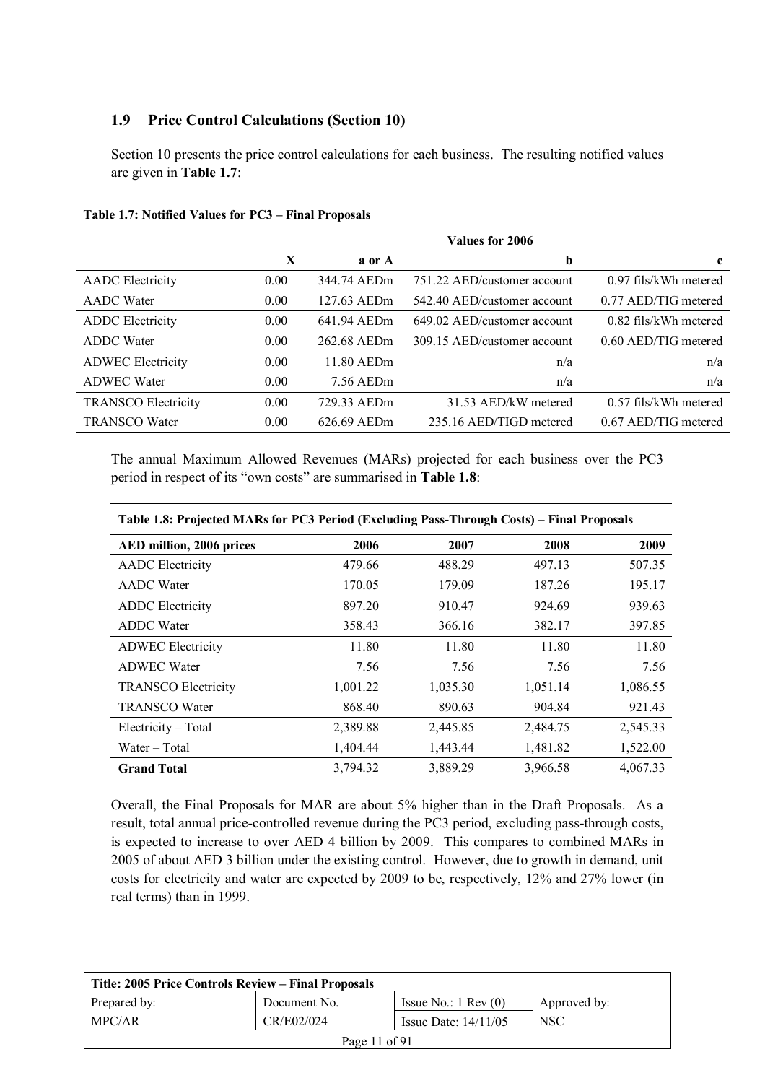### **1.9 Price Control Calculations (Section 10)**

Section 10 presents the price control calculations for each business. The resulting notified values are given in **Table 1.7**:

| Table 1.7: Notified Values for PC3 – Final Proposals |      |             |                             |                         |
|------------------------------------------------------|------|-------------|-----------------------------|-------------------------|
|                                                      |      |             | Values for 2006             |                         |
|                                                      | X    | a or A      | b                           | $\mathbf c$             |
| <b>AADC</b> Electricity                              | 0.00 | 344.74 AEDm | 751.22 AED/customer account | $0.97$ fils/kWh metered |
| <b>AADC</b> Water                                    | 0.00 | 127.63 AEDm | 542.40 AED/customer account | 0.77 AED/TIG metered    |
| <b>ADDC</b> Electricity                              | 0.00 | 641.94 AEDm | 649.02 AED/customer account | $0.82$ fils/kWh metered |
| <b>ADDC</b> Water                                    | 0.00 | 262.68 AEDm | 309.15 AED/customer account | 0.60 AED/TIG metered    |
| <b>ADWEC Electricity</b>                             | 0.00 | 11.80 AEDm  | n/a                         | n/a                     |
| <b>ADWEC Water</b>                                   | 0.00 | 7.56 AEDm   | n/a                         | n/a                     |
| <b>TRANSCO Electricity</b>                           | 0.00 | 729.33 AEDm | 31.53 AED/kW metered        | $0.57$ fils/kWh metered |
| <b>TRANSCO Water</b>                                 | 0.00 | 626.69 AEDm | 235.16 AED/TIGD metered     | 0.67 AED/TIG metered    |

The annual Maximum Allowed Revenues (MARs) projected for each business over the PC3 period in respect of its "own costs" are summarised in **Table 1.8**:

| Table 1.0; Frojected MAINS for FCJ Feriod (Excluding Fass-Through Costs) – Final Froposals |          |          |          |          |
|--------------------------------------------------------------------------------------------|----------|----------|----------|----------|
| AED million, 2006 prices                                                                   | 2006     | 2007     | 2008     | 2009     |
| <b>AADC</b> Electricity                                                                    | 479.66   | 488.29   | 497.13   | 507.35   |
| <b>AADC</b> Water                                                                          | 170.05   | 179.09   | 187.26   | 195.17   |
| <b>ADDC</b> Electricity                                                                    | 897.20   | 910.47   | 924.69   | 939.63   |
| <b>ADDC</b> Water                                                                          | 358.43   | 366.16   | 382.17   | 397.85   |
| <b>ADWEC Electricity</b>                                                                   | 11.80    | 11.80    | 11.80    | 11.80    |
| <b>ADWEC Water</b>                                                                         | 7.56     | 7.56     | 7.56     | 7.56     |
| <b>TRANSCO Electricity</b>                                                                 | 1,001.22 | 1,035.30 | 1,051.14 | 1,086.55 |
| <b>TRANSCO Water</b>                                                                       | 868.40   | 890.63   | 904.84   | 921.43   |
| Electricity – Total                                                                        | 2,389.88 | 2,445.85 | 2,484.75 | 2,545.33 |
| Water – Total                                                                              | 1,404.44 | 1,443.44 | 1,481.82 | 1,522.00 |
| <b>Grand Total</b>                                                                         | 3,794.32 | 3,889.29 | 3,966.58 | 4,067.33 |

**Table 1.8: Projected MARs for PC3 Period (Excluding Pass-Through Costs) ñ Final Proposals** 

Overall, the Final Proposals for MAR are about 5% higher than in the Draft Proposals. As a result, total annual price-controlled revenue during the PC3 period, excluding pass-through costs, is expected to increase to over AED 4 billion by 2009. This compares to combined MARs in 2005 of about AED 3 billion under the existing control. However, due to growth in demand, unit costs for electricity and water are expected by 2009 to be, respectively, 12% and 27% lower (in real terms) than in 1999.

| Title: 2005 Price Controls Review – Final Proposals          |              |                               |              |  |
|--------------------------------------------------------------|--------------|-------------------------------|--------------|--|
| Prepared by:                                                 | Document No. | Issue No.: $1 \text{ Rev}(0)$ | Approved by: |  |
| CR/E02/024<br>MPC/AR<br><b>NSC</b><br>Issue Date: $14/11/05$ |              |                               |              |  |
| Page 11 of 91                                                |              |                               |              |  |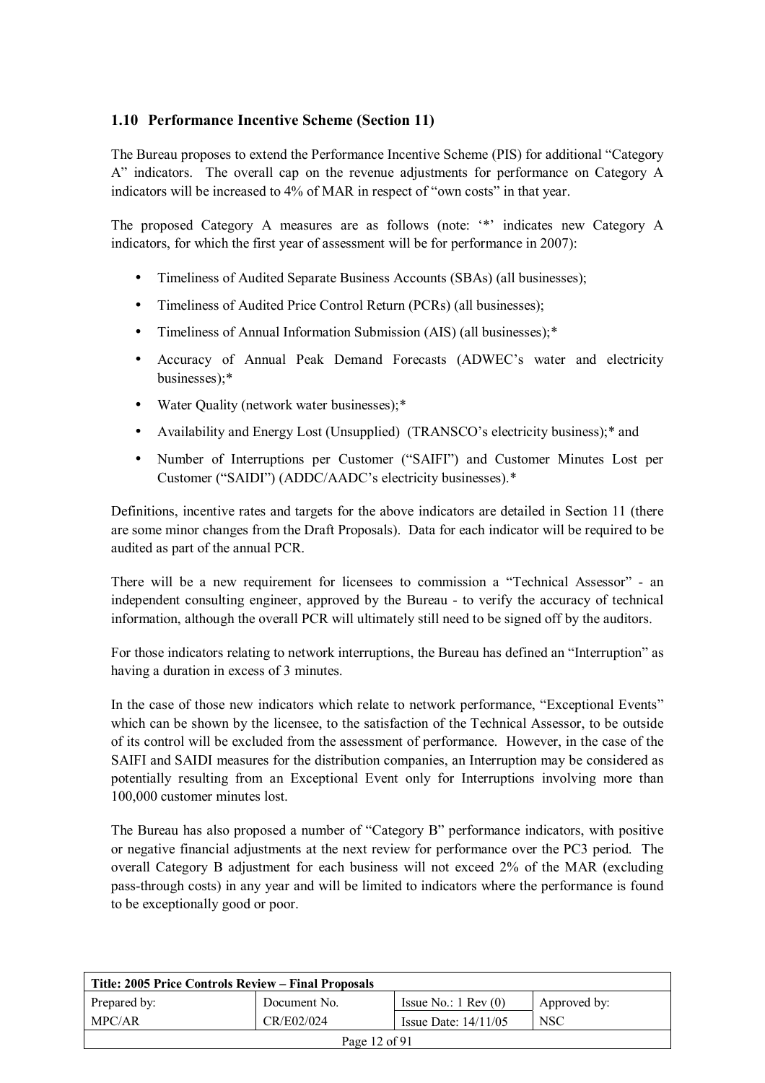## **1.10 Performance Incentive Scheme (Section 11)**

The Bureau proposes to extend the Performance Incentive Scheme (PIS) for additional "Category Aî indicators. The overall cap on the revenue adjustments for performance on Category A indicators will be increased to 4% of MAR in respect of "own costs" in that year.

The proposed Category A measures are as follows (note: "\*" indicates new Category A indicators, for which the first year of assessment will be for performance in 2007):

- Timeliness of Audited Separate Business Accounts (SBAs) (all businesses);
- Timeliness of Audited Price Control Return (PCRs) (all businesses):
- Timeliness of Annual Information Submission (AIS) (all businesses);\*
- Accuracy of Annual Peak Demand Forecasts (ADWEC's water and electricity businesses);\*
- Water Quality (network water businesses):\*
- Availability and Energy Lost (Unsupplied) (TRANSCO's electricity business);<sup>\*</sup> and
- Number of Interruptions per Customer ("SAIFI") and Customer Minutes Lost per Customer ("SAIDI") (ADDC/AADC's electricity businesses).\*

Definitions, incentive rates and targets for the above indicators are detailed in Section 11 (there are some minor changes from the Draft Proposals). Data for each indicator will be required to be audited as part of the annual PCR.

There will be a new requirement for licensees to commission a "Technical Assessor" - an independent consulting engineer, approved by the Bureau - to verify the accuracy of technical information, although the overall PCR will ultimately still need to be signed off by the auditors.

For those indicators relating to network interruptions, the Bureau has defined an "Interruption" as having a duration in excess of 3 minutes.

In the case of those new indicators which relate to network performance, "Exceptional Events" which can be shown by the licensee, to the satisfaction of the Technical Assessor, to be outside of its control will be excluded from the assessment of performance. However, in the case of the SAIFI and SAIDI measures for the distribution companies, an Interruption may be considered as potentially resulting from an Exceptional Event only for Interruptions involving more than 100,000 customer minutes lost.

The Bureau has also proposed a number of "Category B" performance indicators, with positive or negative financial adjustments at the next review for performance over the PC3 period. The overall Category B adjustment for each business will not exceed 2% of the MAR (excluding pass-through costs) in any year and will be limited to indicators where the performance is found to be exceptionally good or poor.

| Title: 2005 Price Controls Review – Final Proposals          |              |                               |              |  |
|--------------------------------------------------------------|--------------|-------------------------------|--------------|--|
| Prepared by:                                                 | Document No. | Issue No.: $1 \text{ Rev}(0)$ | Approved by: |  |
| CR/E02/024<br>MPC/AR<br><b>NSC</b><br>Issue Date: $14/11/05$ |              |                               |              |  |
| Page 12 of 91                                                |              |                               |              |  |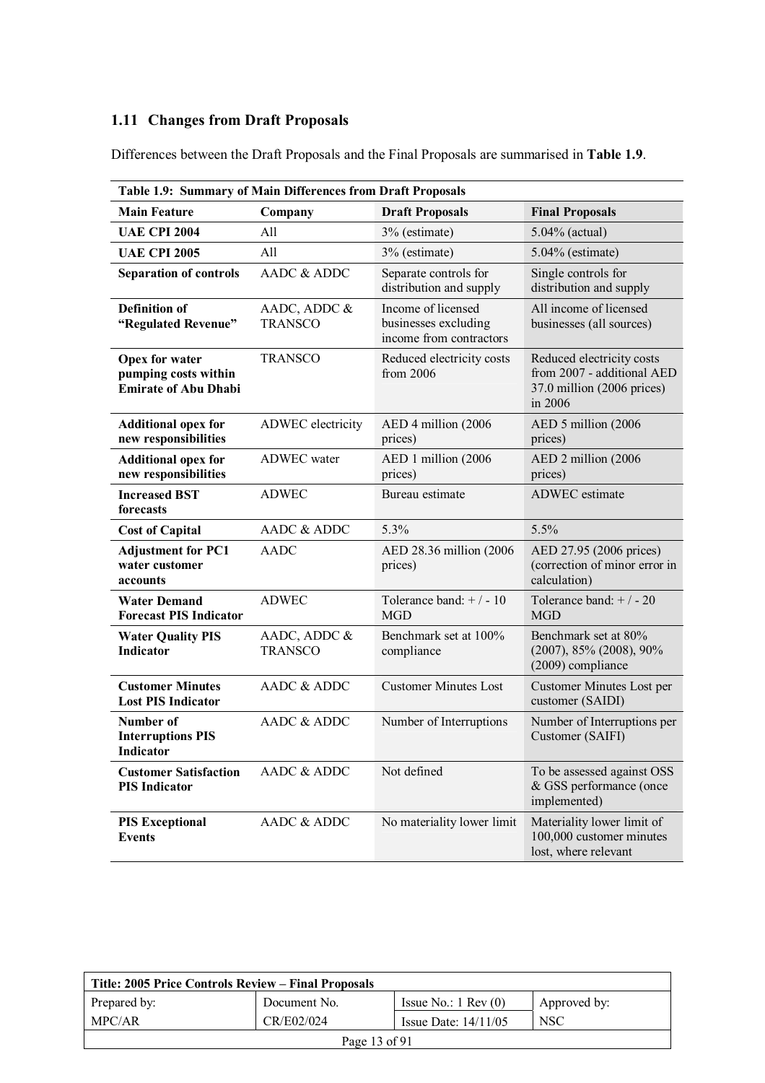## **1.11 Changes from Draft Proposals**

| Table 1.9: Summary of Main Differences from Draft Proposals           |                                |                                                                       |                                                                                                  |
|-----------------------------------------------------------------------|--------------------------------|-----------------------------------------------------------------------|--------------------------------------------------------------------------------------------------|
| <b>Main Feature</b>                                                   | Company                        | <b>Draft Proposals</b>                                                | <b>Final Proposals</b>                                                                           |
| <b>UAE CPI 2004</b>                                                   | All                            | 3% (estimate)                                                         | 5.04% (actual)                                                                                   |
| <b>UAE CPI 2005</b>                                                   | All                            | 3% (estimate)                                                         | $5.04\%$ (estimate)                                                                              |
| <b>Separation of controls</b>                                         | AADC & ADDC                    | Separate controls for<br>distribution and supply                      | Single controls for<br>distribution and supply                                                   |
| <b>Definition of</b><br>"Regulated Revenue"                           | AADC, ADDC &<br><b>TRANSCO</b> | Income of licensed<br>businesses excluding<br>income from contractors | All income of licensed<br>businesses (all sources)                                               |
| Opex for water<br>pumping costs within<br><b>Emirate of Abu Dhabi</b> | <b>TRANSCO</b>                 | Reduced electricity costs<br>from 2006                                | Reduced electricity costs<br>from 2007 - additional AED<br>37.0 million (2006 prices)<br>in 2006 |
| <b>Additional opex for</b><br>new responsibilities                    | ADWEC electricity              | AED 4 million (2006<br>prices)                                        | AED 5 million (2006<br>prices)                                                                   |
| <b>Additional opex for</b><br>new responsibilities                    | <b>ADWEC</b> water             | AED 1 million (2006<br>prices)                                        | AED 2 million (2006)<br>prices)                                                                  |
| <b>Increased BST</b><br>forecasts                                     | <b>ADWEC</b>                   | Bureau estimate                                                       | <b>ADWEC</b> estimate                                                                            |
| <b>Cost of Capital</b>                                                | AADC & ADDC                    | 5.3%                                                                  | 5.5%                                                                                             |
| <b>Adjustment for PC1</b><br>water customer<br>accounts               | AADC                           | AED 28.36 million (2006)<br>prices)                                   | AED 27.95 (2006 prices)<br>(correction of minor error in<br>calculation)                         |
| <b>Water Demand</b><br><b>Forecast PIS Indicator</b>                  | <b>ADWEC</b>                   | Tolerance band: $+/-10$<br><b>MGD</b>                                 | Tolerance band: $+/-20$<br><b>MGD</b>                                                            |
| <b>Water Quality PIS</b><br><b>Indicator</b>                          | AADC, ADDC &<br><b>TRANSCO</b> | Benchmark set at 100%<br>compliance                                   | Benchmark set at 80%<br>(2007), 85% (2008), 90%<br>(2009) compliance                             |
| <b>Customer Minutes</b><br><b>Lost PIS Indicator</b>                  | AADC & ADDC                    | <b>Customer Minutes Lost</b>                                          | <b>Customer Minutes Lost per</b><br>customer (SAIDI)                                             |
| Number of<br><b>Interruptions PIS</b><br>Indicator                    | AADC & ADDC                    | Number of Interruptions                                               | Number of Interruptions per<br>Customer (SAIFI)                                                  |
| <b>Customer Satisfaction</b><br><b>PIS Indicator</b>                  | AADC & ADDC                    | Not defined                                                           | To be assessed against OSS<br>& GSS performance (once<br>implemented)                            |
| <b>PIS Exceptional</b><br><b>Events</b>                               | AADC & ADDC                    | No materiality lower limit                                            | Materiality lower limit of<br>100,000 customer minutes<br>lost, where relevant                   |

Differences between the Draft Proposals and the Final Proposals are summarised in **Table 1.9**.

| Title: 2005 Price Controls Review – Final Proposals |              |                               |              |  |
|-----------------------------------------------------|--------------|-------------------------------|--------------|--|
| Prepared by:                                        | Document No. | Issue No.: $1 \text{ Rev}(0)$ | Approved by: |  |
| MPC/AR                                              | CR/E02/024   | Issue Date: $14/11/05$        | <b>NSC</b>   |  |
| Page 13 of 91                                       |              |                               |              |  |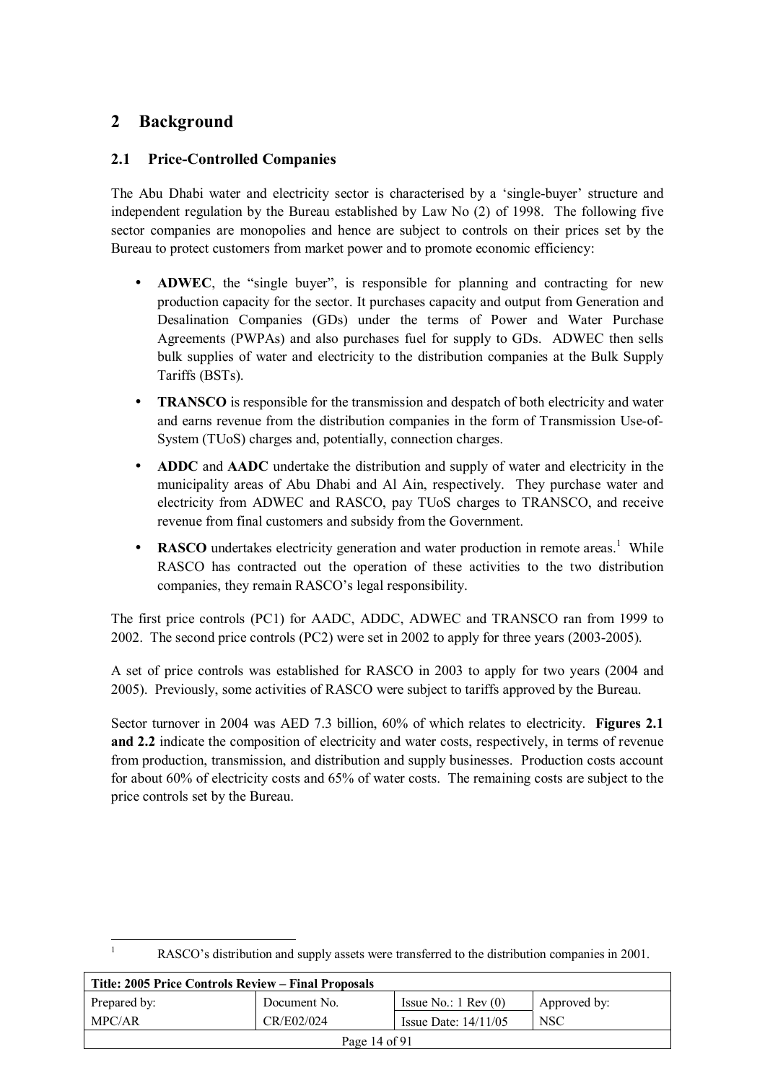## **2 Background**

 $\overline{a}$ 1

## **2.1 Price-Controlled Companies**

The Abu Dhabi water and electricity sector is characterised by a 'single-buyer' structure and independent regulation by the Bureau established by Law No (2) of 1998. The following five sector companies are monopolies and hence are subject to controls on their prices set by the Bureau to protect customers from market power and to promote economic efficiency:

- ADWEC, the "single buyer", is responsible for planning and contracting for new production capacity for the sector. It purchases capacity and output from Generation and Desalination Companies (GDs) under the terms of Power and Water Purchase Agreements (PWPAs) and also purchases fuel for supply to GDs. ADWEC then sells bulk supplies of water and electricity to the distribution companies at the Bulk Supply Tariffs (BSTs).
- **TRANSCO** is responsible for the transmission and despatch of both electricity and water and earns revenue from the distribution companies in the form of Transmission Use-of-System (TUoS) charges and, potentially, connection charges.
- **ADDC** and **AADC** undertake the distribution and supply of water and electricity in the municipality areas of Abu Dhabi and Al Ain, respectively. They purchase water and electricity from ADWEC and RASCO, pay TUoS charges to TRANSCO, and receive revenue from final customers and subsidy from the Government.
- RASCO undertakes electricity generation and water production in remote areas.<sup>1</sup> While RASCO has contracted out the operation of these activities to the two distribution companies, they remain RASCO's legal responsibility.

The first price controls (PC1) for AADC, ADDC, ADWEC and TRANSCO ran from 1999 to 2002. The second price controls (PC2) were set in 2002 to apply for three years (2003-2005).

A set of price controls was established for RASCO in 2003 to apply for two years (2004 and 2005). Previously, some activities of RASCO were subject to tariffs approved by the Bureau.

Sector turnover in 2004 was AED 7.3 billion, 60% of which relates to electricity. **Figures 2.1 and 2.2** indicate the composition of electricity and water costs, respectively, in terms of revenue from production, transmission, and distribution and supply businesses. Production costs account for about 60% of electricity costs and 65% of water costs. The remaining costs are subject to the price controls set by the Bureau.

RASCO's distribution and supply assets were transferred to the distribution companies in 2001.

| Title: 2005 Price Controls Review – Final Proposals |              |                               |              |  |
|-----------------------------------------------------|--------------|-------------------------------|--------------|--|
| Prepared by:                                        | Document No. | Issue No.: $1 \text{ Rev}(0)$ | Approved by: |  |
| MPC/AR                                              | CR/E02/024   | Issue Date: $14/11/05$        | NSC          |  |
| Page 14 of 91                                       |              |                               |              |  |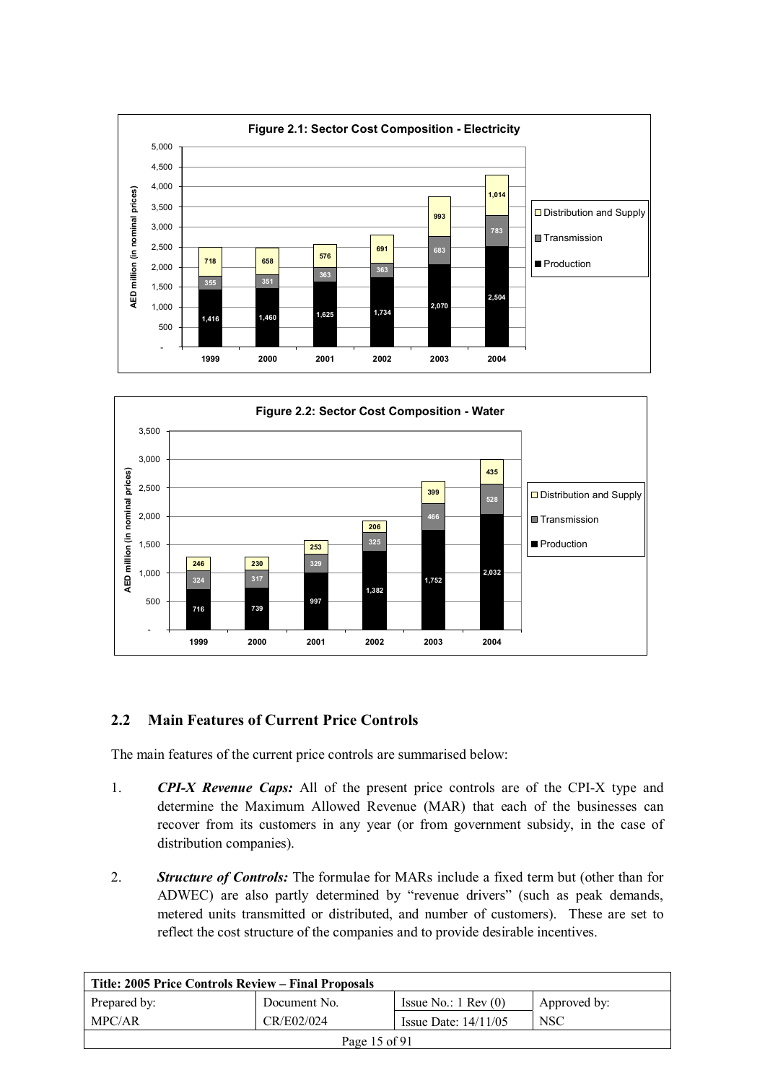



## **2.2 Main Features of Current Price Controls**

The main features of the current price controls are summarised below:

- 1. *CPI-X Revenue Caps:* All of the present price controls are of the CPI-X type and determine the Maximum Allowed Revenue (MAR) that each of the businesses can recover from its customers in any year (or from government subsidy, in the case of distribution companies).
- 2. *Structure of Controls:* The formulae for MARs include a fixed term but (other than for ADWEC) are also partly determined by "revenue drivers" (such as peak demands, metered units transmitted or distributed, and number of customers). These are set to reflect the cost structure of the companies and to provide desirable incentives.

| Title: 2005 Price Controls Review – Final Proposals |              |                               |              |  |
|-----------------------------------------------------|--------------|-------------------------------|--------------|--|
| Prepared by:                                        | Document No. | Issue No.: $1 \text{ Rev}(0)$ | Approved by: |  |
| MPC/AR                                              | CR/E02/024   | Issue Date: $14/11/05$        | <b>NSC</b>   |  |
| Page $15$ of $91$                                   |              |                               |              |  |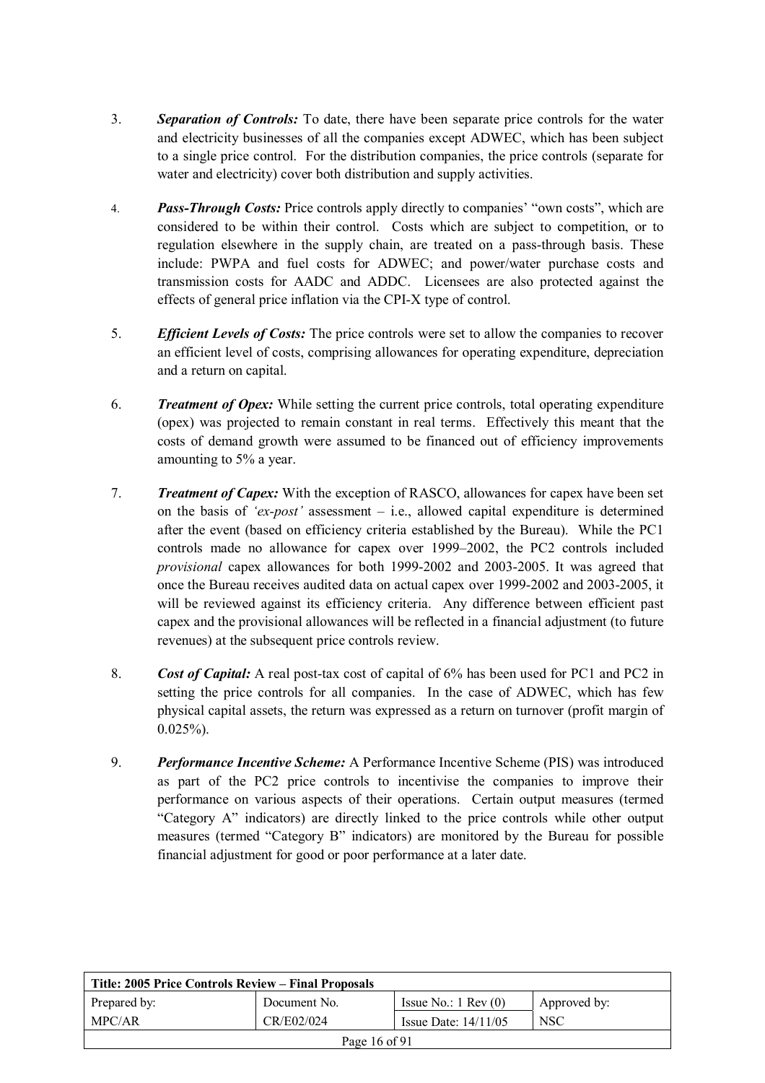- 3. *Separation of Controls:* To date, there have been separate price controls for the water and electricity businesses of all the companies except ADWEC, which has been subject to a single price control. For the distribution companies, the price controls (separate for water and electricity) cover both distribution and supply activities.
- 4. *Pass-Through Costs:* Price controls apply directly to companies' "own costs", which are considered to be within their control. Costs which are subject to competition, or to regulation elsewhere in the supply chain, are treated on a pass-through basis. These include: PWPA and fuel costs for ADWEC; and power/water purchase costs and transmission costs for AADC and ADDC. Licensees are also protected against the effects of general price inflation via the CPI-X type of control.
- 5. *Efficient Levels of Costs:* The price controls were set to allow the companies to recover an efficient level of costs, comprising allowances for operating expenditure, depreciation and a return on capital.
- 6. *Treatment of Opex:* While setting the current price controls, total operating expenditure (opex) was projected to remain constant in real terms. Effectively this meant that the costs of demand growth were assumed to be financed out of efficiency improvements amounting to 5% a year.
- 7. *Treatment of Capex:* With the exception of RASCO, allowances for capex have been set on the basis of *'ex-post'* assessment  $-$  i.e., allowed capital expenditure is determined after the event (based on efficiency criteria established by the Bureau). While the PC1 controls made no allowance for capex over 1999–2002, the PC2 controls included *provisional* capex allowances for both 1999-2002 and 2003-2005. It was agreed that once the Bureau receives audited data on actual capex over 1999-2002 and 2003-2005, it will be reviewed against its efficiency criteria. Any difference between efficient past capex and the provisional allowances will be reflected in a financial adjustment (to future revenues) at the subsequent price controls review.
- 8. *Cost of Capital:* A real post-tax cost of capital of 6% has been used for PC1 and PC2 in setting the price controls for all companies. In the case of ADWEC, which has few physical capital assets, the return was expressed as a return on turnover (profit margin of  $0.025\%$ ).
- 9. *Performance Incentive Scheme:* A Performance Incentive Scheme (PIS) was introduced as part of the PC2 price controls to incentivise the companies to improve their performance on various aspects of their operations. Certain output measures (termed ìCategory Aî indicators) are directly linked to the price controls while other output measures (termed "Category B" indicators) are monitored by the Bureau for possible financial adjustment for good or poor performance at a later date.

| Title: 2005 Price Controls Review – Final Proposals |              |                               |              |  |
|-----------------------------------------------------|--------------|-------------------------------|--------------|--|
| Prepared by:                                        | Document No. | Issue No.: $1 \text{ Rev}(0)$ | Approved by: |  |
| MPC/AR                                              | CR/E02/024   | Issue Date: $14/11/05$        | <b>NSC</b>   |  |
| Page 16 of 91                                       |              |                               |              |  |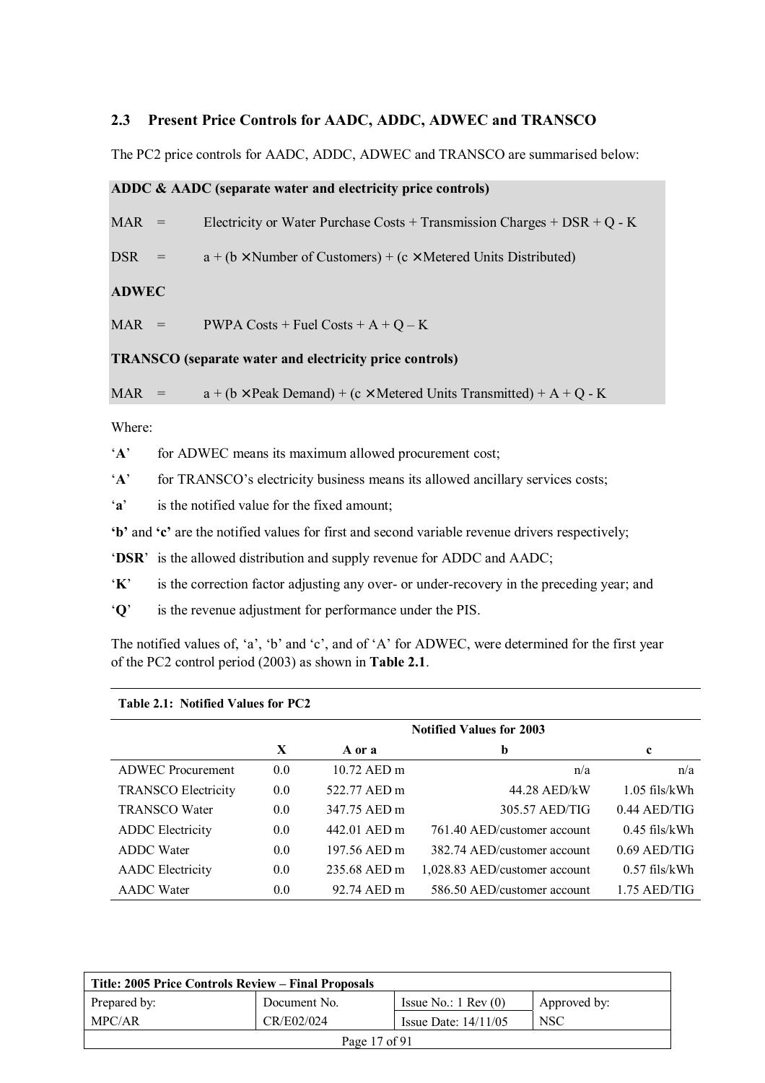#### **2.3 Present Price Controls for AADC, ADDC, ADWEC and TRANSCO**

The PC2 price controls for AADC, ADDC, ADWEC and TRANSCO are summarised below:

#### **ADDC & AADC (separate water and electricity price controls)**

MAR = Electricity or Water Purchase Costs + Transmission Charges + DSR + Q - K

DSR =  $a + (b \times$  Number of Customers) + (c × Metered Units Distributed)

**ADWEC** 

 $MAR$  = PWPA Costs + Fuel Costs + A + Q – K

#### **TRANSCO (separate water and electricity price controls)**

MAR =  $a + (b \times \text{Peak Domain}) + (c \times \text{Metered Units Transmitted}) + A + Q - K$ 

Where:

 $A'$  for ADWEC means its maximum allowed procurement cost;

 $A'$  for TRANSCO's electricity business means its allowed ancillary services costs;

'a' is the notified value for the fixed amount;

**Table 2.1: Notified Values for PC2** 

**Example 10** is and **the set of the notified values for first and second variable revenue drivers respectively;** 

**EVALUATE:** is the allowed distribution and supply revenue for ADDC and AADC;

ë**K**í is the correction factor adjusting any over- or under-recovery in the preceding year; and

ë**Q**í is the revenue adjustment for performance under the PIS.

The notified values of, 'a', 'b' and 'c', and of 'A' for ADWEC, were determined for the first year of the PC2 control period (2003) as shown in **Table 2.1**.

| <b>TADIC 4.1.</b> TOUTHER VALUES TOT T CA |     |              |                                 |                 |  |
|-------------------------------------------|-----|--------------|---------------------------------|-----------------|--|
|                                           |     |              | <b>Notified Values for 2003</b> |                 |  |
|                                           | X   | A or a       | b                               | $\mathbf c$     |  |
| <b>ADWEC</b> Procurement                  | 0.0 | 10.72 AED m  | n/a                             | n/a             |  |
| <b>TRANSCO Electricity</b>                | 0.0 | 522.77 AED m | 44.28 AED/kW                    | $1.05$ fils/kWh |  |
| <b>TRANSCO Water</b>                      | 0.0 | 347.75 AED m | 305.57 AED/TIG                  | $0.44$ AED/TIG  |  |
| <b>ADDC</b> Electricity                   | 0.0 | 442.01 AED m | 761.40 AED/customer account     | $0.45$ fils/kWh |  |
| <b>ADDC</b> Water                         | 0.0 | 197.56 AED m | 382.74 AED/customer account     | $0.69$ AED/TIG  |  |
| <b>AADC</b> Electricity                   | 0.0 | 235.68 AED m | 1,028.83 AED/customer account   | $0.57$ fils/kWh |  |
| <b>AADC</b> Water                         | 0.0 | 92.74 AED m  | 586.50 AED/customer account     | $1.75$ AED/TIG  |  |

| Title: 2005 Price Controls Review – Final Proposals |              |                               |              |  |
|-----------------------------------------------------|--------------|-------------------------------|--------------|--|
| Prepared by:                                        | Document No. | Issue No.: $1 \text{ Rev}(0)$ | Approved by: |  |
| MPC/AR                                              | CR/E02/024   | Issue Date: $14/11/05$        | <b>NSC</b>   |  |
| Page $17$ of $91$                                   |              |                               |              |  |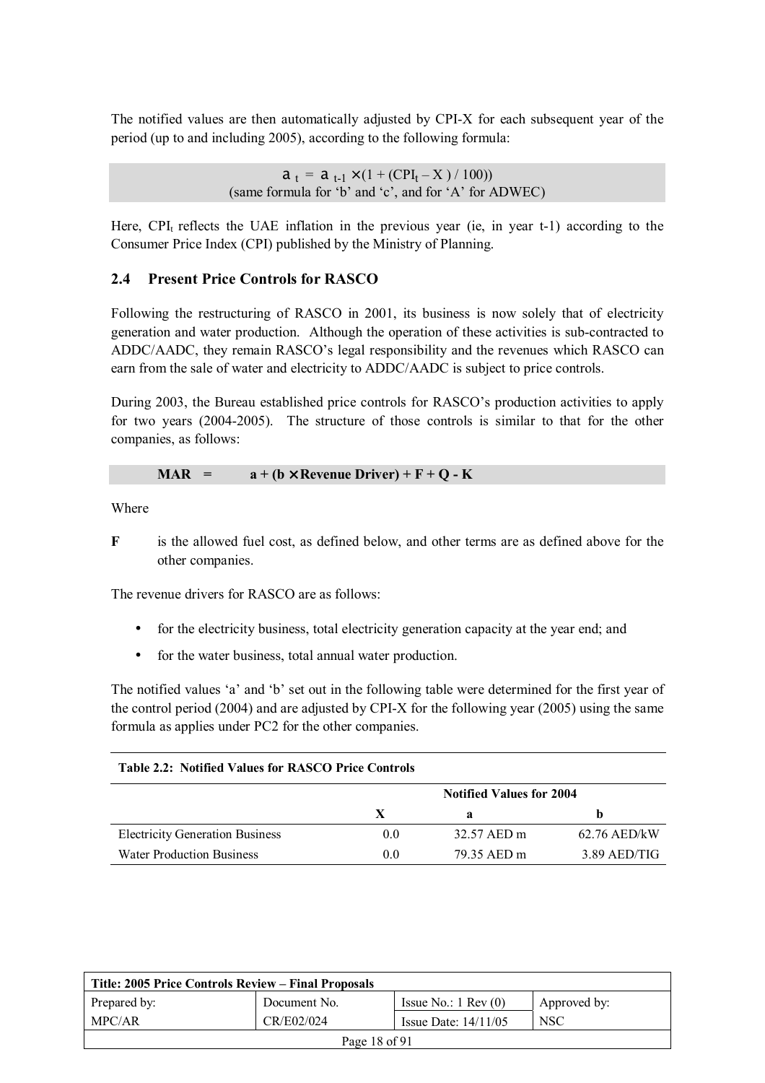The notified values are then automatically adjusted by CPI-X for each subsequent year of the period (up to and including 2005), according to the following formula:

> $a_t = a_{t-1} \times (1 + (CPI_t - X) / 100)$ (same formula for  $b'$  and  $c'$ , and for  $A'$  for ADWEC)

Here,  $\text{CPI}_{t}$  reflects the UAE inflation in the previous year (ie, in year t-1) according to the Consumer Price Index (CPI) published by the Ministry of Planning.

#### **2.4 Present Price Controls for RASCO**

Following the restructuring of RASCO in 2001, its business is now solely that of electricity generation and water production. Although the operation of these activities is sub-contracted to ADDC/AADC, they remain RASCO's legal responsibility and the revenues which RASCO can earn from the sale of water and electricity to ADDC/AADC is subject to price controls.

During 2003, the Bureau established price controls for RASCO's production activities to apply for two years (2004-2005). The structure of those controls is similar to that for the other companies, as follows:

**MAR** =  $a + (b \times$  **Revenue Driver** $) + F + O - K$ 

Where

**F** is the allowed fuel cost, as defined below, and other terms are as defined above for the other companies.

The revenue drivers for RASCO are as follows:

- for the electricity business, total electricity generation capacity at the year end; and
- for the water business, total annual water production.

The notified values 'a' and 'b' set out in the following table were determined for the first year of the control period (2004) and are adjusted by CPI-X for the following year (2005) using the same formula as applies under PC2 for the other companies.

| <b>Table 2.2: Notified Values for RASCO Price Controls</b> |     |                                 |                |  |
|------------------------------------------------------------|-----|---------------------------------|----------------|--|
|                                                            |     | <b>Notified Values for 2004</b> |                |  |
|                                                            | X   | а                               | h              |  |
| <b>Electricity Generation Business</b>                     | 0.0 | 32.57 AED m                     | $62.76$ AED/kW |  |
| <b>Water Production Business</b>                           | 00  | 79.35 AED m                     | $3.89$ AED/TIG |  |

| Title: 2005 Price Controls Review – Final Proposals |              |                               |              |  |
|-----------------------------------------------------|--------------|-------------------------------|--------------|--|
| Prepared by:                                        | Document No. | Issue No.: $1 \text{ Rev}(0)$ | Approved by: |  |
| MPC/AR                                              | CR/E02/024   | Issue Date: $14/11/05$        | <b>NSC</b>   |  |
| Page 18 of 91                                       |              |                               |              |  |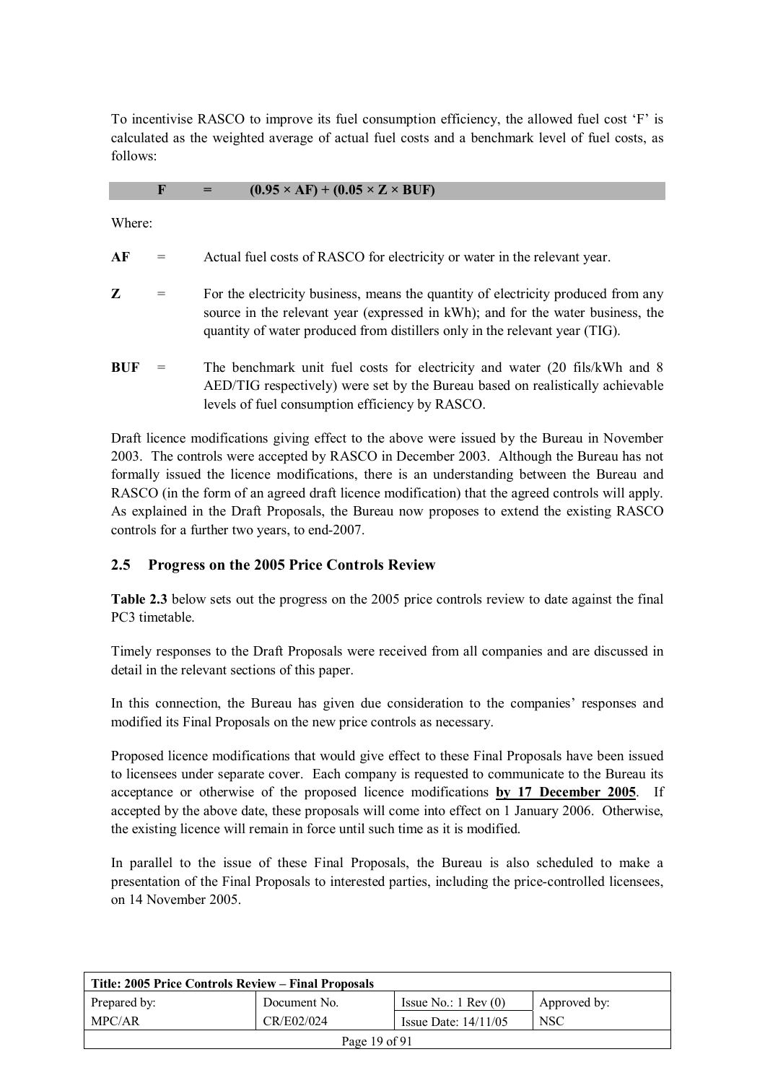To incentivise RASCO to improve its fuel consumption efficiency, the allowed fuel cost 'F' is calculated as the weighted average of actual fuel costs and a benchmark level of fuel costs, as follows:

#### $F = (0.95 \times AF) + (0.05 \times Z \times BUF)$

Where:

| AF  | Actual fuel costs of RASCO for electricity or water in the relevant year.                                                                                                                                                                           |
|-----|-----------------------------------------------------------------------------------------------------------------------------------------------------------------------------------------------------------------------------------------------------|
| Z   | For the electricity business, means the quantity of electricity produced from any<br>source in the relevant year (expressed in kWh); and for the water business, the<br>quantity of water produced from distillers only in the relevant year (TIG). |
| BUF | The benchmark unit fuel costs for electricity and water (20 fils/kWh and 8)<br>AED/TIG respectively) were set by the Bureau based on realistically achievable<br>levels of fuel consumption efficiency by RASCO.                                    |

Draft licence modifications giving effect to the above were issued by the Bureau in November 2003. The controls were accepted by RASCO in December 2003. Although the Bureau has not formally issued the licence modifications, there is an understanding between the Bureau and RASCO (in the form of an agreed draft licence modification) that the agreed controls will apply. As explained in the Draft Proposals, the Bureau now proposes to extend the existing RASCO controls for a further two years, to end-2007.

#### **2.5 Progress on the 2005 Price Controls Review**

**Table 2.3** below sets out the progress on the 2005 price controls review to date against the final PC3 timetable.

Timely responses to the Draft Proposals were received from all companies and are discussed in detail in the relevant sections of this paper.

In this connection, the Bureau has given due consideration to the companies' responses and modified its Final Proposals on the new price controls as necessary.

Proposed licence modifications that would give effect to these Final Proposals have been issued to licensees under separate cover. Each company is requested to communicate to the Bureau its acceptance or otherwise of the proposed licence modifications **by 17 December 2005**. If accepted by the above date, these proposals will come into effect on 1 January 2006. Otherwise, the existing licence will remain in force until such time as it is modified.

In parallel to the issue of these Final Proposals, the Bureau is also scheduled to make a presentation of the Final Proposals to interested parties, including the price-controlled licensees, on 14 November 2005.

| Title: 2005 Price Controls Review – Final Proposals |              |                               |              |
|-----------------------------------------------------|--------------|-------------------------------|--------------|
| Prepared by:                                        | Document No. | Issue No.: $1 \text{ Rev}(0)$ | Approved by: |
| MPC/AR                                              | CR/E02/024   | Issue Date: $14/11/05$        | <b>NSC</b>   |
| Page 19 of 91                                       |              |                               |              |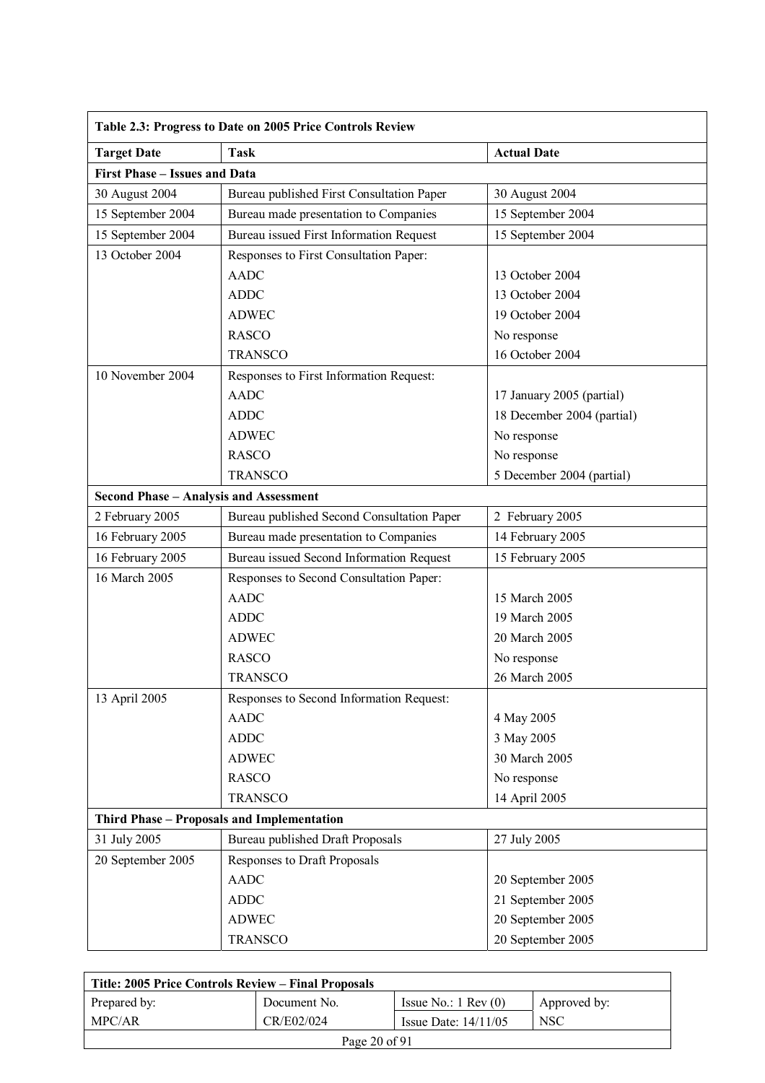| Table 2.3: Progress to Date on 2005 Price Controls Review |                                            |                            |  |  |  |
|-----------------------------------------------------------|--------------------------------------------|----------------------------|--|--|--|
| <b>Target Date</b>                                        | <b>Task</b>                                | <b>Actual Date</b>         |  |  |  |
| <b>First Phase - Issues and Data</b>                      |                                            |                            |  |  |  |
| 30 August 2004                                            | Bureau published First Consultation Paper  | 30 August 2004             |  |  |  |
| 15 September 2004                                         | Bureau made presentation to Companies      | 15 September 2004          |  |  |  |
| 15 September 2004                                         | Bureau issued First Information Request    | 15 September 2004          |  |  |  |
| 13 October 2004                                           | Responses to First Consultation Paper:     |                            |  |  |  |
|                                                           | <b>AADC</b>                                | 13 October 2004            |  |  |  |
|                                                           | <b>ADDC</b>                                | 13 October 2004            |  |  |  |
|                                                           | <b>ADWEC</b>                               | 19 October 2004            |  |  |  |
|                                                           | <b>RASCO</b>                               | No response                |  |  |  |
|                                                           | <b>TRANSCO</b>                             | 16 October 2004            |  |  |  |
| 10 November 2004                                          | Responses to First Information Request:    |                            |  |  |  |
|                                                           | <b>AADC</b>                                | 17 January 2005 (partial)  |  |  |  |
|                                                           | <b>ADDC</b>                                | 18 December 2004 (partial) |  |  |  |
|                                                           | <b>ADWEC</b>                               | No response                |  |  |  |
|                                                           | <b>RASCO</b>                               | No response                |  |  |  |
|                                                           | <b>TRANSCO</b>                             | 5 December 2004 (partial)  |  |  |  |
| <b>Second Phase - Analysis and Assessment</b>             |                                            |                            |  |  |  |
| 2 February 2005                                           | Bureau published Second Consultation Paper | 2 February 2005            |  |  |  |
| 16 February 2005                                          | Bureau made presentation to Companies      | 14 February 2005           |  |  |  |
| 16 February 2005                                          | Bureau issued Second Information Request   | 15 February 2005           |  |  |  |
| 16 March 2005                                             | Responses to Second Consultation Paper:    |                            |  |  |  |
|                                                           | AADC                                       | 15 March 2005              |  |  |  |
|                                                           | <b>ADDC</b>                                | 19 March 2005              |  |  |  |
|                                                           | <b>ADWEC</b>                               | 20 March 2005              |  |  |  |
|                                                           | <b>RASCO</b>                               | No response                |  |  |  |
|                                                           | <b>TRANSCO</b>                             | 26 March 2005              |  |  |  |
| 13 April 2005                                             | Responses to Second Information Request:   |                            |  |  |  |
|                                                           | <b>AADC</b>                                | 4 May 2005                 |  |  |  |
|                                                           | <b>ADDC</b>                                | 3 May 2005                 |  |  |  |
|                                                           | <b>ADWEC</b>                               | 30 March 2005              |  |  |  |
|                                                           | <b>RASCO</b>                               | No response                |  |  |  |
|                                                           | <b>TRANSCO</b>                             | 14 April 2005              |  |  |  |
|                                                           | Third Phase - Proposals and Implementation |                            |  |  |  |
| 31 July 2005                                              | Bureau published Draft Proposals           | 27 July 2005               |  |  |  |
| 20 September 2005                                         | Responses to Draft Proposals               |                            |  |  |  |
|                                                           | <b>AADC</b>                                | 20 September 2005          |  |  |  |
|                                                           | <b>ADDC</b>                                | 21 September 2005          |  |  |  |
|                                                           | <b>ADWEC</b>                               | 20 September 2005          |  |  |  |
|                                                           | <b>TRANSCO</b>                             | 20 September 2005          |  |  |  |

| Title: 2005 Price Controls Review – Final Proposals |              |                               |              |  |
|-----------------------------------------------------|--------------|-------------------------------|--------------|--|
| Prepared by:                                        | Document No. | Issue No.: $1 \text{ Rev}(0)$ | Approved by: |  |
| MPC/AR                                              | CR/E02/024   | Issue Date: $14/11/05$        | <b>NSC</b>   |  |
| Page $20$ of 91                                     |              |                               |              |  |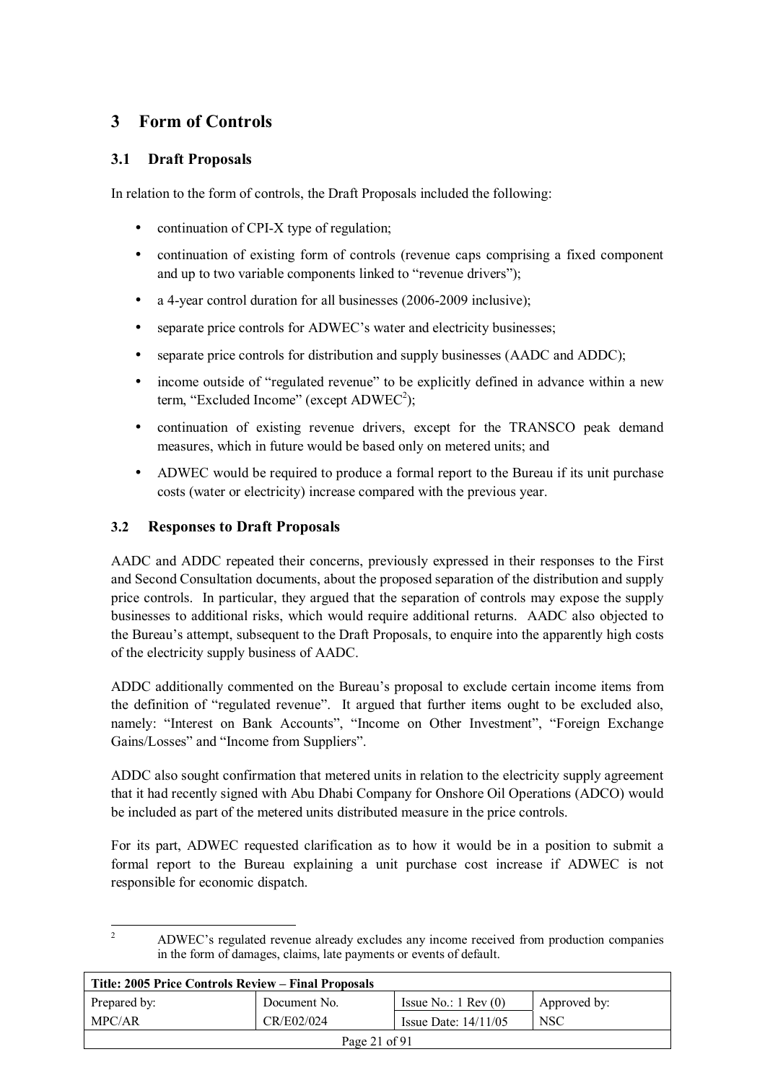## **3 Form of Controls**

### **3.1 Draft Proposals**

In relation to the form of controls, the Draft Proposals included the following:

- continuation of CPI-X type of regulation;
- continuation of existing form of controls (revenue caps comprising a fixed component and up to two variable components linked to "revenue drivers");
- a 4-year control duration for all businesses (2006-2009 inclusive);
- separate price controls for ADWEC's water and electricity businesses;
- separate price controls for distribution and supply businesses (AADC and ADDC);
- income outside of "regulated revenue" to be explicitly defined in advance within a new term, "Excluded Income" (except  $ADWEC^2$ );
- continuation of existing revenue drivers, except for the TRANSCO peak demand measures, which in future would be based only on metered units; and
- ADWEC would be required to produce a formal report to the Bureau if its unit purchase costs (water or electricity) increase compared with the previous year.

### **3.2 Responses to Draft Proposals**

AADC and ADDC repeated their concerns, previously expressed in their responses to the First and Second Consultation documents, about the proposed separation of the distribution and supply price controls. In particular, they argued that the separation of controls may expose the supply businesses to additional risks, which would require additional returns. AADC also objected to the Bureauís attempt, subsequent to the Draft Proposals, to enquire into the apparently high costs of the electricity supply business of AADC.

ADDC additionally commented on the Bureau's proposal to exclude certain income items from the definition of "regulated revenue". It argued that further items ought to be excluded also, namely: "Interest on Bank Accounts", "Income on Other Investment", "Foreign Exchange Gains/Losses" and "Income from Suppliers".

ADDC also sought confirmation that metered units in relation to the electricity supply agreement that it had recently signed with Abu Dhabi Company for Onshore Oil Operations (ADCO) would be included as part of the metered units distributed measure in the price controls.

For its part, ADWEC requested clarification as to how it would be in a position to submit a formal report to the Bureau explaining a unit purchase cost increase if ADWEC is not responsible for economic dispatch.

 $\frac{1}{2}$ ADWEC's regulated revenue already excludes any income received from production companies in the form of damages, claims, late payments or events of default.

| Title: 2005 Price Controls Review – Final Proposals |              |                               |              |  |
|-----------------------------------------------------|--------------|-------------------------------|--------------|--|
| Prepared by:                                        | Document No. | Issue No.: $1 \text{ Rev}(0)$ | Approved by: |  |
| MPC/AR                                              | CR/E02/024   | Issue Date: $14/11/05$        | <b>NSC</b>   |  |
| Page 21 of 91                                       |              |                               |              |  |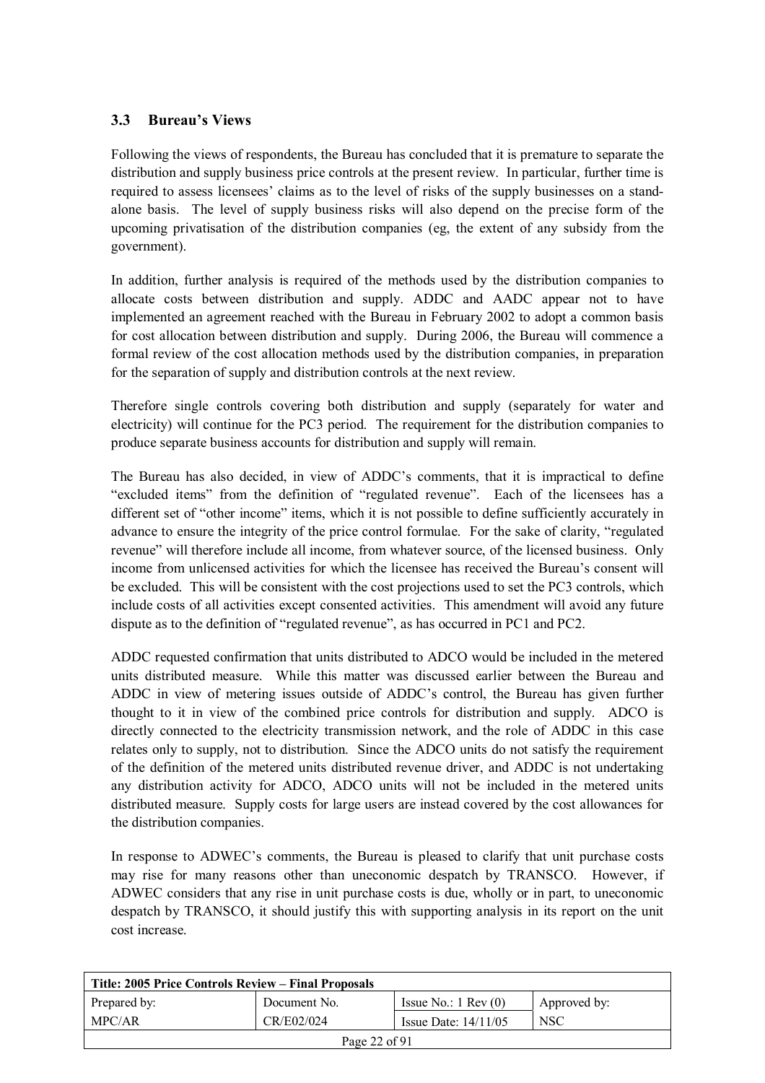## **3.3 Bureauís Views**

Following the views of respondents, the Bureau has concluded that it is premature to separate the distribution and supply business price controls at the present review. In particular, further time is required to assess licensees' claims as to the level of risks of the supply businesses on a standalone basis. The level of supply business risks will also depend on the precise form of the upcoming privatisation of the distribution companies (eg, the extent of any subsidy from the government).

In addition, further analysis is required of the methods used by the distribution companies to allocate costs between distribution and supply. ADDC and AADC appear not to have implemented an agreement reached with the Bureau in February 2002 to adopt a common basis for cost allocation between distribution and supply. During 2006, the Bureau will commence a formal review of the cost allocation methods used by the distribution companies, in preparation for the separation of supply and distribution controls at the next review.

Therefore single controls covering both distribution and supply (separately for water and electricity) will continue for the PC3 period. The requirement for the distribution companies to produce separate business accounts for distribution and supply will remain.

The Bureau has also decided, in view of ADDC's comments, that it is impractical to define "excluded items" from the definition of "regulated revenue". Each of the licensees has a different set of "other income" items, which it is not possible to define sufficiently accurately in advance to ensure the integrity of the price control formulae. For the sake of clarity, "regulated revenue" will therefore include all income, from whatever source, of the licensed business. Only income from unlicensed activities for which the licensee has received the Bureau's consent will be excluded. This will be consistent with the cost projections used to set the PC3 controls, which include costs of all activities except consented activities. This amendment will avoid any future dispute as to the definition of "regulated revenue", as has occurred in PC1 and PC2.

ADDC requested confirmation that units distributed to ADCO would be included in the metered units distributed measure. While this matter was discussed earlier between the Bureau and ADDC in view of metering issues outside of ADDC's control, the Bureau has given further thought to it in view of the combined price controls for distribution and supply. ADCO is directly connected to the electricity transmission network, and the role of ADDC in this case relates only to supply, not to distribution. Since the ADCO units do not satisfy the requirement of the definition of the metered units distributed revenue driver, and ADDC is not undertaking any distribution activity for ADCO, ADCO units will not be included in the metered units distributed measure. Supply costs for large users are instead covered by the cost allowances for the distribution companies.

In response to ADWEC's comments, the Bureau is pleased to clarify that unit purchase costs may rise for many reasons other than uneconomic despatch by TRANSCO. However, if ADWEC considers that any rise in unit purchase costs is due, wholly or in part, to uneconomic despatch by TRANSCO, it should justify this with supporting analysis in its report on the unit cost increase.

| Title: 2005 Price Controls Review – Final Proposals |              |                               |              |  |
|-----------------------------------------------------|--------------|-------------------------------|--------------|--|
| Prepared by:                                        | Document No. | Issue No.: $1 \text{ Rev}(0)$ | Approved by: |  |
| MPC/AR                                              | CR/E02/024   | Issue Date: $14/11/05$        | <b>NSC</b>   |  |
| Page 22 of $91$                                     |              |                               |              |  |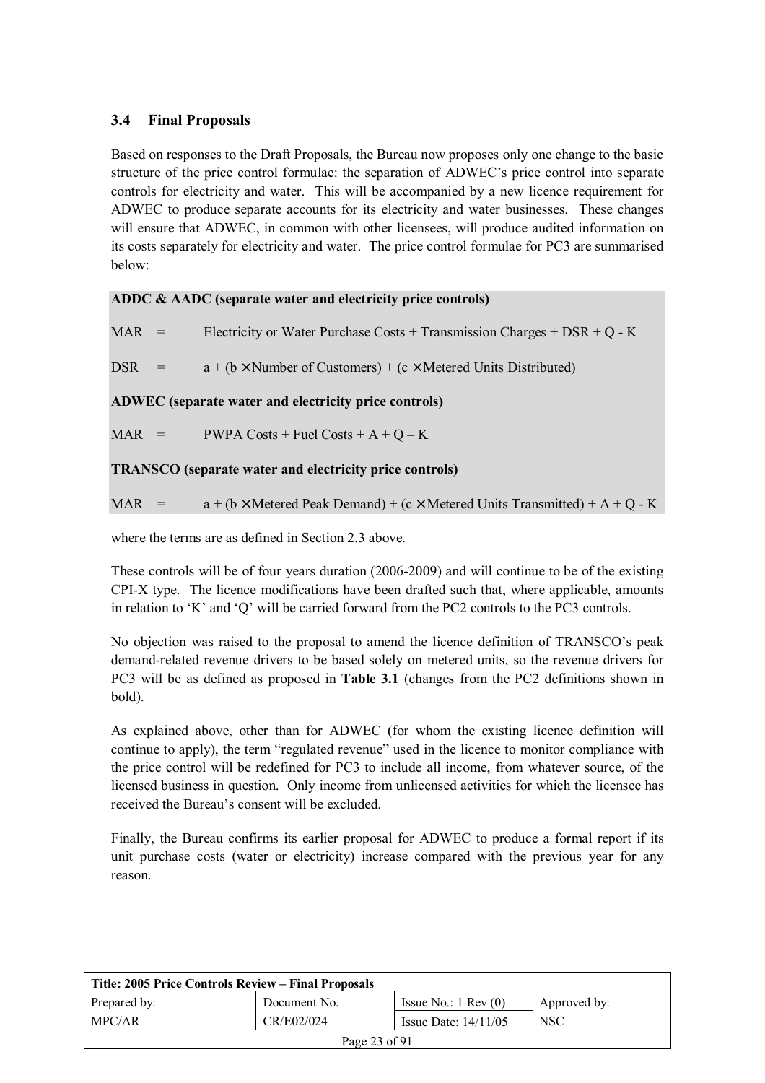## **3.4 Final Proposals**

Based on responses to the Draft Proposals, the Bureau now proposes only one change to the basic structure of the price control formulae: the separation of ADWEC's price control into separate controls for electricity and water. This will be accompanied by a new licence requirement for ADWEC to produce separate accounts for its electricity and water businesses. These changes will ensure that ADWEC, in common with other licensees, will produce audited information on its costs separately for electricity and water. The price control formulae for PC3 are summarised below:

### **ADDC & AADC (separate water and electricity price controls)**

MAR = Electricity or Water Purchase Costs + Transmission Charges + DSR + Q - K

DSR =  $a + (b \times$  Number of Customers) + (c × Metered Units Distributed)

### **ADWEC (separate water and electricity price controls)**

 $MAR$  = PWPA Costs + Fuel Costs + A + O – K

### **TRANSCO (separate water and electricity price controls)**

MAR =  $a + (b \times \text{Metered} \text{ Peak} \text{ Demand}) + (c \times \text{Metered} \text{ Units} \text{ Transmitted}) + A + Q - K$ 

where the terms are as defined in Section 2.3 above.

These controls will be of four years duration (2006-2009) and will continue to be of the existing CPI-X type. The licence modifications have been drafted such that, where applicable, amounts in relation to 'K' and 'Q' will be carried forward from the PC2 controls to the PC3 controls.

No objection was raised to the proposal to amend the licence definition of TRANSCO's peak demand-related revenue drivers to be based solely on metered units, so the revenue drivers for PC3 will be as defined as proposed in **Table 3.1** (changes from the PC2 definitions shown in bold).

As explained above, other than for ADWEC (for whom the existing licence definition will continue to apply), the term "regulated revenue" used in the licence to monitor compliance with the price control will be redefined for PC3 to include all income, from whatever source, of the licensed business in question. Only income from unlicensed activities for which the licensee has received the Bureau's consent will be excluded.

Finally, the Bureau confirms its earlier proposal for ADWEC to produce a formal report if its unit purchase costs (water or electricity) increase compared with the previous year for any reason.

| Title: 2005 Price Controls Review – Final Proposals |              |                               |              |
|-----------------------------------------------------|--------------|-------------------------------|--------------|
| Prepared by:                                        | Document No. | Issue No.: $1 \text{ Rev}(0)$ | Approved by: |
| MPC/AR                                              | CR/E02/024   | Issue Date: $14/11/05$        | <b>NSC</b>   |
| Page 23 of 91                                       |              |                               |              |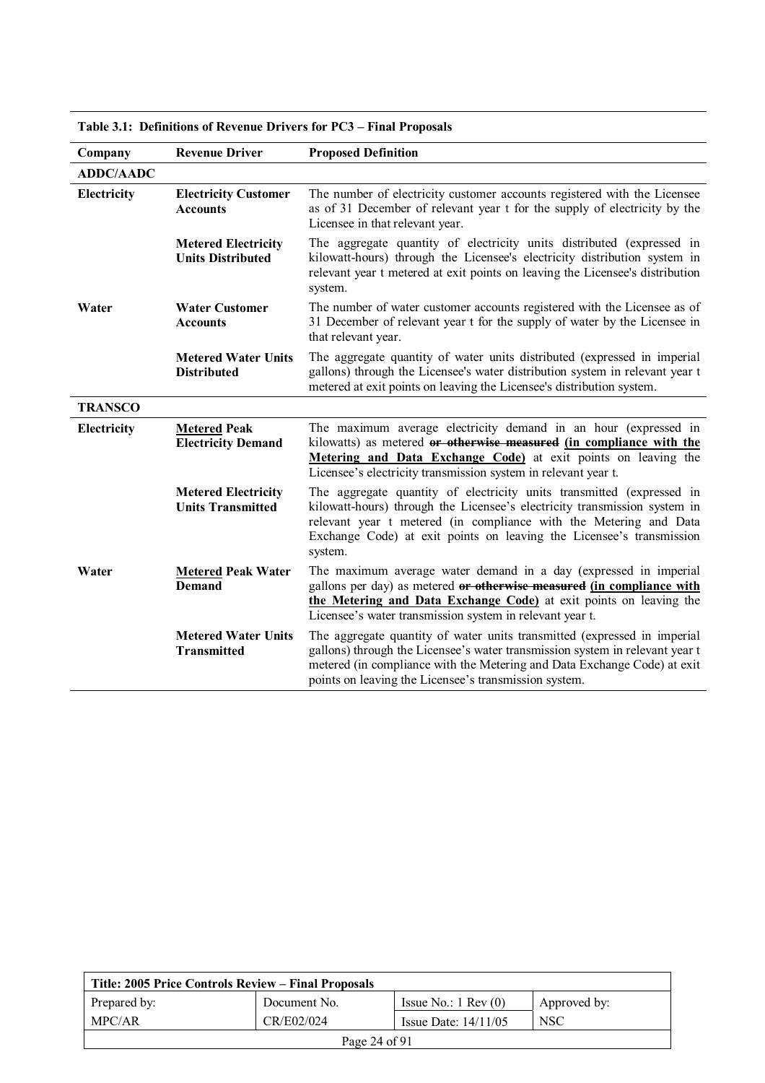| Company          | <b>Revenue Driver</b>                                  | <b>Proposed Definition</b>                                                                                                                                                                                                                                                                                 |
|------------------|--------------------------------------------------------|------------------------------------------------------------------------------------------------------------------------------------------------------------------------------------------------------------------------------------------------------------------------------------------------------------|
| <b>ADDC/AADC</b> |                                                        |                                                                                                                                                                                                                                                                                                            |
| Electricity      | <b>Electricity Customer</b><br><b>Accounts</b>         | The number of electricity customer accounts registered with the Licensee<br>as of 31 December of relevant year t for the supply of electricity by the<br>Licensee in that relevant year.                                                                                                                   |
|                  | <b>Metered Electricity</b><br><b>Units Distributed</b> | The aggregate quantity of electricity units distributed (expressed in<br>kilowatt-hours) through the Licensee's electricity distribution system in<br>relevant year t metered at exit points on leaving the Licensee's distribution<br>system.                                                             |
| Water            | <b>Water Customer</b><br><b>Accounts</b>               | The number of water customer accounts registered with the Licensee as of<br>31 December of relevant year t for the supply of water by the Licensee in<br>that relevant year.                                                                                                                               |
|                  | <b>Metered Water Units</b><br><b>Distributed</b>       | The aggregate quantity of water units distributed (expressed in imperial<br>gallons) through the Licensee's water distribution system in relevant year t<br>metered at exit points on leaving the Licensee's distribution system.                                                                          |
| <b>TRANSCO</b>   |                                                        |                                                                                                                                                                                                                                                                                                            |
| Electricity      | <b>Metered Peak</b><br><b>Electricity Demand</b>       | The maximum average electricity demand in an hour (expressed in<br>kilowatts) as metered or otherwise measured (in compliance with the<br>Metering and Data Exchange Code) at exit points on leaving the<br>Licensee's electricity transmission system in relevant year t.                                 |
|                  | <b>Metered Electricity</b><br><b>Units Transmitted</b> | The aggregate quantity of electricity units transmitted (expressed in<br>kilowatt-hours) through the Licensee's electricity transmission system in<br>relevant year t metered (in compliance with the Metering and Data<br>Exchange Code) at exit points on leaving the Licensee's transmission<br>system. |
| Water            | <b>Metered Peak Water</b><br>Demand                    | The maximum average water demand in a day (expressed in imperial<br>gallons per day) as metered or otherwise measured (in compliance with<br>the Metering and Data Exchange Code) at exit points on leaving the<br>Licensee's water transmission system in relevant year t.                                |
|                  | <b>Metered Water Units</b><br><b>Transmitted</b>       | The aggregate quantity of water units transmitted (expressed in imperial<br>gallons) through the Licensee's water transmission system in relevant year t<br>metered (in compliance with the Metering and Data Exchange Code) at exit<br>points on leaving the Licensee's transmission system.              |

|  |  | Table 3.1: Definitions of Revenue Drivers for PC3 – Final Proposals |  |  |
|--|--|---------------------------------------------------------------------|--|--|
|--|--|---------------------------------------------------------------------|--|--|

| Title: 2005 Price Controls Review – Final Proposals |              |                               |              |  |
|-----------------------------------------------------|--------------|-------------------------------|--------------|--|
| Prepared by:                                        | Document No. | Issue No.: $1 \text{ Rev}(0)$ | Approved by: |  |
| MPC/AR                                              | CR/E02/024   | Issue Date: $14/11/05$        | <b>NSC</b>   |  |
| Page 24 of 91                                       |              |                               |              |  |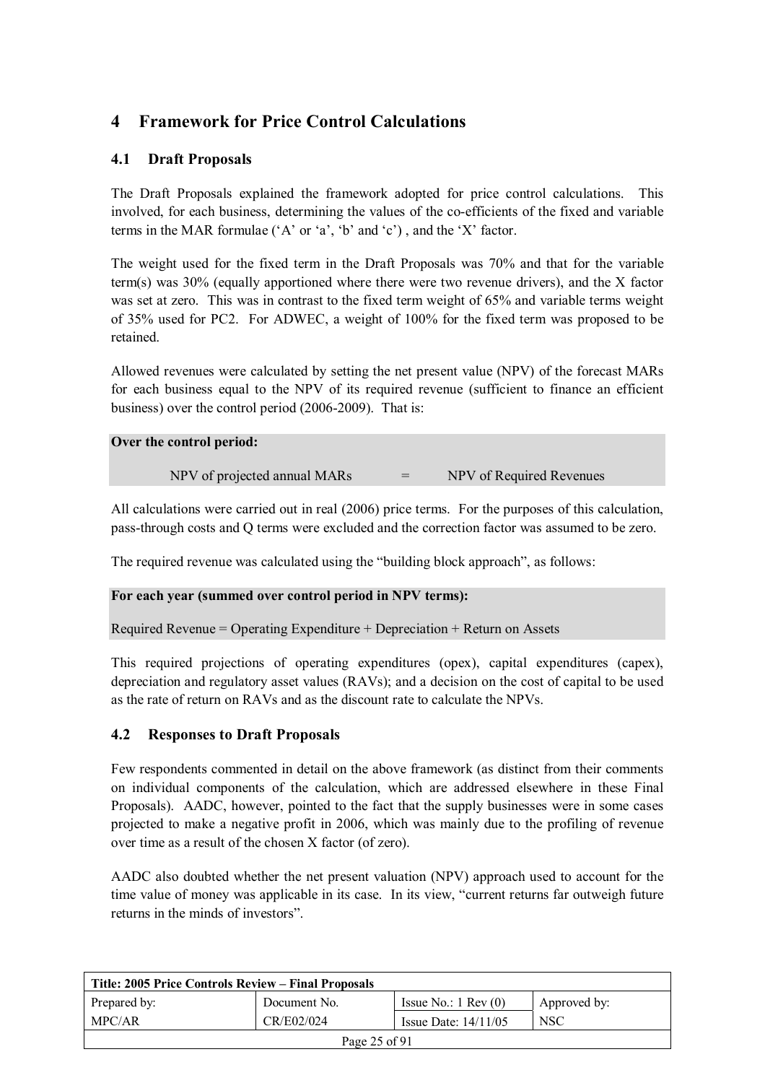## **4 Framework for Price Control Calculations**

## **4.1 Draft Proposals**

The Draft Proposals explained the framework adopted for price control calculations. This involved, for each business, determining the values of the co-efficients of the fixed and variable terms in the MAR formulae ( $A'$  or  $a'$ ,  $b'$  and  $c'$ ), and the  $'X'$  factor.

The weight used for the fixed term in the Draft Proposals was 70% and that for the variable term(s) was 30% (equally apportioned where there were two revenue drivers), and the X factor was set at zero. This was in contrast to the fixed term weight of 65% and variable terms weight of 35% used for PC2. For ADWEC, a weight of 100% for the fixed term was proposed to be retained.

Allowed revenues were calculated by setting the net present value (NPV) of the forecast MARs for each business equal to the NPV of its required revenue (sufficient to finance an efficient business) over the control period (2006-2009). That is:

#### **Over the control period:**

 $NPV$  of projected annual MARs  $= NPV$  of Required Revenues

All calculations were carried out in real (2006) price terms. For the purposes of this calculation, pass-through costs and Q terms were excluded and the correction factor was assumed to be zero.

The required revenue was calculated using the "building block approach", as follows:

#### **For each year (summed over control period in NPV terms):**

Required Revenue = Operating Expenditure + Depreciation + Return on Assets

This required projections of operating expenditures (opex), capital expenditures (capex), depreciation and regulatory asset values (RAVs); and a decision on the cost of capital to be used as the rate of return on RAVs and as the discount rate to calculate the NPVs.

### **4.2 Responses to Draft Proposals**

Few respondents commented in detail on the above framework (as distinct from their comments on individual components of the calculation, which are addressed elsewhere in these Final Proposals). AADC, however, pointed to the fact that the supply businesses were in some cases projected to make a negative profit in 2006, which was mainly due to the profiling of revenue over time as a result of the chosen X factor (of zero).

AADC also doubted whether the net present valuation (NPV) approach used to account for the time value of money was applicable in its case. In its view, "current returns far outweigh future returns in the minds of investors".

| Title: 2005 Price Controls Review – Final Proposals |              |                               |              |  |
|-----------------------------------------------------|--------------|-------------------------------|--------------|--|
| Prepared by:                                        | Document No. | Issue No.: $1 \text{ Rev}(0)$ | Approved by: |  |
| MPC/AR                                              | CR/E02/024   | Issue Date: $14/11/05$        | <b>NSC</b>   |  |
| Page $25$ of $91$                                   |              |                               |              |  |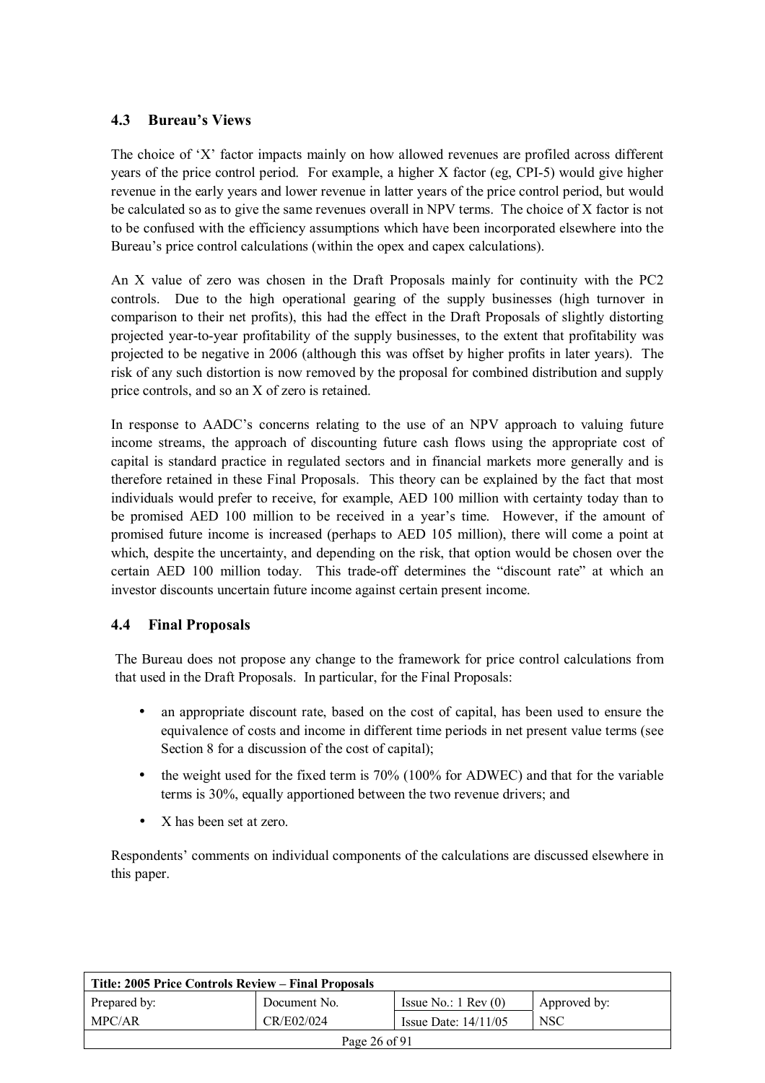## **4.3 Bureauís Views**

The choice of 'X' factor impacts mainly on how allowed revenues are profiled across different years of the price control period. For example, a higher X factor (eg, CPI-5) would give higher revenue in the early years and lower revenue in latter years of the price control period, but would be calculated so as to give the same revenues overall in NPV terms. The choice of X factor is not to be confused with the efficiency assumptions which have been incorporated elsewhere into the Bureau's price control calculations (within the opex and capex calculations).

An X value of zero was chosen in the Draft Proposals mainly for continuity with the PC2 controls. Due to the high operational gearing of the supply businesses (high turnover in comparison to their net profits), this had the effect in the Draft Proposals of slightly distorting projected year-to-year profitability of the supply businesses, to the extent that profitability was projected to be negative in 2006 (although this was offset by higher profits in later years). The risk of any such distortion is now removed by the proposal for combined distribution and supply price controls, and so an X of zero is retained.

In response to AADC's concerns relating to the use of an NPV approach to valuing future income streams, the approach of discounting future cash flows using the appropriate cost of capital is standard practice in regulated sectors and in financial markets more generally and is therefore retained in these Final Proposals. This theory can be explained by the fact that most individuals would prefer to receive, for example, AED 100 million with certainty today than to be promised AED 100 million to be received in a year's time. However, if the amount of promised future income is increased (perhaps to AED 105 million), there will come a point at which, despite the uncertainty, and depending on the risk, that option would be chosen over the certain AED 100 million today. This trade-off determines the "discount rate" at which an investor discounts uncertain future income against certain present income.

### **4.4 Final Proposals**

The Bureau does not propose any change to the framework for price control calculations from that used in the Draft Proposals. In particular, for the Final Proposals:

- an appropriate discount rate, based on the cost of capital, has been used to ensure the equivalence of costs and income in different time periods in net present value terms (see Section 8 for a discussion of the cost of capital);
- the weight used for the fixed term is  $70\%$  (100% for ADWEC) and that for the variable terms is 30%, equally apportioned between the two revenue drivers; and
- X has been set at zero.

Respondentsí comments on individual components of the calculations are discussed elsewhere in this paper.

| Title: 2005 Price Controls Review – Final Proposals |              |                               |              |  |
|-----------------------------------------------------|--------------|-------------------------------|--------------|--|
| Prepared by:                                        | Document No. | Issue No.: $1 \text{ Rev}(0)$ | Approved by: |  |
| MPC/AR                                              | CR/E02/024   | Issue Date: $14/11/05$        | <b>NSC</b>   |  |
| Page 26 of 91                                       |              |                               |              |  |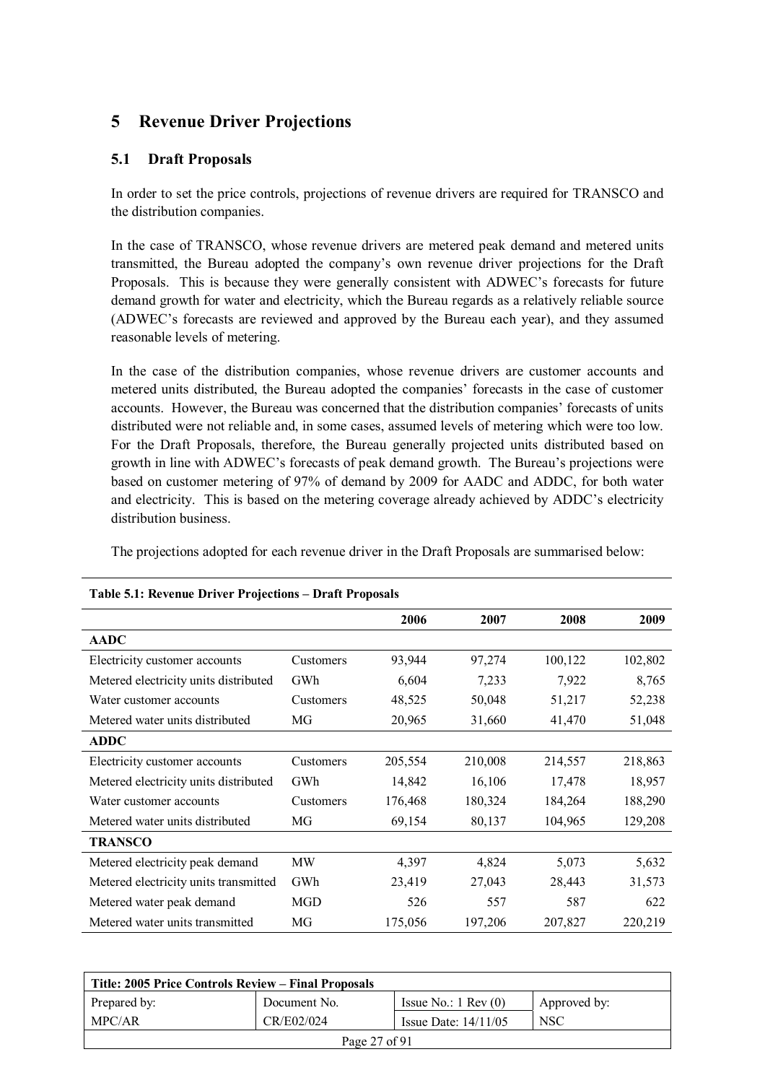## **5 Revenue Driver Projections**

#### **5.1 Draft Proposals**

In order to set the price controls, projections of revenue drivers are required for TRANSCO and the distribution companies.

In the case of TRANSCO, whose revenue drivers are metered peak demand and metered units transmitted, the Bureau adopted the companyís own revenue driver projections for the Draft Proposals. This is because they were generally consistent with ADWEC's forecasts for future demand growth for water and electricity, which the Bureau regards as a relatively reliable source (ADWEC's forecasts are reviewed and approved by the Bureau each year), and they assumed reasonable levels of metering.

In the case of the distribution companies, whose revenue drivers are customer accounts and metered units distributed, the Bureau adopted the companies' forecasts in the case of customer accounts. However, the Bureau was concerned that the distribution companies' forecasts of units distributed were not reliable and, in some cases, assumed levels of metering which were too low. For the Draft Proposals, therefore, the Bureau generally projected units distributed based on growth in line with ADWEC's forecasts of peak demand growth. The Bureau's projections were based on customer metering of 97% of demand by 2009 for AADC and ADDC, for both water and electricity. This is based on the metering coverage already achieved by ADDC's electricity distribution business.

Table 5.1: Revenue Driver Projections - Draft Proposals **2006** 2007 2008 2009 **AADC**  Electricity customer accounts Customers 93,944 97,274 100,122 102,802 Metered electricity units distributed GWh 6,604 7,233 7,922 8,765 Water customer accounts Customers 48,525 50,048 51,217 52,238 Metered water units distributed MG 20,965 31,660 41,470 51,048 **ADDC**  Electricity customer accounts Customers 205,554 210,008 214,557 218,863 Metered electricity units distributed GWh 14,842 16,106 17,478 18,957 Water customer accounts Customers 176,468 180,324 184,264 188,290 Metered water units distributed MG 69,154 80,137 104,965 129,208 **TRANSCO**  Metered electricity peak demand MW 4,397 4,824 5,073 5,632 Metered electricity units transmitted GWh 23,419 27,043 28,443 31,573 Metered water peak demand MGD 526 557 587 622 Metered water units transmitted MG 175,056 197,206 207,827 220,219

The projections adopted for each revenue driver in the Draft Proposals are summarised below:

| Title: 2005 Price Controls Review – Final Proposals |              |                               |              |  |
|-----------------------------------------------------|--------------|-------------------------------|--------------|--|
| Prepared by:                                        | Document No. | Issue No.: $1 \text{ Rev}(0)$ | Approved by: |  |
| MPC/AR                                              | CR/E02/024   | Issue Date: $14/11/05$        | <b>NSC</b>   |  |
| Page $27$ of $91$                                   |              |                               |              |  |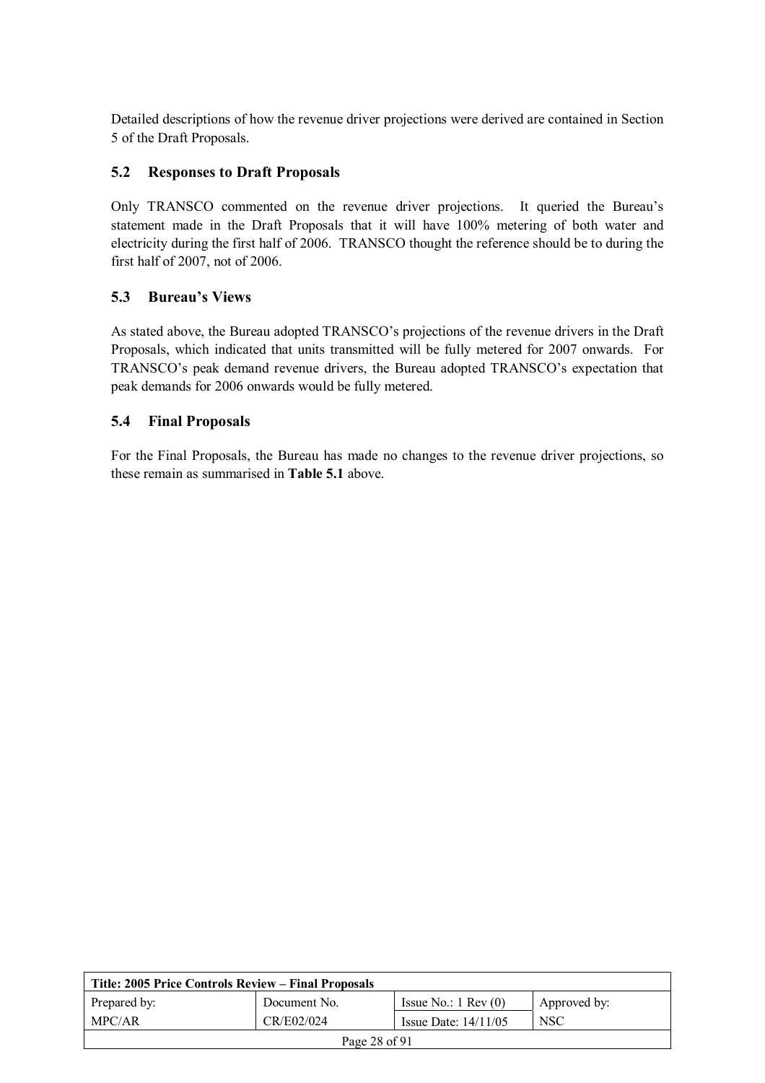Detailed descriptions of how the revenue driver projections were derived are contained in Section 5 of the Draft Proposals.

## **5.2 Responses to Draft Proposals**

Only TRANSCO commented on the revenue driver projections. It queried the Bureau's statement made in the Draft Proposals that it will have 100% metering of both water and electricity during the first half of 2006. TRANSCO thought the reference should be to during the first half of 2007, not of 2006.

### **5.3 Bureauís Views**

As stated above, the Bureau adopted TRANSCO's projections of the revenue drivers in the Draft Proposals, which indicated that units transmitted will be fully metered for 2007 onwards. For TRANSCO's peak demand revenue drivers, the Bureau adopted TRANSCO's expectation that peak demands for 2006 onwards would be fully metered.

### **5.4 Final Proposals**

For the Final Proposals, the Bureau has made no changes to the revenue driver projections, so these remain as summarised in **Table 5.1** above.

| Title: 2005 Price Controls Review – Final Proposals |              |                               |              |  |
|-----------------------------------------------------|--------------|-------------------------------|--------------|--|
| Prepared by:                                        | Document No. | Issue No.: $1 \text{ Rev}(0)$ | Approved by: |  |
| MPC/AR                                              | CR/E02/024   | Issue Date: $14/11/05$        | <b>NSC</b>   |  |
| Page 28 of 91                                       |              |                               |              |  |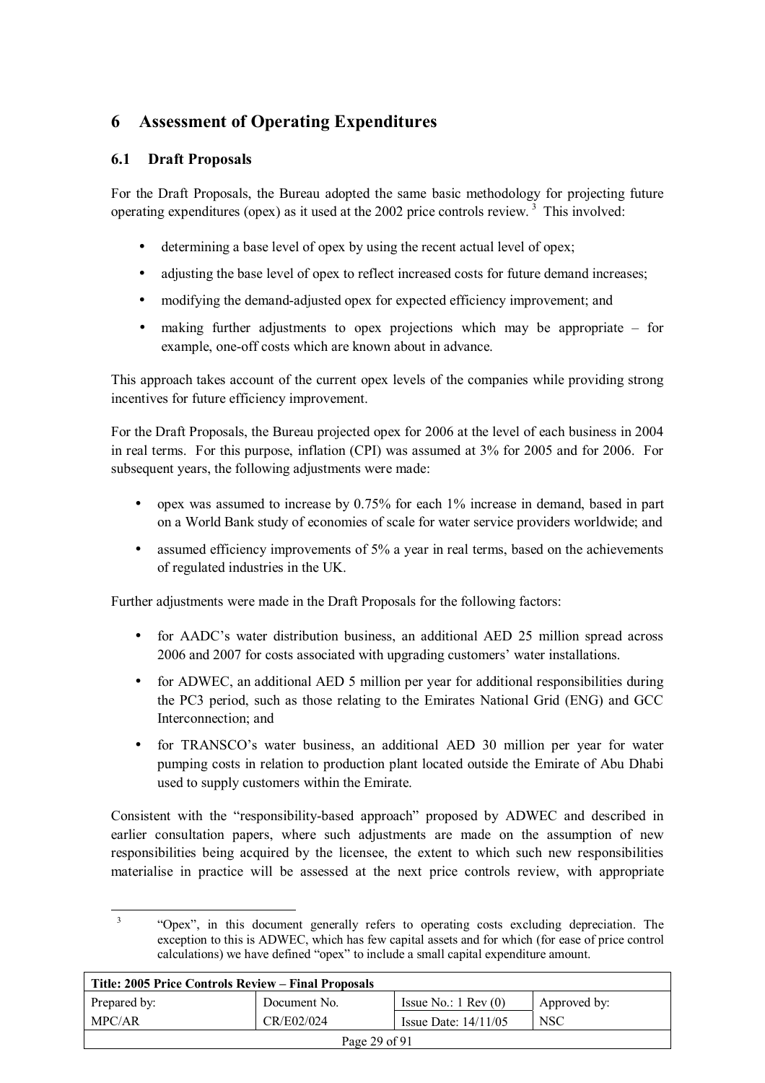## **6 Assessment of Operating Expenditures**

#### **6.1 Draft Proposals**

For the Draft Proposals, the Bureau adopted the same basic methodology for projecting future operating expenditures (opex) as it used at the 2002 price controls review. 3 This involved:

- determining a base level of opex by using the recent actual level of opex;
- adjusting the base level of opex to reflect increased costs for future demand increases;
- modifying the demand-adjusted opex for expected efficiency improvement; and
- making further adjustments to opex projections which may be appropriate  $-$  for example, one-off costs which are known about in advance.

This approach takes account of the current opex levels of the companies while providing strong incentives for future efficiency improvement.

For the Draft Proposals, the Bureau projected opex for 2006 at the level of each business in 2004 in real terms. For this purpose, inflation (CPI) was assumed at 3% for 2005 and for 2006. For subsequent years, the following adjustments were made:

- opex was assumed to increase by 0.75% for each 1% increase in demand, based in part on a World Bank study of economies of scale for water service providers worldwide; and
- assumed efficiency improvements of 5% a year in real terms, based on the achievements of regulated industries in the UK.

Further adjustments were made in the Draft Proposals for the following factors:

- for AADC's water distribution business, an additional AED 25 million spread across 2006 and 2007 for costs associated with upgrading customers' water installations.
- for ADWEC, an additional AED 5 million per year for additional responsibilities during the PC3 period, such as those relating to the Emirates National Grid (ENG) and GCC Interconnection; and
- for TRANSCO's water business, an additional AED 30 million per year for water pumping costs in relation to production plant located outside the Emirate of Abu Dhabi used to supply customers within the Emirate.

Consistent with the "responsibility-based approach" proposed by ADWEC and described in earlier consultation papers, where such adjustments are made on the assumption of new responsibilities being acquired by the licensee, the extent to which such new responsibilities materialise in practice will be assessed at the next price controls review, with appropriate

 3 ìOpexî, in this document generally refers to operating costs excluding depreciation. The exception to this is ADWEC, which has few capital assets and for which (for ease of price control calculations) we have defined "opex" to include a small capital expenditure amount.

| Title: 2005 Price Controls Review – Final Proposals |              |                               |              |  |
|-----------------------------------------------------|--------------|-------------------------------|--------------|--|
| Prepared by:                                        | Document No. | Issue No.: $1 \text{ Rev}(0)$ | Approved by: |  |
| MPC/AR                                              | CR/E02/024   | Issue Date: $14/11/05$        | <b>NSC</b>   |  |
| Page 29 of 91                                       |              |                               |              |  |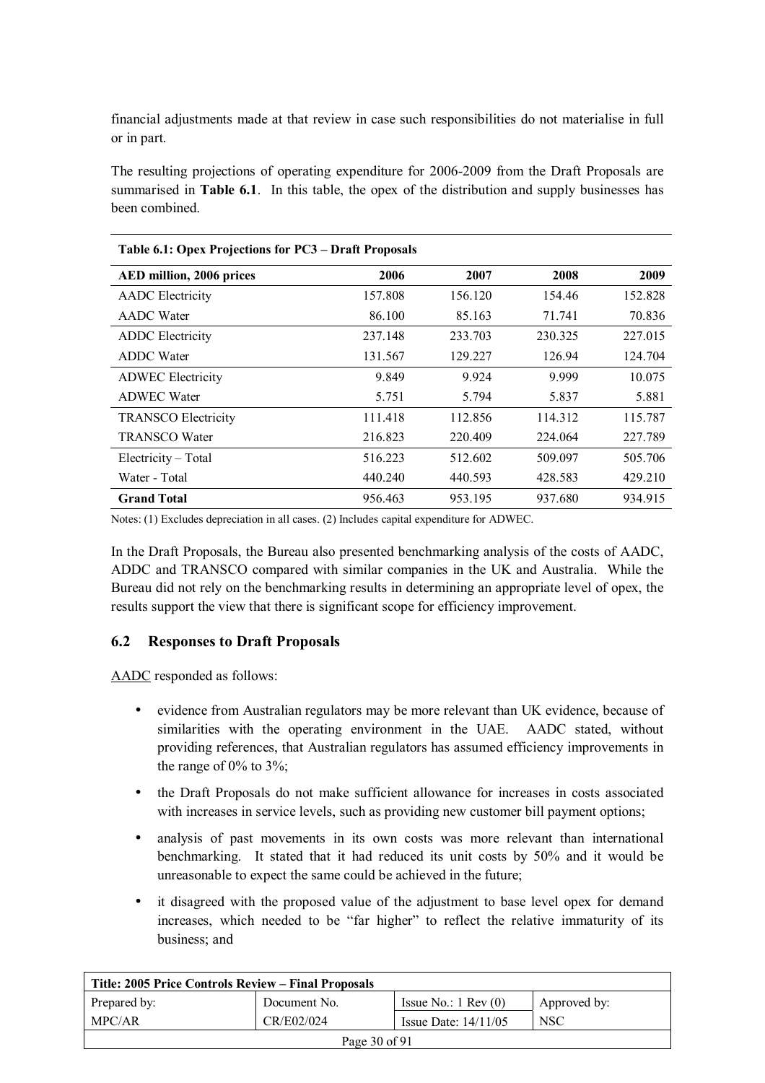financial adjustments made at that review in case such responsibilities do not materialise in full or in part.

The resulting projections of operating expenditure for 2006-2009 from the Draft Proposals are summarised in **Table 6.1**. In this table, the opex of the distribution and supply businesses has been combined.

| Table 0.1: Opex Projections for PC3 – Drait Proposals |         |         |         |         |  |
|-------------------------------------------------------|---------|---------|---------|---------|--|
| AED million, 2006 prices                              | 2006    | 2007    | 2008    | 2009    |  |
| <b>AADC</b> Electricity                               | 157.808 | 156.120 | 154.46  | 152.828 |  |
| <b>AADC</b> Water                                     | 86.100  | 85.163  | 71.741  | 70.836  |  |
| <b>ADDC</b> Electricity                               | 237.148 | 233.703 | 230.325 | 227.015 |  |
| <b>ADDC</b> Water                                     | 131.567 | 129.227 | 126.94  | 124.704 |  |
| <b>ADWEC Electricity</b>                              | 9.849   | 9.924   | 9.999   | 10.075  |  |
| <b>ADWEC Water</b>                                    | 5.751   | 5.794   | 5.837   | 5.881   |  |
| <b>TRANSCO Electricity</b>                            | 111.418 | 112.856 | 114.312 | 115.787 |  |
| <b>TRANSCO Water</b>                                  | 216.823 | 220,409 | 224.064 | 227.789 |  |
| Electricity - Total                                   | 516.223 | 512.602 | 509.097 | 505.706 |  |
| Water - Total                                         | 440.240 | 440.593 | 428.583 | 429.210 |  |
| <b>Grand Total</b>                                    | 956.463 | 953.195 | 937.680 | 934.915 |  |

**Table 6.1: Opex Projections for PC3 ñ Draft Proposals** 

Notes: (1) Excludes depreciation in all cases. (2) Includes capital expenditure for ADWEC.

In the Draft Proposals, the Bureau also presented benchmarking analysis of the costs of AADC, ADDC and TRANSCO compared with similar companies in the UK and Australia. While the Bureau did not rely on the benchmarking results in determining an appropriate level of opex, the results support the view that there is significant scope for efficiency improvement.

#### **6.2 Responses to Draft Proposals**

AADC responded as follows:

- evidence from Australian regulators may be more relevant than UK evidence, because of similarities with the operating environment in the UAE. AADC stated, without providing references, that Australian regulators has assumed efficiency improvements in the range of 0% to 3%;
- the Draft Proposals do not make sufficient allowance for increases in costs associated with increases in service levels, such as providing new customer bill payment options;
- analysis of past movements in its own costs was more relevant than international benchmarking. It stated that it had reduced its unit costs by 50% and it would be unreasonable to expect the same could be achieved in the future;
- it disagreed with the proposed value of the adjustment to base level opex for demand increases, which needed to be "far higher" to reflect the relative immaturity of its business; and

| Title: 2005 Price Controls Review – Final Proposals |              |                               |              |  |
|-----------------------------------------------------|--------------|-------------------------------|--------------|--|
| Prepared by:                                        | Document No. | Issue No.: $1 \text{ Rev}(0)$ | Approved by: |  |
| MPC/AR                                              | CR/E02/024   | Issue Date: $14/11/05$        | <b>NSC</b>   |  |
| Page $30$ of $91$                                   |              |                               |              |  |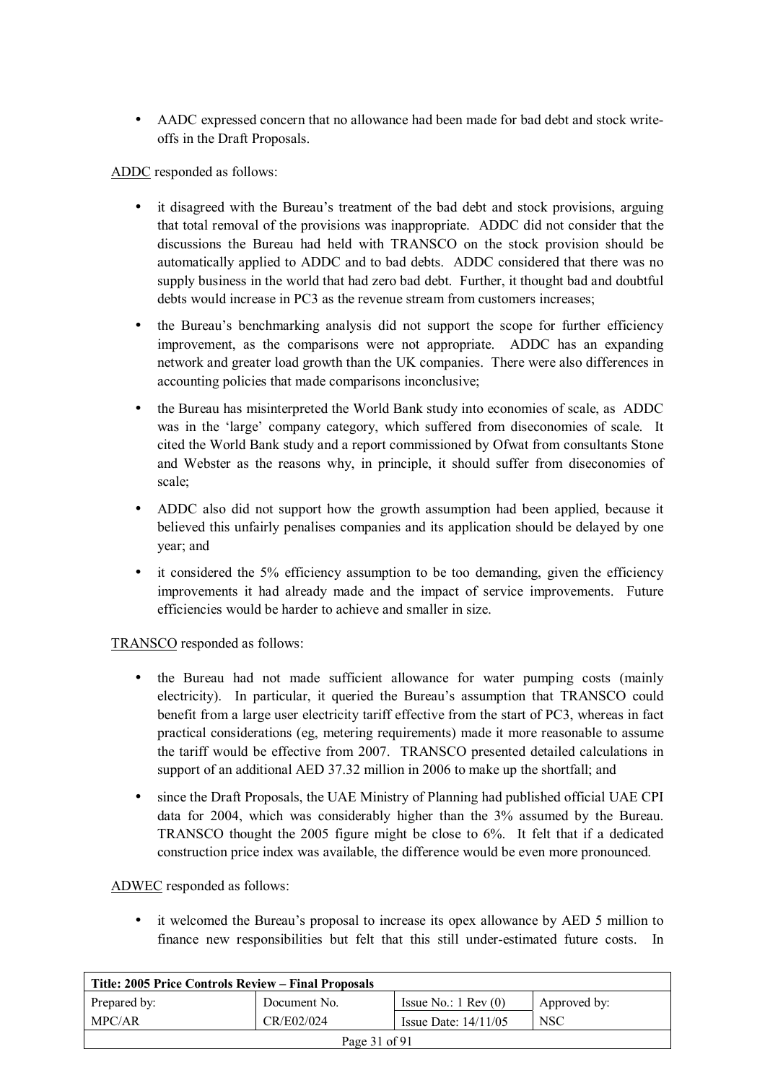• AADC expressed concern that no allowance had been made for bad debt and stock writeoffs in the Draft Proposals.

ADDC responded as follows:

- it disagreed with the Bureau's treatment of the bad debt and stock provisions, arguing that total removal of the provisions was inappropriate. ADDC did not consider that the discussions the Bureau had held with TRANSCO on the stock provision should be automatically applied to ADDC and to bad debts. ADDC considered that there was no supply business in the world that had zero bad debt. Further, it thought bad and doubtful debts would increase in PC3 as the revenue stream from customers increases;
- the Bureau's benchmarking analysis did not support the scope for further efficiency improvement, as the comparisons were not appropriate. ADDC has an expanding network and greater load growth than the UK companies. There were also differences in accounting policies that made comparisons inconclusive;
- the Bureau has misinterpreted the World Bank study into economies of scale, as ADDC was in the 'large' company category, which suffered from diseconomies of scale. It cited the World Bank study and a report commissioned by Ofwat from consultants Stone and Webster as the reasons why, in principle, it should suffer from diseconomies of scale;
- ADDC also did not support how the growth assumption had been applied, because it believed this unfairly penalises companies and its application should be delayed by one year; and
- it considered the 5% efficiency assumption to be too demanding, given the efficiency improvements it had already made and the impact of service improvements. Future efficiencies would be harder to achieve and smaller in size.

TRANSCO responded as follows:

- the Bureau had not made sufficient allowance for water pumping costs (mainly electricity). In particular, it queried the Bureau's assumption that TRANSCO could benefit from a large user electricity tariff effective from the start of PC3, whereas in fact practical considerations (eg, metering requirements) made it more reasonable to assume the tariff would be effective from 2007. TRANSCO presented detailed calculations in support of an additional AED 37.32 million in 2006 to make up the shortfall; and
- since the Draft Proposals, the UAE Ministry of Planning had published official UAE CPI data for 2004, which was considerably higher than the 3% assumed by the Bureau. TRANSCO thought the 2005 figure might be close to 6%. It felt that if a dedicated construction price index was available, the difference would be even more pronounced.

ADWEC responded as follows:

• it welcomed the Bureau's proposal to increase its opex allowance by AED 5 million to finance new responsibilities but felt that this still under-estimated future costs. In

| Title: 2005 Price Controls Review – Final Proposals |              |                               |              |  |  |
|-----------------------------------------------------|--------------|-------------------------------|--------------|--|--|
| Prepared by:                                        | Document No. | Issue No.: $1 \text{ Rev}(0)$ | Approved by: |  |  |
| MPC/AR                                              | CR/E02/024   | Issue Date: $14/11/05$        | <b>NSC</b>   |  |  |
| Page 31 of 91                                       |              |                               |              |  |  |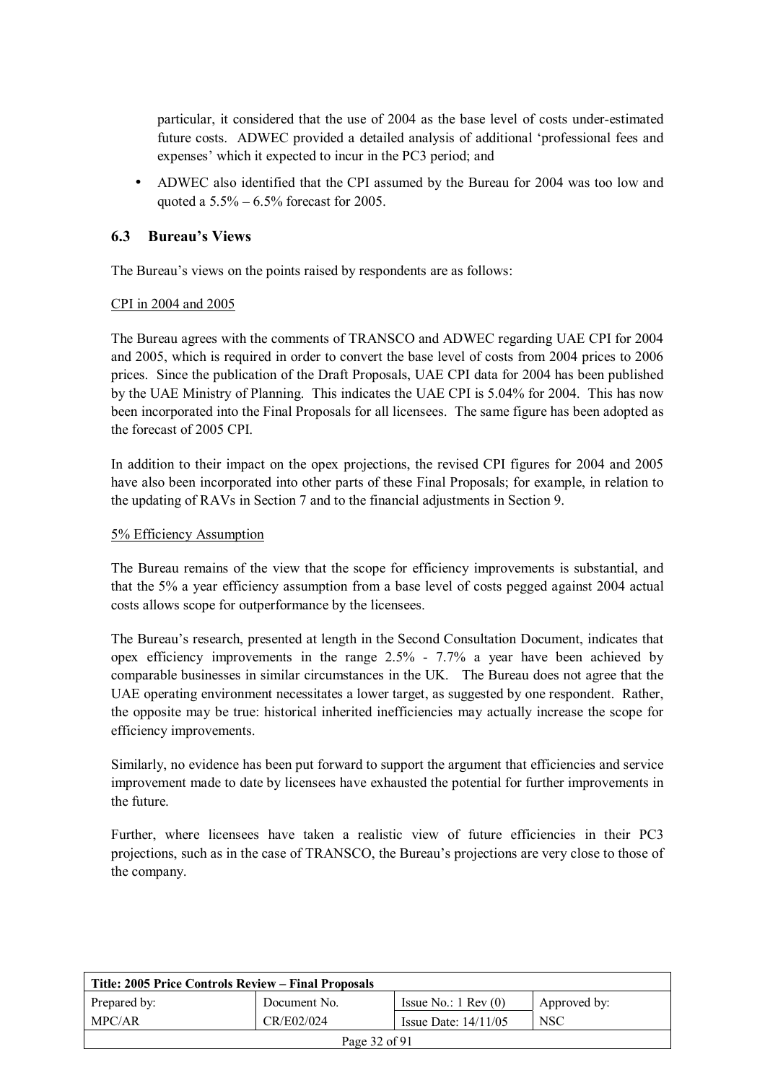particular, it considered that the use of 2004 as the base level of costs under-estimated future costs. ADWEC provided a detailed analysis of additional ëprofessional fees and expenses' which it expected to incur in the PC3 period; and

• ADWEC also identified that the CPI assumed by the Bureau for 2004 was too low and quoted a  $5.5\% - 6.5\%$  forecast for 2005.

#### **6.3 Bureauís Views**

The Bureau's views on the points raised by respondents are as follows:

#### CPI in 2004 and 2005

The Bureau agrees with the comments of TRANSCO and ADWEC regarding UAE CPI for 2004 and 2005, which is required in order to convert the base level of costs from 2004 prices to 2006 prices. Since the publication of the Draft Proposals, UAE CPI data for 2004 has been published by the UAE Ministry of Planning. This indicates the UAE CPI is 5.04% for 2004. This has now been incorporated into the Final Proposals for all licensees. The same figure has been adopted as the forecast of 2005 CPI.

In addition to their impact on the opex projections, the revised CPI figures for 2004 and 2005 have also been incorporated into other parts of these Final Proposals; for example, in relation to the updating of RAVs in Section 7 and to the financial adjustments in Section 9.

#### 5% Efficiency Assumption

The Bureau remains of the view that the scope for efficiency improvements is substantial, and that the 5% a year efficiency assumption from a base level of costs pegged against 2004 actual costs allows scope for outperformance by the licensees.

The Bureau's research, presented at length in the Second Consultation Document, indicates that opex efficiency improvements in the range 2.5% - 7.7% a year have been achieved by comparable businesses in similar circumstances in the UK. The Bureau does not agree that the UAE operating environment necessitates a lower target, as suggested by one respondent. Rather, the opposite may be true: historical inherited inefficiencies may actually increase the scope for efficiency improvements.

Similarly, no evidence has been put forward to support the argument that efficiencies and service improvement made to date by licensees have exhausted the potential for further improvements in the future.

Further, where licensees have taken a realistic view of future efficiencies in their PC3 projections, such as in the case of TRANSCO, the Bureauís projections are very close to those of the company.

| Title: 2005 Price Controls Review – Final Proposals |              |                               |              |  |
|-----------------------------------------------------|--------------|-------------------------------|--------------|--|
| Prepared by:                                        | Document No. | Issue No.: $1 \text{ Rev}(0)$ | Approved by: |  |
| MPC/AR                                              | CR/E02/024   | Issue Date: $14/11/05$        | <b>NSC</b>   |  |
| Page 32 of 91                                       |              |                               |              |  |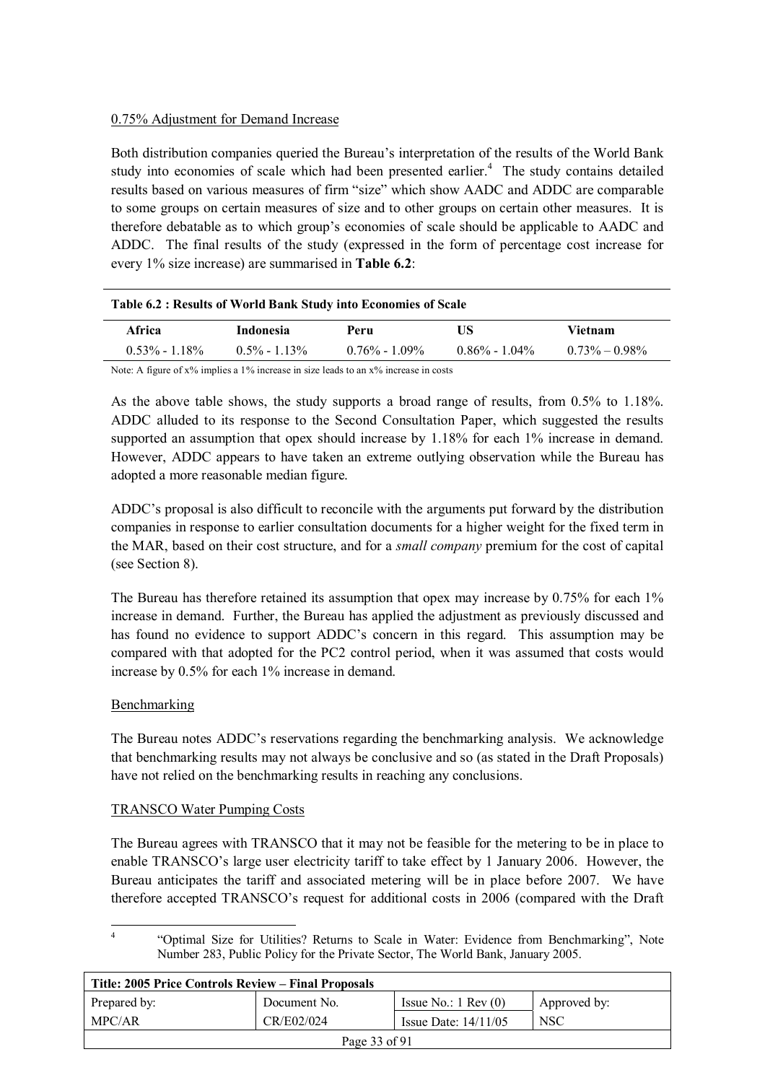#### 0.75% Adjustment for Demand Increase

Both distribution companies queried the Bureau's interpretation of the results of the World Bank study into economies of scale which had been presented earlier.<sup>4</sup> The study contains detailed results based on various measures of firm "size" which show AADC and ADDC are comparable to some groups on certain measures of size and to other groups on certain other measures. It is therefore debatable as to which groupís economies of scale should be applicable to AADC and ADDC. The final results of the study (expressed in the form of percentage cost increase for every 1% size increase) are summarised in **Table 6.2**:

| Table 6.2 : Results of World Bank Study into Economies of Scale |                  |                   |                   |                   |
|-----------------------------------------------------------------|------------------|-------------------|-------------------|-------------------|
| Africa                                                          | Indonesia        | Peru              | US                | Vietnam           |
| $0.53\% - 1.18\%$                                               | $0.5\% - 1.13\%$ | $0.76\% - 1.09\%$ | $0.86\% - 1.04\%$ | $0.73\% - 0.98\%$ |
|                                                                 |                  |                   |                   |                   |

Note: A figure of x% implies a 1% increase in size leads to an x% increase in costs

As the above table shows, the study supports a broad range of results, from 0.5% to 1.18%. ADDC alluded to its response to the Second Consultation Paper, which suggested the results supported an assumption that opex should increase by 1.18% for each 1% increase in demand. However, ADDC appears to have taken an extreme outlying observation while the Bureau has adopted a more reasonable median figure.

ADDCís proposal is also difficult to reconcile with the arguments put forward by the distribution companies in response to earlier consultation documents for a higher weight for the fixed term in the MAR, based on their cost structure, and for a *small company* premium for the cost of capital (see Section 8).

The Bureau has therefore retained its assumption that opex may increase by 0.75% for each 1% increase in demand. Further, the Bureau has applied the adjustment as previously discussed and has found no evidence to support ADDC's concern in this regard. This assumption may be compared with that adopted for the PC2 control period, when it was assumed that costs would increase by 0.5% for each 1% increase in demand.

#### Benchmarking

The Bureau notes ADDC's reservations regarding the benchmarking analysis. We acknowledge that benchmarking results may not always be conclusive and so (as stated in the Draft Proposals) have not relied on the benchmarking results in reaching any conclusions.

#### TRANSCO Water Pumping Costs

The Bureau agrees with TRANSCO that it may not be feasible for the metering to be in place to enable TRANSCO's large user electricity tariff to take effect by 1 January 2006. However, the Bureau anticipates the tariff and associated metering will be in place before 2007. We have therefore accepted TRANSCO's request for additional costs in 2006 (compared with the Draft

 $\frac{1}{4}$  ìOptimal Size for Utilities? Returns to Scale in Water: Evidence from Benchmarkingî, Note Number 283, Public Policy for the Private Sector, The World Bank, January 2005.

| Title: 2005 Price Controls Review – Final Proposals |              |                               |              |  |
|-----------------------------------------------------|--------------|-------------------------------|--------------|--|
| Prepared by:                                        | Document No. | Issue No.: $1 \text{ Rev}(0)$ | Approved by: |  |
| MPC/AR                                              | CR/E02/024   | Issue Date: $14/11/05$        | <b>NSC</b>   |  |
| Page 33 of 91                                       |              |                               |              |  |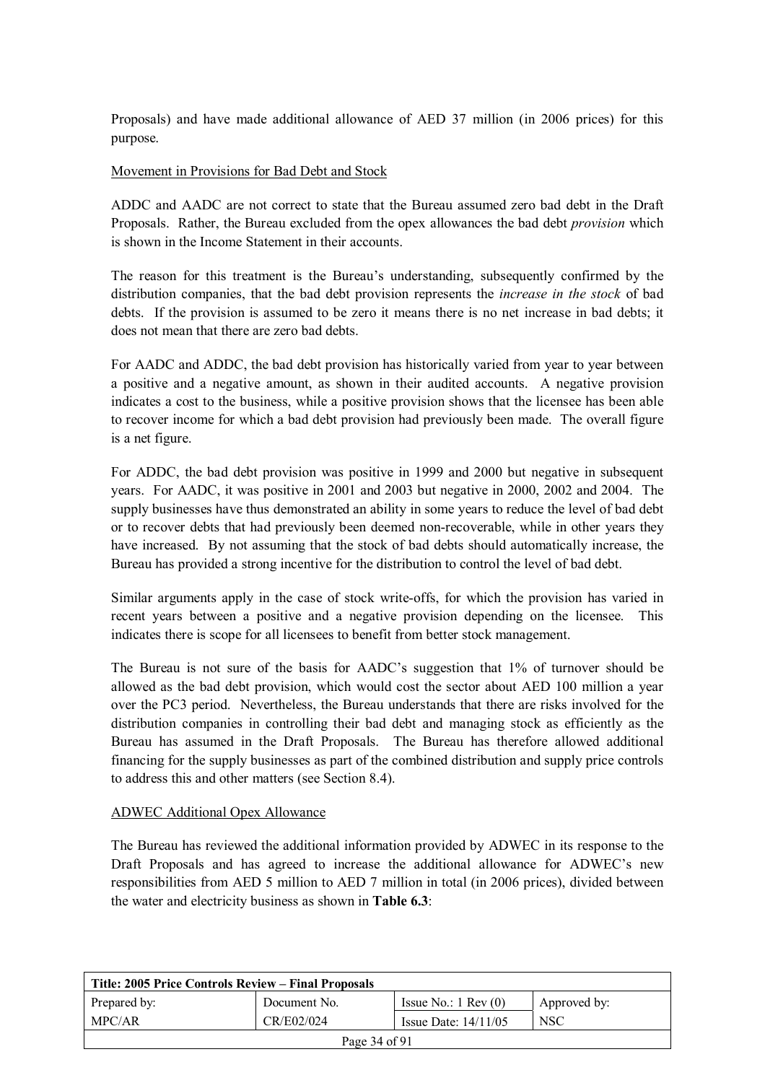Proposals) and have made additional allowance of AED 37 million (in 2006 prices) for this purpose.

#### Movement in Provisions for Bad Debt and Stock

ADDC and AADC are not correct to state that the Bureau assumed zero bad debt in the Draft Proposals. Rather, the Bureau excluded from the opex allowances the bad debt *provision* which is shown in the Income Statement in their accounts.

The reason for this treatment is the Bureau's understanding, subsequently confirmed by the distribution companies, that the bad debt provision represents the *increase in the stock* of bad debts. If the provision is assumed to be zero it means there is no net increase in bad debts; it does not mean that there are zero bad debts.

For AADC and ADDC, the bad debt provision has historically varied from year to year between a positive and a negative amount, as shown in their audited accounts. A negative provision indicates a cost to the business, while a positive provision shows that the licensee has been able to recover income for which a bad debt provision had previously been made. The overall figure is a net figure.

For ADDC, the bad debt provision was positive in 1999 and 2000 but negative in subsequent years. For AADC, it was positive in 2001 and 2003 but negative in 2000, 2002 and 2004. The supply businesses have thus demonstrated an ability in some years to reduce the level of bad debt or to recover debts that had previously been deemed non-recoverable, while in other years they have increased. By not assuming that the stock of bad debts should automatically increase, the Bureau has provided a strong incentive for the distribution to control the level of bad debt.

Similar arguments apply in the case of stock write-offs, for which the provision has varied in recent years between a positive and a negative provision depending on the licensee. This indicates there is scope for all licensees to benefit from better stock management.

The Bureau is not sure of the basis for AADC's suggestion that 1% of turnover should be allowed as the bad debt provision, which would cost the sector about AED 100 million a year over the PC3 period. Nevertheless, the Bureau understands that there are risks involved for the distribution companies in controlling their bad debt and managing stock as efficiently as the Bureau has assumed in the Draft Proposals. The Bureau has therefore allowed additional financing for the supply businesses as part of the combined distribution and supply price controls to address this and other matters (see Section 8.4).

#### ADWEC Additional Opex Allowance

The Bureau has reviewed the additional information provided by ADWEC in its response to the Draft Proposals and has agreed to increase the additional allowance for ADWEC's new responsibilities from AED 5 million to AED 7 million in total (in 2006 prices), divided between the water and electricity business as shown in **Table 6.3**:

| Title: 2005 Price Controls Review – Final Proposals |              |                               |                  |  |
|-----------------------------------------------------|--------------|-------------------------------|------------------|--|
| Prepared by:                                        | Document No. | Issue No.: $1 \text{ Rev}(0)$ | Approved by:     |  |
| MPC/AR                                              | CR/E02/024   | Issue Date: $14/11/05$        | NSC <sup>.</sup> |  |
| Page 34 of 91                                       |              |                               |                  |  |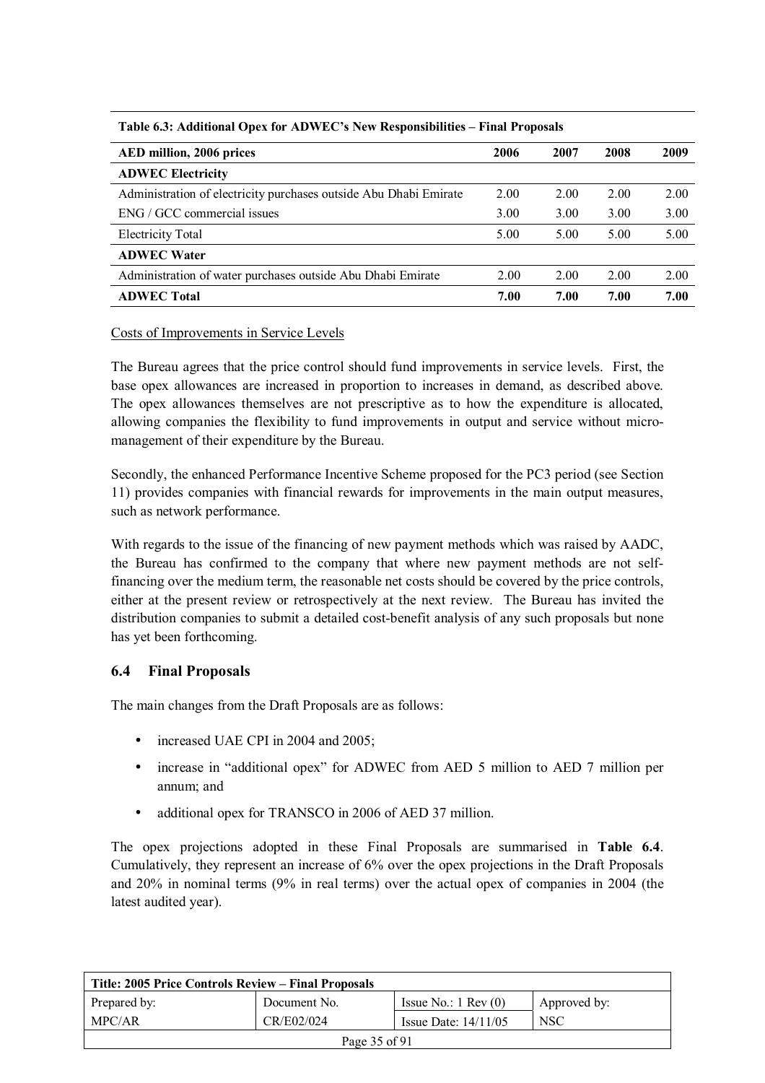| AED million, 2006 prices                                          | 2006 | 2007 | 2008 | 2009 |
|-------------------------------------------------------------------|------|------|------|------|
| <b>ADWEC Electricity</b>                                          |      |      |      |      |
| Administration of electricity purchases outside Abu Dhabi Emirate | 2.00 | 2.00 | 2.00 | 2.00 |
| ENG / GCC commercial issues                                       | 3.00 | 3.00 | 3.00 | 3.00 |
| <b>Electricity Total</b>                                          | 5.00 | 5.00 | 5.00 | 5.00 |
| <b>ADWEC Water</b>                                                |      |      |      |      |
| Administration of water purchases outside Abu Dhabi Emirate       | 2.00 | 2.00 | 2.00 | 2.00 |
| <b>ADWEC Total</b>                                                | 7.00 | 7.00 | 7.00 | 7.00 |

Table 6.3: Additional Opex for ADWEC's New Responsibilities – Final Proposals

Costs of Improvements in Service Levels

The Bureau agrees that the price control should fund improvements in service levels. First, the base opex allowances are increased in proportion to increases in demand, as described above. The opex allowances themselves are not prescriptive as to how the expenditure is allocated, allowing companies the flexibility to fund improvements in output and service without micromanagement of their expenditure by the Bureau.

Secondly, the enhanced Performance Incentive Scheme proposed for the PC3 period (see Section 11) provides companies with financial rewards for improvements in the main output measures, such as network performance.

With regards to the issue of the financing of new payment methods which was raised by AADC, the Bureau has confirmed to the company that where new payment methods are not selffinancing over the medium term, the reasonable net costs should be covered by the price controls, either at the present review or retrospectively at the next review. The Bureau has invited the distribution companies to submit a detailed cost-benefit analysis of any such proposals but none has yet been forthcoming.

### **6.4 Final Proposals**

The main changes from the Draft Proposals are as follows:

- increased UAE CPI in 2004 and 2005:
- increase in "additional opex" for ADWEC from AED 5 million to AED 7 million per annum; and
- additional opex for TRANSCO in 2006 of AED 37 million.

The opex projections adopted in these Final Proposals are summarised in **Table 6.4**. Cumulatively, they represent an increase of 6% over the opex projections in the Draft Proposals and 20% in nominal terms (9% in real terms) over the actual opex of companies in 2004 (the latest audited year).

| Title: 2005 Price Controls Review – Final Proposals          |              |                               |              |  |
|--------------------------------------------------------------|--------------|-------------------------------|--------------|--|
| Prepared by:                                                 | Document No. | Issue No.: $1 \text{ Rev}(0)$ | Approved by: |  |
| CR/E02/024<br><b>NSC</b><br>MPC/AR<br>Issue Date: $14/11/05$ |              |                               |              |  |
| Page 35 of 91                                                |              |                               |              |  |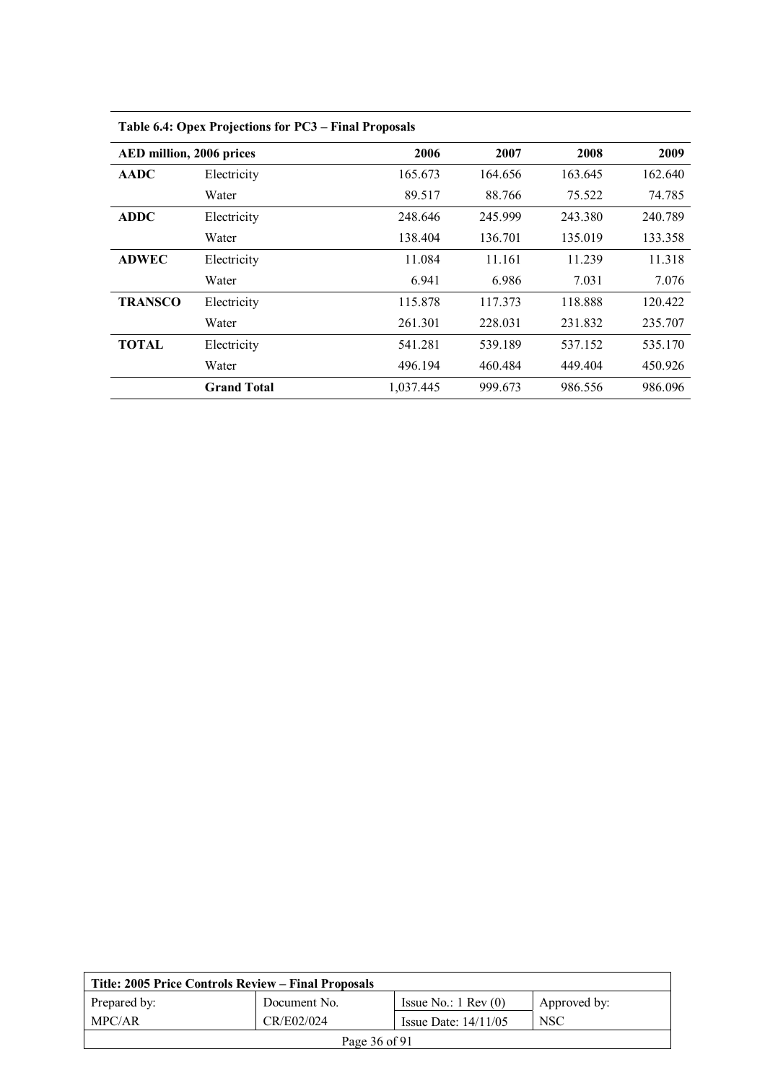| AED million, 2006 prices |                    | 2006      | 2007    | 2008    | 2009    |
|--------------------------|--------------------|-----------|---------|---------|---------|
| <b>AADC</b>              | Electricity        | 165.673   | 164.656 | 163.645 | 162.640 |
|                          | Water              | 89.517    | 88.766  | 75.522  | 74.785  |
| <b>ADDC</b>              | Electricity        | 248.646   | 245.999 | 243.380 | 240.789 |
|                          | Water              | 138.404   | 136.701 | 135.019 | 133.358 |
| <b>ADWEC</b>             | Electricity        | 11.084    | 11.161  | 11.239  | 11.318  |
|                          | Water              | 6.941     | 6.986   | 7.031   | 7.076   |
| <b>TRANSCO</b>           | Electricity        | 115.878   | 117.373 | 118.888 | 120.422 |
|                          | Water              | 261.301   | 228.031 | 231.832 | 235.707 |
| <b>TOTAL</b>             | Electricity        | 541.281   | 539.189 | 537.152 | 535.170 |
|                          | Water              | 496.194   | 460.484 | 449.404 | 450.926 |
|                          | <b>Grand Total</b> | 1,037.445 | 999.673 | 986.556 | 986.096 |

| Table 6.4: Opex Projections for PC3 – Final Proposals |  |  |  |
|-------------------------------------------------------|--|--|--|
|-------------------------------------------------------|--|--|--|

| Title: 2005 Price Controls Review – Final Proposals |              |                               |              |  |
|-----------------------------------------------------|--------------|-------------------------------|--------------|--|
| Prepared by:                                        | Document No. | Issue No.: $1 \text{ Rev}(0)$ | Approved by: |  |
| MPC/AR                                              | CR/E02/024   | Issue Date: $14/11/05$        | <b>NSC</b>   |  |
| Page 36 of 91                                       |              |                               |              |  |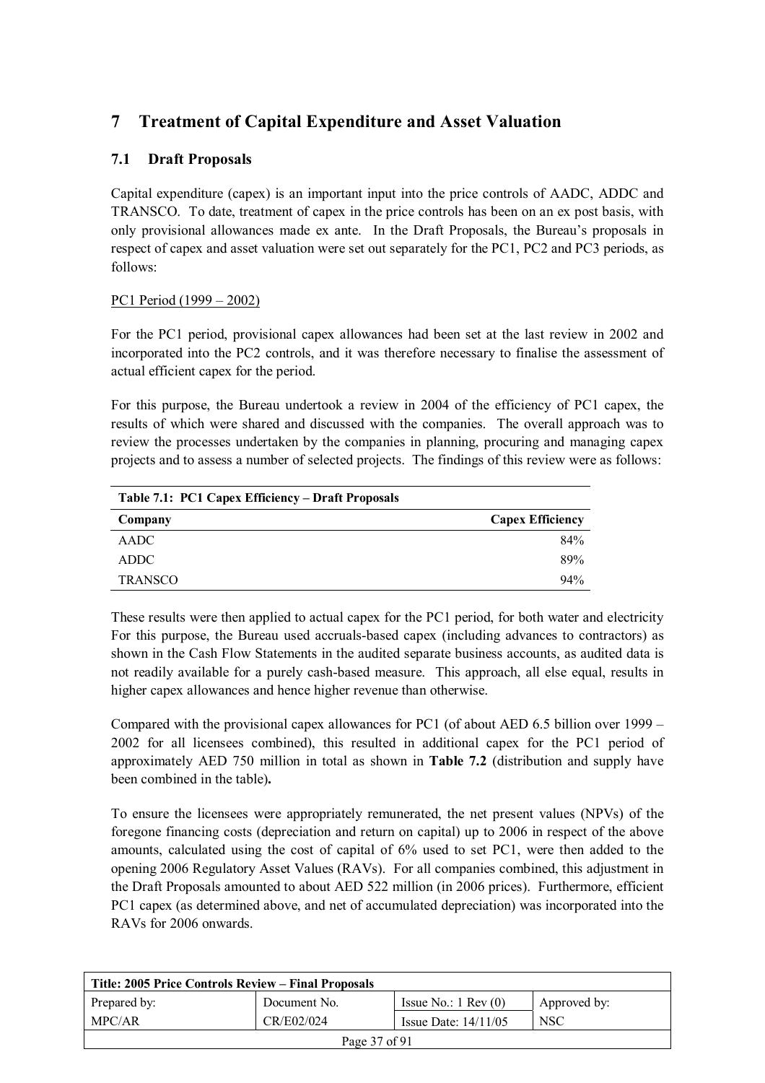# **7 Treatment of Capital Expenditure and Asset Valuation**

## **7.1 Draft Proposals**

Capital expenditure (capex) is an important input into the price controls of AADC, ADDC and TRANSCO. To date, treatment of capex in the price controls has been on an ex post basis, with only provisional allowances made ex ante. In the Draft Proposals, the Bureauís proposals in respect of capex and asset valuation were set out separately for the PC1, PC2 and PC3 periods, as follows:

## PC1 Period  $(1999 - 2002)$

For the PC1 period, provisional capex allowances had been set at the last review in 2002 and incorporated into the PC2 controls, and it was therefore necessary to finalise the assessment of actual efficient capex for the period.

For this purpose, the Bureau undertook a review in 2004 of the efficiency of PC1 capex, the results of which were shared and discussed with the companies. The overall approach was to review the processes undertaken by the companies in planning, procuring and managing capex projects and to assess a number of selected projects. The findings of this review were as follows:

| Table 7.1: PC1 Capex Efficiency – Draft Proposals |                         |
|---------------------------------------------------|-------------------------|
| Company                                           | <b>Capex Efficiency</b> |
| AADC                                              | 84%                     |
| <b>ADDC</b>                                       | 89%                     |
| <b>TRANSCO</b>                                    | 94%                     |

These results were then applied to actual capex for the PC1 period, for both water and electricity For this purpose, the Bureau used accruals-based capex (including advances to contractors) as shown in the Cash Flow Statements in the audited separate business accounts, as audited data is not readily available for a purely cash-based measure. This approach, all else equal, results in higher capex allowances and hence higher revenue than otherwise.

Compared with the provisional capex allowances for PC1 (of about AED 6.5 billion over  $1999 -$ 2002 for all licensees combined), this resulted in additional capex for the PC1 period of approximately AED 750 million in total as shown in **Table 7.2** (distribution and supply have been combined in the table)**.** 

To ensure the licensees were appropriately remunerated, the net present values (NPVs) of the foregone financing costs (depreciation and return on capital) up to 2006 in respect of the above amounts, calculated using the cost of capital of 6% used to set PC1, were then added to the opening 2006 Regulatory Asset Values (RAVs). For all companies combined, this adjustment in the Draft Proposals amounted to about AED 522 million (in 2006 prices). Furthermore, efficient PC1 capex (as determined above, and net of accumulated depreciation) was incorporated into the RAVs for 2006 onwards.

| Title: 2005 Price Controls Review – Final Proposals |              |                               |              |
|-----------------------------------------------------|--------------|-------------------------------|--------------|
| Prepared by:                                        | Document No. | Issue No.: $1 \text{ Rev}(0)$ | Approved by: |
| MPC/AR                                              | CR/E02/024   | Issue Date: $14/11/05$        | <b>NSC</b>   |
| Page 37 of 91                                       |              |                               |              |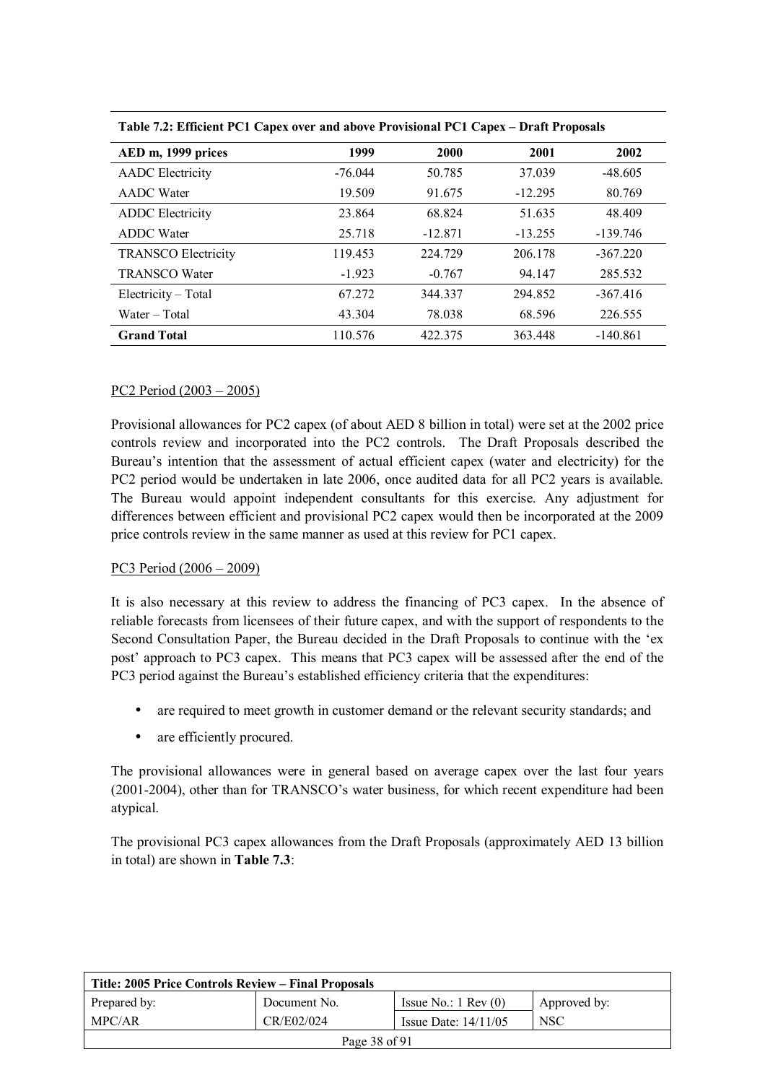| AED m, 1999 prices         | 1999      | 2000      | 2001      | 2002       |
|----------------------------|-----------|-----------|-----------|------------|
| <b>AADC</b> Electricity    | $-76.044$ | 50.785    | 37.039    | $-48.605$  |
| <b>AADC</b> Water          | 19.509    | 91.675    | $-12.295$ | 80.769     |
| <b>ADDC</b> Electricity    | 23.864    | 68.824    | 51.635    | 48.409     |
| <b>ADDC</b> Water          | 25.718    | $-12.871$ | $-13.255$ | $-139.746$ |
| <b>TRANSCO Electricity</b> | 119.453   | 224.729   | 206.178   | $-367.220$ |
| <b>TRANSCO Water</b>       | $-1.923$  | $-0.767$  | 94.147    | 285.532    |
| Electricity - Total        | 67.272    | 344.337   | 294.852   | $-367.416$ |
| Water – Total              | 43.304    | 78.038    | 68.596    | 226.555    |
| <b>Grand Total</b>         | 110.576   | 422.375   | 363.448   | $-140.861$ |

Table 7.2: Efficient PC1 Capex over and above Provisional PC1 Capex – Draft Proposals

#### PC2 Period  $(2003 - 2005)$

Provisional allowances for PC2 capex (of about AED 8 billion in total) were set at the 2002 price controls review and incorporated into the PC2 controls. The Draft Proposals described the Bureauís intention that the assessment of actual efficient capex (water and electricity) for the PC2 period would be undertaken in late 2006, once audited data for all PC2 years is available. The Bureau would appoint independent consultants for this exercise. Any adjustment for differences between efficient and provisional PC2 capex would then be incorporated at the 2009 price controls review in the same manner as used at this review for PC1 capex.

#### PC3 Period  $(2006 - 2009)$

It is also necessary at this review to address the financing of PC3 capex. In the absence of reliable forecasts from licensees of their future capex, and with the support of respondents to the Second Consultation Paper, the Bureau decided in the Draft Proposals to continue with the 'expostí approach to PC3 capex. This means that PC3 capex will be assessed after the end of the PC3 period against the Bureauís established efficiency criteria that the expenditures:

- are required to meet growth in customer demand or the relevant security standards; and
- are efficiently procured.

The provisional allowances were in general based on average capex over the last four years (2001-2004), other than for TRANSCO's water business, for which recent expenditure had been atypical.

The provisional PC3 capex allowances from the Draft Proposals (approximately AED 13 billion in total) are shown in **Table 7.3**:

| Title: 2005 Price Controls Review – Final Proposals |              |                               |              |
|-----------------------------------------------------|--------------|-------------------------------|--------------|
| Prepared by:                                        | Document No. | Issue No.: $1 \text{ Rev}(0)$ | Approved by: |
| MPC/AR                                              | CR/E02/024   | Issue Date: $14/11/05$        | <b>NSC</b>   |
| Page 38 of 91                                       |              |                               |              |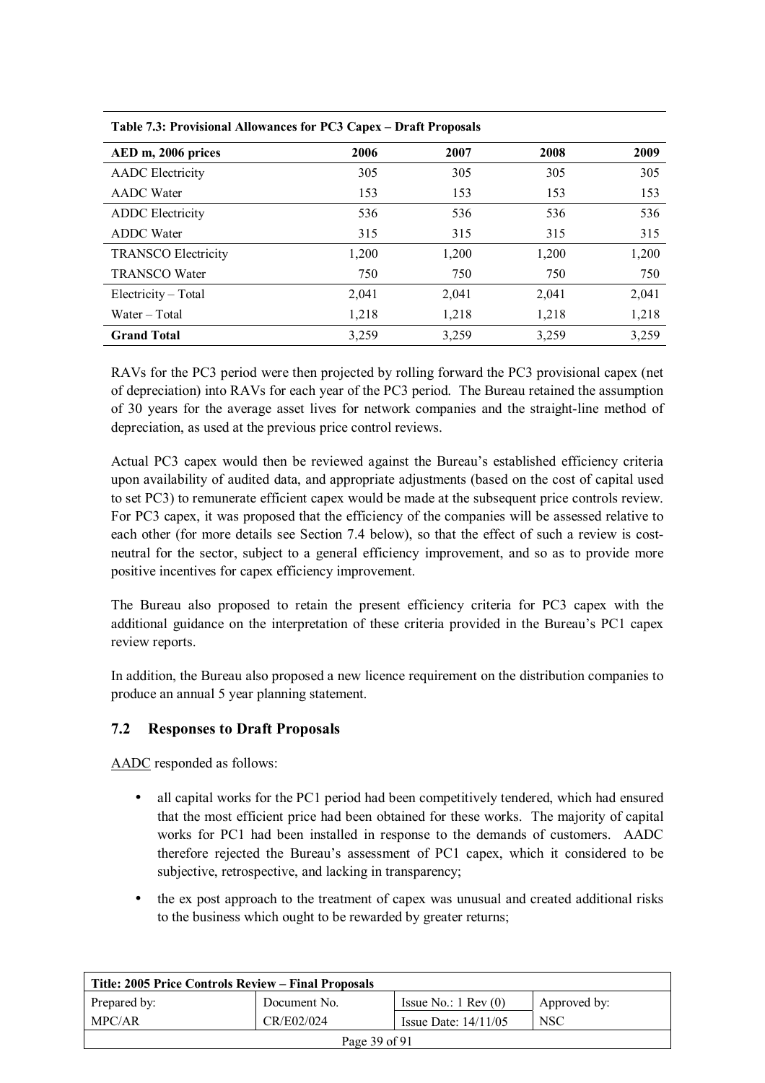| AED m, 2006 prices         | 2006  | 2007  | 2008  | 2009  |
|----------------------------|-------|-------|-------|-------|
| <b>AADC</b> Electricity    | 305   | 305   | 305   | 305   |
| <b>AADC</b> Water          | 153   | 153   | 153   | 153   |
| <b>ADDC</b> Electricity    | 536   | 536   | 536   | 536   |
| <b>ADDC</b> Water          | 315   | 315   | 315   | 315   |
| <b>TRANSCO Electricity</b> | 1,200 | 1,200 | 1,200 | 1,200 |
| <b>TRANSCO Water</b>       | 750   | 750   | 750   | 750   |
| Electricity - Total        | 2,041 | 2,041 | 2,041 | 2,041 |
| Water – Total              | 1,218 | 1,218 | 1,218 | 1,218 |
| <b>Grand Total</b>         | 3,259 | 3,259 | 3,259 | 3,259 |

**Table 7.3: Provisional Allowances for PC3 Capex – Draft Proposals** 

RAVs for the PC3 period were then projected by rolling forward the PC3 provisional capex (net of depreciation) into RAVs for each year of the PC3 period. The Bureau retained the assumption of 30 years for the average asset lives for network companies and the straight-line method of depreciation, as used at the previous price control reviews.

Actual PC3 capex would then be reviewed against the Bureauís established efficiency criteria upon availability of audited data, and appropriate adjustments (based on the cost of capital used to set PC3) to remunerate efficient capex would be made at the subsequent price controls review. For PC3 capex, it was proposed that the efficiency of the companies will be assessed relative to each other (for more details see Section 7.4 below), so that the effect of such a review is costneutral for the sector, subject to a general efficiency improvement, and so as to provide more positive incentives for capex efficiency improvement.

The Bureau also proposed to retain the present efficiency criteria for PC3 capex with the additional guidance on the interpretation of these criteria provided in the Bureauís PC1 capex review reports.

In addition, the Bureau also proposed a new licence requirement on the distribution companies to produce an annual 5 year planning statement.

## **7.2 Responses to Draft Proposals**

AADC responded as follows:

- all capital works for the PC1 period had been competitively tendered, which had ensured that the most efficient price had been obtained for these works. The majority of capital works for PC1 had been installed in response to the demands of customers. AADC therefore rejected the Bureauís assessment of PC1 capex, which it considered to be subjective, retrospective, and lacking in transparency;
- the ex post approach to the treatment of capex was unusual and created additional risks to the business which ought to be rewarded by greater returns;

| Title: 2005 Price Controls Review – Final Proposals |              |                               |              |
|-----------------------------------------------------|--------------|-------------------------------|--------------|
| Prepared by:                                        | Document No. | Issue No.: $1 \text{ Rev}(0)$ | Approved by: |
| MPC/AR                                              | CR/E02/024   | Issue Date: $14/11/05$        | <b>NSC</b>   |
| Page 39 of 91                                       |              |                               |              |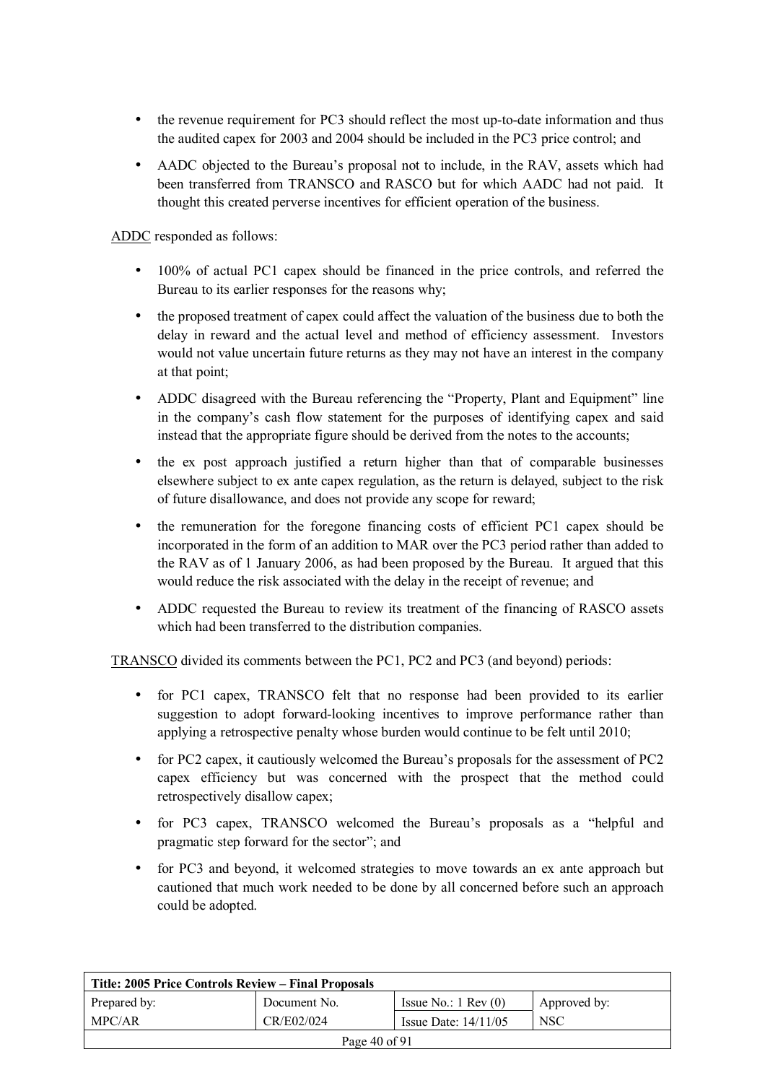- the revenue requirement for PC3 should reflect the most up-to-date information and thus the audited capex for 2003 and 2004 should be included in the PC3 price control; and
- AADC objected to the Bureau's proposal not to include, in the RAV, assets which had been transferred from TRANSCO and RASCO but for which AADC had not paid. It thought this created perverse incentives for efficient operation of the business.

ADDC responded as follows:

- 100% of actual PC1 capex should be financed in the price controls, and referred the Bureau to its earlier responses for the reasons why;
- the proposed treatment of capex could affect the valuation of the business due to both the delay in reward and the actual level and method of efficiency assessment. Investors would not value uncertain future returns as they may not have an interest in the company at that point;
- ADDC disagreed with the Bureau referencing the "Property, Plant and Equipment" line in the company's cash flow statement for the purposes of identifying capex and said instead that the appropriate figure should be derived from the notes to the accounts;
- the ex post approach justified a return higher than that of comparable businesses elsewhere subject to ex ante capex regulation, as the return is delayed, subject to the risk of future disallowance, and does not provide any scope for reward;
- the remuneration for the foregone financing costs of efficient PC1 capex should be incorporated in the form of an addition to MAR over the PC3 period rather than added to the RAV as of 1 January 2006, as had been proposed by the Bureau. It argued that this would reduce the risk associated with the delay in the receipt of revenue; and
- ADDC requested the Bureau to review its treatment of the financing of RASCO assets which had been transferred to the distribution companies.

TRANSCO divided its comments between the PC1, PC2 and PC3 (and beyond) periods:

- for PC1 capex, TRANSCO felt that no response had been provided to its earlier suggestion to adopt forward-looking incentives to improve performance rather than applying a retrospective penalty whose burden would continue to be felt until 2010;
- for PC2 capex, it cautiously welcomed the Bureau's proposals for the assessment of PC2 capex efficiency but was concerned with the prospect that the method could retrospectively disallow capex;
- for PC3 capex, TRANSCO welcomed the Bureau's proposals as a "helpful and pragmatic step forward for the sector"; and
- for PC3 and beyond, it welcomed strategies to move towards an ex ante approach but cautioned that much work needed to be done by all concerned before such an approach could be adopted.

| Title: 2005 Price Controls Review – Final Proposals |              |                               |              |
|-----------------------------------------------------|--------------|-------------------------------|--------------|
| Prepared by:                                        | Document No. | Issue No.: $1 \text{ Rev}(0)$ | Approved by: |
| MPC/AR                                              | CR/E02/024   | Issue Date: $14/11/05$        | <b>NSC</b>   |
| Page 40 of 91                                       |              |                               |              |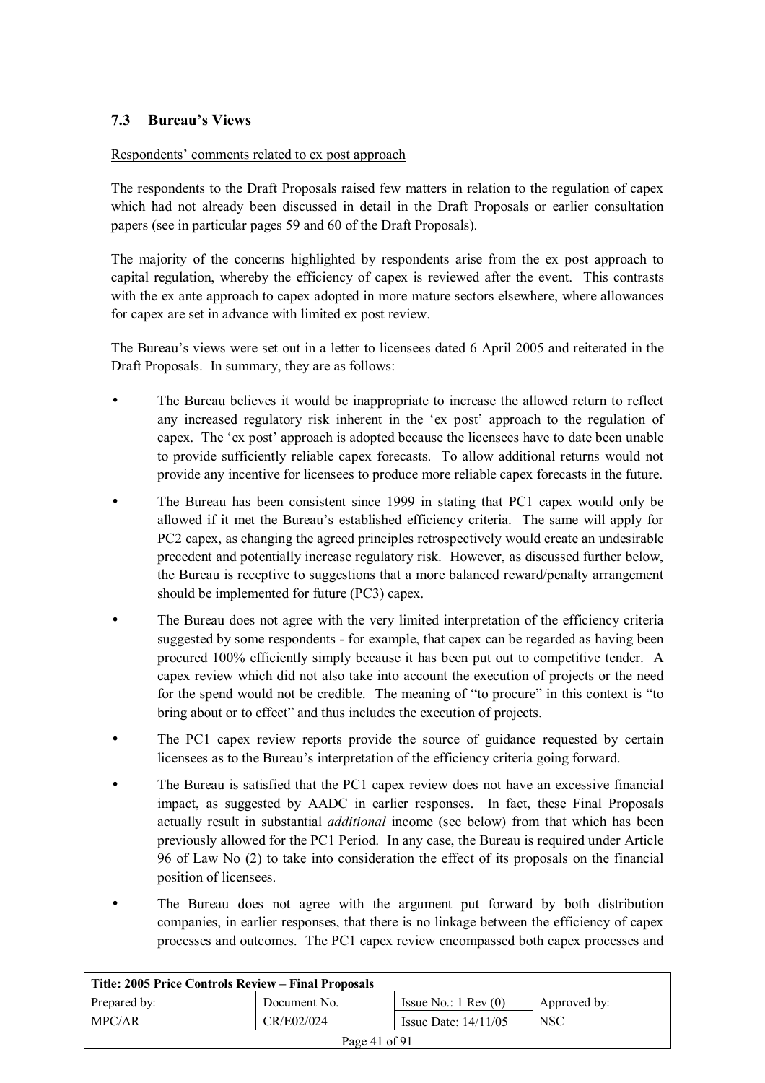## **7.3 Bureauís Views**

### Respondents' comments related to ex post approach

The respondents to the Draft Proposals raised few matters in relation to the regulation of capex which had not already been discussed in detail in the Draft Proposals or earlier consultation papers (see in particular pages 59 and 60 of the Draft Proposals).

The majority of the concerns highlighted by respondents arise from the ex post approach to capital regulation, whereby the efficiency of capex is reviewed after the event. This contrasts with the ex ante approach to capex adopted in more mature sectors elsewhere, where allowances for capex are set in advance with limited ex post review.

The Bureau's views were set out in a letter to licensees dated 6 April 2005 and reiterated in the Draft Proposals. In summary, they are as follows:

- The Bureau believes it would be inappropriate to increase the allowed return to reflect any increased regulatory risk inherent in the 'ex post' approach to the regulation of capex. The 'ex post' approach is adopted because the licensees have to date been unable to provide sufficiently reliable capex forecasts. To allow additional returns would not provide any incentive for licensees to produce more reliable capex forecasts in the future.
- The Bureau has been consistent since 1999 in stating that PC1 capex would only be allowed if it met the Bureau's established efficiency criteria. The same will apply for PC2 capex, as changing the agreed principles retrospectively would create an undesirable precedent and potentially increase regulatory risk. However, as discussed further below, the Bureau is receptive to suggestions that a more balanced reward/penalty arrangement should be implemented for future (PC3) capex.
- The Bureau does not agree with the very limited interpretation of the efficiency criteria suggested by some respondents - for example, that capex can be regarded as having been procured 100% efficiently simply because it has been put out to competitive tender. A capex review which did not also take into account the execution of projects or the need for the spend would not be credible. The meaning of "to procure" in this context is "to bring about or to effect" and thus includes the execution of projects.
- The PC1 capex review reports provide the source of guidance requested by certain licensees as to the Bureau's interpretation of the efficiency criteria going forward.
- The Bureau is satisfied that the PC1 capex review does not have an excessive financial impact, as suggested by AADC in earlier responses. In fact, these Final Proposals actually result in substantial *additional* income (see below) from that which has been previously allowed for the PC1 Period. In any case, the Bureau is required under Article 96 of Law No (2) to take into consideration the effect of its proposals on the financial position of licensees.
- The Bureau does not agree with the argument put forward by both distribution companies, in earlier responses, that there is no linkage between the efficiency of capex processes and outcomes. The PC1 capex review encompassed both capex processes and

| Title: 2005 Price Controls Review – Final Proposals |              |                               |              |
|-----------------------------------------------------|--------------|-------------------------------|--------------|
| Prepared by:                                        | Document No. | Issue No.: $1 \text{ Rev}(0)$ | Approved by: |
| MPC/AR                                              | CR/E02/024   | Issue Date: $14/11/05$        | <b>NSC</b>   |
| Page 41 of 91                                       |              |                               |              |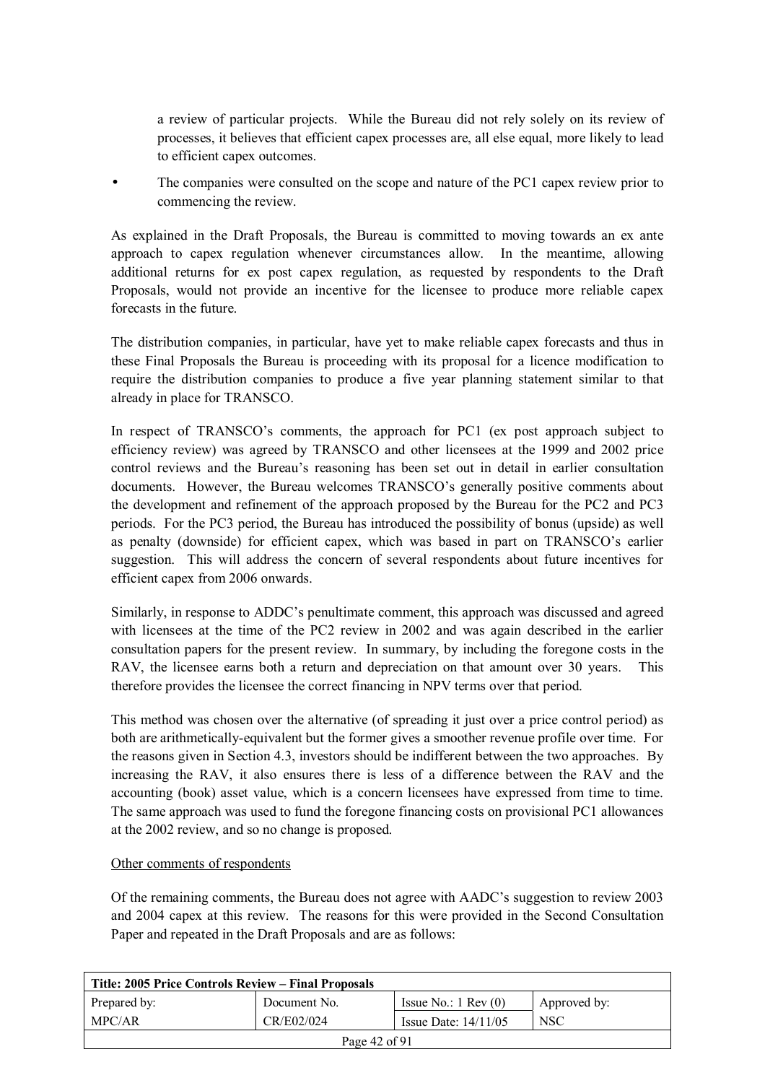a review of particular projects. While the Bureau did not rely solely on its review of processes, it believes that efficient capex processes are, all else equal, more likely to lead to efficient capex outcomes.

• The companies were consulted on the scope and nature of the PC1 capex review prior to commencing the review.

As explained in the Draft Proposals, the Bureau is committed to moving towards an ex ante approach to capex regulation whenever circumstances allow. In the meantime, allowing additional returns for ex post capex regulation, as requested by respondents to the Draft Proposals, would not provide an incentive for the licensee to produce more reliable capex forecasts in the future.

The distribution companies, in particular, have yet to make reliable capex forecasts and thus in these Final Proposals the Bureau is proceeding with its proposal for a licence modification to require the distribution companies to produce a five year planning statement similar to that already in place for TRANSCO.

In respect of TRANSCO's comments, the approach for PC1 (ex post approach subject to efficiency review) was agreed by TRANSCO and other licensees at the 1999 and 2002 price control reviews and the Bureau's reasoning has been set out in detail in earlier consultation documents. However, the Bureau welcomes TRANSCO's generally positive comments about the development and refinement of the approach proposed by the Bureau for the PC2 and PC3 periods. For the PC3 period, the Bureau has introduced the possibility of bonus (upside) as well as penalty (downside) for efficient capex, which was based in part on TRANSCO's earlier suggestion. This will address the concern of several respondents about future incentives for efficient capex from 2006 onwards.

Similarly, in response to ADDC's penultimate comment, this approach was discussed and agreed with licensees at the time of the PC2 review in 2002 and was again described in the earlier consultation papers for the present review. In summary, by including the foregone costs in the RAV, the licensee earns both a return and depreciation on that amount over 30 years. This therefore provides the licensee the correct financing in NPV terms over that period.

This method was chosen over the alternative (of spreading it just over a price control period) as both are arithmetically-equivalent but the former gives a smoother revenue profile over time. For the reasons given in Section 4.3, investors should be indifferent between the two approaches. By increasing the RAV, it also ensures there is less of a difference between the RAV and the accounting (book) asset value, which is a concern licensees have expressed from time to time. The same approach was used to fund the foregone financing costs on provisional PC1 allowances at the 2002 review, and so no change is proposed.

#### Other comments of respondents

Of the remaining comments, the Bureau does not agree with AADC's suggestion to review 2003 and 2004 capex at this review. The reasons for this were provided in the Second Consultation Paper and repeated in the Draft Proposals and are as follows:

| Title: 2005 Price Controls Review – Final Proposals |              |                               |              |
|-----------------------------------------------------|--------------|-------------------------------|--------------|
| Prepared by:                                        | Document No. | Issue No.: $1 \text{ Rev}(0)$ | Approved by: |
| MPC/AR                                              | CR/E02/024   | Issue Date: $14/11/05$        | <b>NSC</b>   |
| Page $42$ of $91$                                   |              |                               |              |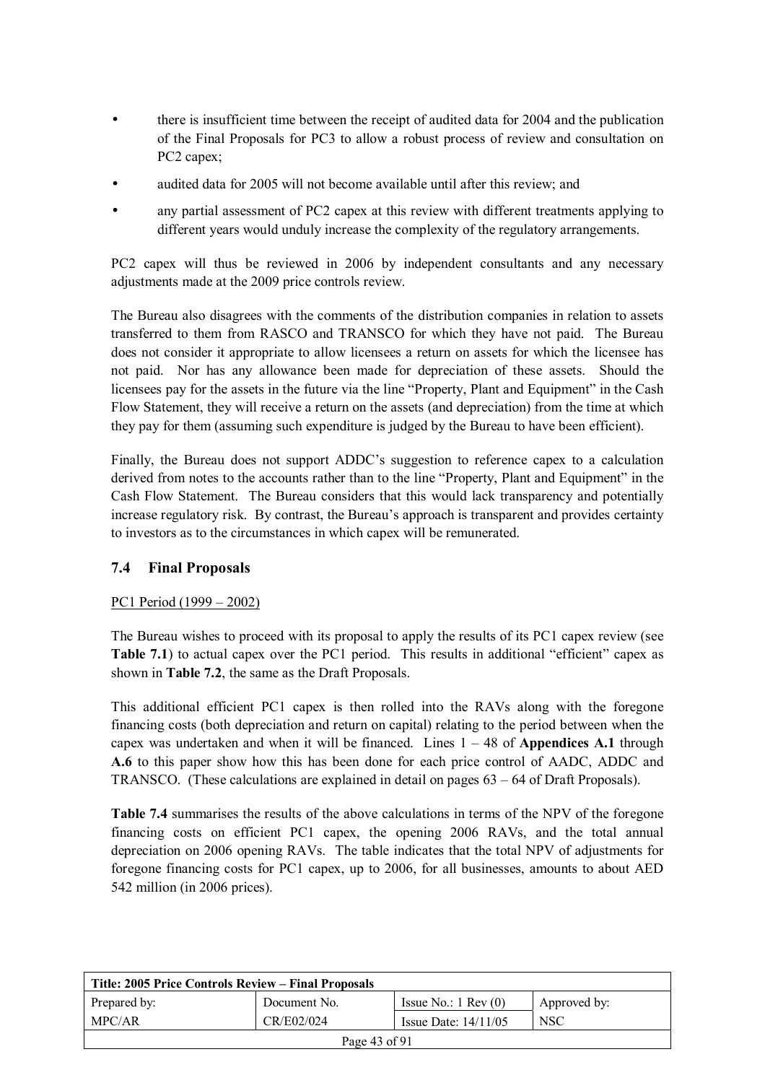- there is insufficient time between the receipt of audited data for 2004 and the publication of the Final Proposals for PC3 to allow a robust process of review and consultation on PC<sub>2</sub> capex;
- audited data for 2005 will not become available until after this review; and
- any partial assessment of PC2 capex at this review with different treatments applying to different years would unduly increase the complexity of the regulatory arrangements.

PC2 capex will thus be reviewed in 2006 by independent consultants and any necessary adjustments made at the 2009 price controls review.

The Bureau also disagrees with the comments of the distribution companies in relation to assets transferred to them from RASCO and TRANSCO for which they have not paid. The Bureau does not consider it appropriate to allow licensees a return on assets for which the licensee has not paid. Nor has any allowance been made for depreciation of these assets. Should the licensees pay for the assets in the future via the line "Property, Plant and Equipment" in the Cash Flow Statement, they will receive a return on the assets (and depreciation) from the time at which they pay for them (assuming such expenditure is judged by the Bureau to have been efficient).

Finally, the Bureau does not support ADDC's suggestion to reference capex to a calculation derived from notes to the accounts rather than to the line "Property, Plant and Equipment" in the Cash Flow Statement. The Bureau considers that this would lack transparency and potentially increase regulatory risk. By contrast, the Bureau's approach is transparent and provides certainty to investors as to the circumstances in which capex will be remunerated.

## **7.4 Final Proposals**

#### PC1 Period  $(1999 - 2002)$

The Bureau wishes to proceed with its proposal to apply the results of its PC1 capex review (see **Table 7.1**) to actual capex over the PC1 period. This results in additional "efficient" capex as shown in **Table 7.2**, the same as the Draft Proposals.

This additional efficient PC1 capex is then rolled into the RAVs along with the foregone financing costs (both depreciation and return on capital) relating to the period between when the capex was undertaken and when it will be financed. Lines  $1 - 48$  of **Appendices A.1** through **A.6** to this paper show how this has been done for each price control of AADC, ADDC and TRANSCO. (These calculations are explained in detail on pages  $63 - 64$  of Draft Proposals).

**Table 7.4** summarises the results of the above calculations in terms of the NPV of the foregone financing costs on efficient PC1 capex, the opening 2006 RAVs, and the total annual depreciation on 2006 opening RAVs. The table indicates that the total NPV of adjustments for foregone financing costs for PC1 capex, up to 2006, for all businesses, amounts to about AED 542 million (in 2006 prices).

| Title: 2005 Price Controls Review – Final Proposals |              |                               |              |
|-----------------------------------------------------|--------------|-------------------------------|--------------|
| Prepared by:                                        | Document No. | Issue No.: $1 \text{ Rev}(0)$ | Approved by: |
| MPC/AR                                              | CR/E02/024   | Issue Date: $14/11/05$        | <b>NSC</b>   |
| Page 43 of 91                                       |              |                               |              |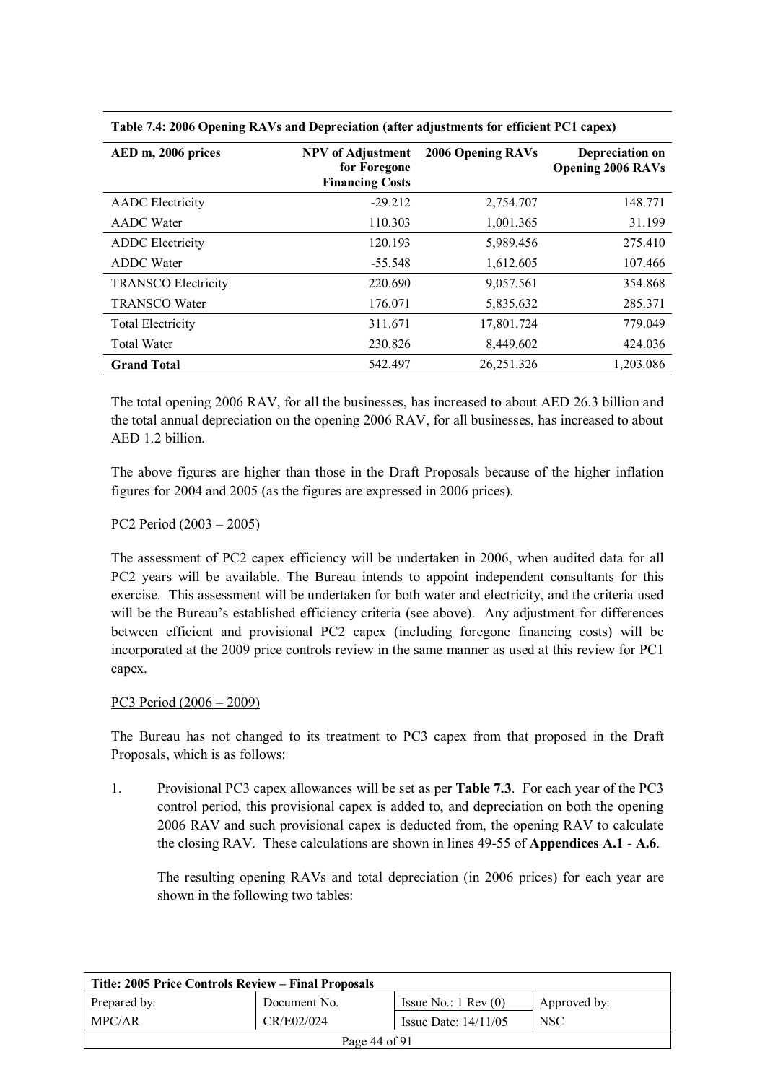| AED m, 2006 prices         | <b>NPV</b> of Adjustment<br>for Foregone<br><b>Financing Costs</b> | <b>2006 Opening RAVs</b> | Depreciation on<br><b>Opening 2006 RAVs</b> |
|----------------------------|--------------------------------------------------------------------|--------------------------|---------------------------------------------|
| <b>AADC</b> Electricity    | $-29.212$                                                          | 2,754.707                | 148.771                                     |
| <b>AADC</b> Water          | 110.303                                                            | 1,001.365                | 31.199                                      |
| <b>ADDC</b> Electricity    | 120.193                                                            | 5,989.456                | 275.410                                     |
| <b>ADDC</b> Water          | $-55.548$                                                          | 1,612.605                | 107.466                                     |
| <b>TRANSCO Electricity</b> | 220.690                                                            | 9,057.561                | 354.868                                     |
| <b>TRANSCO Water</b>       | 176.071                                                            | 5,835.632                | 285.371                                     |
| <b>Total Electricity</b>   | 311.671                                                            | 17,801.724               | 779.049                                     |
| <b>Total Water</b>         | 230.826                                                            | 8,449.602                | 424.036                                     |
| <b>Grand Total</b>         | 542.497                                                            | 26, 251.326              | 1,203.086                                   |

**Table 7.4: 2006 Opening RAVs and Depreciation (after adjustments for efficient PC1 capex)** 

The total opening 2006 RAV, for all the businesses, has increased to about AED 26.3 billion and the total annual depreciation on the opening 2006 RAV, for all businesses, has increased to about AED 1.2 billion.

The above figures are higher than those in the Draft Proposals because of the higher inflation figures for 2004 and 2005 (as the figures are expressed in 2006 prices).

## PC2 Period  $(2003 - 2005)$

The assessment of PC2 capex efficiency will be undertaken in 2006, when audited data for all PC2 years will be available. The Bureau intends to appoint independent consultants for this exercise. This assessment will be undertaken for both water and electricity, and the criteria used will be the Bureau's established efficiency criteria (see above). Any adjustment for differences between efficient and provisional PC2 capex (including foregone financing costs) will be incorporated at the 2009 price controls review in the same manner as used at this review for PC1 capex.

## PC3 Period  $(2006 - 2009)$

The Bureau has not changed to its treatment to PC3 capex from that proposed in the Draft Proposals, which is as follows:

1. Provisional PC3 capex allowances will be set as per **Table 7.3**. For each year of the PC3 control period, this provisional capex is added to, and depreciation on both the opening 2006 RAV and such provisional capex is deducted from, the opening RAV to calculate the closing RAV. These calculations are shown in lines 49-55 of **Appendices A.1** - **A.6**.

The resulting opening RAVs and total depreciation (in 2006 prices) for each year are shown in the following two tables:

| Title: 2005 Price Controls Review – Final Proposals |              |                               |              |
|-----------------------------------------------------|--------------|-------------------------------|--------------|
| Prepared by:                                        | Document No. | Issue No.: $1 \text{ Rev}(0)$ | Approved by: |
| MPC/AR                                              | CR/E02/024   | Issue Date: $14/11/05$        | <b>NSC</b>   |
| Page 44 of 91                                       |              |                               |              |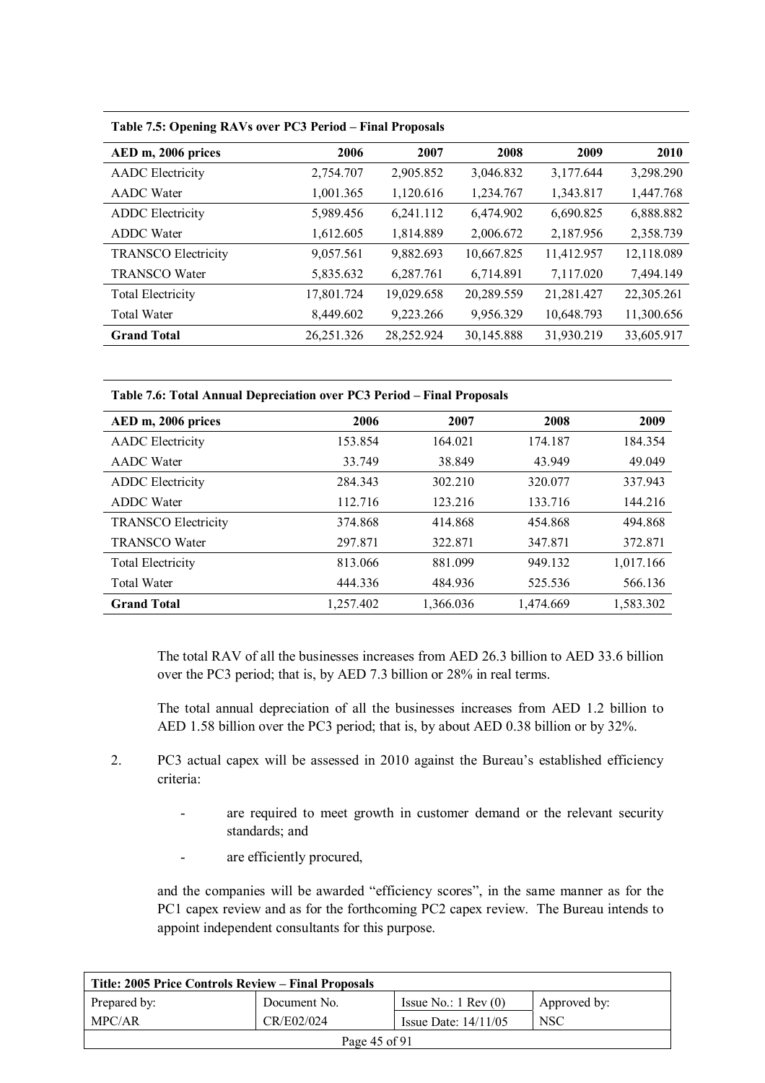| AED m, 2006 prices         | 2006       | 2007       | 2008       | 2009       | 2010       |
|----------------------------|------------|------------|------------|------------|------------|
| <b>AADC</b> Electricity    | 2,754.707  | 2,905.852  | 3,046.832  | 3,177.644  | 3,298.290  |
| <b>AADC</b> Water          | 1,001.365  | 1,120.616  | 1,234.767  | 1,343.817  | 1,447.768  |
| <b>ADDC</b> Electricity    | 5,989.456  | 6,241.112  | 6,474.902  | 6,690.825  | 6,888.882  |
| <b>ADDC</b> Water          | 1,612.605  | 1,814.889  | 2,006.672  | 2,187.956  | 2,358.739  |
| <b>TRANSCO Electricity</b> | 9,057.561  | 9,882.693  | 10,667.825 | 11,412.957 | 12,118.089 |
| <b>TRANSCO Water</b>       | 5,835.632  | 6,287.761  | 6,714.891  | 7,117.020  | 7,494.149  |
| <b>Total Electricity</b>   | 17,801.724 | 19,029.658 | 20,289.559 | 21,281.427 | 22,305.261 |
| <b>Total Water</b>         | 8,449.602  | 9,223.266  | 9,956.329  | 10,648.793 | 11,300.656 |
| <b>Grand Total</b>         | 26,251.326 | 28,252.924 | 30,145.888 | 31,930.219 | 33,605.917 |

Table 7.5: Opening RAVs over PC3 Period - Final Proposals

Table 7.6: Total Annual Depreciation over PC3 Period - Final Proposals

| AED m, 2006 prices         | 2006      | 2007      | 2008      | 2009      |
|----------------------------|-----------|-----------|-----------|-----------|
| <b>AADC</b> Electricity    | 153.854   | 164.021   | 174.187   | 184.354   |
| <b>AADC</b> Water          | 33.749    | 38.849    | 43.949    | 49.049    |
| <b>ADDC</b> Electricity    | 284.343   | 302.210   | 320.077   | 337.943   |
| <b>ADDC</b> Water          | 112.716   | 123.216   | 133.716   | 144.216   |
| <b>TRANSCO Electricity</b> | 374.868   | 414.868   | 454.868   | 494.868   |
| <b>TRANSCO Water</b>       | 297.871   | 322.871   | 347.871   | 372.871   |
| <b>Total Electricity</b>   | 813.066   | 881.099   | 949.132   | 1,017.166 |
| <b>Total Water</b>         | 444.336   | 484.936   | 525.536   | 566.136   |
| <b>Grand Total</b>         | 1,257.402 | 1,366.036 | 1,474.669 | 1,583.302 |

The total RAV of all the businesses increases from AED 26.3 billion to AED 33.6 billion over the PC3 period; that is, by AED 7.3 billion or 28% in real terms.

The total annual depreciation of all the businesses increases from AED 1.2 billion to AED 1.58 billion over the PC3 period; that is, by about AED 0.38 billion or by 32%.

- 2. PC3 actual capex will be assessed in 2010 against the Bureau's established efficiency criteria:
	- are required to meet growth in customer demand or the relevant security standards; and
	- are efficiently procured,

and the companies will be awarded "efficiency scores", in the same manner as for the PC1 capex review and as for the forthcoming PC2 capex review. The Bureau intends to appoint independent consultants for this purpose.

| Title: 2005 Price Controls Review – Final Proposals |              |                               |              |  |
|-----------------------------------------------------|--------------|-------------------------------|--------------|--|
| Prepared by:                                        | Document No. | Issue No.: $1 \text{ Rev}(0)$ | Approved by: |  |
| MPC/AR                                              | CR/E02/024   | Issue Date: $14/11/05$        | <b>NSC</b>   |  |
| Page 45 of 91                                       |              |                               |              |  |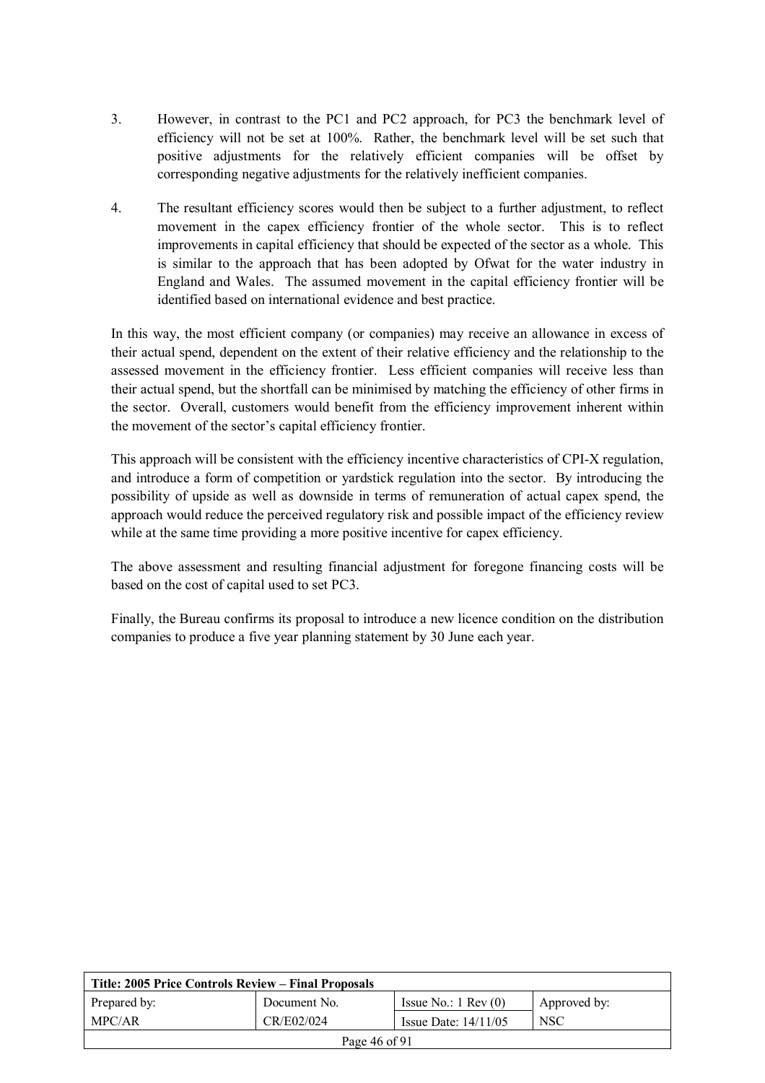- 3. However, in contrast to the PC1 and PC2 approach, for PC3 the benchmark level of efficiency will not be set at 100%. Rather, the benchmark level will be set such that positive adjustments for the relatively efficient companies will be offset by corresponding negative adjustments for the relatively inefficient companies.
- 4. The resultant efficiency scores would then be subject to a further adjustment, to reflect movement in the capex efficiency frontier of the whole sector. This is to reflect improvements in capital efficiency that should be expected of the sector as a whole. This is similar to the approach that has been adopted by Ofwat for the water industry in England and Wales. The assumed movement in the capital efficiency frontier will be identified based on international evidence and best practice.

In this way, the most efficient company (or companies) may receive an allowance in excess of their actual spend, dependent on the extent of their relative efficiency and the relationship to the assessed movement in the efficiency frontier. Less efficient companies will receive less than their actual spend, but the shortfall can be minimised by matching the efficiency of other firms in the sector. Overall, customers would benefit from the efficiency improvement inherent within the movement of the sector's capital efficiency frontier.

This approach will be consistent with the efficiency incentive characteristics of CPI-X regulation, and introduce a form of competition or yardstick regulation into the sector. By introducing the possibility of upside as well as downside in terms of remuneration of actual capex spend, the approach would reduce the perceived regulatory risk and possible impact of the efficiency review while at the same time providing a more positive incentive for capex efficiency.

The above assessment and resulting financial adjustment for foregone financing costs will be based on the cost of capital used to set PC3.

Finally, the Bureau confirms its proposal to introduce a new licence condition on the distribution companies to produce a five year planning statement by 30 June each year.

| Title: 2005 Price Controls Review – Final Proposals |              |                               |              |  |
|-----------------------------------------------------|--------------|-------------------------------|--------------|--|
| Prepared by:                                        | Document No. | Issue No.: $1 \text{ Rev}(0)$ | Approved by: |  |
| MPC/AR                                              | CR/E02/024   | Issue Date: $14/11/05$        | <b>NSC</b>   |  |
| Page 46 of 91                                       |              |                               |              |  |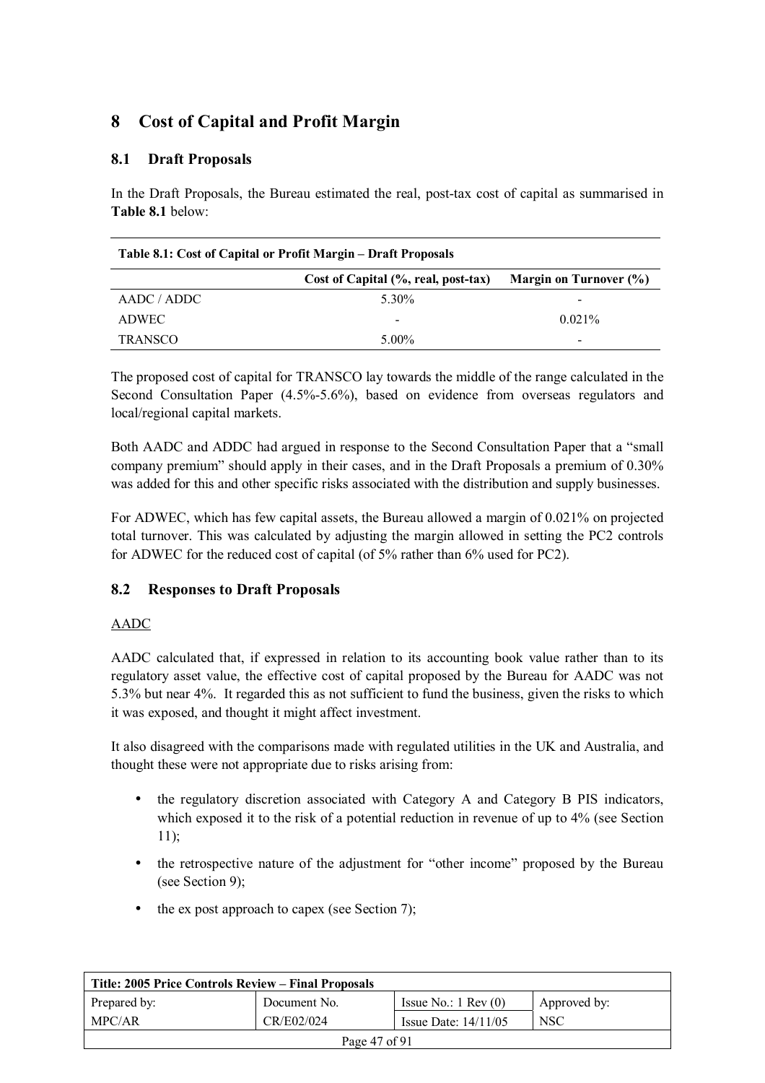# **8 Cost of Capital and Profit Margin**

## **8.1 Draft Proposals**

In the Draft Proposals, the Bureau estimated the real, post-tax cost of capital as summarised in **Table 8.1** below:

| Table 8.1: Cost of Capital or Profit Margin – Draft Proposals |                                     |                          |  |  |
|---------------------------------------------------------------|-------------------------------------|--------------------------|--|--|
|                                                               | Cost of Capital (%, real, post-tax) | Margin on Turnover (%)   |  |  |
| AADC/ADDC                                                     | $5.30\%$                            |                          |  |  |
| ADWEC                                                         |                                     | $0.021\%$                |  |  |
| <b>TRANSCO</b>                                                | $5.00\%$                            | $\overline{\phantom{0}}$ |  |  |

The proposed cost of capital for TRANSCO lay towards the middle of the range calculated in the Second Consultation Paper (4.5%-5.6%), based on evidence from overseas regulators and local/regional capital markets.

Both AADC and ADDC had argued in response to the Second Consultation Paper that a "small company premium<sup>?</sup> should apply in their cases, and in the Draft Proposals a premium of 0.30% was added for this and other specific risks associated with the distribution and supply businesses.

For ADWEC, which has few capital assets, the Bureau allowed a margin of 0.021% on projected total turnover. This was calculated by adjusting the margin allowed in setting the PC2 controls for ADWEC for the reduced cost of capital (of 5% rather than 6% used for PC2).

## **8.2 Responses to Draft Proposals**

## AADC

AADC calculated that, if expressed in relation to its accounting book value rather than to its regulatory asset value, the effective cost of capital proposed by the Bureau for AADC was not 5.3% but near 4%. It regarded this as not sufficient to fund the business, given the risks to which it was exposed, and thought it might affect investment.

It also disagreed with the comparisons made with regulated utilities in the UK and Australia, and thought these were not appropriate due to risks arising from:

- the regulatory discretion associated with Category A and Category B PIS indicators, which exposed it to the risk of a potential reduction in revenue of up to 4% (see Section 11);
- the retrospective nature of the adjustment for "other income" proposed by the Bureau (see Section 9);
- the ex post approach to capex (see Section 7);

| Title: 2005 Price Controls Review – Final Proposals |              |                               |              |  |
|-----------------------------------------------------|--------------|-------------------------------|--------------|--|
| Prepared by:                                        | Document No. | Issue No.: $1 \text{ Rev}(0)$ | Approved by: |  |
| MPC/AR                                              | CR/E02/024   | Issue Date: $14/11/05$        | <b>NSC</b>   |  |
| Page 47 of 91                                       |              |                               |              |  |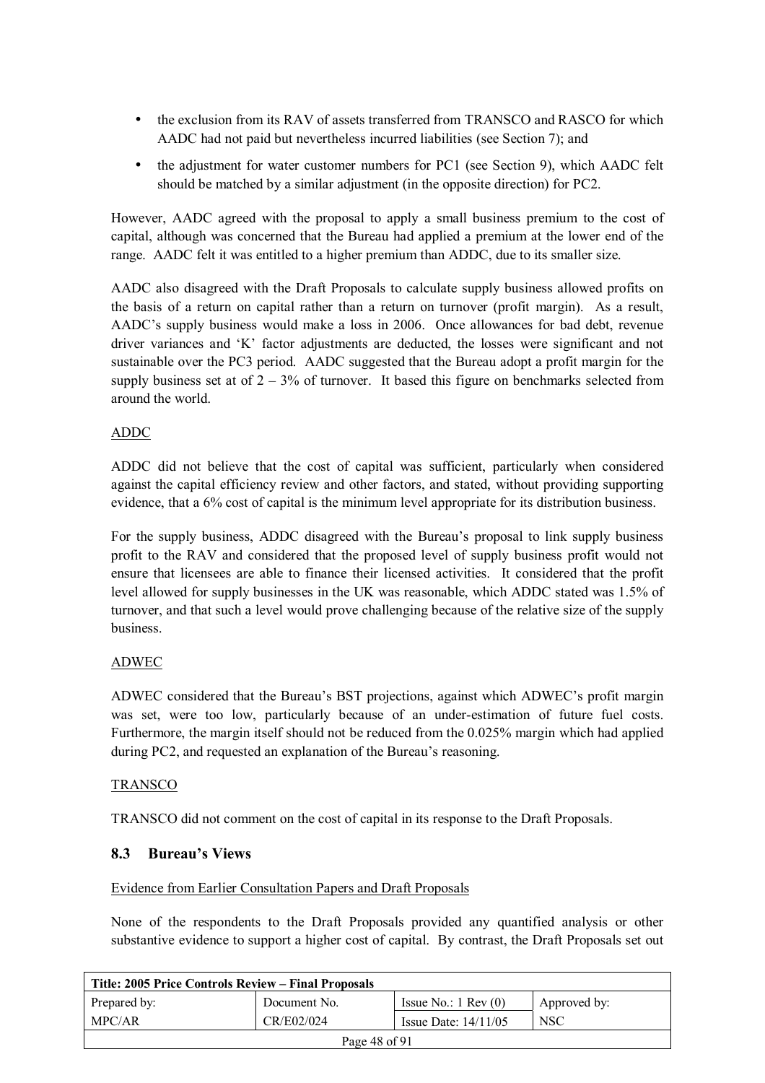- the exclusion from its RAV of assets transferred from TRANSCO and RASCO for which AADC had not paid but nevertheless incurred liabilities (see Section 7); and
- the adjustment for water customer numbers for PC1 (see Section 9), which AADC felt should be matched by a similar adjustment (in the opposite direction) for PC2.

However, AADC agreed with the proposal to apply a small business premium to the cost of capital, although was concerned that the Bureau had applied a premium at the lower end of the range. AADC felt it was entitled to a higher premium than ADDC, due to its smaller size.

AADC also disagreed with the Draft Proposals to calculate supply business allowed profits on the basis of a return on capital rather than a return on turnover (profit margin). As a result, AADC's supply business would make a loss in 2006. Once allowances for bad debt, revenue driver variances and 'K' factor adjustments are deducted, the losses were significant and not sustainable over the PC3 period. AADC suggested that the Bureau adopt a profit margin for the supply business set at of  $2 - 3\%$  of turnover. It based this figure on benchmarks selected from around the world.

## ADDC

ADDC did not believe that the cost of capital was sufficient, particularly when considered against the capital efficiency review and other factors, and stated, without providing supporting evidence, that a 6% cost of capital is the minimum level appropriate for its distribution business.

For the supply business, ADDC disagreed with the Bureau's proposal to link supply business profit to the RAV and considered that the proposed level of supply business profit would not ensure that licensees are able to finance their licensed activities. It considered that the profit level allowed for supply businesses in the UK was reasonable, which ADDC stated was 1.5% of turnover, and that such a level would prove challenging because of the relative size of the supply business.

#### ADWEC

ADWEC considered that the Bureau's BST projections, against which ADWEC's profit margin was set, were too low, particularly because of an under-estimation of future fuel costs. Furthermore, the margin itself should not be reduced from the 0.025% margin which had applied during PC2, and requested an explanation of the Bureau's reasoning.

#### TRANSCO

TRANSCO did not comment on the cost of capital in its response to the Draft Proposals.

#### **8.3 Bureauís Views**

#### Evidence from Earlier Consultation Papers and Draft Proposals

None of the respondents to the Draft Proposals provided any quantified analysis or other substantive evidence to support a higher cost of capital. By contrast, the Draft Proposals set out

| Title: 2005 Price Controls Review – Final Proposals |              |                               |              |  |
|-----------------------------------------------------|--------------|-------------------------------|--------------|--|
| Prepared by:                                        | Document No. | Issue No.: $1 \text{ Rev}(0)$ | Approved by: |  |
| MPC/AR                                              | CR/E02/024   | Issue Date: $14/11/05$        | <b>NSC</b>   |  |
| Page 48 of 91                                       |              |                               |              |  |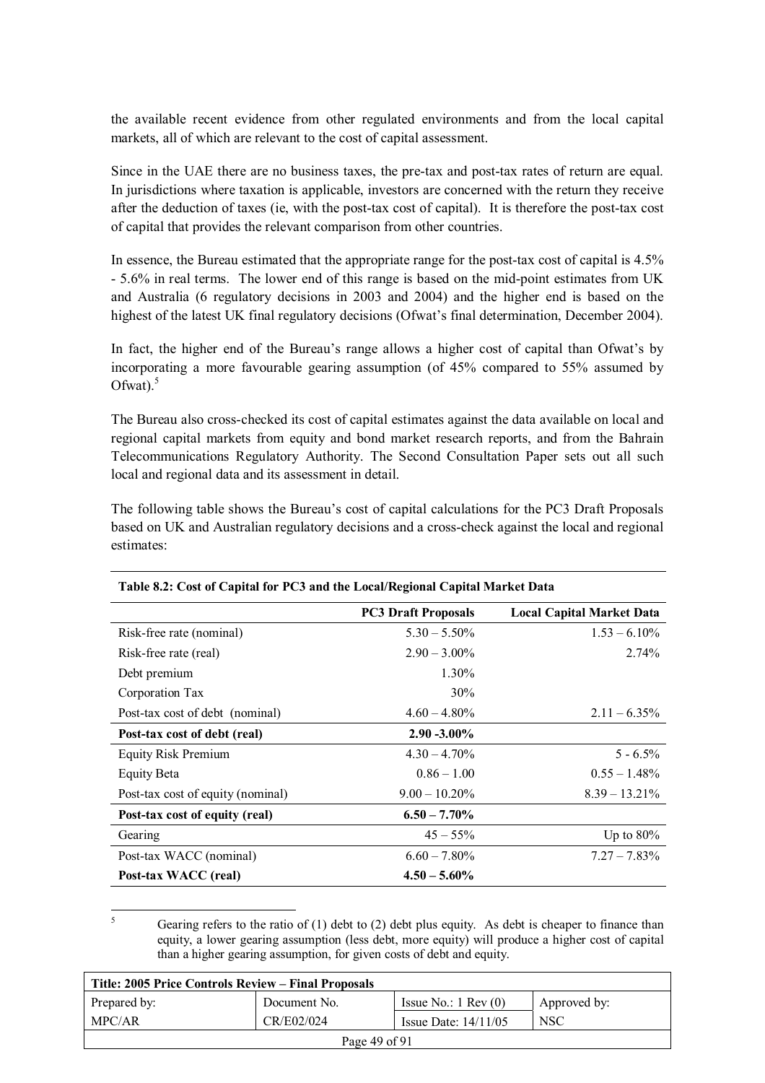the available recent evidence from other regulated environments and from the local capital markets, all of which are relevant to the cost of capital assessment.

Since in the UAE there are no business taxes, the pre-tax and post-tax rates of return are equal. In jurisdictions where taxation is applicable, investors are concerned with the return they receive after the deduction of taxes (ie, with the post-tax cost of capital). It is therefore the post-tax cost of capital that provides the relevant comparison from other countries.

In essence, the Bureau estimated that the appropriate range for the post-tax cost of capital is 4.5% - 5.6% in real terms. The lower end of this range is based on the mid-point estimates from UK and Australia (6 regulatory decisions in 2003 and 2004) and the higher end is based on the highest of the latest UK final regulatory decisions (Ofwat's final determination, December 2004).

In fact, the higher end of the Bureau's range allows a higher cost of capital than Ofwat's by incorporating a more favourable gearing assumption (of 45% compared to 55% assumed by Ofwat $)$ .<sup>5</sup>

The Bureau also cross-checked its cost of capital estimates against the data available on local and regional capital markets from equity and bond market research reports, and from the Bahrain Telecommunications Regulatory Authority. The Second Consultation Paper sets out all such local and regional data and its assessment in detail.

The following table shows the Bureau's cost of capital calculations for the PC3 Draft Proposals based on UK and Australian regulatory decisions and a cross-check against the local and regional estimates:

|                                   | <b>PC3 Draft Proposals</b> | <b>Local Capital Market Data</b> |  |  |
|-----------------------------------|----------------------------|----------------------------------|--|--|
| Risk-free rate (nominal)          | $5.30 - 5.50\%$            | $1.53 - 6.10\%$                  |  |  |
| Risk-free rate (real)             | $2.90 - 3.00\%$            | 2.74%                            |  |  |
| Debt premium                      | 1.30%                      |                                  |  |  |
| Corporation Tax                   | 30%                        |                                  |  |  |
| Post-tax cost of debt (nominal)   | $4.60 - 4.80\%$            | $2.11 - 6.35\%$                  |  |  |
| Post-tax cost of debt (real)      | $2.90 - 3.00\%$            |                                  |  |  |
| <b>Equity Risk Premium</b>        | $4.30 - 4.70\%$            | $5 - 6.5\%$                      |  |  |
| Equity Beta                       | $0.86 - 1.00$              | $0.55 - 1.48\%$                  |  |  |
| Post-tax cost of equity (nominal) | $9.00 - 10.20\%$           | $8.39 - 13.21\%$                 |  |  |
| Post-tax cost of equity (real)    | $6.50 - 7.70\%$            |                                  |  |  |
| Gearing                           | $45 - 55\%$                | Up to $80\%$                     |  |  |
| Post-tax WACC (nominal)           | $6.60 - 7.80\%$            | $7.27 - 7.83\%$                  |  |  |
| Post-tax WACC (real)              | $4.50 - 5.60\%$            |                                  |  |  |

**Table 8.2: Cost of Capital for PC3 and the Local/Regional Capital Market Data** 

 5 Gearing refers to the ratio of  $(1)$  debt to  $(2)$  debt plus equity. As debt is cheaper to finance than equity, a lower gearing assumption (less debt, more equity) will produce a higher cost of capital than a higher gearing assumption, for given costs of debt and equity.

| Title: 2005 Price Controls Review – Final Proposals |              |                               |              |  |
|-----------------------------------------------------|--------------|-------------------------------|--------------|--|
| Prepared by:                                        | Document No. | Issue No.: $1 \text{ Rev}(0)$ | Approved by: |  |
| MPC/AR                                              | CR/E02/024   | Issue Date: $14/11/05$        | NSC          |  |
| Page 49 of 91                                       |              |                               |              |  |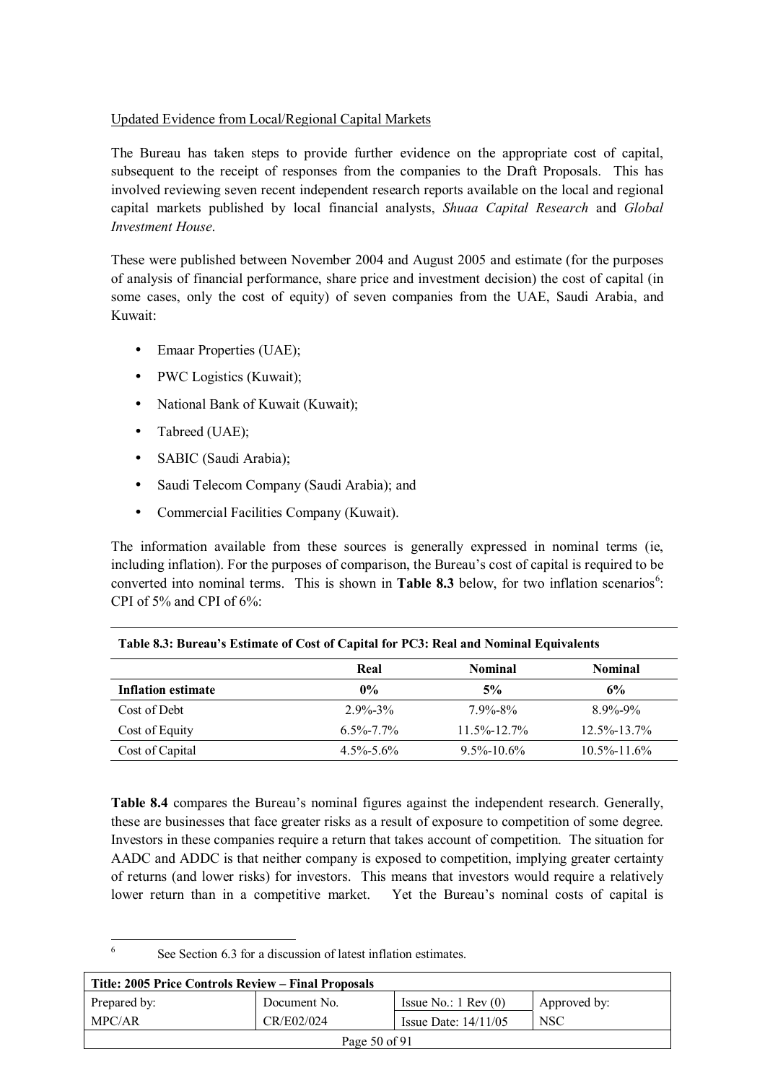## Updated Evidence from Local/Regional Capital Markets

The Bureau has taken steps to provide further evidence on the appropriate cost of capital, subsequent to the receipt of responses from the companies to the Draft Proposals. This has involved reviewing seven recent independent research reports available on the local and regional capital markets published by local financial analysts, *Shuaa Capital Research* and *Global Investment House*.

These were published between November 2004 and August 2005 and estimate (for the purposes of analysis of financial performance, share price and investment decision) the cost of capital (in some cases, only the cost of equity) of seven companies from the UAE, Saudi Arabia, and Kuwait:

- Emaar Properties (UAE);
- PWC Logistics (Kuwait);
- National Bank of Kuwait (Kuwait);
- Tabreed (UAE):
- SABIC (Saudi Arabia);
- Saudi Telecom Company (Saudi Arabia); and
- Commercial Facilities Company (Kuwait).

The information available from these sources is generally expressed in nominal terms (ie, including inflation). For the purposes of comparison, the Bureau's cost of capital is required to be converted into nominal terms. This is shown in **Table 8.3** below, for two inflation scenarios<sup>6</sup>: CPI of 5% and CPI of 6%:

|                           | Real            | <b>Nominal</b>    | <b>Nominal</b>    |
|---------------------------|-----------------|-------------------|-------------------|
| <b>Inflation estimate</b> | $0\%$           | 5%                | 6%                |
| Cost of Debt              | $2.9\% - 3\%$   | $79\% - 8\%$      | $8.9\% - 9\%$     |
| Cost of Equity            | $6.5\% - 7.7\%$ | $11.5\% - 12.7\%$ | $12.5\% - 13.7\%$ |
| Cost of Capital           | $4.5\% - 5.6\%$ | $9.5\% - 10.6\%$  | $10.5\% - 11.6\%$ |

**Table 8.3: Bureauís Estimate of Cost of Capital for PC3: Real and Nominal Equivalents** 

**Table 8.4** compares the Bureau's nominal figures against the independent research. Generally, these are businesses that face greater risks as a result of exposure to competition of some degree. Investors in these companies require a return that takes account of competition. The situation for AADC and ADDC is that neither company is exposed to competition, implying greater certainty of returns (and lower risks) for investors. This means that investors would require a relatively lower return than in a competitive market. Yet the Bureau's nominal costs of capital is

 $\overline{a}$ 6 See Section 6.3 for a discussion of latest inflation estimates.

| Title: 2005 Price Controls Review – Final Proposals |              |                               |              |  |
|-----------------------------------------------------|--------------|-------------------------------|--------------|--|
| Prepared by:                                        | Document No. | Issue No.: $1 \text{ Rev}(0)$ | Approved by: |  |
| MPC/AR                                              | CR/E02/024   | Issue Date: $14/11/05$        | <b>NSC</b>   |  |
| Page 50 of 91                                       |              |                               |              |  |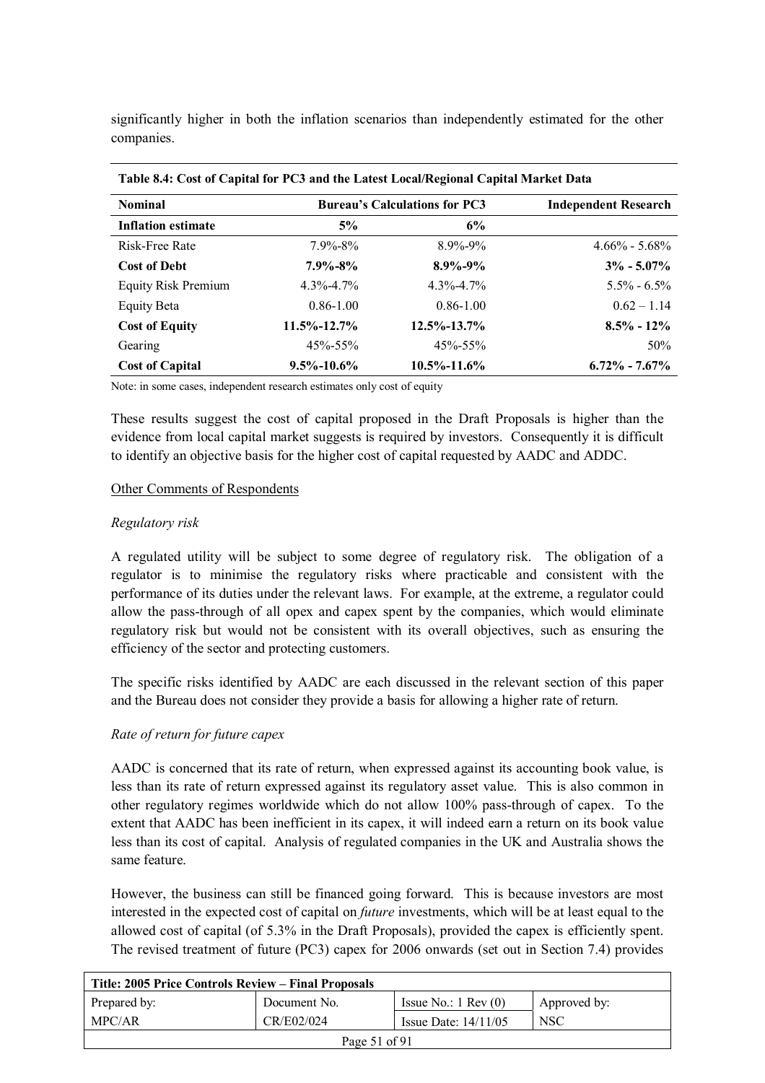significantly higher in both the inflation scenarios than independently estimated for the other companies.

| Table 0.4. Cost of Capital for T CJ and the Latest Local Kegfonal Capital Market Data |                   |                                      |                             |  |
|---------------------------------------------------------------------------------------|-------------------|--------------------------------------|-----------------------------|--|
| <b>Nominal</b>                                                                        |                   | <b>Bureau's Calculations for PC3</b> | <b>Independent Research</b> |  |
| <b>Inflation estimate</b>                                                             | 5%                | 6%                                   |                             |  |
| Risk-Free Rate                                                                        | $7.9\% - 8\%$     | $8.9\% - 9\%$                        | $4.66\% - 5.68\%$           |  |
| <b>Cost of Debt</b>                                                                   | $7.9\% - 8\%$     | $8.9\% - 9\%$                        | $3\% - 5.07\%$              |  |
| <b>Equity Risk Premium</b>                                                            | $4.3\% - 4.7\%$   | $4.3\% - 4.7\%$                      | $5.5\% - 6.5\%$             |  |
| Equity Beta                                                                           | $0.86 - 1.00$     | $0.86 - 1.00$                        | $0.62 - 1.14$               |  |
| <b>Cost of Equity</b>                                                                 | $11.5\% - 12.7\%$ | $12.5\% - 13.7\%$                    | $8.5\% - 12\%$              |  |
| Gearing                                                                               | $45\% - 55\%$     | $45\% - 55\%$                        | 50%                         |  |
| <b>Cost of Capital</b>                                                                | $9.5\% - 10.6\%$  | $10.5\% - 11.6\%$                    | $6.72\% - 7.67\%$           |  |

**Table 8.4: Cost of Capital for PC3 and the Latest Local/Regional Capital Market Data** 

Note: in some cases, independent research estimates only cost of equity

These results suggest the cost of capital proposed in the Draft Proposals is higher than the evidence from local capital market suggests is required by investors. Consequently it is difficult to identify an objective basis for the higher cost of capital requested by AADC and ADDC.

#### Other Comments of Respondents

#### *Regulatory risk*

A regulated utility will be subject to some degree of regulatory risk. The obligation of a regulator is to minimise the regulatory risks where practicable and consistent with the performance of its duties under the relevant laws. For example, at the extreme, a regulator could allow the pass-through of all opex and capex spent by the companies, which would eliminate regulatory risk but would not be consistent with its overall objectives, such as ensuring the efficiency of the sector and protecting customers.

The specific risks identified by AADC are each discussed in the relevant section of this paper and the Bureau does not consider they provide a basis for allowing a higher rate of return.

#### *Rate of return for future capex*

AADC is concerned that its rate of return, when expressed against its accounting book value, is less than its rate of return expressed against its regulatory asset value. This is also common in other regulatory regimes worldwide which do not allow 100% pass-through of capex. To the extent that AADC has been inefficient in its capex, it will indeed earn a return on its book value less than its cost of capital. Analysis of regulated companies in the UK and Australia shows the same feature.

However, the business can still be financed going forward. This is because investors are most interested in the expected cost of capital on *future* investments, which will be at least equal to the allowed cost of capital (of 5.3% in the Draft Proposals), provided the capex is efficiently spent. The revised treatment of future (PC3) capex for 2006 onwards (set out in Section 7.4) provides

| Title: 2005 Price Controls Review – Final Proposals |               |                               |              |
|-----------------------------------------------------|---------------|-------------------------------|--------------|
| Prepared by:                                        | Document No.  | Issue No.: $1 \text{ Rev}(0)$ | Approved by: |
| MPC/AR                                              | CR/E02/024    | Issue Date: $14/11/05$        | <b>NSC</b>   |
|                                                     | Page 51 of 91 |                               |              |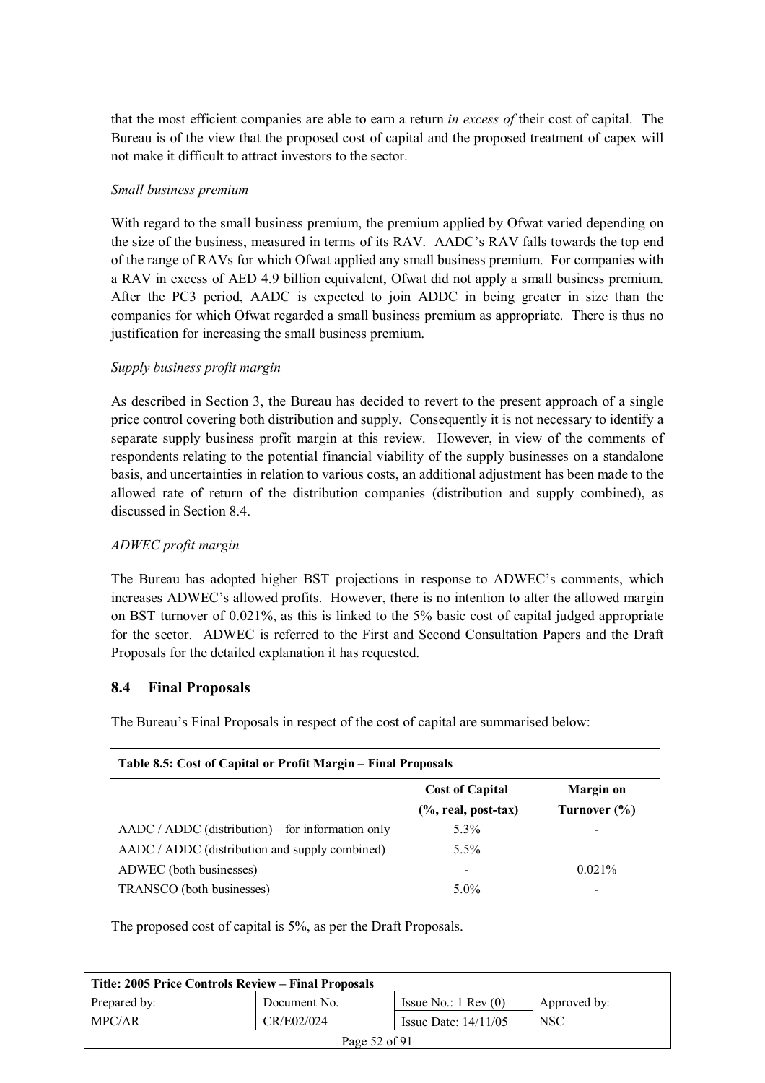that the most efficient companies are able to earn a return *in excess of* their cost of capital. The Bureau is of the view that the proposed cost of capital and the proposed treatment of capex will not make it difficult to attract investors to the sector.

#### *Small business premium*

With regard to the small business premium, the premium applied by Ofwat varied depending on the size of the business, measured in terms of its RAV. AADC's RAV falls towards the top end of the range of RAVs for which Ofwat applied any small business premium. For companies with a RAV in excess of AED 4.9 billion equivalent, Ofwat did not apply a small business premium. After the PC3 period, AADC is expected to join ADDC in being greater in size than the companies for which Ofwat regarded a small business premium as appropriate. There is thus no justification for increasing the small business premium.

#### *Supply business profit margin*

As described in Section 3, the Bureau has decided to revert to the present approach of a single price control covering both distribution and supply. Consequently it is not necessary to identify a separate supply business profit margin at this review. However, in view of the comments of respondents relating to the potential financial viability of the supply businesses on a standalone basis, and uncertainties in relation to various costs, an additional adjustment has been made to the allowed rate of return of the distribution companies (distribution and supply combined), as discussed in Section 8.4.

#### *ADWEC profit margin*

The Bureau has adopted higher BST projections in response to ADWEC's comments, which increases ADWEC's allowed profits. However, there is no intention to alter the allowed margin on BST turnover of 0.021%, as this is linked to the 5% basic cost of capital judged appropriate for the sector. ADWEC is referred to the First and Second Consultation Papers and the Draft Proposals for the detailed explanation it has requested.

#### **8.4 Final Proposals**

The Bureauís Final Proposals in respect of the cost of capital are summarised below:

| Table 8.5: Cost of Capital or Profit Margin - Final Proposals |                          |                  |
|---------------------------------------------------------------|--------------------------|------------------|
|                                                               | <b>Cost of Capital</b>   | <b>Margin on</b> |
|                                                               | $(\%$ , real, post-tax)  | Turnover $(\% )$ |
| $AADC / ADDC$ (distribution) – for information only           | $5.3\%$                  |                  |
| AADC / ADDC (distribution and supply combined)                | $5.5\%$                  |                  |
| ADWEC (both businesses)                                       | $\overline{\phantom{a}}$ | 0.021%           |
| TRANSCO (both businesses)                                     | $5.0\%$                  |                  |

The proposed cost of capital is 5%, as per the Draft Proposals.

| Title: 2005 Price Controls Review – Final Proposals |               |                               |              |
|-----------------------------------------------------|---------------|-------------------------------|--------------|
| Prepared by:                                        | Document No.  | Issue No.: $1 \text{ Rev}(0)$ | Approved by: |
| MPC/AR                                              | CR/E02/024    | Issue Date: $14/11/05$        | <b>NSC</b>   |
|                                                     | Page 52 of 91 |                               |              |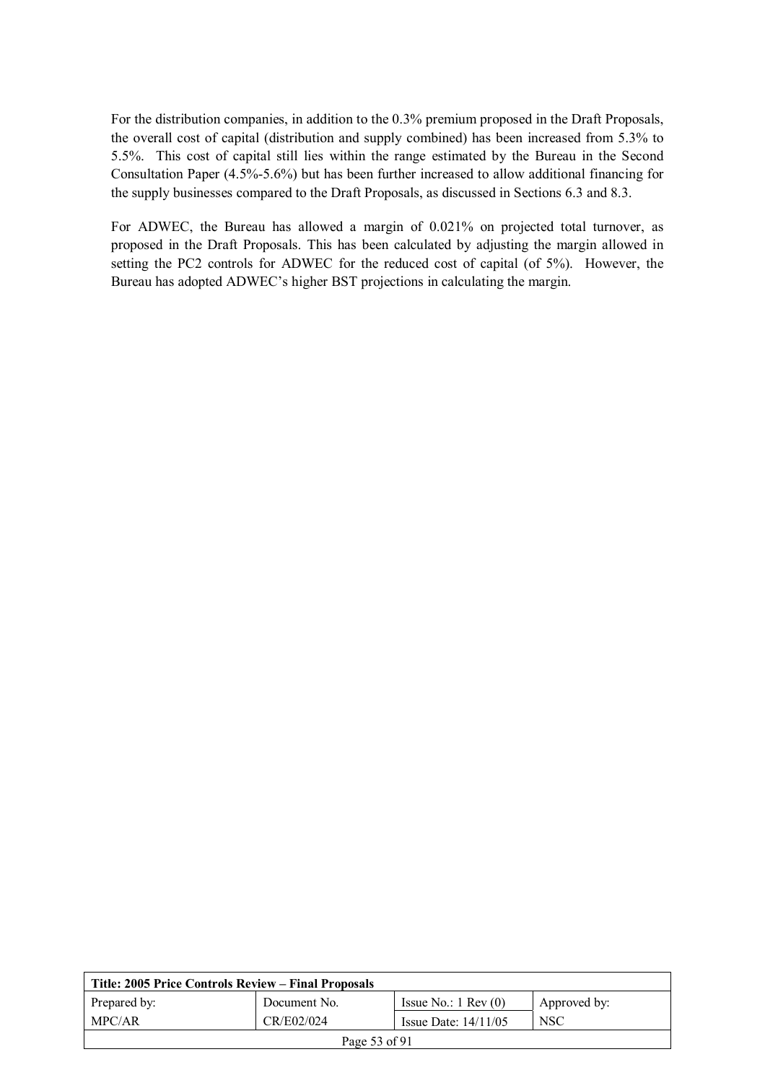For the distribution companies, in addition to the 0.3% premium proposed in the Draft Proposals, the overall cost of capital (distribution and supply combined) has been increased from 5.3% to 5.5%. This cost of capital still lies within the range estimated by the Bureau in the Second Consultation Paper (4.5%-5.6%) but has been further increased to allow additional financing for the supply businesses compared to the Draft Proposals, as discussed in Sections 6.3 and 8.3.

For ADWEC, the Bureau has allowed a margin of 0.021% on projected total turnover, as proposed in the Draft Proposals. This has been calculated by adjusting the margin allowed in setting the PC2 controls for ADWEC for the reduced cost of capital (of 5%). However, the Bureau has adopted ADWEC's higher BST projections in calculating the margin.

| Title: 2005 Price Controls Review – Final Proposals |               |                               |              |
|-----------------------------------------------------|---------------|-------------------------------|--------------|
| Prepared by:                                        | Document No.  | Issue No.: $1 \text{ Rev}(0)$ | Approved by: |
| MPC/AR                                              | CR/E02/024    | Issue Date: $14/11/05$        | <b>NSC</b>   |
|                                                     | Page 53 of 91 |                               |              |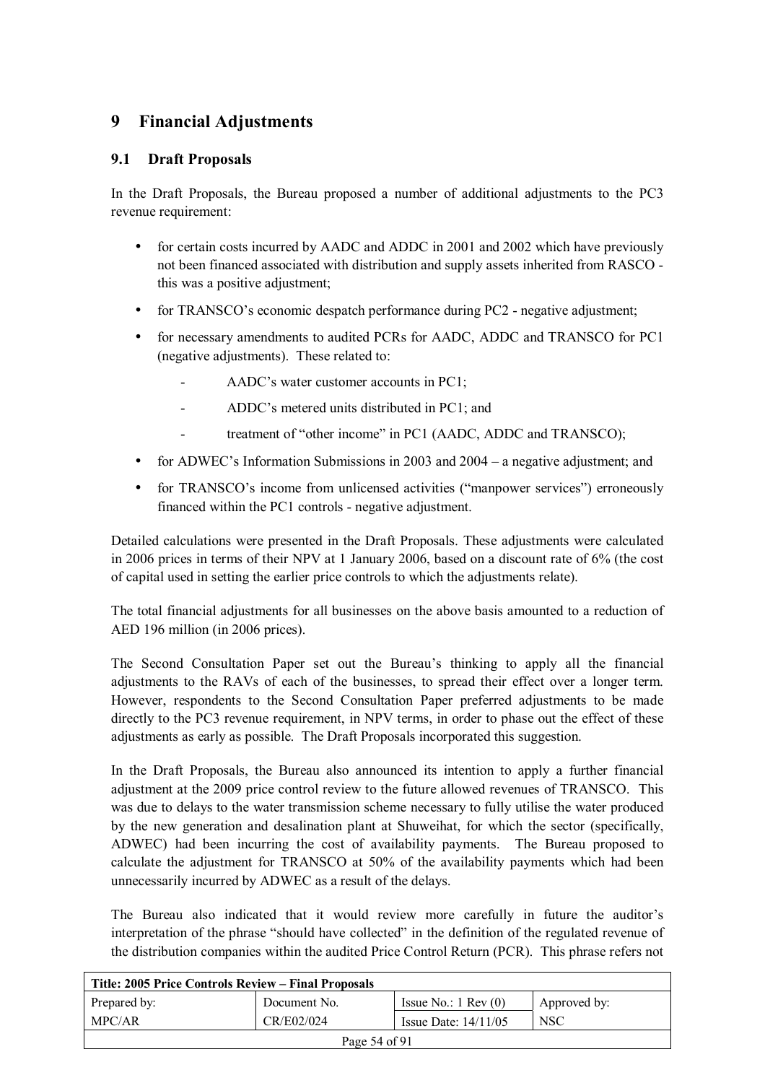# **9 Financial Adjustments**

## **9.1 Draft Proposals**

In the Draft Proposals, the Bureau proposed a number of additional adjustments to the PC3 revenue requirement:

- for certain costs incurred by AADC and ADDC in 2001 and 2002 which have previously not been financed associated with distribution and supply assets inherited from RASCO this was a positive adjustment;
- for TRANSCO's economic despatch performance during PC2 negative adjustment;
- for necessary amendments to audited PCRs for AADC, ADDC and TRANSCO for PC1 (negative adjustments). These related to:
	- AADC's water customer accounts in PC1;
	- ADDC's metered units distributed in PC1; and
	- treatment of "other income" in PC1 (AADC, ADDC and TRANSCO);
- for ADWEC's Information Submissions in 2003 and  $2004 a$  negative adjustment; and
- for TRANSCO's income from unlicensed activities ("manpower services") erroneously financed within the PC1 controls - negative adjustment.

Detailed calculations were presented in the Draft Proposals. These adjustments were calculated in 2006 prices in terms of their NPV at 1 January 2006, based on a discount rate of 6% (the cost of capital used in setting the earlier price controls to which the adjustments relate).

The total financial adjustments for all businesses on the above basis amounted to a reduction of AED 196 million (in 2006 prices).

The Second Consultation Paper set out the Bureauís thinking to apply all the financial adjustments to the RAVs of each of the businesses, to spread their effect over a longer term. However, respondents to the Second Consultation Paper preferred adjustments to be made directly to the PC3 revenue requirement, in NPV terms, in order to phase out the effect of these adjustments as early as possible. The Draft Proposals incorporated this suggestion.

In the Draft Proposals, the Bureau also announced its intention to apply a further financial adjustment at the 2009 price control review to the future allowed revenues of TRANSCO. This was due to delays to the water transmission scheme necessary to fully utilise the water produced by the new generation and desalination plant at Shuweihat, for which the sector (specifically, ADWEC) had been incurring the cost of availability payments. The Bureau proposed to calculate the adjustment for TRANSCO at 50% of the availability payments which had been unnecessarily incurred by ADWEC as a result of the delays.

The Bureau also indicated that it would review more carefully in future the auditor's interpretation of the phrase "should have collected" in the definition of the regulated revenue of the distribution companies within the audited Price Control Return (PCR). This phrase refers not

| Title: 2005 Price Controls Review – Final Proposals |               |                               |              |
|-----------------------------------------------------|---------------|-------------------------------|--------------|
| Prepared by:                                        | Document No.  | Issue No.: $1 \text{ Rev}(0)$ | Approved by: |
| MPC/AR                                              | CR/E02/024    | Issue Date: $14/11/05$        | <b>NSC</b>   |
|                                                     | Page 54 of 91 |                               |              |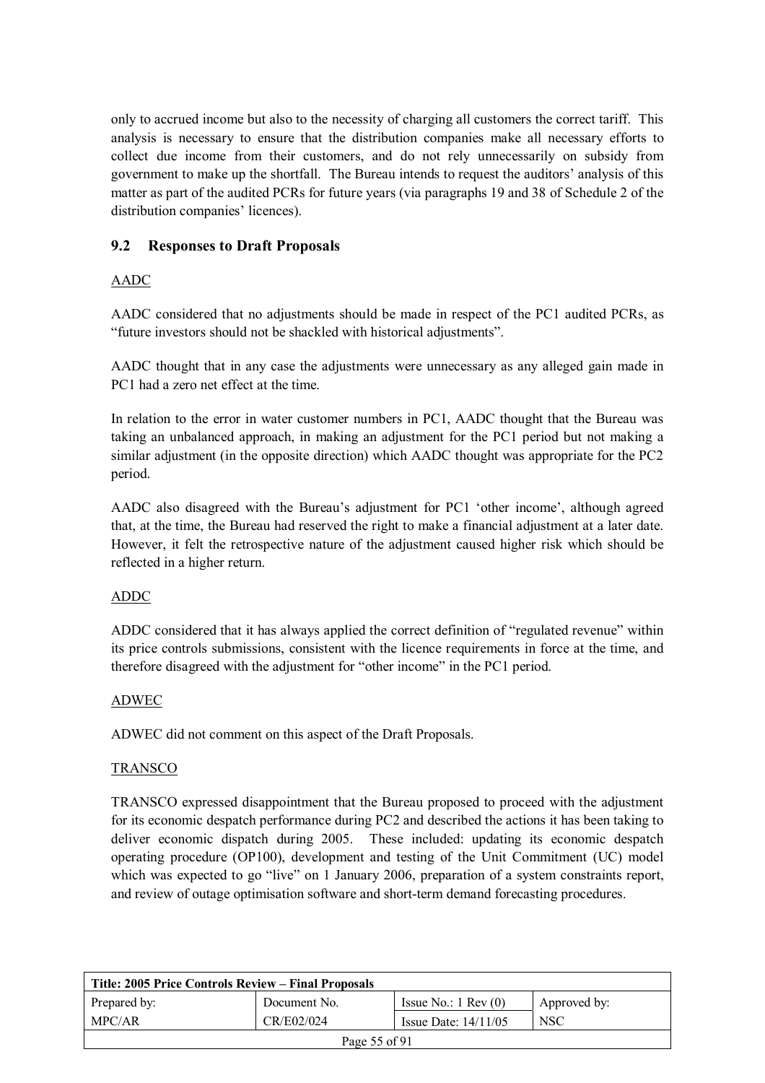only to accrued income but also to the necessity of charging all customers the correct tariff. This analysis is necessary to ensure that the distribution companies make all necessary efforts to collect due income from their customers, and do not rely unnecessarily on subsidy from government to make up the shortfall. The Bureau intends to request the auditors' analysis of this matter as part of the audited PCRs for future years (via paragraphs 19 and 38 of Schedule 2 of the distribution companies' licences).

## **9.2 Responses to Draft Proposals**

## AADC

AADC considered that no adjustments should be made in respect of the PC1 audited PCRs, as "future investors should not be shackled with historical adjustments".

AADC thought that in any case the adjustments were unnecessary as any alleged gain made in PC1 had a zero net effect at the time.

In relation to the error in water customer numbers in PC1, AADC thought that the Bureau was taking an unbalanced approach, in making an adjustment for the PC1 period but not making a similar adjustment (in the opposite direction) which AADC thought was appropriate for the PC2 period.

AADC also disagreed with the Bureau's adjustment for PC1 'other income', although agreed that, at the time, the Bureau had reserved the right to make a financial adjustment at a later date. However, it felt the retrospective nature of the adjustment caused higher risk which should be reflected in a higher return.

## ADDC

ADDC considered that it has always applied the correct definition of "regulated revenue" within its price controls submissions, consistent with the licence requirements in force at the time, and therefore disagreed with the adjustment for "other income" in the PC1 period.

## ADWEC

ADWEC did not comment on this aspect of the Draft Proposals.

#### TRANSCO

TRANSCO expressed disappointment that the Bureau proposed to proceed with the adjustment for its economic despatch performance during PC2 and described the actions it has been taking to deliver economic dispatch during 2005. These included: updating its economic despatch operating procedure (OP100), development and testing of the Unit Commitment (UC) model which was expected to go "live" on 1 January 2006, preparation of a system constraints report, and review of outage optimisation software and short-term demand forecasting procedures.

| Title: 2005 Price Controls Review – Final Proposals |               |                               |                  |
|-----------------------------------------------------|---------------|-------------------------------|------------------|
| Prepared by:                                        | Document No.  | Issue No.: $1 \text{ Rev}(0)$ | Approved by:     |
| MPC/AR                                              | CR/E02/024    | Issue Date: $14/11/05$        | NSC <sup>.</sup> |
|                                                     | Page 55 of 91 |                               |                  |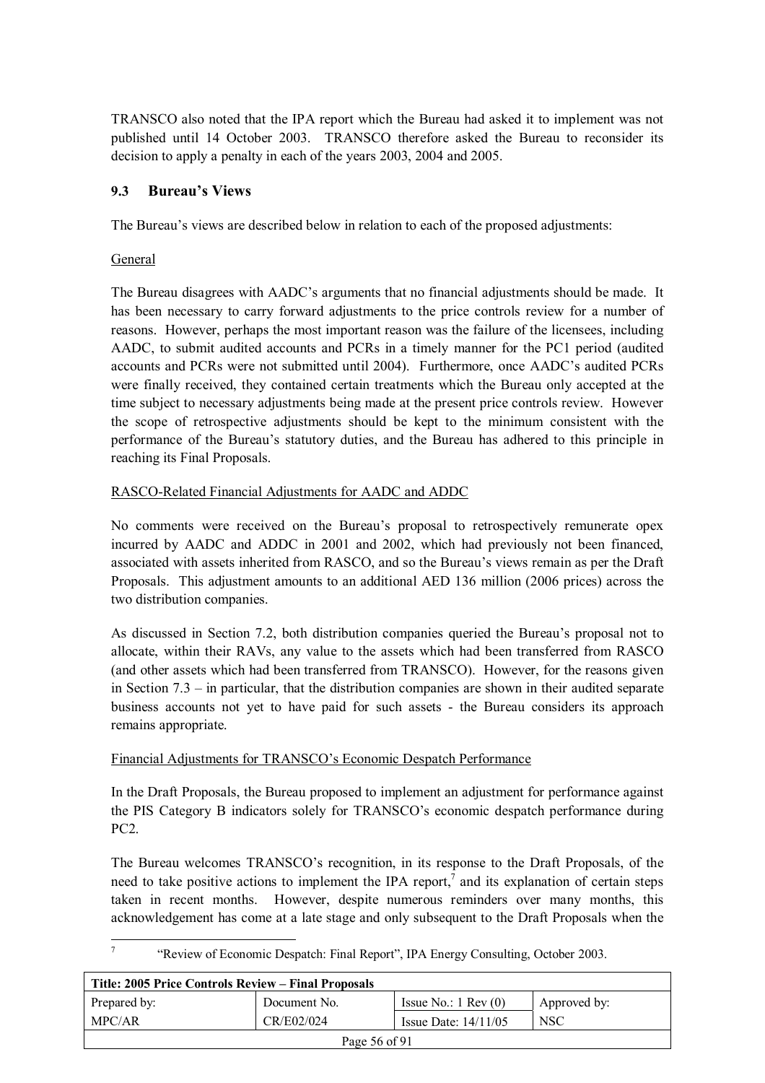TRANSCO also noted that the IPA report which the Bureau had asked it to implement was not published until 14 October 2003. TRANSCO therefore asked the Bureau to reconsider its decision to apply a penalty in each of the years 2003, 2004 and 2005.

## **9.3 Bureauís Views**

The Bureau's views are described below in relation to each of the proposed adjustments:

### General

-<br>7

The Bureau disagrees with AADC's arguments that no financial adjustments should be made. It has been necessary to carry forward adjustments to the price controls review for a number of reasons. However, perhaps the most important reason was the failure of the licensees, including AADC, to submit audited accounts and PCRs in a timely manner for the PC1 period (audited accounts and PCRs were not submitted until 2004). Furthermore, once AADC's audited PCRs were finally received, they contained certain treatments which the Bureau only accepted at the time subject to necessary adjustments being made at the present price controls review. However the scope of retrospective adjustments should be kept to the minimum consistent with the performance of the Bureauís statutory duties, and the Bureau has adhered to this principle in reaching its Final Proposals.

#### RASCO-Related Financial Adjustments for AADC and ADDC

No comments were received on the Bureauís proposal to retrospectively remunerate opex incurred by AADC and ADDC in 2001 and 2002, which had previously not been financed, associated with assets inherited from RASCO, and so the Bureauís views remain as per the Draft Proposals. This adjustment amounts to an additional AED 136 million (2006 prices) across the two distribution companies.

As discussed in Section 7.2, both distribution companies queried the Bureau's proposal not to allocate, within their RAVs, any value to the assets which had been transferred from RASCO (and other assets which had been transferred from TRANSCO). However, for the reasons given in Section  $7.3$  – in particular, that the distribution companies are shown in their audited separate business accounts not yet to have paid for such assets - the Bureau considers its approach remains appropriate.

#### Financial Adjustments for TRANSCO's Economic Despatch Performance

In the Draft Proposals, the Bureau proposed to implement an adjustment for performance against the PIS Category B indicators solely for TRANSCO's economic despatch performance during PC2.

The Bureau welcomes TRANSCO's recognition, in its response to the Draft Proposals, of the need to take positive actions to implement the IPA report, $\bar{\ }$  and its explanation of certain steps taken in recent months. However, despite numerous reminders over many months, this acknowledgement has come at a late stage and only subsequent to the Draft Proposals when the

| "Review of Economic Despatch: Final Report", IPA Energy Consulting, October 2003. |  |
|-----------------------------------------------------------------------------------|--|
|-----------------------------------------------------------------------------------|--|

| Title: 2005 Price Controls Review – Final Proposals |               |                               |              |
|-----------------------------------------------------|---------------|-------------------------------|--------------|
| Prepared by:                                        | Document No.  | Issue No.: $1 \text{ Rev}(0)$ | Approved by: |
| MPC/AR                                              | CR/E02/024    | Issue Date: $14/11/05$        | <b>NSC</b>   |
|                                                     | Page 56 of 91 |                               |              |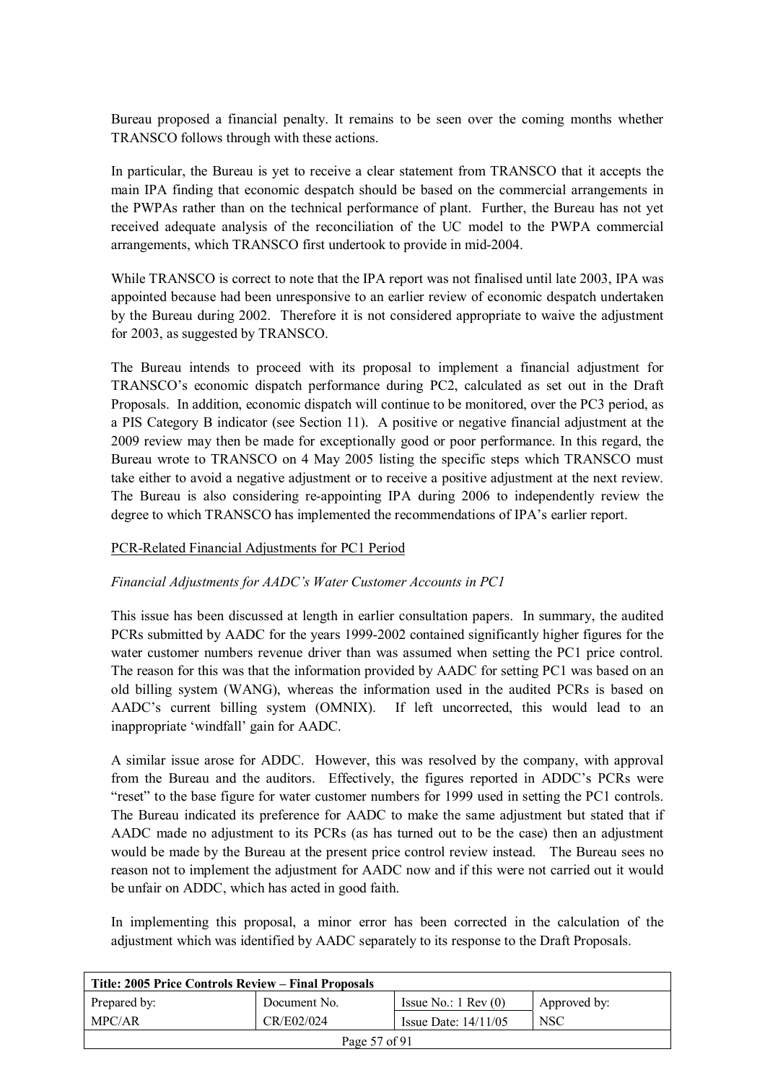Bureau proposed a financial penalty. It remains to be seen over the coming months whether TRANSCO follows through with these actions.

In particular, the Bureau is yet to receive a clear statement from TRANSCO that it accepts the main IPA finding that economic despatch should be based on the commercial arrangements in the PWPAs rather than on the technical performance of plant. Further, the Bureau has not yet received adequate analysis of the reconciliation of the UC model to the PWPA commercial arrangements, which TRANSCO first undertook to provide in mid-2004.

While TRANSCO is correct to note that the IPA report was not finalised until late 2003, IPA was appointed because had been unresponsive to an earlier review of economic despatch undertaken by the Bureau during 2002. Therefore it is not considered appropriate to waive the adjustment for 2003, as suggested by TRANSCO.

The Bureau intends to proceed with its proposal to implement a financial adjustment for TRANSCO's economic dispatch performance during PC2, calculated as set out in the Draft Proposals. In addition, economic dispatch will continue to be monitored, over the PC3 period, as a PIS Category B indicator (see Section 11). A positive or negative financial adjustment at the 2009 review may then be made for exceptionally good or poor performance. In this regard, the Bureau wrote to TRANSCO on 4 May 2005 listing the specific steps which TRANSCO must take either to avoid a negative adjustment or to receive a positive adjustment at the next review. The Bureau is also considering re-appointing IPA during 2006 to independently review the degree to which TRANSCO has implemented the recommendations of IPA's earlier report.

#### PCR-Related Financial Adjustments for PC1 Period

#### *Financial Adjustments for AADCís Water Customer Accounts in PC1*

This issue has been discussed at length in earlier consultation papers. In summary, the audited PCRs submitted by AADC for the years 1999-2002 contained significantly higher figures for the water customer numbers revenue driver than was assumed when setting the PC1 price control. The reason for this was that the information provided by AADC for setting PC1 was based on an old billing system (WANG), whereas the information used in the audited PCRs is based on AADCís current billing system (OMNIX). If left uncorrected, this would lead to an inappropriate 'windfall' gain for AADC.

A similar issue arose for ADDC. However, this was resolved by the company, with approval from the Bureau and the auditors. Effectively, the figures reported in ADDC's PCRs were  $i$ reset" to the base figure for water customer numbers for 1999 used in setting the PC1 controls. The Bureau indicated its preference for AADC to make the same adjustment but stated that if AADC made no adjustment to its PCRs (as has turned out to be the case) then an adjustment would be made by the Bureau at the present price control review instead. The Bureau sees no reason not to implement the adjustment for AADC now and if this were not carried out it would be unfair on ADDC, which has acted in good faith.

In implementing this proposal, a minor error has been corrected in the calculation of the adjustment which was identified by AADC separately to its response to the Draft Proposals.

| Title: 2005 Price Controls Review – Final Proposals |               |                               |              |
|-----------------------------------------------------|---------------|-------------------------------|--------------|
| Prepared by:                                        | Document No.  | Issue No.: $1 \text{ Rev}(0)$ | Approved by: |
| MPC/AR                                              | CR/E02/024    | Issue Date: $14/11/05$        | <b>NSC</b>   |
|                                                     | Page 57 of 91 |                               |              |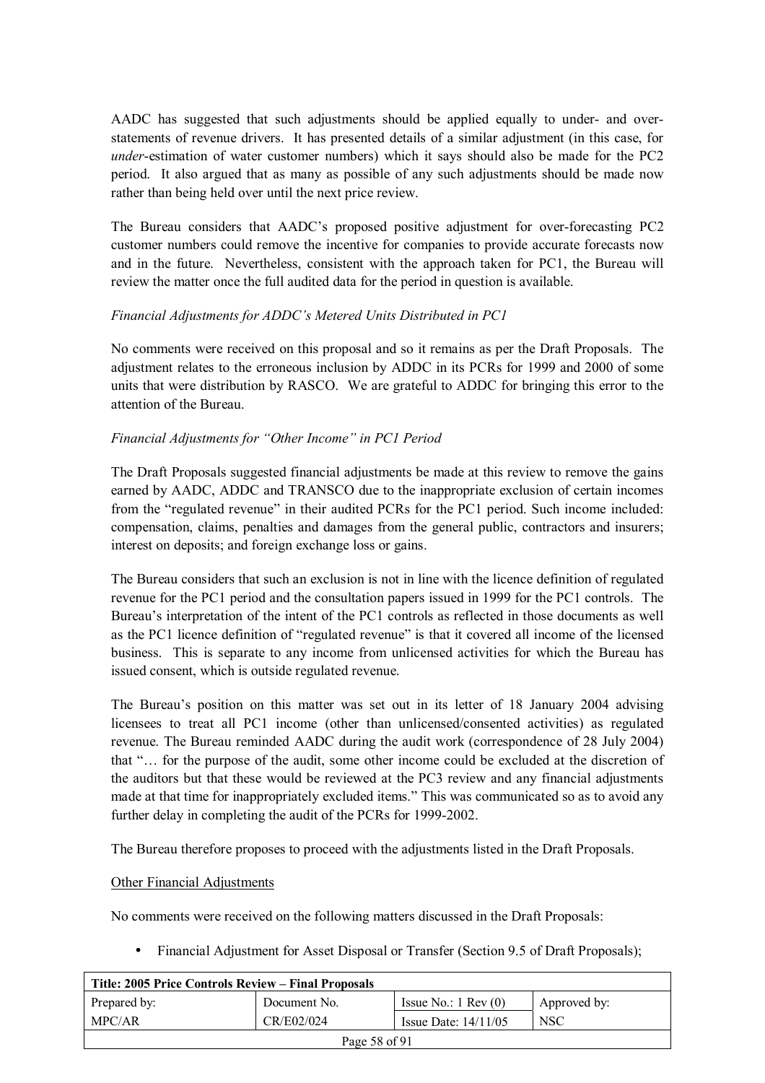AADC has suggested that such adjustments should be applied equally to under- and overstatements of revenue drivers. It has presented details of a similar adjustment (in this case, for *under*-estimation of water customer numbers) which it says should also be made for the PC2 period. It also argued that as many as possible of any such adjustments should be made now rather than being held over until the next price review.

The Bureau considers that AADC's proposed positive adjustment for over-forecasting PC2 customer numbers could remove the incentive for companies to provide accurate forecasts now and in the future. Nevertheless, consistent with the approach taken for PC1, the Bureau will review the matter once the full audited data for the period in question is available.

#### *Financial Adjustments for ADDCís Metered Units Distributed in PC1*

No comments were received on this proposal and so it remains as per the Draft Proposals. The adjustment relates to the erroneous inclusion by ADDC in its PCRs for 1999 and 2000 of some units that were distribution by RASCO. We are grateful to ADDC for bringing this error to the attention of the Bureau.

#### *Financial Adjustments for "Other Income" in PC1 Period*

The Draft Proposals suggested financial adjustments be made at this review to remove the gains earned by AADC, ADDC and TRANSCO due to the inappropriate exclusion of certain incomes from the "regulated revenue" in their audited PCRs for the PC1 period. Such income included: compensation, claims, penalties and damages from the general public, contractors and insurers; interest on deposits; and foreign exchange loss or gains.

The Bureau considers that such an exclusion is not in line with the licence definition of regulated revenue for the PC1 period and the consultation papers issued in 1999 for the PC1 controls. The Bureau's interpretation of the intent of the PC1 controls as reflected in those documents as well as the PC1 licence definition of "regulated revenue" is that it covered all income of the licensed business. This is separate to any income from unlicensed activities for which the Bureau has issued consent, which is outside regulated revenue.

The Bureau's position on this matter was set out in its letter of 18 January 2004 advising licensees to treat all PC1 income (other than unlicensed/consented activities) as regulated revenue. The Bureau reminded AADC during the audit work (correspondence of 28 July 2004) that "... for the purpose of the audit, some other income could be excluded at the discretion of the auditors but that these would be reviewed at the PC3 review and any financial adjustments made at that time for inappropriately excluded items." This was communicated so as to avoid any further delay in completing the audit of the PCRs for 1999-2002.

The Bureau therefore proposes to proceed with the adjustments listed in the Draft Proposals.

#### Other Financial Adjustments

No comments were received on the following matters discussed in the Draft Proposals:

• Financial Adjustment for Asset Disposal or Transfer (Section 9.5 of Draft Proposals);

| Title: 2005 Price Controls Review – Final Proposals |               |                               |              |
|-----------------------------------------------------|---------------|-------------------------------|--------------|
| Prepared by:                                        | Document No.  | Issue No.: $1 \text{ Rev}(0)$ | Approved by: |
| MPC/AR                                              | CR/E02/024    | Issue Date: $14/11/05$        | <b>NSC</b>   |
|                                                     | Page 58 of 91 |                               |              |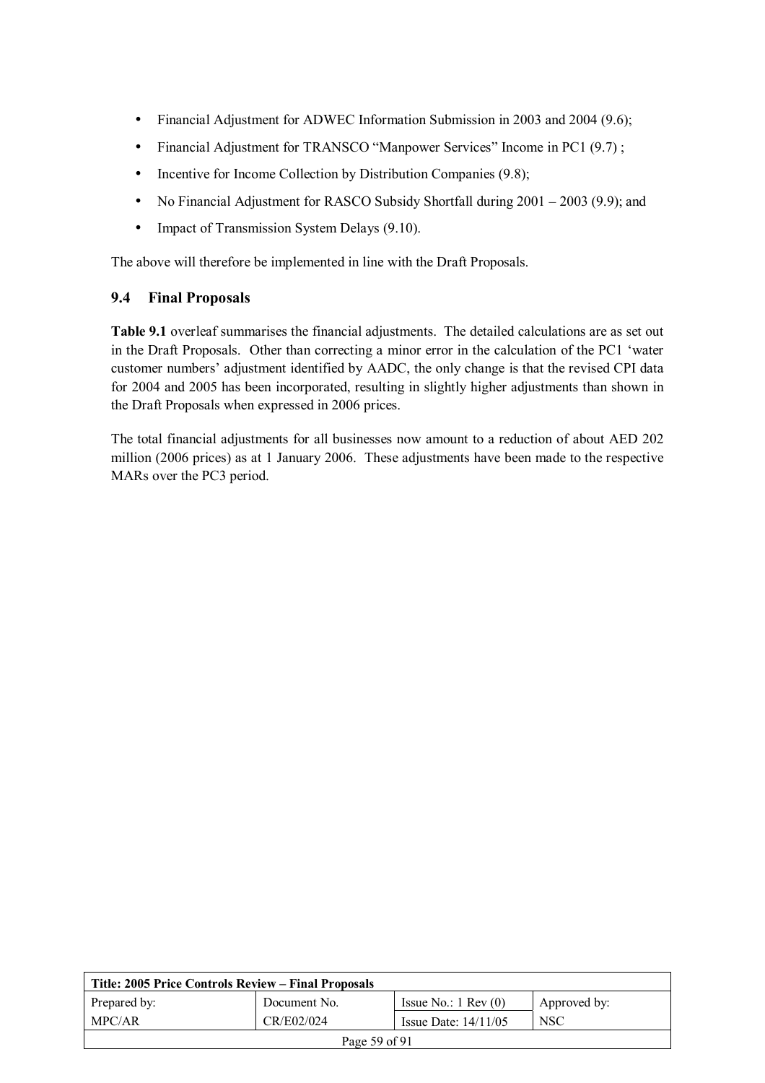- Financial Adjustment for ADWEC Information Submission in 2003 and 2004 (9.6);
- Financial Adjustment for TRANSCO "Manpower Services" Income in PC1  $(9.7)$ ;
- Incentive for Income Collection by Distribution Companies (9.8);
- No Financial Adjustment for RASCO Subsidy Shortfall during  $2001 2003$  (9.9); and
- Impact of Transmission System Delays (9.10).

The above will therefore be implemented in line with the Draft Proposals.

## **9.4 Final Proposals**

**Table 9.1** overleaf summarises the financial adjustments. The detailed calculations are as set out in the Draft Proposals. Other than correcting a minor error in the calculation of the PC1 ëwater customer numbers' adjustment identified by AADC, the only change is that the revised CPI data for 2004 and 2005 has been incorporated, resulting in slightly higher adjustments than shown in the Draft Proposals when expressed in 2006 prices.

The total financial adjustments for all businesses now amount to a reduction of about AED 202 million (2006 prices) as at 1 January 2006. These adjustments have been made to the respective MARs over the PC3 period.

| Title: 2005 Price Controls Review – Final Proposals |               |                               |              |
|-----------------------------------------------------|---------------|-------------------------------|--------------|
| Prepared by:                                        | Document No.  | Issue No.: $1 \text{ Rev}(0)$ | Approved by: |
| MPC/AR                                              | CR/E02/024    | Issue Date: $14/11/05$        | <b>NSC</b>   |
|                                                     | Page 59 of 91 |                               |              |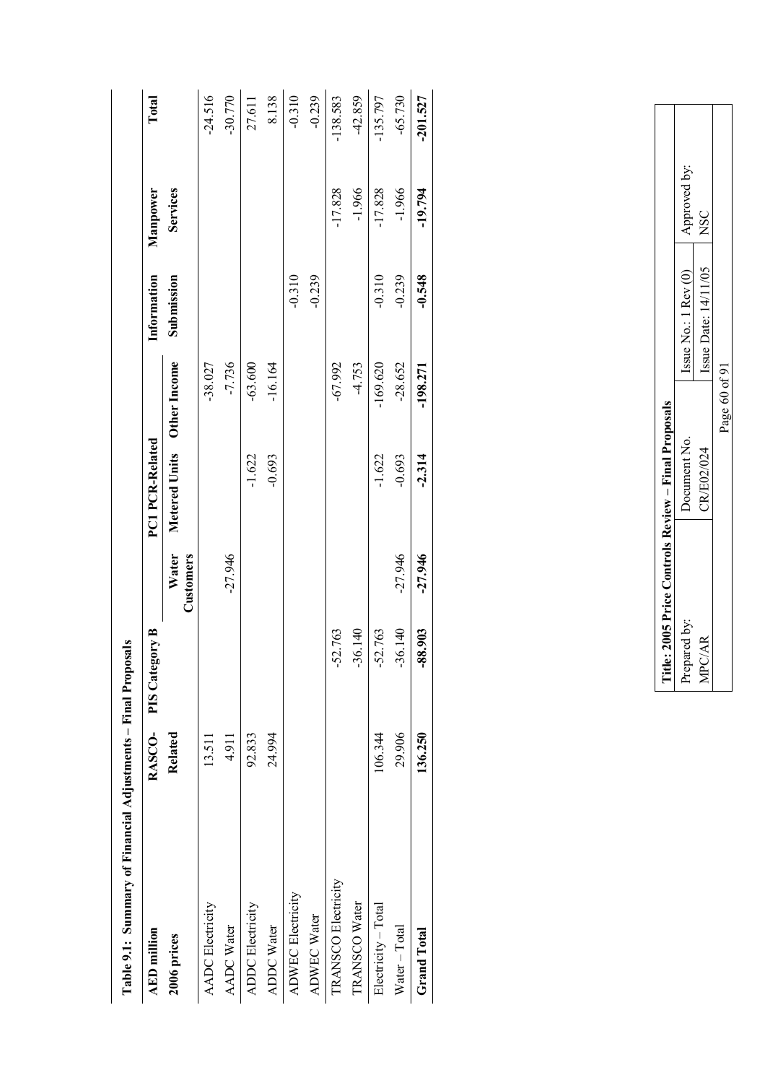| <b>AED</b> million       | RASCO-         | PIS Category B |                           | PC1 PCR-Related |                            | Information | Manpower  | Total      |
|--------------------------|----------------|----------------|---------------------------|-----------------|----------------------------|-------------|-----------|------------|
| 2006 prices              | <b>Related</b> |                | <b>Water</b><br>Customers |                 | Metered Units Other Income | Submission  | Services  |            |
| <b>AADC</b> Electricity  | 13.511         |                |                           |                 | $-38.027$                  |             |           | $-24.516$  |
| AADC Water               | 4.911          |                | $-27.946$                 |                 | $-7.736$                   |             |           | $-30.770$  |
| <b>ADDC</b> Electricity  | 92.833         |                |                           | $-1.622$        | $-63.600$                  |             |           | 27.611     |
| ADDC Water               | 24.994         |                |                           | $-0.693$        | $-16.164$                  |             |           | 8.138      |
| <b>ADWEC Electricity</b> |                |                |                           |                 |                            | $-0.310$    |           | $-0.310$   |
| <b>ADWEC Water</b>       |                |                |                           |                 |                            | $-0.239$    |           | $-0.239$   |
| TRANSCO Electricity      |                | $-52.763$      |                           |                 | $-67.992$                  |             | $-17.828$ | $-138.583$ |
| TRANSCO Water            |                | $-36.140$      |                           |                 | $-4.753$                   |             | $-1.966$  | $-42.859$  |
| Electricity – Total      | 106.344        | $-52.763$      |                           | $-1.622$        | $-169.620$                 | $-0.310$    | $-17.828$ | $-135.797$ |
| Water-Total              | 29.906         | $-36.140$      | $-27.946$                 | $-0.693$        | $-28.652$                  | $-0.239$    | $-1.966$  | $-65.730$  |
| <b>Grand Total</b>       | 136.250        | -88.903        | $-27.946$                 | $-2.314$        | $-198.271$                 | $-0.548$    | $-19.794$ | $-201.527$ |

| Title: 2005 Price Controls Review - Final Proposals |               |                            |              |
|-----------------------------------------------------|---------------|----------------------------|--------------|
|                                                     |               |                            |              |
| repared by:                                         | Document No.  | Issue $No.: I Rev(0)$      | Approved by: |
| <b>APC/AR</b>                                       | CR/E02/024    | Issue Date: 14/11/05   NSC |              |
|                                                     | Page 60 of 91 |                            |              |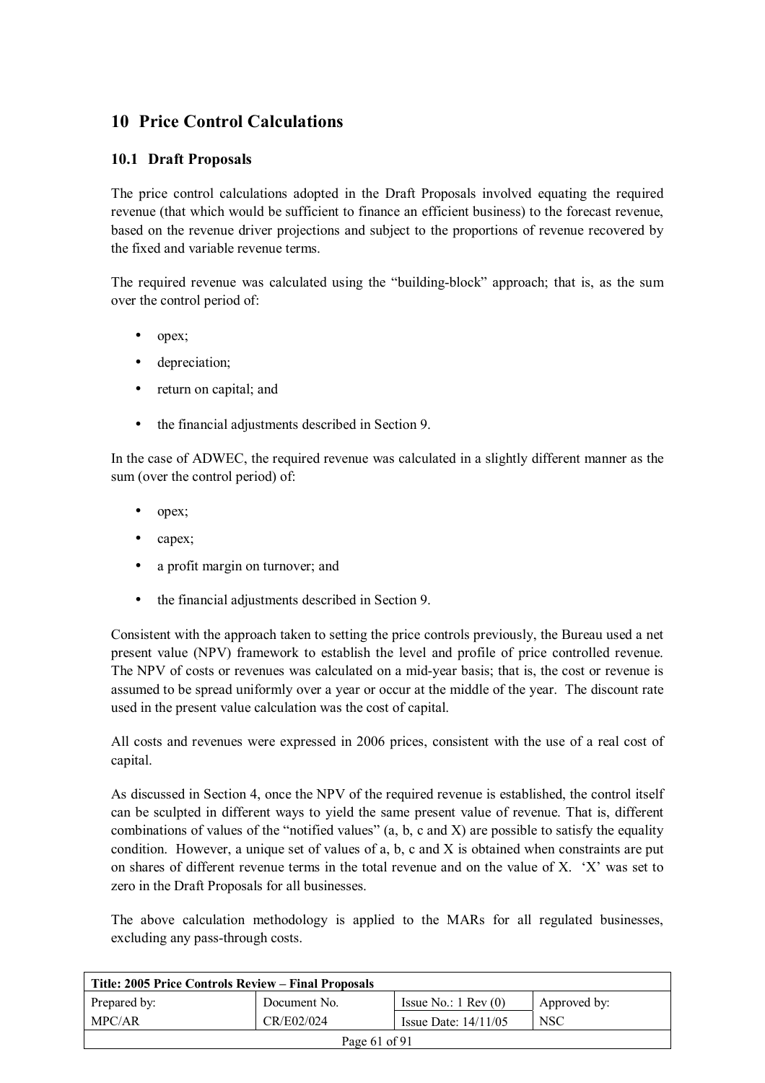# **10 Price Control Calculations**

## **10.1 Draft Proposals**

The price control calculations adopted in the Draft Proposals involved equating the required revenue (that which would be sufficient to finance an efficient business) to the forecast revenue, based on the revenue driver projections and subject to the proportions of revenue recovered by the fixed and variable revenue terms.

The required revenue was calculated using the "building-block" approach; that is, as the sum over the control period of:

- opex;
- depreciation;
- return on capital; and
- the financial adjustments described in Section 9.

In the case of ADWEC, the required revenue was calculated in a slightly different manner as the sum (over the control period) of:

- opex;
- capex;
- a profit margin on turnover; and
- the financial adjustments described in Section 9.

Consistent with the approach taken to setting the price controls previously, the Bureau used a net present value (NPV) framework to establish the level and profile of price controlled revenue. The NPV of costs or revenues was calculated on a mid-year basis; that is, the cost or revenue is assumed to be spread uniformly over a year or occur at the middle of the year. The discount rate used in the present value calculation was the cost of capital.

All costs and revenues were expressed in 2006 prices, consistent with the use of a real cost of capital.

As discussed in Section 4, once the NPV of the required revenue is established, the control itself can be sculpted in different ways to yield the same present value of revenue. That is, different combinations of values of the "notified values" (a, b, c and X) are possible to satisfy the equality condition. However, a unique set of values of a, b, c and X is obtained when constraints are put on shares of different revenue terms in the total revenue and on the value of X.  $X'$  was set to zero in the Draft Proposals for all businesses.

The above calculation methodology is applied to the MARs for all regulated businesses, excluding any pass-through costs.

| Title: 2005 Price Controls Review – Final Proposals |              |                               |              |  |  |
|-----------------------------------------------------|--------------|-------------------------------|--------------|--|--|
| Prepared by:                                        | Document No. | Issue No.: $1 \text{ Rev}(0)$ | Approved by: |  |  |
| MPC/AR                                              | CR/E02/024   | Issue Date: $14/11/05$        | <b>NSC</b>   |  |  |
| Page $61$ of $91$                                   |              |                               |              |  |  |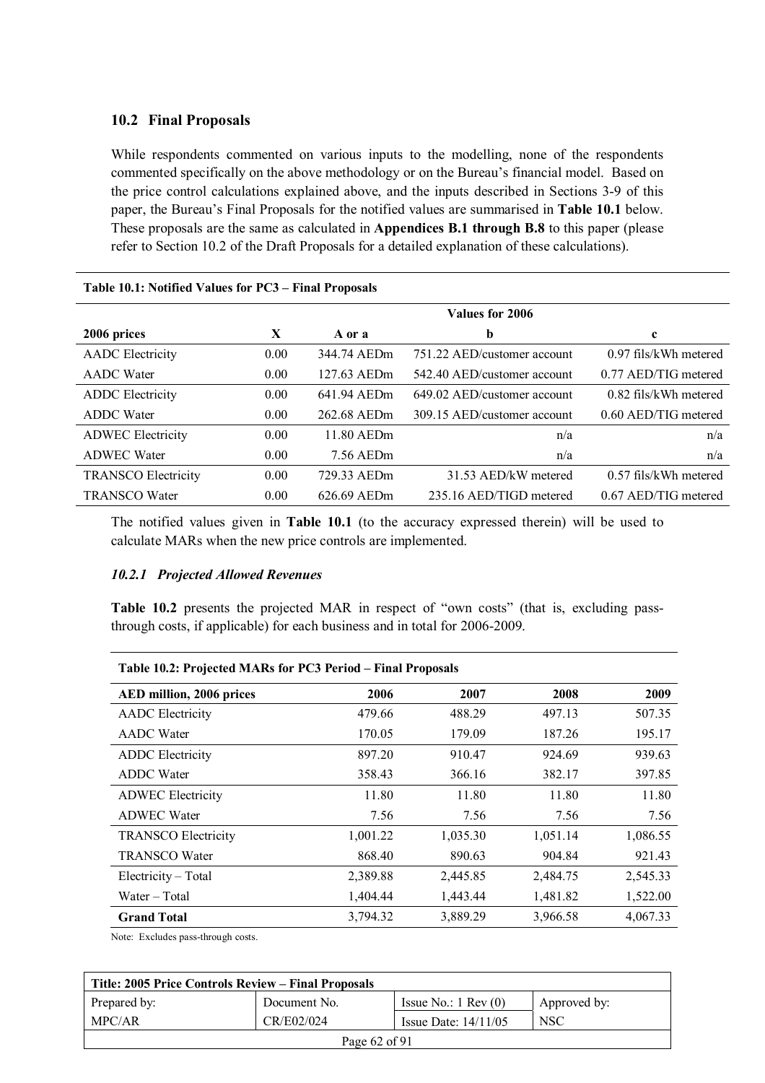## **10.2 Final Proposals**

While respondents commented on various inputs to the modelling, none of the respondents commented specifically on the above methodology or on the Bureau's financial model. Based on the price control calculations explained above, and the inputs described in Sections 3-9 of this paper, the Bureauís Final Proposals for the notified values are summarised in **Table 10.1** below. These proposals are the same as calculated in **Appendices B.1 through B.8** to this paper (please refer to Section 10.2 of the Draft Proposals for a detailed explanation of these calculations).

|                            |      |             | Values for 2006             |                         |
|----------------------------|------|-------------|-----------------------------|-------------------------|
| 2006 prices                | X    | A or a      | b                           | c                       |
| <b>AADC</b> Electricity    | 0.00 | 344.74 AEDm | 751.22 AED/customer account | $0.97$ fils/kWh metered |
| <b>AADC</b> Water          | 0.00 | 127.63 AEDm | 542.40 AED/customer account | 0.77 AED/TIG metered    |
| <b>ADDC</b> Electricity    | 0.00 | 641.94 AEDm | 649.02 AED/customer account | $0.82$ fils/kWh metered |
| <b>ADDC</b> Water          | 0.00 | 262.68 AEDm | 309.15 AED/customer account | 0.60 AED/TIG metered    |
| <b>ADWEC Electricity</b>   | 0.00 | 11.80 AEDm  | n/a                         | n/a                     |
| <b>ADWEC Water</b>         | 0.00 | 7.56 AEDm   | n/a                         | n/a                     |
| <b>TRANSCO Electricity</b> | 0.00 | 729.33 AEDm | 31.53 AED/kW metered        | 0.57 fils/kWh metered   |
| <b>TRANSCO Water</b>       | 0.00 | 626.69 AEDm | 235.16 AED/TIGD metered     | 0.67 AED/TIG metered    |

#### **Table 10.1: Notified Values for PC3 – Final Proposals**

The notified values given in **Table 10.1** (to the accuracy expressed therein) will be used to calculate MARs when the new price controls are implemented.

#### *10.2.1 Projected Allowed Revenues*

**Table 10.2** presents the projected MAR in respect of "own costs" (that is, excluding passthrough costs, if applicable) for each business and in total for 2006-2009.

| Table 10.2: Projected MARs for PC3 Period – Final Proposals |          |          |          |          |  |  |
|-------------------------------------------------------------|----------|----------|----------|----------|--|--|
| AED million, 2006 prices                                    | 2006     | 2007     | 2008     | 2009     |  |  |
| <b>AADC</b> Electricity                                     | 479.66   | 488.29   | 497.13   | 507.35   |  |  |
| <b>AADC</b> Water                                           | 170.05   | 179.09   | 187.26   | 195.17   |  |  |
| <b>ADDC</b> Electricity                                     | 897.20   | 910.47   | 924.69   | 939.63   |  |  |
| <b>ADDC</b> Water                                           | 358.43   | 366.16   | 382.17   | 397.85   |  |  |
| <b>ADWEC Electricity</b>                                    | 11.80    | 11.80    | 11.80    | 11.80    |  |  |
| <b>ADWEC Water</b>                                          | 7.56     | 7.56     | 7.56     | 7.56     |  |  |
| <b>TRANSCO Electricity</b>                                  | 1,001.22 | 1,035.30 | 1,051.14 | 1,086.55 |  |  |
| <b>TRANSCO Water</b>                                        | 868.40   | 890.63   | 904.84   | 921.43   |  |  |
| Electricity – Total                                         | 2,389.88 | 2,445.85 | 2,484.75 | 2,545.33 |  |  |
| Water – Total                                               | 1,404.44 | 1,443.44 | 1,481.82 | 1,522.00 |  |  |
| <b>Grand Total</b>                                          | 3,794.32 | 3,889.29 | 3,966.58 | 4,067.33 |  |  |

Note: Excludes pass-through costs.

| Title: 2005 Price Controls Review – Final Proposals |                   |                               |              |  |  |
|-----------------------------------------------------|-------------------|-------------------------------|--------------|--|--|
| Prepared by:                                        | Document No.      | Issue No.: $1 \text{ Rev}(0)$ | Approved by: |  |  |
| MPC/AR                                              | CR/E02/024        | Issue Date: $14/11/05$        | <b>NSC</b>   |  |  |
|                                                     | Page $62$ of $91$ |                               |              |  |  |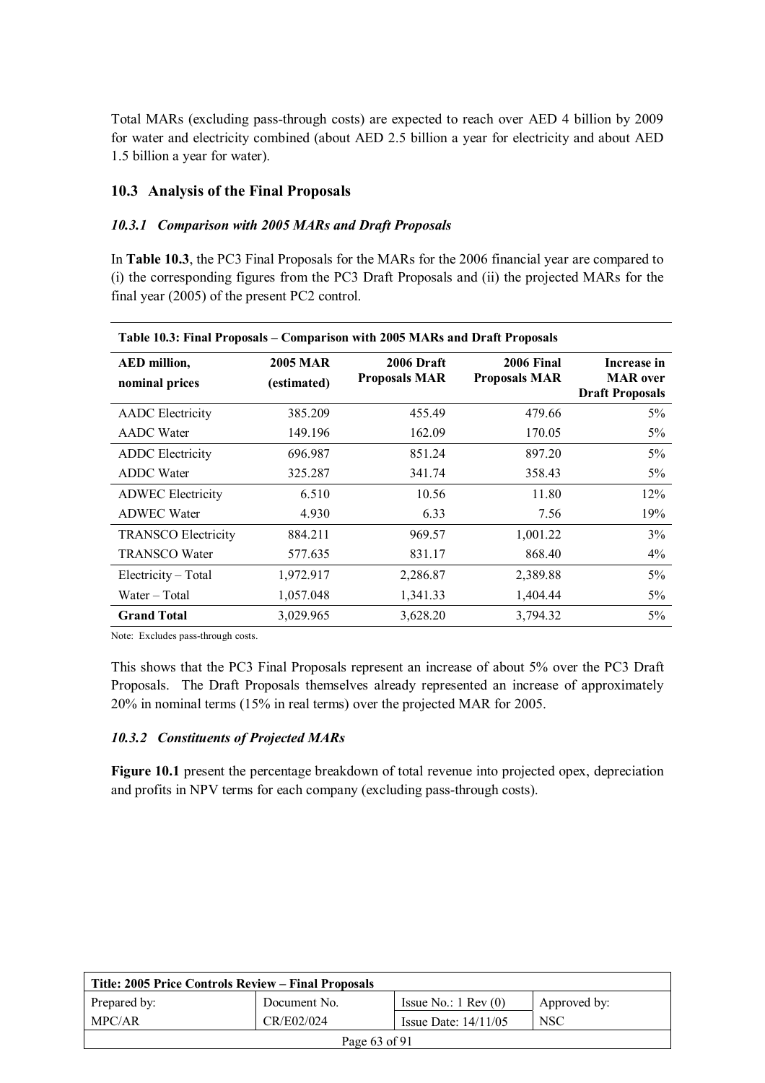Total MARs (excluding pass-through costs) are expected to reach over AED 4 billion by 2009 for water and electricity combined (about AED 2.5 billion a year for electricity and about AED 1.5 billion a year for water).

### **10.3 Analysis of the Final Proposals**

#### *10.3.1 Comparison with 2005 MARs and Draft Proposals*

In **Table 10.3**, the PC3 Final Proposals for the MARs for the 2006 financial year are compared to (i) the corresponding figures from the PC3 Draft Proposals and (ii) the projected MARs for the final year (2005) of the present PC2 control.

| Table 10.3: Final Proposals – Comparison with 2005 MARs and Draft Proposals |                                |                                    |                                           |                                                          |  |  |
|-----------------------------------------------------------------------------|--------------------------------|------------------------------------|-------------------------------------------|----------------------------------------------------------|--|--|
| <b>AED</b> million,<br>nominal prices                                       | <b>2005 MAR</b><br>(estimated) | 2006 Draft<br><b>Proposals MAR</b> | <b>2006 Final</b><br><b>Proposals MAR</b> | Increase in<br><b>MAR</b> over<br><b>Draft Proposals</b> |  |  |
| <b>AADC</b> Electricity                                                     | 385.209                        | 455.49                             | 479.66                                    | 5%                                                       |  |  |
| <b>AADC</b> Water                                                           | 149.196                        | 162.09                             | 170.05                                    | 5%                                                       |  |  |
| <b>ADDC</b> Electricity                                                     | 696.987                        | 851.24                             | 897.20                                    | 5%                                                       |  |  |
| <b>ADDC</b> Water                                                           | 325.287                        | 341.74                             | 358.43                                    | $5\%$                                                    |  |  |
| <b>ADWEC Electricity</b>                                                    | 6.510                          | 10.56                              | 11.80                                     | 12%                                                      |  |  |
| <b>ADWEC Water</b>                                                          | 4.930                          | 6.33                               | 7.56                                      | 19%                                                      |  |  |
| <b>TRANSCO Electricity</b>                                                  | 884.211                        | 969.57                             | 1,001.22                                  | 3%                                                       |  |  |
| <b>TRANSCO Water</b>                                                        | 577.635                        | 831.17                             | 868.40                                    | $4\%$                                                    |  |  |
| Electricity – Total                                                         | 1,972.917                      | 2,286.87                           | 2,389.88                                  | 5%                                                       |  |  |
| Water – Total                                                               | 1,057.048                      | 1,341.33                           | 1,404.44                                  | 5%                                                       |  |  |
| <b>Grand Total</b>                                                          | 3,029.965                      | 3,628.20                           | 3,794.32                                  | $5\%$                                                    |  |  |

Note: Excludes pass-through costs.

This shows that the PC3 Final Proposals represent an increase of about 5% over the PC3 Draft Proposals. The Draft Proposals themselves already represented an increase of approximately 20% in nominal terms (15% in real terms) over the projected MAR for 2005.

#### *10.3.2 Constituents of Projected MARs*

**Figure 10.1** present the percentage breakdown of total revenue into projected opex, depreciation and profits in NPV terms for each company (excluding pass-through costs).

| Title: 2005 Price Controls Review – Final Proposals |               |                               |              |  |  |
|-----------------------------------------------------|---------------|-------------------------------|--------------|--|--|
| Prepared by:                                        | Document No.  | Issue No.: $1 \text{ Rev}(0)$ | Approved by: |  |  |
| MPC/AR                                              | CR/E02/024    | Issue Date: $14/11/05$        | <b>NSC</b>   |  |  |
|                                                     | Page 63 of 91 |                               |              |  |  |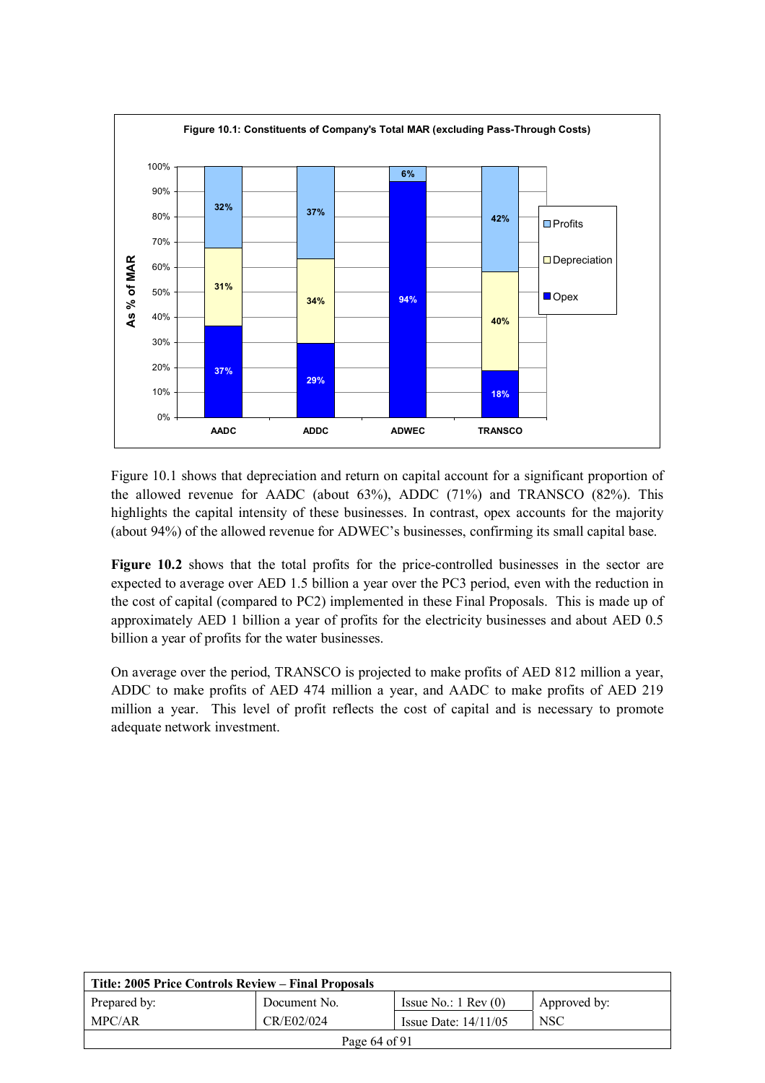

Figure 10.1 shows that depreciation and return on capital account for a significant proportion of the allowed revenue for AADC (about 63%), ADDC (71%) and TRANSCO (82%). This highlights the capital intensity of these businesses. In contrast, opex accounts for the majority (about 94%) of the allowed revenue for ADWEC's businesses, confirming its small capital base.

Figure 10.2 shows that the total profits for the price-controlled businesses in the sector are expected to average over AED 1.5 billion a year over the PC3 period, even with the reduction in the cost of capital (compared to PC2) implemented in these Final Proposals. This is made up of approximately AED 1 billion a year of profits for the electricity businesses and about AED 0.5 billion a year of profits for the water businesses.

On average over the period, TRANSCO is projected to make profits of AED 812 million a year, ADDC to make profits of AED 474 million a year, and AADC to make profits of AED 219 million a year. This level of profit reflects the cost of capital and is necessary to promote adequate network investment.

| Title: 2005 Price Controls Review – Final Proposals |                   |                               |              |  |  |
|-----------------------------------------------------|-------------------|-------------------------------|--------------|--|--|
| Prepared by:                                        | Document No.      | Issue No.: $1 \text{ Rev}(0)$ | Approved by: |  |  |
| MPC/AR                                              | CR/E02/024        | Issue Date: $14/11/05$        | <b>NSC</b>   |  |  |
|                                                     | Page $64$ of $91$ |                               |              |  |  |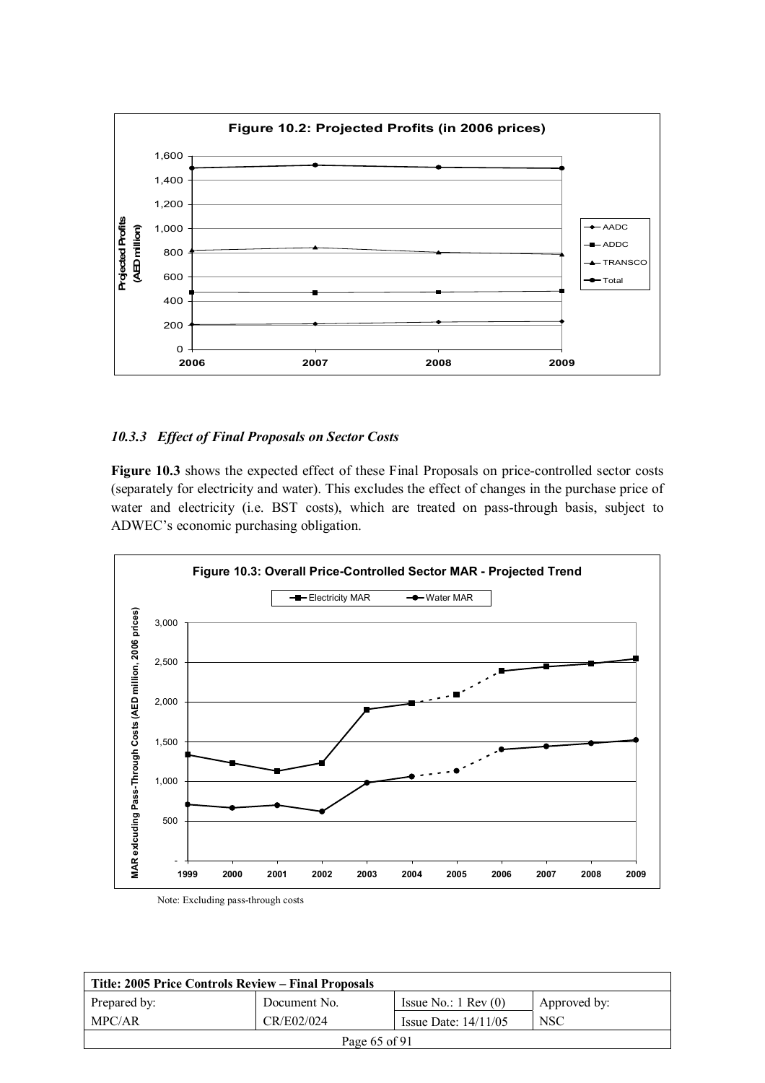

#### *10.3.3 Effect of Final Proposals on Sector Costs*

**Figure 10.3** shows the expected effect of these Final Proposals on price-controlled sector costs (separately for electricity and water). This excludes the effect of changes in the purchase price of water and electricity (i.e. BST costs), which are treated on pass-through basis, subject to ADWEC's economic purchasing obligation.



Note: Excluding pass-through costs

| Title: 2005 Price Controls Review – Final Proposals |               |                               |              |  |  |
|-----------------------------------------------------|---------------|-------------------------------|--------------|--|--|
| Prepared by:                                        | Document No.  | Issue No.: $1 \text{ Rev}(0)$ | Approved by: |  |  |
| MPC/AR                                              | CR/E02/024    | Issue Date: $14/11/05$        | <b>NSC</b>   |  |  |
|                                                     | Page 65 of 91 |                               |              |  |  |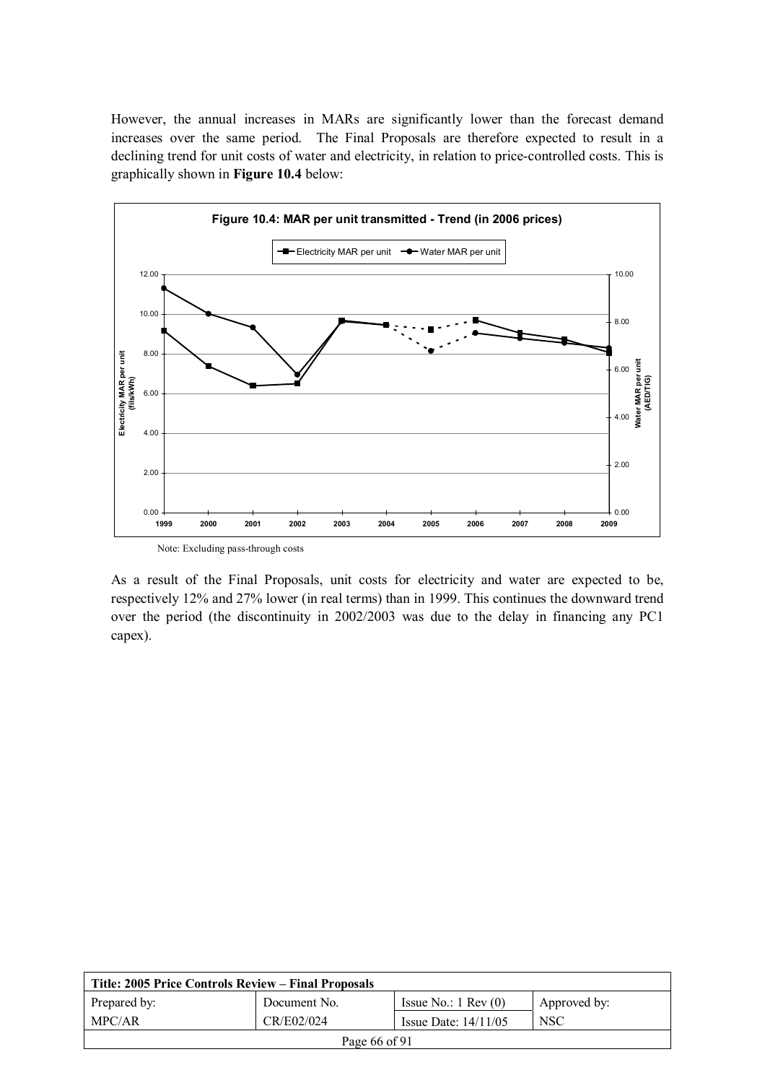However, the annual increases in MARs are significantly lower than the forecast demand increases over the same period. The Final Proposals are therefore expected to result in a declining trend for unit costs of water and electricity, in relation to price-controlled costs. This is graphically shown in **Figure 10.4** below:



Note: Excluding pass-through costs

As a result of the Final Proposals, unit costs for electricity and water are expected to be, respectively 12% and 27% lower (in real terms) than in 1999. This continues the downward trend over the period (the discontinuity in 2002/2003 was due to the delay in financing any PC1 capex).

| Title: 2005 Price Controls Review – Final Proposals |              |                               |              |  |  |
|-----------------------------------------------------|--------------|-------------------------------|--------------|--|--|
| Prepared by:                                        | Document No. | Issue No.: $1 \text{ Rev}(0)$ | Approved by: |  |  |
| MPC/AR                                              | CR/E02/024   | Issue Date: $14/11/05$        | <b>NSC</b>   |  |  |
| Page 66 of 91                                       |              |                               |              |  |  |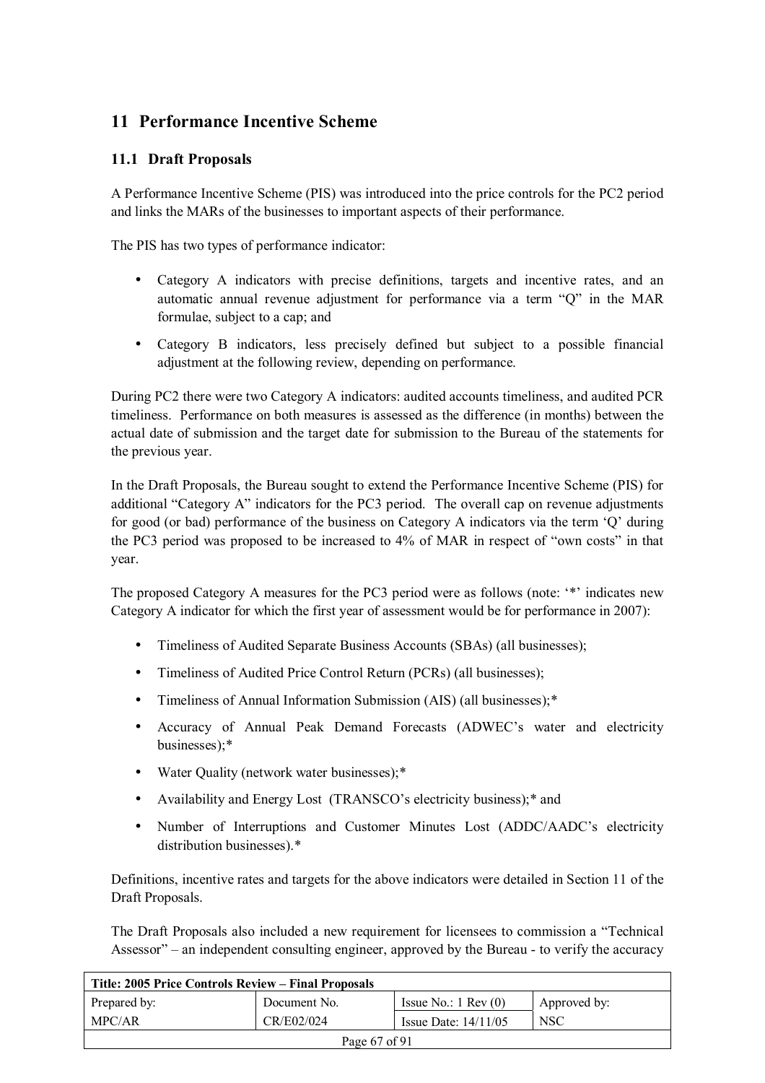# **11 Performance Incentive Scheme**

## **11.1 Draft Proposals**

A Performance Incentive Scheme (PIS) was introduced into the price controls for the PC2 period and links the MARs of the businesses to important aspects of their performance.

The PIS has two types of performance indicator:

- Category A indicators with precise definitions, targets and incentive rates, and an automatic annual revenue adjustment for performance via a term  $\degree$ Q $\degree$  in the MAR formulae, subject to a cap; and
- Category B indicators, less precisely defined but subject to a possible financial adjustment at the following review, depending on performance.

During PC2 there were two Category A indicators: audited accounts timeliness, and audited PCR timeliness. Performance on both measures is assessed as the difference (in months) between the actual date of submission and the target date for submission to the Bureau of the statements for the previous year.

In the Draft Proposals, the Bureau sought to extend the Performance Incentive Scheme (PIS) for additional "Category A" indicators for the PC3 period. The overall cap on revenue adjustments for good (or bad) performance of the business on Category A indicators via the term  $\ddot{Q}$  during the PC3 period was proposed to be increased to  $4\%$  of MAR in respect of "own costs" in that year.

The proposed Category A measures for the PC3 period were as follows (note: "\*" indicates new Category A indicator for which the first year of assessment would be for performance in 2007):

- Timeliness of Audited Separate Business Accounts (SBAs) (all businesses);
- Timeliness of Audited Price Control Return (PCRs) (all businesses);
- Timeliness of Annual Information Submission (AIS) (all businesses);\*
- Accuracy of Annual Peak Demand Forecasts (ADWEC's water and electricity businesses);\*
- Water Quality (network water businesses):\*
- Availability and Energy Lost (TRANSCO's electricity business);\* and
- Number of Interruptions and Customer Minutes Lost (ADDC/AADC's electricity distribution businesses).\*

Definitions, incentive rates and targets for the above indicators were detailed in Section 11 of the Draft Proposals.

The Draft Proposals also included a new requirement for licensees to commission a "Technical" Assessor" – an independent consulting engineer, approved by the Bureau - to verify the accuracy

| Title: 2005 Price Controls Review – Final Proposals |               |                               |              |  |  |
|-----------------------------------------------------|---------------|-------------------------------|--------------|--|--|
| Prepared by:                                        | Document No.  | Issue No.: $1 \text{ Rev}(0)$ | Approved by: |  |  |
| MPC/AR                                              | CR/E02/024    | Issue Date: $14/11/05$        | <b>NSC</b>   |  |  |
|                                                     | Page 67 of 91 |                               |              |  |  |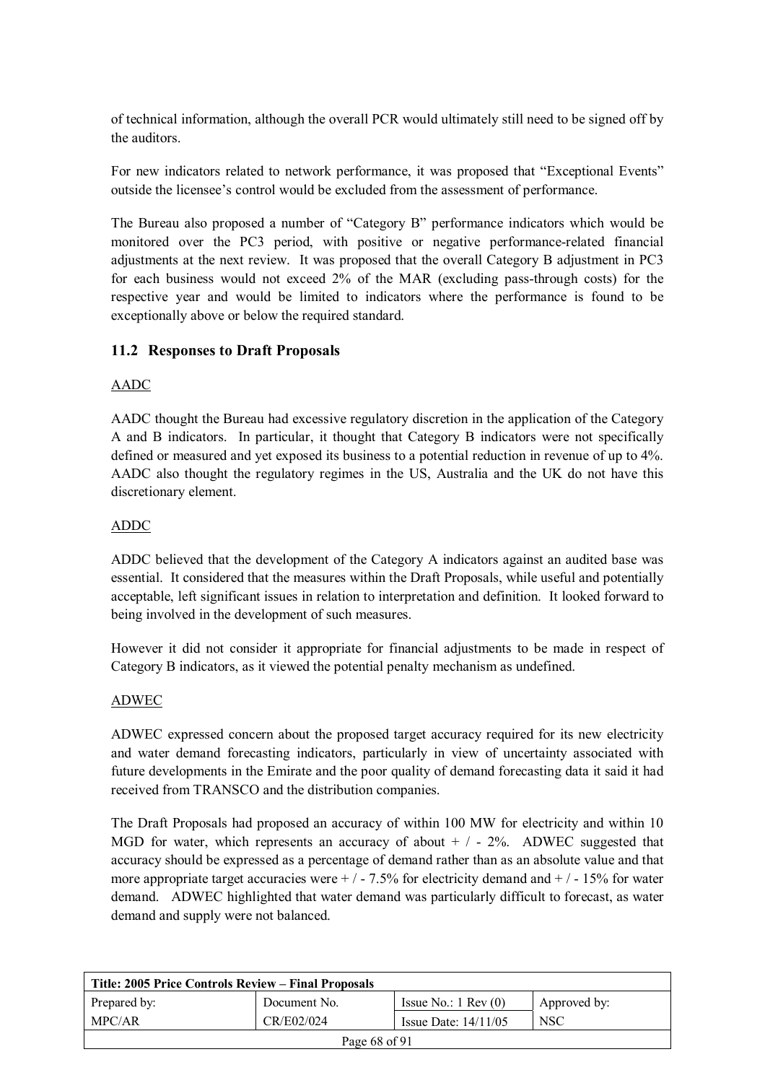of technical information, although the overall PCR would ultimately still need to be signed off by the auditors.

For new indicators related to network performance, it was proposed that "Exceptional Events" outside the licensee's control would be excluded from the assessment of performance.

The Bureau also proposed a number of "Category B" performance indicators which would be monitored over the PC3 period, with positive or negative performance-related financial adjustments at the next review. It was proposed that the overall Category B adjustment in PC3 for each business would not exceed 2% of the MAR (excluding pass-through costs) for the respective year and would be limited to indicators where the performance is found to be exceptionally above or below the required standard.

## **11.2 Responses to Draft Proposals**

#### AADC

AADC thought the Bureau had excessive regulatory discretion in the application of the Category A and B indicators. In particular, it thought that Category B indicators were not specifically defined or measured and yet exposed its business to a potential reduction in revenue of up to 4%. AADC also thought the regulatory regimes in the US, Australia and the UK do not have this discretionary element.

#### ADDC

ADDC believed that the development of the Category A indicators against an audited base was essential. It considered that the measures within the Draft Proposals, while useful and potentially acceptable, left significant issues in relation to interpretation and definition. It looked forward to being involved in the development of such measures.

However it did not consider it appropriate for financial adjustments to be made in respect of Category B indicators, as it viewed the potential penalty mechanism as undefined.

#### ADWEC

ADWEC expressed concern about the proposed target accuracy required for its new electricity and water demand forecasting indicators, particularly in view of uncertainty associated with future developments in the Emirate and the poor quality of demand forecasting data it said it had received from TRANSCO and the distribution companies.

The Draft Proposals had proposed an accuracy of within 100 MW for electricity and within 10 MGD for water, which represents an accuracy of about  $+/-2\%$ . ADWEC suggested that accuracy should be expressed as a percentage of demand rather than as an absolute value and that more appropriate target accuracies were  $+/-7.5\%$  for electricity demand and  $+/-15\%$  for water demand. ADWEC highlighted that water demand was particularly difficult to forecast, as water demand and supply were not balanced.

| Title: 2005 Price Controls Review – Final Proposals |               |                               |              |  |  |
|-----------------------------------------------------|---------------|-------------------------------|--------------|--|--|
| Prepared by:                                        | Document No.  | Issue No.: $1 \text{ Rev}(0)$ | Approved by: |  |  |
| MPC/AR                                              | CR/E02/024    | Issue Date: $14/11/05$        | <b>NSC</b>   |  |  |
|                                                     | Page 68 of 91 |                               |              |  |  |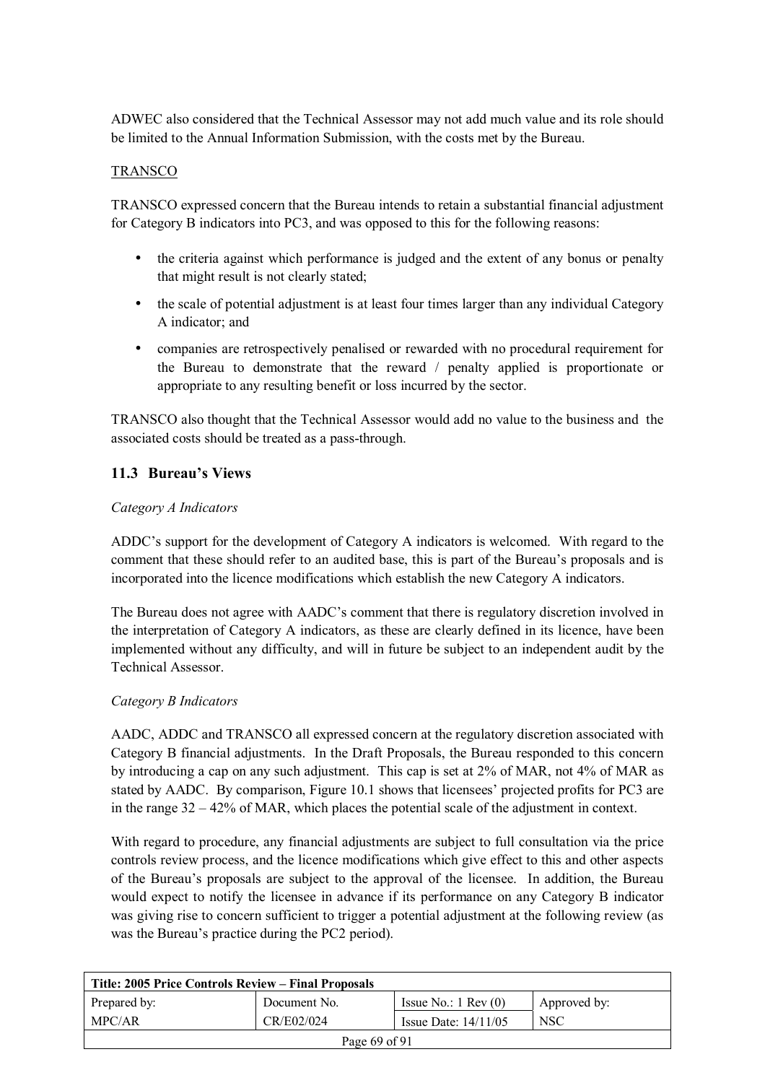ADWEC also considered that the Technical Assessor may not add much value and its role should be limited to the Annual Information Submission, with the costs met by the Bureau.

### TRANSCO

TRANSCO expressed concern that the Bureau intends to retain a substantial financial adjustment for Category B indicators into PC3, and was opposed to this for the following reasons:

- the criteria against which performance is judged and the extent of any bonus or penalty that might result is not clearly stated;
- the scale of potential adjustment is at least four times larger than any individual Category A indicator; and
- companies are retrospectively penalised or rewarded with no procedural requirement for the Bureau to demonstrate that the reward / penalty applied is proportionate or appropriate to any resulting benefit or loss incurred by the sector.

TRANSCO also thought that the Technical Assessor would add no value to the business and the associated costs should be treated as a pass-through.

## **11.3 Bureauís Views**

#### *Category A Indicators*

ADDC's support for the development of Category A indicators is welcomed. With regard to the comment that these should refer to an audited base, this is part of the Bureau's proposals and is incorporated into the licence modifications which establish the new Category A indicators.

The Bureau does not agree with AADC's comment that there is regulatory discretion involved in the interpretation of Category A indicators, as these are clearly defined in its licence, have been implemented without any difficulty, and will in future be subject to an independent audit by the Technical Assessor.

## *Category B Indicators*

AADC, ADDC and TRANSCO all expressed concern at the regulatory discretion associated with Category B financial adjustments. In the Draft Proposals, the Bureau responded to this concern by introducing a cap on any such adjustment. This cap is set at 2% of MAR, not 4% of MAR as stated by AADC. By comparison, Figure 10.1 shows that licensees' projected profits for PC3 are in the range  $32 - 42\%$  of MAR, which places the potential scale of the adjustment in context.

With regard to procedure, any financial adjustments are subject to full consultation via the price controls review process, and the licence modifications which give effect to this and other aspects of the Bureauís proposals are subject to the approval of the licensee. In addition, the Bureau would expect to notify the licensee in advance if its performance on any Category B indicator was giving rise to concern sufficient to trigger a potential adjustment at the following review (as was the Bureau's practice during the PC2 period).

| Title: 2005 Price Controls Review – Final Proposals |              |                               |              |  |
|-----------------------------------------------------|--------------|-------------------------------|--------------|--|
| Prepared by:                                        | Document No. | Issue No.: $1 \text{ Rev}(0)$ | Approved by: |  |
| MPC/AR                                              | CR/E02/024   | Issue Date: $14/11/05$        | <b>NSC</b>   |  |
| Page 69 of 91                                       |              |                               |              |  |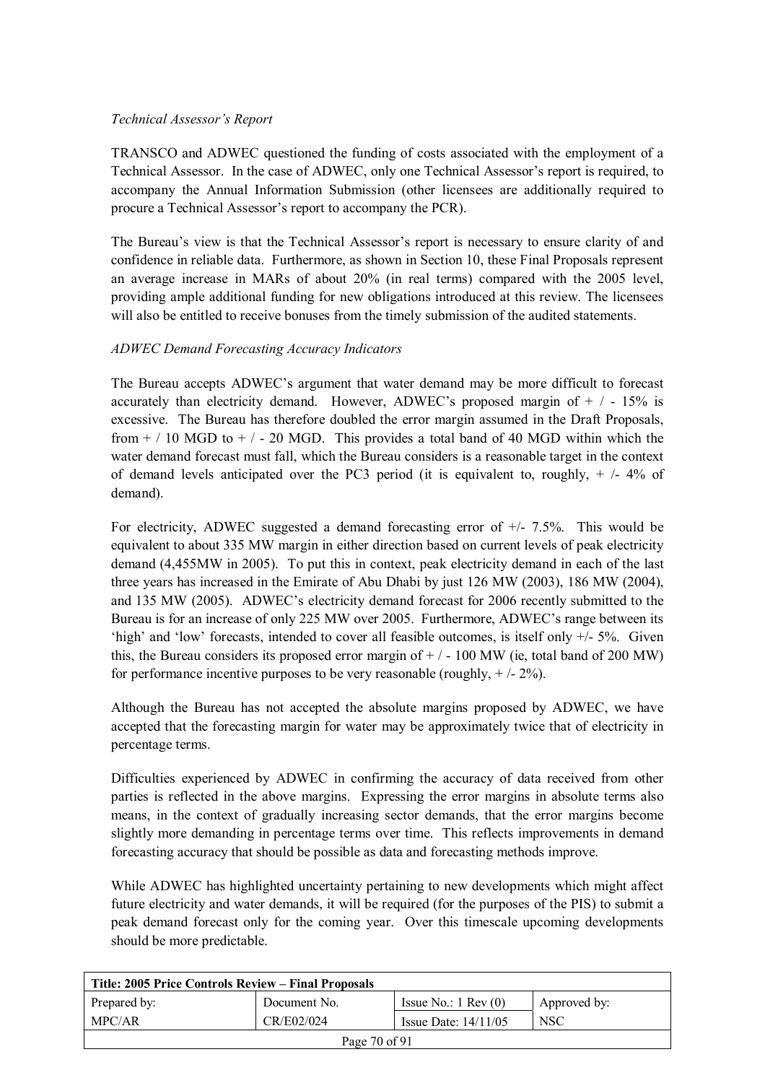#### **Technical Assessor's Report**

TRANSCO and ADWEC questioned the funding of costs associated with the employment of a Technical Assessor. In the case of ADWEC, only one Technical Assessor's report is required, to accompany the Annual Information Submission (other licensees are additionally required to procure a Technical Assessor's report to accompany the PCR).

The Bureau's view is that the Technical Assessor's report is necessary to ensure clarity of and confidence in reliable data. Furthermore, as shown in Section 10, these Final Proposals represent an average increase in MARs of about 20% (in real terms) compared with the 2005 level, providing ample additional funding for new obligations introduced at this review. The licensees will also be entitled to receive bonuses from the timely submission of the audited statements.

#### *ADWEC Demand Forecasting Accuracy Indicators*

The Bureau accepts ADWEC's argument that water demand may be more difficult to forecast accurately than electricity demand. However, ADWEC's proposed margin of  $+/-15\%$  is excessive. The Bureau has therefore doubled the error margin assumed in the Draft Proposals, from  $+/10$  MGD to  $+/-20$  MGD. This provides a total band of 40 MGD within which the water demand forecast must fall, which the Bureau considers is a reasonable target in the context of demand levels anticipated over the PC3 period (it is equivalent to, roughly,  $+/- 4\%$  of demand).

For electricity, ADWEC suggested a demand forecasting error of +/- 7.5%. This would be equivalent to about 335 MW margin in either direction based on current levels of peak electricity demand (4,455MW in 2005). To put this in context, peak electricity demand in each of the last three years has increased in the Emirate of Abu Dhabi by just 126 MW (2003), 186 MW (2004), and 135 MW (2005). ADWEC's electricity demand forecast for 2006 recently submitted to the Bureau is for an increase of only 225 MW over 2005. Furthermore, ADWEC's range between its 'high' and 'low' forecasts, intended to cover all feasible outcomes, is itself only  $+/-5\%$ . Given this, the Bureau considers its proposed error margin of  $+/-100$  MW (ie, total band of 200 MW) for performance incentive purposes to be very reasonable (roughly,  $+/- 2\%$ ).

Although the Bureau has not accepted the absolute margins proposed by ADWEC, we have accepted that the forecasting margin for water may be approximately twice that of electricity in percentage terms.

Difficulties experienced by ADWEC in confirming the accuracy of data received from other parties is reflected in the above margins. Expressing the error margins in absolute terms also means, in the context of gradually increasing sector demands, that the error margins become slightly more demanding in percentage terms over time. This reflects improvements in demand forecasting accuracy that should be possible as data and forecasting methods improve.

While ADWEC has highlighted uncertainty pertaining to new developments which might affect future electricity and water demands, it will be required (for the purposes of the PIS) to submit a peak demand forecast only for the coming year. Over this timescale upcoming developments should be more predictable.

| Title: 2005 Price Controls Review – Final Proposals |              |                               |              |  |
|-----------------------------------------------------|--------------|-------------------------------|--------------|--|
| Prepared by:                                        | Document No. | Issue No.: $1 \text{ Rev}(0)$ | Approved by: |  |
| MPC/AR                                              | CR/E02/024   | Issue Date: $14/11/05$        | <b>NSC</b>   |  |
| Page 70 of 91                                       |              |                               |              |  |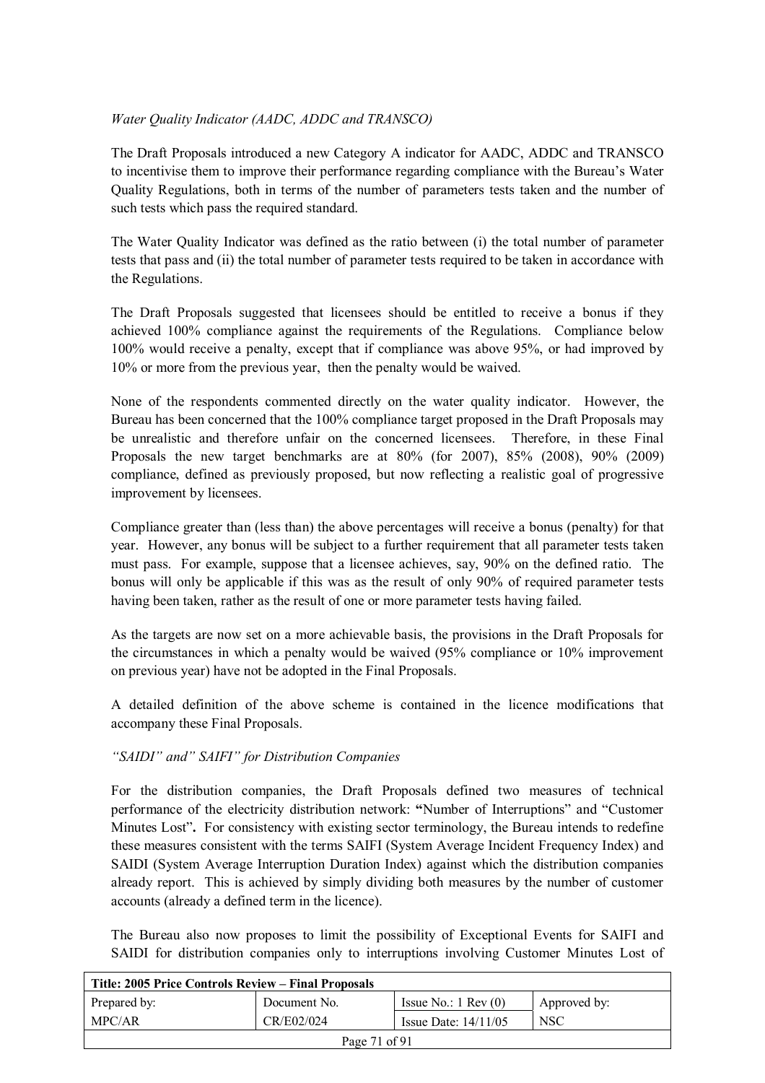### *Water Quality Indicator (AADC, ADDC and TRANSCO)*

The Draft Proposals introduced a new Category A indicator for AADC, ADDC and TRANSCO to incentivise them to improve their performance regarding compliance with the Bureauís Water Quality Regulations, both in terms of the number of parameters tests taken and the number of such tests which pass the required standard.

The Water Quality Indicator was defined as the ratio between (i) the total number of parameter tests that pass and (ii) the total number of parameter tests required to be taken in accordance with the Regulations.

The Draft Proposals suggested that licensees should be entitled to receive a bonus if they achieved 100% compliance against the requirements of the Regulations. Compliance below 100% would receive a penalty, except that if compliance was above 95%, or had improved by 10% or more from the previous year, then the penalty would be waived.

None of the respondents commented directly on the water quality indicator. However, the Bureau has been concerned that the 100% compliance target proposed in the Draft Proposals may be unrealistic and therefore unfair on the concerned licensees. Therefore, in these Final Proposals the new target benchmarks are at 80% (for 2007), 85% (2008), 90% (2009) compliance, defined as previously proposed, but now reflecting a realistic goal of progressive improvement by licensees.

Compliance greater than (less than) the above percentages will receive a bonus (penalty) for that year. However, any bonus will be subject to a further requirement that all parameter tests taken must pass. For example, suppose that a licensee achieves, say, 90% on the defined ratio. The bonus will only be applicable if this was as the result of only 90% of required parameter tests having been taken, rather as the result of one or more parameter tests having failed.

As the targets are now set on a more achievable basis, the provisions in the Draft Proposals for the circumstances in which a penalty would be waived (95% compliance or 10% improvement on previous year) have not be adopted in the Final Proposals.

A detailed definition of the above scheme is contained in the licence modifications that accompany these Final Proposals.

#### *ìSAIDIî andî SAIFIî for Distribution Companies*

For the distribution companies, the Draft Proposals defined two measures of technical performance of the electricity distribution network: "Number of Interruptions" and "Customer Minutes Lost". For consistency with existing sector terminology, the Bureau intends to redefine these measures consistent with the terms SAIFI (System Average Incident Frequency Index) and SAIDI (System Average Interruption Duration Index) against which the distribution companies already report. This is achieved by simply dividing both measures by the number of customer accounts (already a defined term in the licence).

The Bureau also now proposes to limit the possibility of Exceptional Events for SAIFI and SAIDI for distribution companies only to interruptions involving Customer Minutes Lost of

| Title: 2005 Price Controls Review – Final Proposals |              |                               |              |  |
|-----------------------------------------------------|--------------|-------------------------------|--------------|--|
| Prepared by:                                        | Document No. | Issue No.: $1 \text{ Rev}(0)$ | Approved by: |  |
| MPC/AR                                              | CR/E02/024   | Issue Date: $14/11/05$        | <b>NSC</b>   |  |
| Page 71 of 91                                       |              |                               |              |  |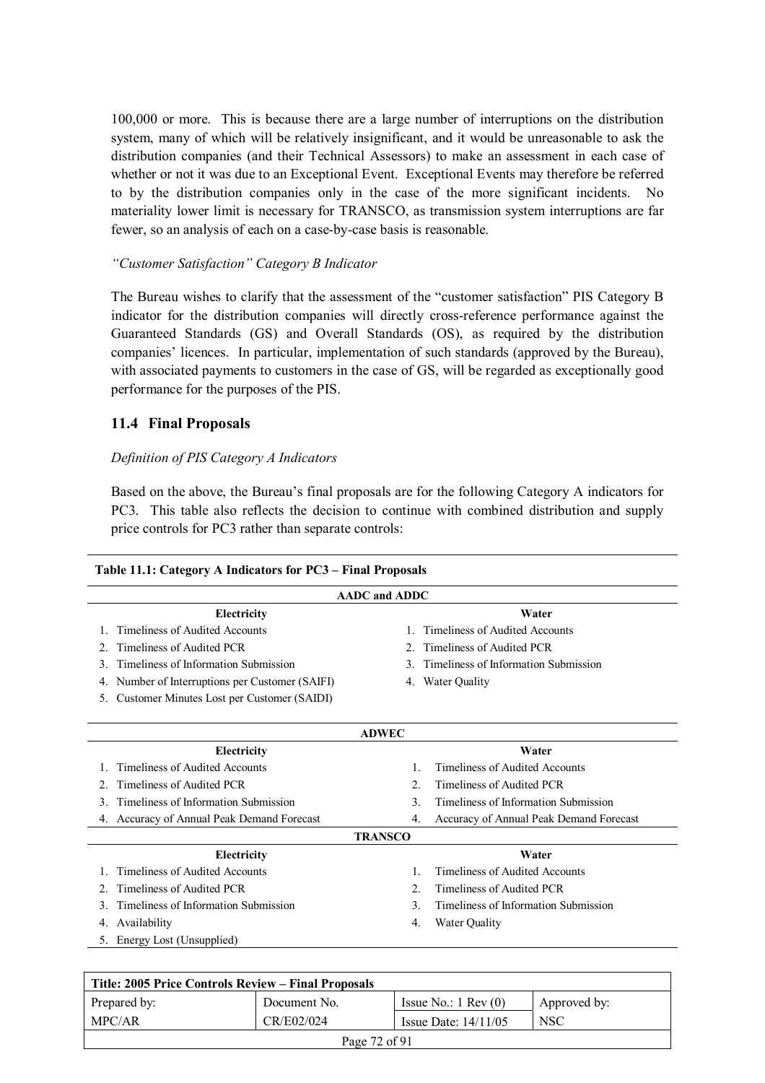100,000 or more. This is because there are a large number of interruptions on the distribution system, many of which will be relatively insignificant, and it would be unreasonable to ask the distribution companies (and their Technical Assessors) to make an assessment in each case of whether or not it was due to an Exceptional Event. Exceptional Events may therefore be referred to by the distribution companies only in the case of the more significant incidents. No materiality lower limit is necessary for TRANSCO, as transmission system interruptions are far fewer, so an analysis of each on a case-by-case basis is reasonable.

#### *ìCustomer Satisfactionî Category B Indicator*

The Bureau wishes to clarify that the assessment of the "customer satisfaction" PIS Category B indicator for the distribution companies will directly cross-reference performance against the Guaranteed Standards (GS) and Overall Standards (OS), as required by the distribution companies' licences. In particular, implementation of such standards (approved by the Bureau), with associated payments to customers in the case of GS, will be regarded as exceptionally good performance for the purposes of the PIS.

#### **11.4 Final Proposals**

MPC/AR

#### *Definition of PIS Category A Indicators*

Based on the above, the Bureau's final proposals are for the following Category A indicators for PC3. This table also reflects the decision to continue with combined distribution and supply price controls for PC3 rather than separate controls:

| <b>AADC</b> and <b>ADDC</b>                           |                                               |  |  |
|-------------------------------------------------------|-----------------------------------------------|--|--|
| Electricity                                           | Water                                         |  |  |
| Timeliness of Audited Accounts                        | Timeliness of Audited Accounts                |  |  |
| Timeliness of Audited PCR<br>$2^{\circ}$              | Timeliness of Audited PCR<br>$2^{\circ}$      |  |  |
| Timeliness of Information Submission<br>3.            | Timeliness of Information Submission<br>3     |  |  |
| Number of Interruptions per Customer (SAIFI)<br>4.    | 4. Water Quality                              |  |  |
| Customer Minutes Lost per Customer (SAIDI)<br>5.      |                                               |  |  |
|                                                       |                                               |  |  |
|                                                       | <b>ADWEC</b>                                  |  |  |
| Electricity                                           | Water                                         |  |  |
| Timeliness of Audited Accounts                        | Timeliness of Audited Accounts<br>1.          |  |  |
| Timeliness of Audited PCR<br>$2^{\circ}$              | Timeliness of Audited PCR<br>$\mathfrak{2}$ . |  |  |
| Timeliness of Information Submission<br>$\mathcal{E}$ | Timeliness of Information Submission<br>3.    |  |  |
| 4. Accuracy of Annual Peak Demand Forecast            | Accuracy of Annual Peak Demand Forecast<br>4. |  |  |
|                                                       | <b>TRANSCO</b>                                |  |  |
| Electricity                                           | Water                                         |  |  |
| Timeliness of Audited Accounts                        | Timeliness of Audited Accounts                |  |  |
|                                                       |                                               |  |  |

| <b>TRANSCO</b>                                      |              |    |                                      |              |  |
|-----------------------------------------------------|--------------|----|--------------------------------------|--------------|--|
| Electricity                                         |              |    | Water                                |              |  |
| Timeliness of Audited Accounts                      |              |    | Timeliness of Audited Accounts       |              |  |
| 2. Timeliness of Audited PCR                        |              |    | Timeliness of Audited PCR            |              |  |
| 3. Timeliness of Information Submission             |              | 3  | Timeliness of Information Submission |              |  |
| Availability<br>4.                                  |              | 4. | Water Quality                        |              |  |
| 5. Energy Lost (Unsupplied)                         |              |    |                                      |              |  |
|                                                     |              |    |                                      |              |  |
| Title: 2005 Price Controls Review – Final Proposals |              |    |                                      |              |  |
| Prepared by:                                        | Document No. |    | Issue No.: $1 \text{ Rev}(0)$        | Approved by: |  |

|               | CR/E02/024 | Issue Date: 14/11/05 | NSC |  |
|---------------|------------|----------------------|-----|--|
| Page 72 of 91 |            |                      |     |  |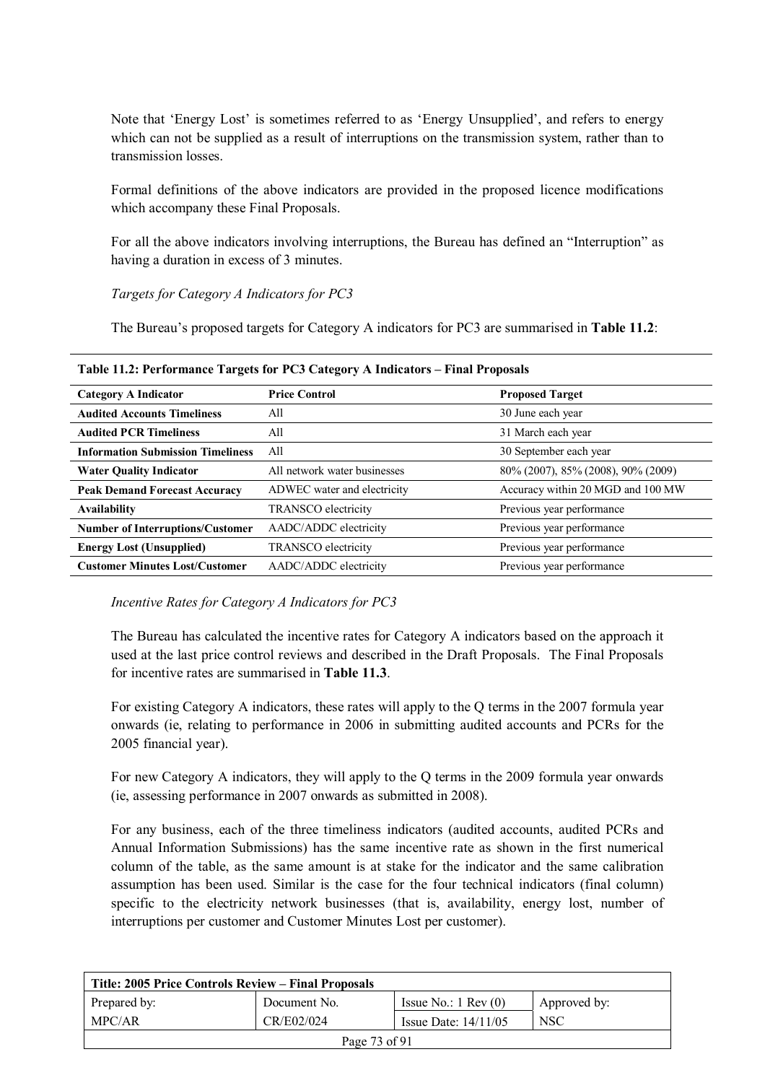Note that 'Energy Lost' is sometimes referred to as 'Energy Unsupplied', and refers to energy which can not be supplied as a result of interruptions on the transmission system, rather than to transmission losses.

Formal definitions of the above indicators are provided in the proposed licence modifications which accompany these Final Proposals.

For all the above indicators involving interruptions, the Bureau has defined an "Interruption" as having a duration in excess of 3 minutes.

*Targets for Category A Indicators for PC3* 

The Bureauís proposed targets for Category A indicators for PC3 are summarised in **Table 11.2**:

| <b>Category A Indicator</b>              | <b>Price Control</b>         | <b>Proposed Target</b>             |
|------------------------------------------|------------------------------|------------------------------------|
| <b>Audited Accounts Timeliness</b>       | All                          | 30 June each year                  |
| <b>Audited PCR Timeliness</b>            | All                          | 31 March each year                 |
| <b>Information Submission Timeliness</b> | All                          | 30 September each year             |
| <b>Water Quality Indicator</b>           | All network water businesses | 80% (2007), 85% (2008), 90% (2009) |
| <b>Peak Demand Forecast Accuracy</b>     | ADWEC water and electricity  | Accuracy within 20 MGD and 100 MW  |
| <b>Availability</b>                      | TRANSCO electricity          | Previous year performance          |
| <b>Number of Interruptions/Customer</b>  | AADC/ADDC electricity        | Previous year performance          |
| <b>Energy Lost (Unsupplied)</b>          | <b>TRANSCO</b> electricity   | Previous year performance          |
| <b>Customer Minutes Lost/Customer</b>    | AADC/ADDC electricity        | Previous year performance          |

#### Table 11.2: Performance Targets for PC3 Category A Indicators – Final Proposals

#### *Incentive Rates for Category A Indicators for PC3*

The Bureau has calculated the incentive rates for Category A indicators based on the approach it used at the last price control reviews and described in the Draft Proposals. The Final Proposals for incentive rates are summarised in **Table 11.3**.

For existing Category A indicators, these rates will apply to the Q terms in the 2007 formula year onwards (ie, relating to performance in 2006 in submitting audited accounts and PCRs for the 2005 financial year).

For new Category A indicators, they will apply to the Q terms in the 2009 formula year onwards (ie, assessing performance in 2007 onwards as submitted in 2008).

For any business, each of the three timeliness indicators (audited accounts, audited PCRs and Annual Information Submissions) has the same incentive rate as shown in the first numerical column of the table, as the same amount is at stake for the indicator and the same calibration assumption has been used. Similar is the case for the four technical indicators (final column) specific to the electricity network businesses (that is, availability, energy lost, number of interruptions per customer and Customer Minutes Lost per customer).

| Title: 2005 Price Controls Review – Final Proposals |              |                               |              |  |
|-----------------------------------------------------|--------------|-------------------------------|--------------|--|
| Prepared by:                                        | Document No. | Issue No.: $1 \text{ Rev}(0)$ | Approved by: |  |
| MPC/AR                                              | CR/E02/024   | Issue Date: $14/11/05$        | <b>NSC</b>   |  |
| Page 73 of 91                                       |              |                               |              |  |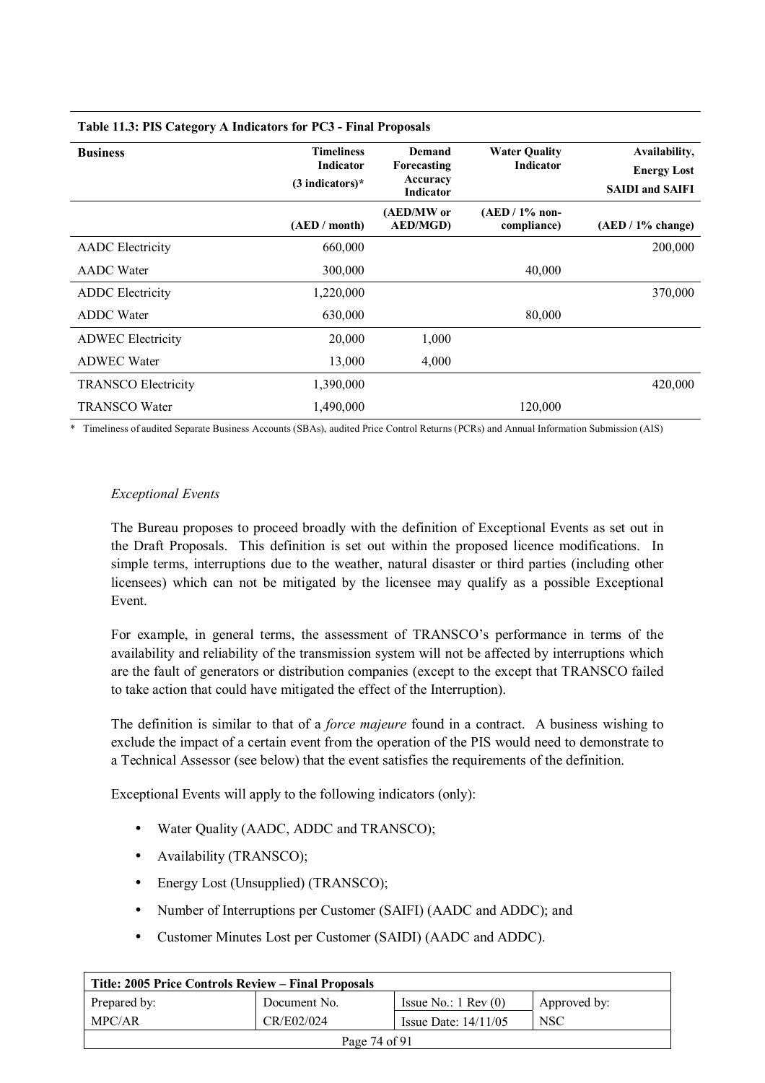| <b>Business</b>            | <b>Timeliness</b><br>Indicator<br>$(3$ indicators)* | Demand<br>Forecasting<br>Accuracy<br>Indicator | <b>Water Quality</b><br>Indicator | Availability,<br><b>Energy Lost</b><br><b>SAIDI</b> and <b>SAIFI</b> |
|----------------------------|-----------------------------------------------------|------------------------------------------------|-----------------------------------|----------------------------------------------------------------------|
|                            | (AED / month)                                       | (AED/MW or<br><b>AED/MGD)</b>                  | $(AED / 1\%$ non-<br>compliance)  | $(AED / 1\%$ change)                                                 |
| <b>AADC</b> Electricity    | 660,000                                             |                                                |                                   | 200,000                                                              |
| <b>AADC</b> Water          | 300,000                                             |                                                | 40,000                            |                                                                      |
| <b>ADDC</b> Electricity    | 1,220,000                                           |                                                |                                   | 370,000                                                              |
| <b>ADDC</b> Water          | 630,000                                             |                                                | 80,000                            |                                                                      |
| <b>ADWEC Electricity</b>   | 20,000                                              | 1,000                                          |                                   |                                                                      |
| <b>ADWEC Water</b>         | 13,000                                              | 4,000                                          |                                   |                                                                      |
| <b>TRANSCO Electricity</b> | 1,390,000                                           |                                                |                                   | 420,000                                                              |
| <b>TRANSCO Water</b>       | 1,490,000                                           |                                                | 120,000                           |                                                                      |

#### **Table 11.3: PIS Category A Indicators for PC3 - Final Proposals**

\* Timeliness of audited Separate Business Accounts (SBAs), audited Price Control Returns (PCRs) and Annual Information Submission (AIS)

### *Exceptional Events*

The Bureau proposes to proceed broadly with the definition of Exceptional Events as set out in the Draft Proposals. This definition is set out within the proposed licence modifications. In simple terms, interruptions due to the weather, natural disaster or third parties (including other licensees) which can not be mitigated by the licensee may qualify as a possible Exceptional Event.

For example, in general terms, the assessment of TRANSCO's performance in terms of the availability and reliability of the transmission system will not be affected by interruptions which are the fault of generators or distribution companies (except to the except that TRANSCO failed to take action that could have mitigated the effect of the Interruption).

The definition is similar to that of a *force majeure* found in a contract. A business wishing to exclude the impact of a certain event from the operation of the PIS would need to demonstrate to a Technical Assessor (see below) that the event satisfies the requirements of the definition.

Exceptional Events will apply to the following indicators (only):

- Water Quality (AADC, ADDC and TRANSCO);
- Availability (TRANSCO);
- Energy Lost (Unsupplied) (TRANSCO);
- Number of Interruptions per Customer (SAIFI) (AADC and ADDC); and
- Customer Minutes Lost per Customer (SAIDI) (AADC and ADDC).

| Title: 2005 Price Controls Review – Final Proposals |              |                               |              |  |
|-----------------------------------------------------|--------------|-------------------------------|--------------|--|
| Prepared by:                                        | Document No. | Issue No.: $1 \text{ Rev}(0)$ | Approved by: |  |
| MPC/AR                                              | CR/E02/024   | Issue Date: $14/11/05$        | <b>NSC</b>   |  |
| Page 74 of 91                                       |              |                               |              |  |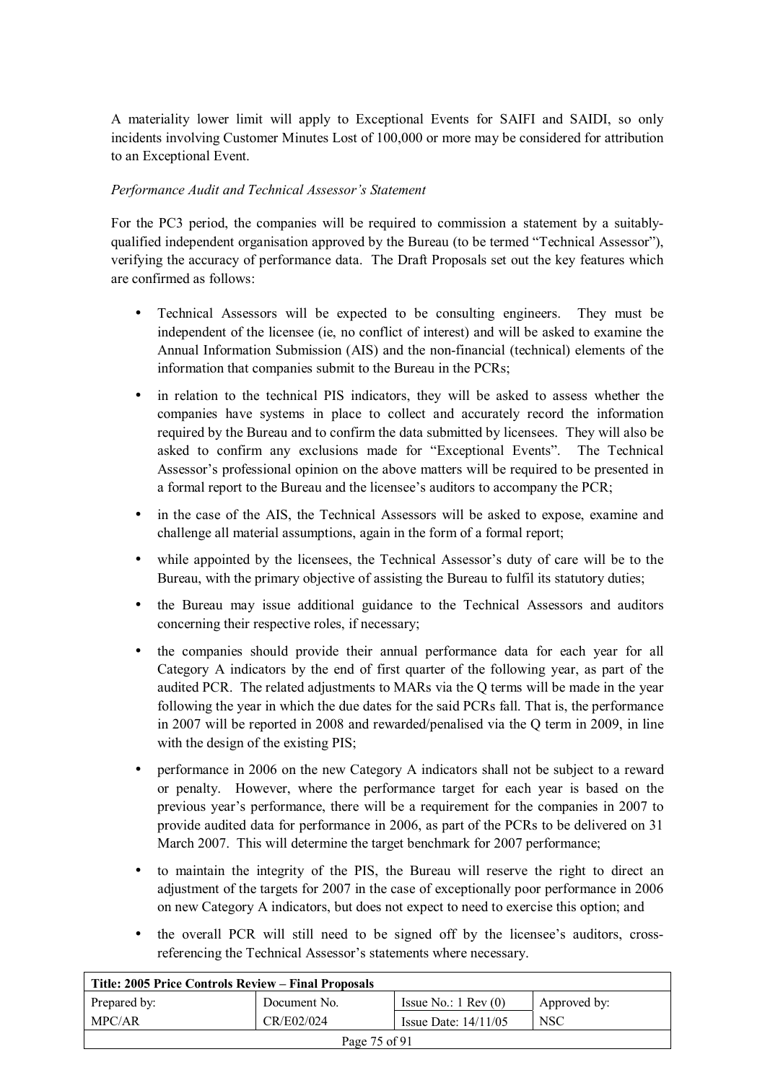A materiality lower limit will apply to Exceptional Events for SAIFI and SAIDI, so only incidents involving Customer Minutes Lost of 100,000 or more may be considered for attribution to an Exceptional Event.

#### **Performance Audit and Technical Assessor's Statement**

For the PC3 period, the companies will be required to commission a statement by a suitablyqualified independent organisation approved by the Bureau (to be termed "Technical Assessor"), verifying the accuracy of performance data. The Draft Proposals set out the key features which are confirmed as follows:

- Technical Assessors will be expected to be consulting engineers. They must be independent of the licensee (ie, no conflict of interest) and will be asked to examine the Annual Information Submission (AIS) and the non-financial (technical) elements of the information that companies submit to the Bureau in the PCRs;
- in relation to the technical PIS indicators, they will be asked to assess whether the companies have systems in place to collect and accurately record the information required by the Bureau and to confirm the data submitted by licensees. They will also be asked to confirm any exclusions made for "Exceptional Events". The Technical Assessor's professional opinion on the above matters will be required to be presented in a formal report to the Bureau and the licensee's auditors to accompany the PCR;
- in the case of the AIS, the Technical Assessors will be asked to expose, examine and challenge all material assumptions, again in the form of a formal report;
- while appointed by the licensees, the Technical Assessor's duty of care will be to the Bureau, with the primary objective of assisting the Bureau to fulfil its statutory duties;
- the Bureau may issue additional guidance to the Technical Assessors and auditors concerning their respective roles, if necessary;
- the companies should provide their annual performance data for each year for all Category A indicators by the end of first quarter of the following year, as part of the audited PCR. The related adjustments to MARs via the Q terms will be made in the year following the year in which the due dates for the said PCRs fall. That is, the performance in 2007 will be reported in 2008 and rewarded/penalised via the Q term in 2009, in line with the design of the existing PIS;
- performance in 2006 on the new Category A indicators shall not be subject to a reward or penalty. However, where the performance target for each year is based on the previous yearís performance, there will be a requirement for the companies in 2007 to provide audited data for performance in 2006, as part of the PCRs to be delivered on 31 March 2007. This will determine the target benchmark for 2007 performance;
- to maintain the integrity of the PIS, the Bureau will reserve the right to direct an adjustment of the targets for 2007 in the case of exceptionally poor performance in 2006 on new Category A indicators, but does not expect to need to exercise this option; and
- the overall PCR will still need to be signed off by the licensee's auditors, crossreferencing the Technical Assessor's statements where necessary.

| Title: 2005 Price Controls Review – Final Proposals |              |                               |              |  |
|-----------------------------------------------------|--------------|-------------------------------|--------------|--|
| Prepared by:                                        | Document No. | Issue No.: $1 \text{ Rev}(0)$ | Approved by: |  |
| MPC/AR                                              | CR/E02/024   | Issue Date: $14/11/05$        | <b>NSC</b>   |  |
| Page 75 of 91                                       |              |                               |              |  |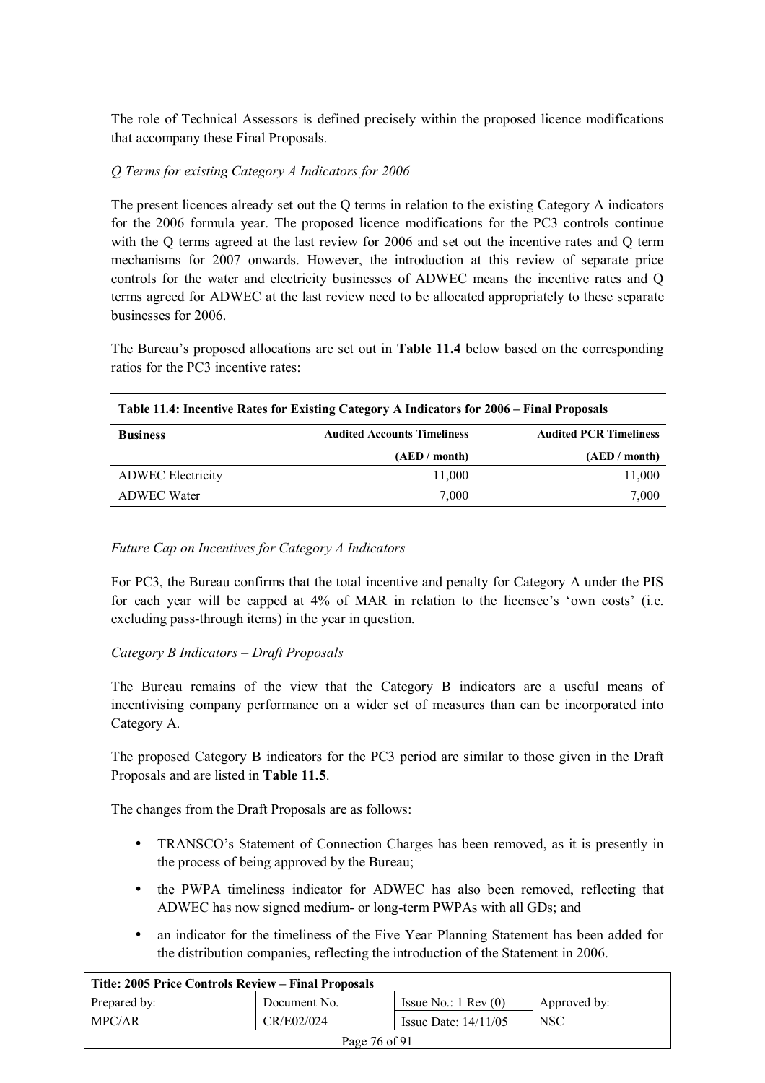The role of Technical Assessors is defined precisely within the proposed licence modifications that accompany these Final Proposals.

### *Q Terms for existing Category A Indicators for 2006*

The present licences already set out the Q terms in relation to the existing Category A indicators for the 2006 formula year. The proposed licence modifications for the PC3 controls continue with the Q terms agreed at the last review for 2006 and set out the incentive rates and Q term mechanisms for 2007 onwards. However, the introduction at this review of separate price controls for the water and electricity businesses of ADWEC means the incentive rates and Q terms agreed for ADWEC at the last review need to be allocated appropriately to these separate businesses for 2006.

The Bureauís proposed allocations are set out in **Table 11.4** below based on the corresponding ratios for the PC3 incentive rates:

| Table 11.4: Incentive Rates for Existing Category A Indicators for 2006 – Final Proposals |                                    |                               |  |  |  |
|-------------------------------------------------------------------------------------------|------------------------------------|-------------------------------|--|--|--|
| <b>Business</b>                                                                           | <b>Audited Accounts Timeliness</b> | <b>Audited PCR Timeliness</b> |  |  |  |
|                                                                                           | (AED / month)                      | (AED / month)                 |  |  |  |
| <b>ADWEC Electricity</b>                                                                  | 11,000                             | 11,000                        |  |  |  |
| ADWEC Water                                                                               | 7,000                              | 7,000                         |  |  |  |

#### *Future Cap on Incentives for Category A Indicators*

For PC3, the Bureau confirms that the total incentive and penalty for Category A under the PIS for each year will be capped at  $4\%$  of MAR in relation to the licensee's 'own costs' (i.e. excluding pass-through items) in the year in question.

### *Category B Indicators – Draft Proposals*

The Bureau remains of the view that the Category B indicators are a useful means of incentivising company performance on a wider set of measures than can be incorporated into Category A.

The proposed Category B indicators for the PC3 period are similar to those given in the Draft Proposals and are listed in **Table 11.5**.

The changes from the Draft Proposals are as follows:

- TRANSCO's Statement of Connection Charges has been removed, as it is presently in the process of being approved by the Bureau;
- the PWPA timeliness indicator for ADWEC has also been removed, reflecting that ADWEC has now signed medium- or long-term PWPAs with all GDs; and
- an indicator for the timeliness of the Five Year Planning Statement has been added for the distribution companies, reflecting the introduction of the Statement in 2006.

| Title: 2005 Price Controls Review – Final Proposals |              |                               |              |  |
|-----------------------------------------------------|--------------|-------------------------------|--------------|--|
| Prepared by:                                        | Document No. | Issue No.: $1 \text{ Rev}(0)$ | Approved by: |  |
| MPC/AR                                              | CR/E02/024   | Issue Date: $14/11/05$        | <b>NSC</b>   |  |
| Page 76 of 91                                       |              |                               |              |  |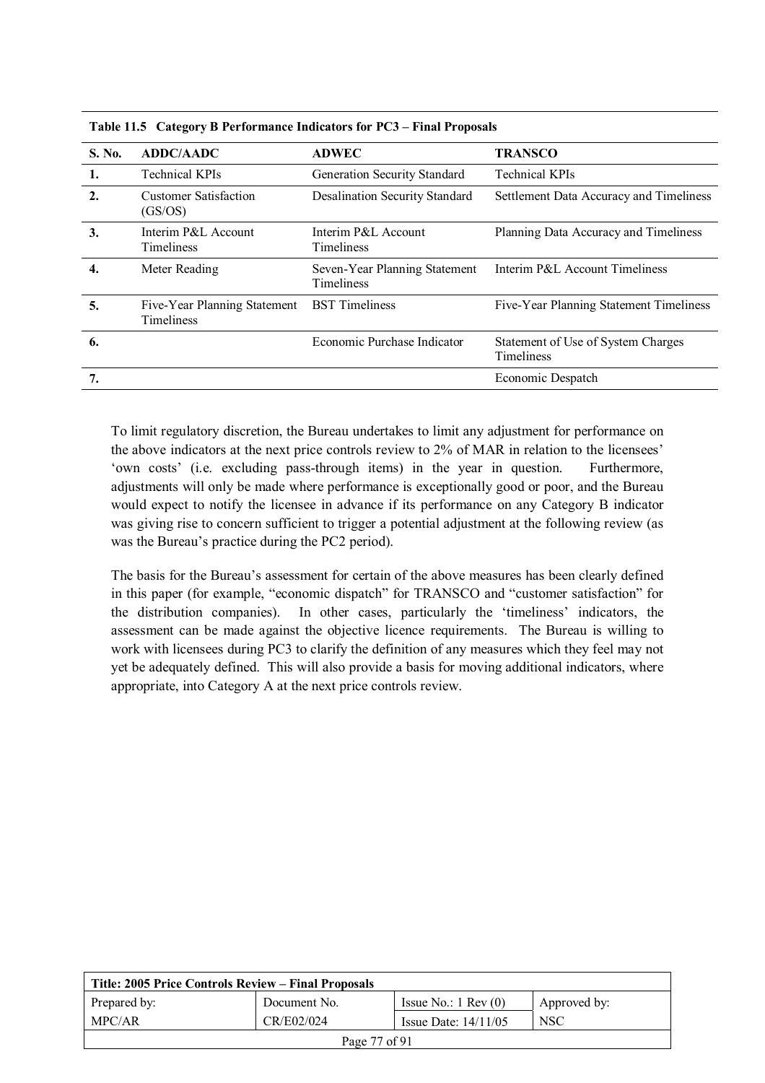| S. No.           | <b>ADDC/AADC</b>                           | <b>ADWEC</b>                                       | <b>TRANSCO</b>                                          |
|------------------|--------------------------------------------|----------------------------------------------------|---------------------------------------------------------|
| 1.               | <b>Technical KPIs</b>                      | Generation Security Standard                       | <b>Technical KPIs</b>                                   |
| $\overline{2}$ . | <b>Customer Satisfaction</b><br>(GS/OS)    | <b>Desalination Security Standard</b>              | Settlement Data Accuracy and Timeliness                 |
| 3.               | Interim P&L Account<br><b>Timeliness</b>   | Interim P&L Account<br>Timeliness                  | Planning Data Accuracy and Timeliness                   |
| 4.               | Meter Reading                              | Seven-Year Planning Statement<br><b>Timeliness</b> | Interim P&L Account Timeliness                          |
| 5.               | Five-Year Planning Statement<br>Timeliness | <b>BST</b> Timeliness                              | Five-Year Planning Statement Timeliness                 |
| 6.               |                                            | Economic Purchase Indicator                        | Statement of Use of System Charges<br><b>Timeliness</b> |
| 7.               |                                            |                                                    | Economic Despatch                                       |
|                  |                                            |                                                    |                                                         |

|  | Table 11.5 Category B Performance Indicators for PC3 – Final Proposals |  |
|--|------------------------------------------------------------------------|--|
|  |                                                                        |  |

To limit regulatory discretion, the Bureau undertakes to limit any adjustment for performance on the above indicators at the next price controls review to 2% of MAR in relation to the licensees' 'own costs' (i.e. excluding pass-through items) in the year in question. Furthermore, adjustments will only be made where performance is exceptionally good or poor, and the Bureau would expect to notify the licensee in advance if its performance on any Category B indicator was giving rise to concern sufficient to trigger a potential adjustment at the following review (as was the Bureau's practice during the PC2 period).

The basis for the Bureau's assessment for certain of the above measures has been clearly defined in this paper (for example, "economic dispatch" for TRANSCO and "customer satisfaction" for the distribution companies). In other cases, particularly the 'timeliness' indicators, the assessment can be made against the objective licence requirements. The Bureau is willing to work with licensees during PC3 to clarify the definition of any measures which they feel may not yet be adequately defined. This will also provide a basis for moving additional indicators, where appropriate, into Category A at the next price controls review.

| Title: 2005 Price Controls Review – Final Proposals |              |                               |                  |  |  |
|-----------------------------------------------------|--------------|-------------------------------|------------------|--|--|
| Prepared by:                                        | Document No. | Issue No.: $1 \text{ Rev}(0)$ | Approved by:     |  |  |
| MPC/AR                                              | CR/E02/024   | Issue Date: $14/11/05$        | NSC <sup>.</sup> |  |  |
| Page 77 of 91                                       |              |                               |                  |  |  |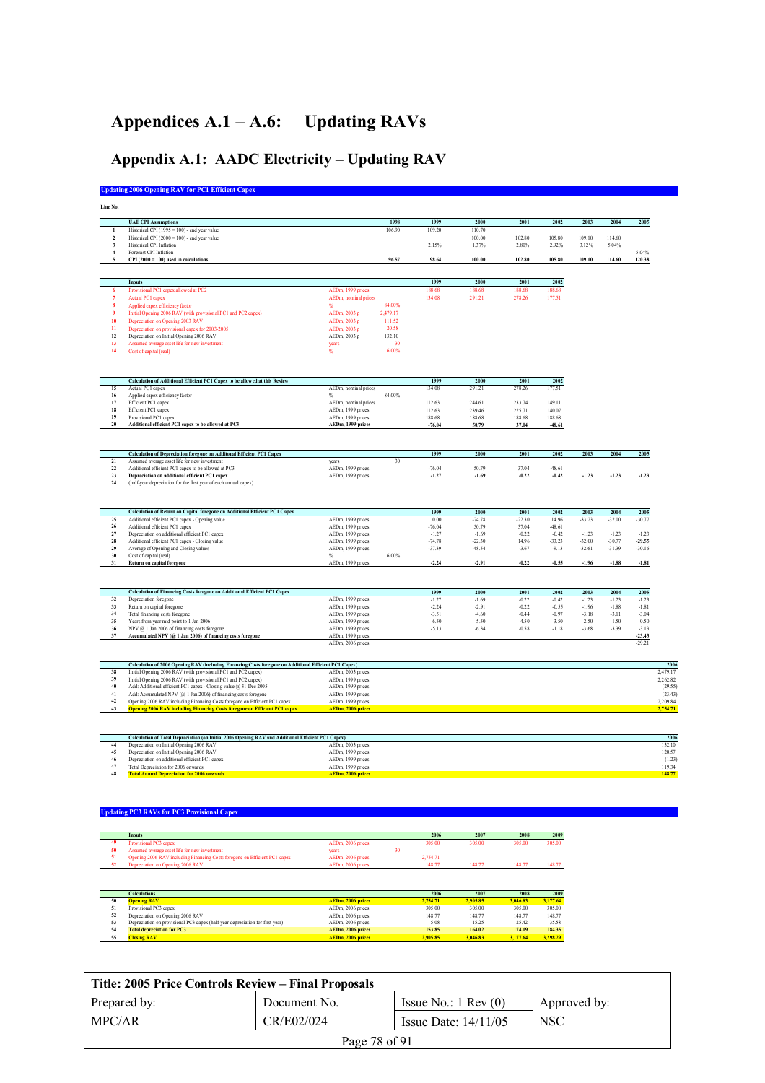# Appendices A.1 – A.6: Updating RAVs

# Appendix A.1: AADC Electricity – Updating RAV

|                     | <b>Updating 2006 Opening RAV for PC1 Efficient Capex</b>                                                                                       |                                               |                    |                 |                  |                  |                 |                  |                  |                     |
|---------------------|------------------------------------------------------------------------------------------------------------------------------------------------|-----------------------------------------------|--------------------|-----------------|------------------|------------------|-----------------|------------------|------------------|---------------------|
| Line No.            |                                                                                                                                                |                                               |                    |                 |                  |                  |                 |                  |                  |                     |
|                     | <b>UAE CPI Assumptions</b>                                                                                                                     |                                               | 1998               | 1999            | 2000             | 2001             | 2002            | 2003             | 2004             | 2005                |
| 1                   | Historical CPI (1995 = 100) - end year value                                                                                                   |                                               | 106.90             | 109.20          | 110.70           |                  |                 |                  |                  |                     |
| $\mathbf 2$         | Historical CPI (2000 = 100) - end year value                                                                                                   |                                               |                    |                 | 100.00           | 102.80           | 105.80          | 109.10           | 114.60           |                     |
| $\mathbf{3}$        | Historical CPI Inflation<br>Forecast CPI Inflation                                                                                             |                                               |                    | 2.15%           | 1.37%            | 2.80%            | 2.92%           | 3.12%            | 5.04%            |                     |
| $\overline{4}$<br>5 | $CPI(2000 = 100)$ used in calculations                                                                                                         |                                               | 96.57              | 98.64           | 100.00           | 102.80           | 105.80          | 109.10           | 114.60           | 5.04%<br>120.38     |
|                     |                                                                                                                                                |                                               |                    |                 |                  |                  |                 |                  |                  |                     |
|                     | <b>Inputs</b>                                                                                                                                  |                                               |                    | 1999            | 2000             | 2001             | 2002            |                  |                  |                     |
| 6                   | Provisional PC1 capex allowed at PC2                                                                                                           | AEDm, 1999 prices                             |                    | 188.68          | 188.68           | 188.68           | 188.68          |                  |                  |                     |
| 7                   | Actual PC1 capex                                                                                                                               | AEDm, nominal prices                          |                    | 134.08          | 291.21           | 278.26           | 177.51          |                  |                  |                     |
| 8<br>9              | Applied capex efficiency factor                                                                                                                | $\%$<br>AEDm, 2003 p                          | 84.00%<br>2,479.17 |                 |                  |                  |                 |                  |                  |                     |
| 10                  | Initial Opening 2006 RAV (with provisional PC1 and PC2 capex)<br>Depreciation on Opening 2003 RAV                                              | AEDm, 2003 p                                  | 111.52             |                 |                  |                  |                 |                  |                  |                     |
| 11                  | Depreciation on provisional capex for 2003-2005                                                                                                | AEDm, 2003 p                                  | 20.58              |                 |                  |                  |                 |                  |                  |                     |
| $12\,$              | Depreciation on Initial Opening 2006 RAV                                                                                                       | AEDm, 2003 p                                  | 132.10             |                 |                  |                  |                 |                  |                  |                     |
| 13                  | Assumed average asset life for new investment                                                                                                  | years                                         | 30                 |                 |                  |                  |                 |                  |                  |                     |
| 14                  | Cost of capital (real)                                                                                                                         |                                               | 6.00%              |                 |                  |                  |                 |                  |                  |                     |
|                     |                                                                                                                                                |                                               |                    |                 |                  |                  |                 |                  |                  |                     |
| 15                  | Calculation of Additional Efficient PC1 Capex to be allowed at this Review                                                                     |                                               |                    | 1999            | 2000             | 2001             | 2002            |                  |                  |                     |
| 16                  | Actual PC1 capex<br>Applied capex efficiency factor                                                                                            | AEDm, nominal prices<br>%                     | 84.00%             | 134.08          | 291.21           | 278.26           | 177.51          |                  |                  |                     |
| 17                  | Efficient PC1 capex                                                                                                                            | AEDm, nominal prices                          |                    | 112.63          | 244.61           | 233.74           | 149.11          |                  |                  |                     |
| 18                  | Efficient PC1 capex                                                                                                                            | AEDm, 1999 prices                             |                    | 112.63          | 239.46           | 225.71           | 140.07          |                  |                  |                     |
| 19                  | Provisional PC1 capex                                                                                                                          | AEDm, 1999 prices                             |                    | 188.68          | 188.68           | 188.68           | 188.68          |                  |                  |                     |
| $20\,$              | Additional efficient PC1 capex to be allowed at PC3                                                                                            | AEDm, 1999 prices                             |                    | $-76.04$        | 50.79            | 37.04            | $-48.61$        |                  |                  |                     |
|                     |                                                                                                                                                |                                               |                    |                 |                  |                  |                 |                  |                  |                     |
| 21                  | <b>Calculation of Depreciation foregone on Additonal Efficient PC1 Capex</b><br>Assumed average asset life for new investment                  | vears                                         | 30                 | 1999            | 2000             | 2001             | 2002            | 2003             | 2004             | 2005                |
| $22\,$              | Additional efficient PC1 capex to be allowed at PC3                                                                                            | AEDm, 1999 prices                             |                    | $-76.04$        | 50.79            | 37.04            | $-48.61$        |                  |                  |                     |
| 23                  | Depreciation on additional efficient PC1 capex                                                                                                 | AEDm, 1999 prices                             |                    | $-1.27$         | $-1.69$          | $-0.22$          | $-0.42$         | $-1.23$          | $-1.23$          | $-1.23$             |
| 24                  | (half-year depreciation for the first year of each annual capex)                                                                               |                                               |                    |                 |                  |                  |                 |                  |                  |                     |
|                     |                                                                                                                                                |                                               |                    |                 |                  |                  |                 |                  |                  |                     |
| 25                  | Calculation of Return on Capital foregone on Additional Efficient PC1 Capex<br>Additional efficient PC1 capex - Opening value                  | AEDm, 1999 prices                             |                    | 1999<br>0.00    | 2000<br>$-74.78$ | 2001<br>$-22.30$ | 2002<br>14.96   | 2003<br>$-33.23$ | 2004<br>$-32.00$ | 2005<br>$-30.77$    |
| $26\phantom{.}$     | Additional efficient PC1 capex                                                                                                                 | AEDm, 1999 prices                             |                    | $-76.04$        | 50.79            | 37.04            | -48.61          |                  |                  |                     |
| $\boldsymbol{27}$   | Depreciation on additional efficient PC1 capex                                                                                                 | AEDm, 1999 prices                             |                    | $-1.27$         | $-1.69$          | $-0.22$          | $-0.42$         | $-1.23$          | $-1.23$          | $-1.23$             |
| 28                  | Additional efficient PC1 capex - Closing value                                                                                                 | AEDm, 1999 prices                             |                    | $-74.78$        | $-22.30$         | 14.96            | $-33.23$        | $-32.00$         | $-30.77$         | $-29.55$            |
| 29                  | Average of Opening and Closing values                                                                                                          | AEDm, 1999 prices                             |                    | $-37.39$        | -48.54           | $-3.67$          | $-9.13$         | $-32.61$         | $-31.39$         | $-30.16$            |
| 30<br>31            | Cost of capital (real)<br>Return on capital foregone                                                                                           | %<br>AEDm, 1999 prices                        | 6.00%              | $-2.24$         | $-2.91$          | $-0.22$          | $-0.55$         | $-1.96$          | $-1.88$          | $-1.81$             |
|                     |                                                                                                                                                |                                               |                    |                 |                  |                  |                 |                  |                  |                     |
|                     | Calculation of Financing Costs foregone on Additional Efficient PC1 Capex                                                                      |                                               |                    | 1999            | 2000             | 2001             | 2002            | 2003             | 2004             | 2005                |
| 32                  | Depreciation foregone                                                                                                                          | AEDm, 1999 prices                             |                    | $-1.27$         | $-1.69$          | $-0.22$          | $-0.42$         | $-1.23$          | $-1.23$          | $-1.23$             |
| 33                  | Return on capital foregone                                                                                                                     | AEDm, 1999 prices                             |                    | $-2.24$         | $-2.91$          | $-0.22$          | $-0.55$         | $-1.96$          | $-1.88$          | $-1.81$             |
| 34<br>35            | Total financing costs foregone                                                                                                                 | AEDm, 1999 prices                             |                    | $-3.51$         | $-4.60$          | $-0.44$          | $-0.97$         | $-3.18$          | $-3.11$          | $-3.04$<br>0.50     |
| 36                  | Years from year mid point to 1 Jan 2006<br>NPV @ 1 Jan 2006 of financing costs foregone                                                        | AEDm, 1999 prices<br>AEDm, 1999 prices        |                    | 6.50<br>$-5.13$ | 5.50<br>$-6.34$  | 4.50<br>$-0.58$  | 3.50<br>$-1.18$ | 2.50<br>$-3.68$  | 1.50<br>$-3.39$  | $-3.13$             |
| 37                  | Accumulated NPV (@ 1 Jan 2006) of financing costs foregone                                                                                     | AEDm, 1999 prices                             |                    |                 |                  |                  |                 |                  |                  | $-23.43$            |
|                     |                                                                                                                                                | AEDm, 2006 prices                             |                    |                 |                  |                  |                 |                  |                  | $-29.21$            |
|                     | Calculation of 2006 Opening RAV (including Financing Costs foregone on Additional Efficient PC1 Capex)                                         |                                               |                    |                 |                  |                  |                 |                  |                  |                     |
| 38<br>39            | Initial Opening 2006 RAV (with provisional PC1 and PC2 capex)                                                                                  | AEDm, 2003 prices                             |                    |                 |                  |                  |                 |                  |                  | 2,479.17            |
| 40                  | Initial Opening 2006 RAV (with provisional PC1 and PC2 capex)<br>Add: Additional efficient PC1 capex - Closing value @ 31 Dec 2005             | AEDm, 1999 prices<br>AEDm, 1999 prices        |                    |                 |                  |                  |                 |                  |                  | 2,262.82<br>(29.55) |
| 41                  | Add: Accumulated NPV (@ 1 Jan 2006) of financing costs foregone                                                                                | AEDm, 1999 prices                             |                    |                 |                  |                  |                 |                  |                  | (23.43)             |
| 42                  | Opening 2006 RAV including Financing Costs foregone on Efficient PC1 capex                                                                     | AEDm, 1999 prices                             |                    |                 |                  |                  |                 |                  |                  | 2,209.84            |
| 43                  | <b>Opening 2006 RAV including Financing Costs foregone on Efficient PC1 capex</b>                                                              | <b>AEDm, 2006 prices</b>                      |                    |                 |                  |                  |                 |                  |                  | 2,754.71            |
|                     |                                                                                                                                                |                                               |                    |                 |                  |                  |                 |                  |                  |                     |
| 44                  | Calculation of Total Depreciation (on Initial 2006 Opening RAV and Additional Efficient PC1 Capex)<br>Depreciation on Initial Opening 2006 RAV | AEDm, 2003 prices                             |                    |                 |                  |                  |                 |                  |                  | 132.10              |
| 45                  | Depreciation on Initial Opening 2006 RAV                                                                                                       | AEDm, 1999 prices                             |                    |                 |                  |                  |                 |                  |                  | 120.57              |
| 46                  | Depreciation on additional efficient PC1 capex                                                                                                 | AEDm, 1999 prices                             |                    |                 |                  |                  |                 |                  |                  | (1.23)              |
| 47<br>48            | Total Depreciation for 2006 onwards<br><b>Total Annual Depreciation for 2006 onwards</b>                                                       | AEDm, 1999 prices<br><b>AEDm, 2006 prices</b> |                    |                 |                  |                  |                 |                  |                  | 119.34<br>148.77    |
|                     | <b>Updating PC3 RAVs for PC3 Provisional Capex</b>                                                                                             |                                               |                    |                 |                  |                  |                 |                  |                  |                     |
|                     |                                                                                                                                                |                                               |                    |                 |                  |                  |                 |                  |                  |                     |
|                     | <b>Inputs</b>                                                                                                                                  |                                               |                    | 2006            | 2007             | 2008             | 2009            |                  |                  |                     |
| 49<br>50            | Provisional PC3 capex<br>Assumed average asset life for new investment                                                                         | AEDm, 2006 prices<br>vears                    | 30                 | 305.00          | 305.00           | 305.00           | 305.00          |                  |                  |                     |
| 51                  | Opening 2006 RAV including Financing Costs foregone on Efficient PC1 capex                                                                     | AEDm, 2006 prices                             |                    | 2,754.71        |                  |                  |                 |                  |                  |                     |
| 52                  | Depreciation on Opening 2006 RAV                                                                                                               | AEDm, 2006 price:                             |                    | 148.77          | 148.77           | 148.77           | 148.77          |                  |                  |                     |

|    | <b>DURICUMENT VII ODUIHE ZUVO IVA V</b>                                       | ALLAH, ZOOO JAROS | $1 - 11$ | $1 - 1$  | 170.77   | $1 - 10 - 11$ |
|----|-------------------------------------------------------------------------------|-------------------|----------|----------|----------|---------------|
|    |                                                                               |                   |          |          |          |               |
|    | <b>Calculations</b>                                                           |                   | 2006     | 2007     | 2008     | 2009          |
| 50 | <b>Opening RAV</b>                                                            | AEDm, 2006 prices | 2.754.71 | 2.905.85 | 3,046.83 | 3.177.64      |
| 51 | Provisional PC3 capex                                                         | AEDm, 2006 prices | 305.00   | 305.00   | 305.00   | 305.00        |
| 52 | Depreciation on Opening 2006 RAV                                              | AEDm. 2006 prices | 148.77   | 148.77   | 148.77   | 148.77        |
| 53 | Depreciation on provisional PC3 capex (half-year depreciation for first year) | AEDm, 2006 prices | 5.08     | 15.25    | 25.42    | 35.58         |
| 54 | <b>Total depreciation for PC3</b>                                             | AEDm, 2006 prices | 153.85   | 164.02   | 174.19   | 184.35        |
| 55 | <b>Closing RAV</b>                                                            | AEDm. 2006 prices | 2.905.85 | 3.046.83 | 3,177.64 | 3.298.29      |

| Title: 2005 Price Controls Review – Final Proposals |              |                               |              |  |  |  |  |  |  |
|-----------------------------------------------------|--------------|-------------------------------|--------------|--|--|--|--|--|--|
| Prepared by:                                        | Document No. | Issue No.: $1 \text{ Rev}(0)$ | Approved by: |  |  |  |  |  |  |
| MPC/AR                                              | CR/E02/024   | Issue Date: $14/11/05$        | <b>NSC</b>   |  |  |  |  |  |  |
| Page 78 of 91                                       |              |                               |              |  |  |  |  |  |  |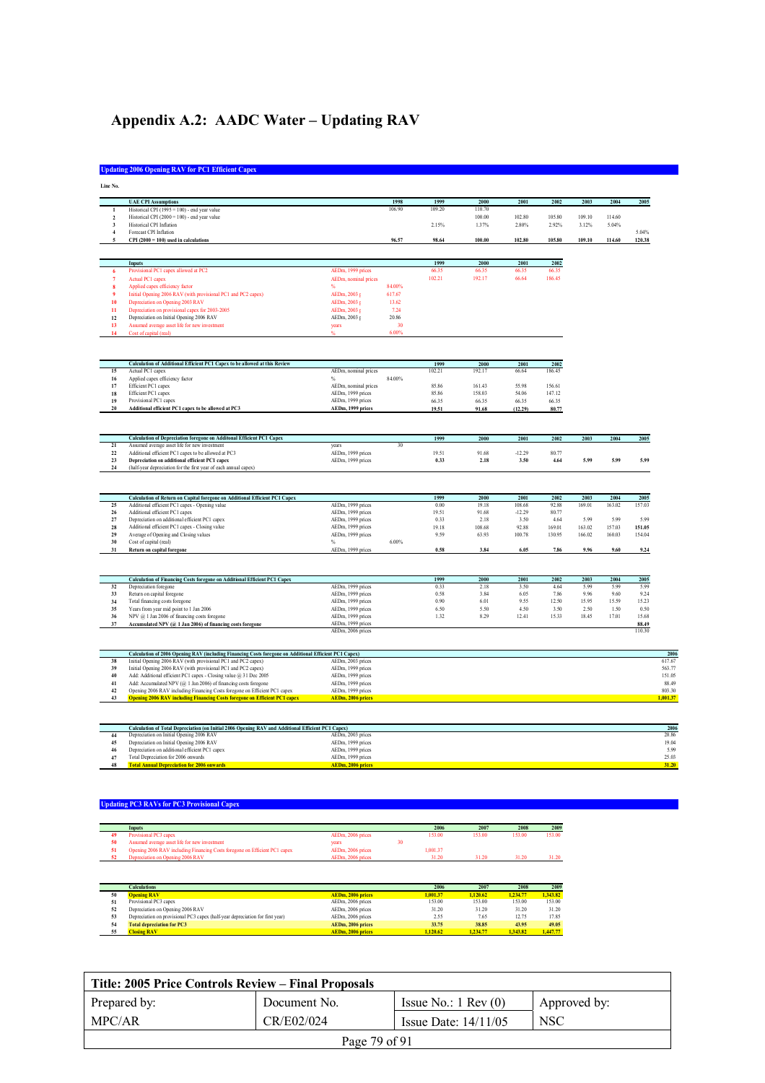# Appendix A.2: AADC Water - Updating RAV

|                                        | <b>UAE CPI Assumptions</b>                                                                                                                                              |                                        | 1998            | 1999           | 2000            | 2001             | 2002            | 2003            | 2004            | 2005            |
|----------------------------------------|-------------------------------------------------------------------------------------------------------------------------------------------------------------------------|----------------------------------------|-----------------|----------------|-----------------|------------------|-----------------|-----------------|-----------------|-----------------|
| 1                                      | Historical CPI (1995 = 100) - end year value                                                                                                                            |                                        | 106.90          | 109.20         | 110.70          |                  |                 |                 |                 |                 |
| $\overline{\mathbf{c}}$<br>$\mathbf 3$ | Historical CPI (2000 = 100) - end year value<br>Historical CPI Inflation                                                                                                |                                        |                 | 2.15%          | 100.00<br>1.37% | 102.80<br>2.80%  | 105.80<br>2.92% | 109 10<br>3.12% | 114.60<br>5.04% |                 |
| $\overline{4}$                         | Forecast CPI Inflation                                                                                                                                                  |                                        |                 |                |                 |                  |                 |                 |                 | 5.04%           |
| 5                                      | CPI $(2000 = 100)$ used in calculations                                                                                                                                 |                                        | 96.57           | 98.64          | 100.00          | 102.80           | 105.80          | 109.10          | 114.60          | 120.38          |
|                                        |                                                                                                                                                                         |                                        |                 |                |                 |                  |                 |                 |                 |                 |
|                                        | Inputs                                                                                                                                                                  |                                        |                 | 1999           | 2000            | 2001             | 2002            |                 |                 |                 |
| $\boldsymbol{6}$                       | Provisional PC1 capex allowed at PC2                                                                                                                                    | AEDm, 1999 prices                      |                 | 66.35          | 66.35           | 66.35            | 66.35           |                 |                 |                 |
| 7                                      | <b>Actual PC1 capex</b>                                                                                                                                                 | AEDm, nominal prices                   |                 | 102.21         | 192.17          | 66.64            | 186.45          |                 |                 |                 |
| $\mathbf{q}$                           | Applied capex efficiency factor                                                                                                                                         |                                        | 84.00%          |                |                 |                  |                 |                 |                 |                 |
| 10                                     | Initial Opening 2006 RAV (with provisional PC1 and PC2 capex)<br>Depreciation on Opening 2003 RAV                                                                       | AEDm, 2003  <br>AEDm. 2003 t           | 617.67<br>13.62 |                |                 |                  |                 |                 |                 |                 |
| $\overline{11}$                        | Depreciation on provisional capex for 2003-2005                                                                                                                         | AEDm, 2003 1                           | 7.24            |                |                 |                  |                 |                 |                 |                 |
| 12                                     | Depreciation on Initial Opening 2006 RAV                                                                                                                                | AEDm, 2003 1                           | 20.86           |                |                 |                  |                 |                 |                 |                 |
| 13                                     | Assumed average asset life for new investment                                                                                                                           | years                                  | 30              |                |                 |                  |                 |                 |                 |                 |
| 14                                     | Cost of capital (real)                                                                                                                                                  |                                        | 6.00%           |                |                 |                  |                 |                 |                 |                 |
|                                        |                                                                                                                                                                         |                                        |                 |                |                 |                  |                 |                 |                 |                 |
| 15                                     | Calculation of Additional Efficient PC1 Capex to be allowed at this Review<br>Actual PC1 capex                                                                          | AEDm, nominal prices                   |                 | 1999<br>102.21 | 2000<br>192.17  | 2001<br>66.64    | 2002<br>186.45  |                 |                 |                 |
| 16                                     | Applied capex efficiency factor                                                                                                                                         |                                        | 84.00%          |                |                 |                  |                 |                 |                 |                 |
| 17                                     | Efficient PC1 capex                                                                                                                                                     | AEDm, nominal prices                   |                 | 85.86          | 16143           | 55.98            | 156.61          |                 |                 |                 |
| 18                                     | Efficient PC1 capex                                                                                                                                                     | AEDm, 1999 prices                      |                 | 85.86          | 158.03          | 54.06            | 147.12          |                 |                 |                 |
| 19<br>20                               | Provisional PC1 capex<br>Additional efficient PC1 capex to be allowed at PC3                                                                                            | AEDm, 1999 prices<br>AEDm, 1999 prices |                 | 66.35<br>19.51 | 66.35<br>91.68  | 66.35<br>(12.29) | 66.35<br>80.77  |                 |                 |                 |
|                                        |                                                                                                                                                                         |                                        |                 |                |                 |                  |                 |                 |                 |                 |
|                                        | Calculation of Depreciation foregone on Additonal Efficient PC1 Capex                                                                                                   |                                        |                 | 1999           | 2000            | 2001             | 2002            | 2003            | 2004            | 2005            |
| 21                                     | Assumed average asset life for new investment                                                                                                                           | years                                  | 30              |                |                 |                  |                 |                 |                 |                 |
| $\bf{22}$                              | Additional efficient PC1 capex to be allowed at PC3                                                                                                                     | AEDm, 1999 prices                      |                 | 19.51          | 91.68           | $-12.29$         | 80.77           |                 |                 |                 |
| 23<br>24                               | Depreciation on additional efficient PC1 capex<br>(half-year depreciation for the first year of each annual capex)                                                      | AEDm, 1999 prices                      |                 | 0.33           | 2.18            | 3.50             | 4.64            | 5.99            | 5.99            | 5.99            |
|                                        |                                                                                                                                                                         |                                        |                 |                |                 |                  |                 |                 |                 |                 |
|                                        | Calculation of Return on Capital foregone on Additional Efficient PC1 Capex                                                                                             |                                        |                 | 1999           | 2000            | 2001             | 2002            | 2003            | 2004            | 2005            |
| 25                                     | Additional efficient PC1 capex - Opening value                                                                                                                          | AEDm, 1999 prices                      |                 | 0.00           | 1918            | 108.68           | 92.88           | 169 01          | 163.02          | 157.03          |
| ${\bf 26}$<br>27                       | Additional efficient PC1 capex<br>Depreciation on additional efficient PC1 capex                                                                                        | AEDm, 1999 prices<br>AEDm, 1999 prices |                 | 19.51<br>0.33  | 91.68<br>2.18   | $-12.29$<br>3.50 | 80.77<br>4.64   | 5.99            | 5.99            | 5.99            |
| 28                                     | Additional efficient PC1 capex - Closing value                                                                                                                          | AEDm, 1999 prices                      |                 | 19.18          | 108.68          | 92.88            | 169.01          | 163.02          | 157.03          | 151.05          |
| 29                                     | Average of Opening and Closing values                                                                                                                                   | AEDm, 1999 prices                      |                 | 9.59           | 63.93           | 100.78           | 130.95          | 166.02          | 160.03          | 154.04          |
| 30                                     | Cost of canital (real)                                                                                                                                                  | $\frac{0}{n}$                          | 6.00%           |                |                 |                  |                 |                 |                 |                 |
| 31                                     | Return on capital foregone                                                                                                                                              | AEDm, 1999 prices                      |                 | 0.58           | 3.84            | 6.05             | 7.86            | 9.96            | 9.60            | 9.24            |
|                                        |                                                                                                                                                                         |                                        |                 |                |                 |                  |                 |                 |                 |                 |
|                                        | Calculation of Financing Costs foregone on Additional Efficient PCI Capex                                                                                               |                                        |                 | 1999<br>0.33   | 2000            | 2001             | 2002            | 2003            | 2004<br>5.99    | 2005            |
| 32<br>33                               | Depreciation foregone<br>Return on capital foregone                                                                                                                     | AEDm, 1999 prices<br>AEDm, 1999 prices |                 | 0.58           | 2.18<br>3.84    | 3.50<br>6.05     | 4.64<br>7.86    | 5.99<br>9.96    | 9.60            | 5.99<br>9.24    |
| 34                                     | Total financing costs foregone                                                                                                                                          | AEDm, 1999 prices                      |                 | 0.90           | 6.01            | 9.55             | 12.50           | 15.95           | 15.59           | 15.23           |
| 35                                     | Years from year mid point to 1 Jan 2006                                                                                                                                 | AEDm, 1999 prices                      |                 | 6.50           | 5.50            | 4.50             | 3.50            | 2.50            | 1.50            | 0.50            |
| 36                                     | NPV @ 1 Jan 2006 of financing costs foregone                                                                                                                            | AEDm, 1999 prices                      |                 | 1.32           | 8.29            | 12.41            | 15.33           | 18.45           | 17.01           | 15.68           |
| 37                                     | Accumulated NPV (@ 1 Jan 2006) of financing costs foregone                                                                                                              | AEDm, 1999 prices<br>AEDm, 2006 prices |                 |                |                 |                  |                 |                 |                 | 88.49<br>110.30 |
|                                        |                                                                                                                                                                         |                                        |                 |                |                 |                  |                 |                 |                 |                 |
| 38                                     | Calculation of 2006 Opening RAV (including Financing Costs foregone on Additional Efficient PC1 Capex)<br>Initial Opening 2006 RAV (with provisional PC1 and PC2 capex) | AEDm. 2003 prices                      |                 |                |                 |                  |                 |                 |                 |                 |
| 39                                     | Initial Opening 2006 RAV (with provisional PC1 and PC2 capex)                                                                                                           | AEDm, 1999 prices                      |                 |                |                 |                  |                 |                 |                 |                 |
| 40                                     | Add: Additional efficient PC1 capex - Closing value @ 31 Dec 2005                                                                                                       | AEDm, 1999 prices                      |                 |                |                 |                  |                 |                 |                 |                 |
| 41                                     | Add: Accumulated NPV (@ 1 Jan 2006) of financing costs foregone                                                                                                         | AEDm, 1999 prices                      |                 |                |                 |                  |                 |                 |                 |                 |
| 42                                     | Opening 2006 RAV including Financing Costs foregone on Efficient PC1 capex                                                                                              | AEDm, 1999 prices                      |                 |                |                 |                  |                 |                 |                 |                 |
| 43                                     | <b>Opening 2006 RAV including Financing Costs foregone on Efficient PC1 capex</b>                                                                                       | AEDm, 2006 prices                      |                 |                |                 |                  |                 |                 |                 |                 |
|                                        |                                                                                                                                                                         |                                        |                 |                |                 |                  |                 |                 |                 |                 |
| 44                                     | Calculation of Total Depreciation (on Initial 2006 Opening RAV and Additional Efficient PC1 Capex)<br>Depreciation on Initial Opening 2006 RAV                          | AEDm, 2003 prices                      |                 |                |                 |                  |                 |                 |                 |                 |
|                                        | Depreciation on Initial Opening 2006 RAV                                                                                                                                | AEDm, 1999 prices                      |                 |                |                 |                  |                 |                 |                 |                 |
|                                        | Depreciation on additional efficient PC1 capex                                                                                                                          | AEDm, 1999 prices                      |                 |                |                 |                  |                 |                 |                 |                 |
|                                        |                                                                                                                                                                         |                                        |                 |                |                 |                  |                 |                 |                 |                 |
| 45<br>46<br>47<br>48                   | Total Depreciation for 2006 onwards<br><b>Total Annual Depreciation for 2006 onwards</b>                                                                                | AEDm, 1999 prices<br>AEDm, 2006 prices |                 |                |                 |                  |                 |                 |                 |                 |

#### **Updating PC3 RAVs for PC3 Provisional Capex**

| Inputs                                                                     |                   | 2006     | 2007   | 2008   | 2009   |
|----------------------------------------------------------------------------|-------------------|----------|--------|--------|--------|
| Provisional PC3 capex                                                      | AEDm, 2006 prices | 153.00   | 153.00 | 153.00 | 153.00 |
| Assumed average asset life for new investment                              | vears             |          |        |        |        |
| Opening 2006 RAV including Financing Costs foregone on Efficient PC1 capex | AEDm, 2006 prices | 1.001.37 |        |        |        |
| Depreciation on Opening 2006 RAV                                           | AEDm. 2006 prices | 31.20    | 31.20  |        | 31.20  |

|    | <b>Calculations</b>                                                           |                   | 2006     | 2007     | 2008     | 2009     |
|----|-------------------------------------------------------------------------------|-------------------|----------|----------|----------|----------|
| 50 | <b>Opening RAV</b>                                                            | AEDm, 2006 prices | 1.001.37 | 1.120.62 | 1.234.77 | 1.343.82 |
| 51 | Provisional PC3 capex                                                         | AEDm, 2006 prices | 153.00   | 153.00   | 153.00   | 153.00   |
| 52 | Depreciation on Opening 2006 RAV                                              | AEDm, 2006 prices | 31.20    | 31.20    | 31.20    | 31.20    |
| 53 | Depreciation on provisional PC3 capex (half-year depreciation for first year) | AEDm, 2006 prices | 2.55     | 7.65     | 12.75    | 17.85    |
| 54 | <b>Total depreciation for PC3</b>                                             | AEDm, 2006 prices | 33.75    | 38.85    | 43.95    | 49.05    |
| 55 | <b>Closing RAV</b>                                                            | AEDm, 2006 prices | 1.120.62 | 1.234.77 | 1.343.82 | 1,447.77 |
|    |                                                                               |                   |          |          |          |          |

| Title: 2005 Price Controls Review – Final Proposals |              |                               |              |  |  |  |  |  |  |
|-----------------------------------------------------|--------------|-------------------------------|--------------|--|--|--|--|--|--|
| Prepared by:                                        | Document No. | Issue No.: $1 \text{ Rev}(0)$ | Approved by: |  |  |  |  |  |  |
| MPC/AR                                              | CR/E02/024   | Issue Date: $14/11/05$        | <b>NSC</b>   |  |  |  |  |  |  |
| Page 79 of 91                                       |              |                               |              |  |  |  |  |  |  |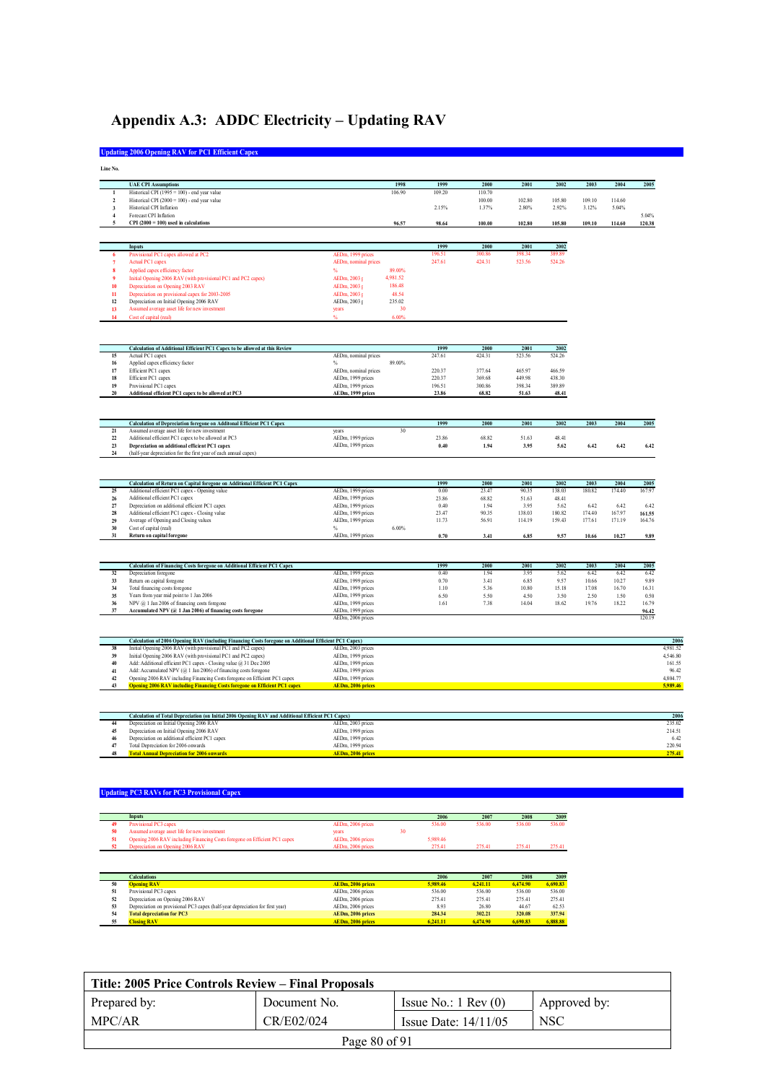# Appendix A.3: ADDC Electricity – Updating RAV

#### **Updating 2006 Opening RAV for PC1 Efficient Capex**

|                     | <b>UAE CPI Assumptions</b>                                                                                                                                              |                                        | 1998            | 1999            | 2000            | 2001            | 2002            | 2003           | 2004           | 2005            |
|---------------------|-------------------------------------------------------------------------------------------------------------------------------------------------------------------------|----------------------------------------|-----------------|-----------------|-----------------|-----------------|-----------------|----------------|----------------|-----------------|
| $\mathbf{1}$        | Historical CPI (1995 = 100) - end year value                                                                                                                            |                                        | 106.90          | 109.20          | 110.70          |                 |                 |                |                |                 |
| $\overline{2}$      | Historical CPI (2000 = 100) - end year value                                                                                                                            |                                        |                 |                 | 100.00          | 102.80          | 105.80          | 109.10         | 114.60         |                 |
| $\mathbf{3}$        | Historical CPI Inflation                                                                                                                                                |                                        |                 | 2.15%           | 1.37%           | 2.80%           | 2.92%           | 3.12%          | 5.04%          |                 |
| $\overline{4}$<br>5 | Forecast CPI Inflation<br>CPI (2000 = $100$ ) used in calculations                                                                                                      |                                        | 96.57           | 98.64           | 100.00          | 102.80          | 105.80          | 109.10         | 114.60         | 5.04%<br>120.38 |
|                     |                                                                                                                                                                         |                                        |                 |                 |                 |                 |                 |                |                |                 |
|                     | Inputs                                                                                                                                                                  |                                        |                 | 1999            | 2000            | 2001            | 2002            |                |                |                 |
| 6                   | Provisional PC1 capex allowed at PC2                                                                                                                                    | AEDm, 1999 prices                      |                 | 196.51          | 300.86          | 398.34          | 389.89          |                |                |                 |
| 7                   | <b>Actual PC1 capex</b>                                                                                                                                                 | AEDm, nominal prices                   |                 | 247.61          | 424.31          | 523.56          | 524.26          |                |                |                 |
| 8                   | Applied capex efficiency factor                                                                                                                                         | %                                      | 89.00%          |                 |                 |                 |                 |                |                |                 |
| 9                   | Initial Opening 2006 RAV (with provisional PC1 and PC2 capex)                                                                                                           | AEDm, 2003 p                           | 4,981.52        |                 |                 |                 |                 |                |                |                 |
| 10                  | Depreciation on Opening 2003 RAV                                                                                                                                        | AEDm, 2003 p                           | 186.48          |                 |                 |                 |                 |                |                |                 |
| $\mathbf{11}$<br>12 | Depreciation on provisional capex for 2003-2005<br>Depreciation on Initial Opening 2006 RAV                                                                             | AEDm, 2003 p<br>AEDm, 2003 p           | 48.54<br>235.02 |                 |                 |                 |                 |                |                |                 |
| 13                  | Assumed average asset life for new investment                                                                                                                           | years                                  | 30              |                 |                 |                 |                 |                |                |                 |
| 14                  | Cost of capital (real)                                                                                                                                                  | 6/                                     | 6.00%           |                 |                 |                 |                 |                |                |                 |
|                     |                                                                                                                                                                         |                                        |                 |                 |                 |                 |                 |                |                |                 |
|                     | Calculation of Additional Efficient PC1 Capex to be allowed at this Review                                                                                              |                                        |                 | 1999            | 2000            | 2001            | 2002            |                |                |                 |
| 15                  | Actual PC1 capex                                                                                                                                                        | AEDm, nominal prices                   |                 | 24761           | 424 31          | 523.56          | 524.26          |                |                |                 |
| 16                  | Applied capex efficiency factor                                                                                                                                         | %                                      | 89.00%          |                 |                 |                 |                 |                |                |                 |
| 17                  | Efficient PC1 capex                                                                                                                                                     | AEDm, nominal prices                   |                 | 220.37          | 377.64          | 465.97          | 466.59          |                |                |                 |
| 18                  | Efficient PC1 capex                                                                                                                                                     | AEDm, 1999 prices                      |                 | 22037           | 369.68          | 449 98          | 438.30          |                |                |                 |
| 19<br>20            | Provisional PC1 capex<br>Additional efficient PC1 capex to be allowed at PC3                                                                                            | AEDm, 1999 prices<br>AEDm, 1999 prices |                 | 196.51<br>23.86 | 300.86<br>68.82 | 398.34<br>51.63 | 389.89<br>48.41 |                |                |                 |
|                     |                                                                                                                                                                         |                                        |                 |                 |                 |                 |                 |                |                |                 |
|                     |                                                                                                                                                                         |                                        |                 |                 |                 |                 |                 |                |                |                 |
| 21                  | Calculation of Depreciation foregone on Additonal Efficient PC1 Capex                                                                                                   |                                        | 30              | 1999            | 2000            | 2001            | 2002            | 2003           | 2004           | 2005            |
| $22\,$              | Assumed average asset life for new investment<br>Additional efficient PC1 capex to be allowed at PC3                                                                    | years<br>AEDm. 1999 prices             |                 | 23.86           | 68.82           | 51.63           | 48.41           |                |                |                 |
| 23                  | Depreciation on additional efficient PC1 capex                                                                                                                          | AEDm, 1999 prices                      |                 | 0.40            | 1.94            | 3.95            | 5.62            | 6.42           | 6.42           | 6.42            |
| $^{24}$             | (half-year depreciation for the first year of each annual capex)                                                                                                        |                                        |                 |                 |                 |                 |                 |                |                |                 |
|                     |                                                                                                                                                                         |                                        |                 |                 |                 |                 |                 |                |                |                 |
|                     | Calculation of Return on Capital foregone on Additional Efficient PC1 Capex                                                                                             |                                        |                 | 1999            | 2000            | 2001            | 2002            | 2003           | 2004           | 2005            |
| 25                  | Additional efficient PC1 capex - Opening value                                                                                                                          | AEDm, 1999 prices                      |                 | 0.00            | 23.47           | 90.35           | 138.03          | 180.82         | 174.40         | 167.97          |
| 26<br>$27\,$        | Additional efficient PC1 capex<br>Depreciation on additional efficient PC1 capex                                                                                        | AEDm, 1999 prices<br>AEDm, 1999 prices |                 | 23.86<br>0.40   | 68.82           | 51.63           | 48.41           |                |                |                 |
| 28                  | Additional efficient PC1 capex - Closing value                                                                                                                          | AEDm, 1999 prices                      |                 | 23.47           | 1.94<br>90.35   | 3.95<br>138.03  | 5.62<br>180.82  | 6.42<br>174.40 | 6.42<br>167.97 | 6.42<br>161.55  |
| 29                  | Average of Opening and Closing values                                                                                                                                   | AEDm, 1999 prices                      |                 | 11.73           | 56.91           | 114.19          | 159.43          | 177.61         | 171.19         | 164.76          |
| 30                  | Cost of capital (real)                                                                                                                                                  |                                        | 6.00%           |                 |                 |                 |                 |                |                |                 |
| 31                  |                                                                                                                                                                         | %                                      |                 |                 |                 |                 | 9.57            | 10.66          | 10.27          | 9.89            |
|                     | Return on capital foregone                                                                                                                                              | AEDm, 1999 prices                      |                 | 0.70            | 3.41            | 6.85            |                 |                |                |                 |
|                     |                                                                                                                                                                         |                                        |                 |                 |                 |                 |                 |                |                |                 |
|                     | Calculation of Financing Costs foregone on Additional Efficient PC1 Capex                                                                                               |                                        |                 | 1999            | 2000            | 2001            | 2002            | 2003           | 2004           | 2005            |
| 32                  | Depreciation foregone                                                                                                                                                   | AEDm, 1999 prices                      |                 | 0.40            | 1.94            | 3.95            | 5.62            | 6.42           | 6.42           | 6.42            |
| 33                  | Return on capital foregone                                                                                                                                              | AEDm, 1999 prices                      |                 | 0.70            | 341             | 685             | 9.57            | 10.66          | 1027           | 989             |
| 34<br>35            | Total financing costs foregone                                                                                                                                          | AEDm, 1999 prices<br>AEDm, 1999 prices |                 | 1.10<br>6.50    | 5.36<br>5.50    | 10.80<br>4.50   | 15.18<br>3.50   | 17.08<br>2.50  | 16.70<br>1.50  | 16.31<br>0.50   |
| 36                  | Years from year mid point to 1 Jan 2006<br>NPV @ 1 Jan 2006 of financing costs foregone                                                                                 | AEDm, 1999 prices                      |                 | 1.61            | 7.38            | 14.04           | 18.62           | 19.76          | 18.22          | 16.79           |
| 37                  | Accumulated NPV (@ 1 Jan 2006) of financing costs foregone                                                                                                              | AEDm, 1999 prices                      |                 |                 |                 |                 |                 |                |                | 96.42           |
|                     |                                                                                                                                                                         | AEDm, 2006 prices                      |                 |                 |                 |                 |                 |                |                | 12019           |
|                     |                                                                                                                                                                         |                                        |                 |                 |                 |                 |                 |                |                |                 |
| 38                  | Calculation of 2006 Opening RAV (including Financing Costs foregone on Additional Efficient PC1 Capex)<br>Initial Opening 2006 RAV (with provisional PC1 and PC2 capex) | AEDm, 2003 prices                      |                 |                 |                 |                 |                 |                |                |                 |
| 39                  | Initial Opening 2006 RAV (with provisional PC1 and PC2 capex)                                                                                                           | AEDm, 1999 prices                      |                 |                 |                 |                 |                 |                |                |                 |
| 40                  | Add: Additional efficient PC1 capex - Closing value @ 31 Dec 2005                                                                                                       | AEDm, 1999 prices                      |                 |                 |                 |                 |                 |                |                |                 |
| 41                  | Add: Accumulated NPV (@ 1 Jan 2006) of financing costs foregone                                                                                                         | AEDm, 1999 prices                      |                 |                 |                 |                 |                 |                |                |                 |
| 42<br>43            | Opening 2006 RAV including Financing Costs foregone on Efficient PC1 capex                                                                                              | AEDm, 1999 prices                      |                 |                 |                 |                 |                 |                |                | 4,804.77        |
|                     | <b>Opening 2006 RAV including Financing Costs foregone on Efficient PC1 capex</b>                                                                                       | AEDm, 2006 prices                      |                 |                 |                 |                 |                 |                |                |                 |
|                     |                                                                                                                                                                         |                                        |                 |                 |                 |                 |                 |                |                |                 |
|                     | Calculation of Total Depreciation (on Initial 2006 Opening RAV and Additional Efficient PC1 Capex)                                                                      |                                        |                 |                 |                 |                 |                 |                |                |                 |
| 44<br>45            | Depreciation on Initial Opening 2006 RAV<br>Depreciation on Initial Opening 2006 RAV                                                                                    | AEDm, 2003 prices<br>AEDm, 1999 prices |                 |                 |                 |                 |                 |                |                |                 |
| 46                  | Depreciation on additional efficient PC1 capex                                                                                                                          | AEDm, 1999 prices                      |                 |                 |                 |                 |                 |                |                |                 |
| 47<br>48            | Total Depreciation for 2006 onwards<br><b>Total Annual Depreciation for 2006 onwards</b>                                                                                | AEDm, 1999 prices<br>AEDm, 2006 prices |                 |                 |                 |                 |                 |                |                |                 |

### **Inputs 2006 2007 2008 2009 49** Provisional PC3 capex AEDm, 2006 prices 536.00 536.00 536.00 536.00 **50 50** Assumed average asset life for new investment years 30<br> **50** Assumed average asset life for new investment years years 30 **Updating PC3 RAVs for PC3 Provisional Capex**

| 51 Opening 2006 RAV including Financing Costs foregone on Efficient PC1 capex | AEDm, 2006 prices            | 5.989.46 |        |        |              |
|-------------------------------------------------------------------------------|------------------------------|----------|--------|--------|--------------|
| <b>Example 1</b> Depreciation on Opening 2006 RAV                             | AED <sub>m</sub> 2006 prices |          | 275.AT | 275.41 | <b>75.41</b> |
|                                                                               |                              |          |        |        |              |

|    | <b>Calculations</b>                                                           |                   | 2006     | 2007     | 2008     | 2009     |
|----|-------------------------------------------------------------------------------|-------------------|----------|----------|----------|----------|
| 50 | <b>Opening RAV</b>                                                            | AEDm, 2006 prices | 5.989.46 | 6,241.11 | 6,474.90 | 6,690.83 |
| 51 | Provisional PC3 capex                                                         | AEDm, 2006 prices | 536.00   | 536.00   | 536.00   | 536.00   |
| 52 | Depreciation on Opening 2006 RAV                                              | AEDm, 2006 prices | 275.41   | 275.41   | 275.41   | 275.41   |
| 53 | Depreciation on provisional PC3 capex (half-year depreciation for first year) | AEDm, 2006 prices | 8.93     | 26.80    | 44.67    | 62.53    |
| 54 | <b>Total depreciation for PC3</b>                                             | AEDm, 2006 prices | 284.34   | 302.21   | 320.08   | 337.94   |
| 55 | <b>Closing RAV</b>                                                            | AEDm, 2006 prices | 6.241.11 | 6,474.90 | 6,690.83 | 6,888.88 |
|    |                                                                               |                   |          |          |          |          |

| Title: 2005 Price Controls Review – Final Proposals |              |                               |              |  |  |  |  |  |  |
|-----------------------------------------------------|--------------|-------------------------------|--------------|--|--|--|--|--|--|
| Prepared by:                                        | Document No. | Issue No.: $1 \text{ Rev}(0)$ | Approved by: |  |  |  |  |  |  |
| MPC/AR                                              | CR/E02/024   | Issue Date: $14/11/05$        | <b>NSC</b>   |  |  |  |  |  |  |
| Page $80$ of $91$                                   |              |                               |              |  |  |  |  |  |  |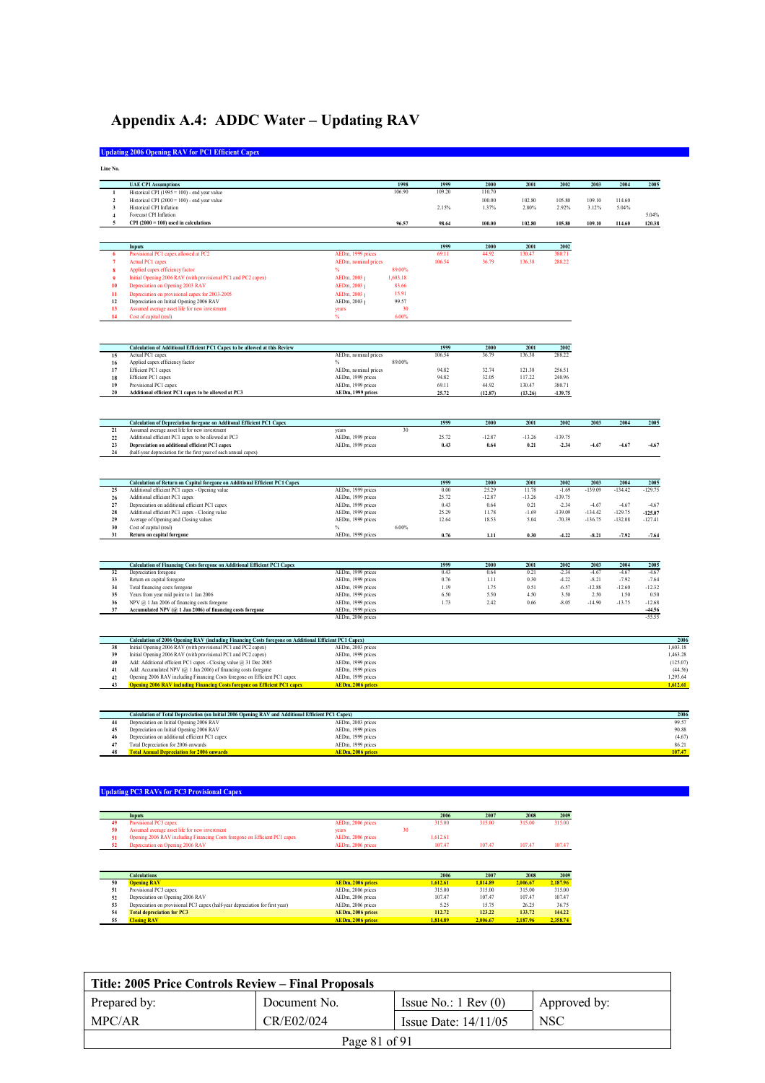# Appendix A.4: ADDC Water - Updating RAV

#### **Updating 2006 Opening RAV for PC1 Efficient Capex**

| Line No.            |                                                                                                                                                                         |                                        |                   |                |                  |                  |                      |                   |                   |                   |                      |
|---------------------|-------------------------------------------------------------------------------------------------------------------------------------------------------------------------|----------------------------------------|-------------------|----------------|------------------|------------------|----------------------|-------------------|-------------------|-------------------|----------------------|
|                     | <b>UAE CPI Assumptions</b>                                                                                                                                              |                                        | 1998              | 1999           | 2000             | 2001             | 2002                 | 2003              | 2004              | 2005              |                      |
| 1                   | Historical CPI (1995 = 100) - end year value                                                                                                                            |                                        | 106.90            | 109.20         | 110.70           |                  |                      |                   |                   |                   |                      |
| $\boldsymbol{2}$    | Historical CPI (2000 = 100) - end year value                                                                                                                            |                                        |                   |                | 100.00           | 102.80           | 105.80               | 109.10            | 114.60            |                   |                      |
| 3<br>$\overline{4}$ | Historical CPI Inflation<br>Forecast CPI Inflation                                                                                                                      |                                        |                   | 2.15%          | 1.37%            | 2.80%            | 2.92%                | 3.12%             | 5.04%             | 5.04%             |                      |
|                     | CPI $(2000 = 100)$ used in calculations                                                                                                                                 |                                        | 96.57             | 98.64          | 100.00           | 102.80           | 105.80               | 109.10            | 114.60            | 120.38            |                      |
|                     |                                                                                                                                                                         |                                        |                   |                |                  |                  |                      |                   |                   |                   |                      |
|                     | <b>Inputs</b>                                                                                                                                                           |                                        |                   | 1999           | 2000             | 2001             | 2002                 |                   |                   |                   |                      |
|                     | Provisional PC1 capex allowed at PC2                                                                                                                                    | AEDm, 1999 prices                      |                   | 69.11          | 44.92            | 130.47           | 380.71               |                   |                   |                   |                      |
|                     | <b>Actual PC1</b> capex                                                                                                                                                 | AEDm, nominal prices                   |                   | 106.54         | 36.79            | 136.38           | 288.22               |                   |                   |                   |                      |
|                     | Applied capex efficiency factor                                                                                                                                         | %                                      | 89.00%            |                |                  |                  |                      |                   |                   |                   |                      |
| 10                  | Initial Opening 2006 RAV (with provisional PC1 and PC2 capex)<br>Depreciation on Opening 2003 RAV                                                                       | AEDm, 2003 t<br>AEDm, 2003 p           | 1.603.18<br>83.66 |                |                  |                  |                      |                   |                   |                   |                      |
| 11                  | Depreciation on provisional capex for 2003-2005                                                                                                                         | AEDm, 2003                             | 15.91             |                |                  |                  |                      |                   |                   |                   |                      |
| 12                  | Depreciation on Initial Opening 2006 RAV                                                                                                                                | AEDm, 2003 p                           | 99.57             |                |                  |                  |                      |                   |                   |                   |                      |
| 13<br>14            | Assumed average asset life for new investment                                                                                                                           | years                                  | 30<br>6.00%       |                |                  |                  |                      |                   |                   |                   |                      |
|                     | Cost of capital (real)                                                                                                                                                  |                                        |                   |                |                  |                  |                      |                   |                   |                   |                      |
|                     |                                                                                                                                                                         |                                        |                   |                |                  |                  |                      |                   |                   |                   |                      |
|                     | Calculation of Additional Efficient PC1 Capex to be allowed at this Review                                                                                              |                                        |                   | 1999           | 2000             | 2001             | 2002                 |                   |                   |                   |                      |
| 15                  | Actual PC1 capex                                                                                                                                                        | AEDm, nominal prices                   | 89.00%            | 106.54         | 36.79            | 136.38           | 288.22               |                   |                   |                   |                      |
| 16<br>17            | Applied capex efficiency factor<br>Efficient PC1 capex                                                                                                                  | $\%$<br>AEDm, nominal prices           |                   | 94.82          | 32.74            | 121.38           | 256.51               |                   |                   |                   |                      |
| 18                  | Efficient PC1 capex                                                                                                                                                     | AEDm, 1999 prices                      |                   | 94.82          | 32.05            | 117.22           | 240.96               |                   |                   |                   |                      |
| 19                  | Provisional PC1 capex                                                                                                                                                   | AEDm, 1999 prices                      |                   | 69.11          | 44.92            | 130.47           | 380.71               |                   |                   |                   |                      |
| 20                  | Additional efficient PC1 capex to be allowed at PC3                                                                                                                     | AEDm, 1999 prices                      |                   | 25.72          | (12.87)          | (13.26)          | $-139.75$            |                   |                   |                   |                      |
|                     |                                                                                                                                                                         |                                        |                   |                |                  |                  |                      |                   |                   |                   |                      |
|                     | Calculation of Depreciation foregone on Additonal Efficient PC1 Capex                                                                                                   |                                        |                   | 1999           | 2000             | 2001             | 2002                 | 2003              | 2004              | 2005              |                      |
| 21                  | Assumed average asset life for new investment                                                                                                                           | vears                                  | 30                |                |                  |                  |                      |                   |                   |                   |                      |
| 22<br>$\bf 23$      | Additional efficient PC1 capex to be allowed at PC3<br>Depreciation on additional efficient PC1 capex                                                                   | AEDm, 1999 prices<br>AEDm, 1999 prices |                   | 25.72<br>0.43  | $-12.87$<br>0.64 | $-13.26$<br>0.21 | $-139.75$<br>$-2.34$ | $-4.67$           | $-4.67$           | $-4.67$           |                      |
| 24                  | (half-year depreciation for the first year of each annual capex)                                                                                                        |                                        |                   |                |                  |                  |                      |                   |                   |                   |                      |
|                     |                                                                                                                                                                         |                                        |                   |                |                  |                  |                      |                   |                   |                   |                      |
|                     |                                                                                                                                                                         |                                        |                   |                |                  |                  |                      |                   |                   |                   |                      |
| 25                  | Calculation of Return on Capital foregone on Additional Efficient PC1 Capex<br>Additional efficient PC1 capex - Opening value                                           | AEDm, 1999 prices                      |                   | 1999<br>0.00   | 2000<br>25.29    | 2001<br>11.78    | 2002<br>$-1.69$      | 2003<br>$-139.09$ | 2004<br>$-134.42$ | 2005<br>$-129.75$ |                      |
| 26                  | Additional efficient PC1 capex                                                                                                                                          | AEDm, 1999 prices                      |                   | 25.72          | $-12.87$         | $-13.26$         | $-139.75$            |                   |                   |                   |                      |
| 27                  | Depreciation on additional efficient PC1 capex                                                                                                                          | AEDm, 1999 prices                      |                   | 0.43           | 0.64             | 0.21             | $-2.34$              | $-4.67$           | $-4.67$           | $-4.67$           |                      |
| 28<br>29            | Additional efficient PC1 capex - Closing value                                                                                                                          | AEDm, 1999 prices                      |                   | 25.29          | 11.78            | $-1.69$          | $-139.09$            | $-134.42$         | $-129.75$         | $-125.07$         |                      |
| 30                  | Average of Opening and Closing values<br>Cost of capital (real)                                                                                                         | AEDm, 1999 prices                      | 6.00%             | 12.64          | 18.53            | 5.04             | $-70.39$             | $-136.75$         | $-132.08$         | $-127.41$         |                      |
| 31                  | Return on capital foregone                                                                                                                                              | AEDm, 1999 prices                      |                   | 0.76           | 1.11             | 0.30             | $-4.22$              | $-8.21$           | $-7.92$           | $-7.64$           |                      |
|                     |                                                                                                                                                                         |                                        |                   |                |                  |                  |                      |                   |                   |                   |                      |
|                     |                                                                                                                                                                         |                                        |                   | 1999           | 2000             | 2001             | 2002                 | 2003              | 2004              |                   |                      |
| 32                  | Calculation of Financing Costs foregone on Additional Efficient PC1 Capex<br>Depreciation foregone                                                                      | AEDm, 1999 prices                      |                   | 0.43           | 0.64             | 0.21             | $-2.34$              | $-4.67$           | $-4.67$           | 2005<br>$-4.67$   |                      |
| $33\,$              | Return on capital foregone                                                                                                                                              | AEDm, 1999 prices                      |                   | 0.76           | 1.11             | 0.30             | $-4.22$              | $-8.21$           | $-7.92$           | $-7.64$           |                      |
| 34                  | Total financing costs foregone                                                                                                                                          | AEDm, 1999 prices                      |                   | 1.19           | 1.75             | 0.51             | $-6.57$              | $-12.88$          | $-12.60$          | $-12.32$          |                      |
| 35<br>36            | Years from year mid point to 1 Jan 2006<br>NPV @ 1 Jan 2006 of financing costs foregone                                                                                 | AEDm, 1999 prices<br>AEDm, 1999 prices |                   | 6.50<br>1.73   | 5.50<br>2.42     | 4.50<br>0.66     | 3.50<br>$-8.05$      | 2.50<br>$-14.90$  | 1.50<br>$-13.75$  | 0.50<br>$-12.68$  |                      |
| 37                  | Accumulated NPV (@ 1 Jan 2006) of financing costs foregone                                                                                                              | AEDm, 1999 prices                      |                   |                |                  |                  |                      |                   |                   | $-44.56$          |                      |
|                     |                                                                                                                                                                         | AEDm, 2006 prices                      |                   |                |                  |                  |                      |                   |                   | $-55.55$          |                      |
|                     |                                                                                                                                                                         |                                        |                   |                |                  |                  |                      |                   |                   |                   |                      |
| 38                  | Calculation of 2006 Opening RAV (including Financing Costs foregone on Additional Efficient PC1 Capex)<br>Initial Opening 2006 RAV (with provisional PC1 and PC2 capex) | AEDm, 2003 prices                      |                   |                |                  |                  |                      |                   |                   |                   | 2006<br>1,603.18     |
| 39                  | Initial Opening 2006 RAV (with provisional PC1 and PC2 capex)                                                                                                           | AEDm, 1999 prices                      |                   |                |                  |                  |                      |                   |                   |                   | 1.463.28             |
| $40\,$              | Add: Additional efficient PC1 capex - Closing value @ 31 Dec 2005                                                                                                       | AEDm, 1999 prices                      |                   |                |                  |                  |                      |                   |                   |                   | (125.07)             |
| 41                  | Add: Accumulated NPV (@ 1 Jan 2006) of financing costs foregone                                                                                                         | AEDm, 1999 prices                      |                   |                |                  |                  |                      |                   |                   |                   | (44.56)              |
| 42<br>43            | Opening 2006 RAV including Financing Costs foregone on Efficient PC1 capex<br><b>Opening 2006 RAV including Financing Costs foregone on Efficient PC1 cap</b>           | AEDm, 1999 prices<br>AEDm, 2006 price  |                   |                |                  |                  |                      |                   |                   |                   | 1.293.64<br>1,612.61 |
|                     |                                                                                                                                                                         |                                        |                   |                |                  |                  |                      |                   |                   |                   |                      |
|                     |                                                                                                                                                                         |                                        |                   |                |                  |                  |                      |                   |                   |                   |                      |
| 44                  | Calculation of Total Depreciation (on Initial 2006 Opening RAV and Additional Efficient PC1 Capex)<br>Depreciation on Initial Opening 2006 RAV                          | AEDm, 2003 prices                      |                   |                |                  |                  |                      |                   |                   |                   | 2006<br>99.57        |
| 45                  | Depreciation on Initial Opening 2006 RAV                                                                                                                                | AEDm, 1999 prices                      |                   |                |                  |                  |                      |                   |                   |                   | 90.88                |
| 46                  | Depreciation on additional efficient PC1 capex                                                                                                                          | AEDm, 1999 prices                      |                   |                |                  |                  |                      |                   |                   |                   | (4.67)               |
| 47<br>48            | Total Depreciation for 2006 onwards<br><b>Total Annual Depreciation for 2006 onwards</b>                                                                                | AEDm, 1999 prices<br>AEDm, 2006 prices |                   |                |                  |                  |                      |                   |                   |                   | 86.21<br>107.47      |
|                     |                                                                                                                                                                         |                                        |                   |                |                  |                  |                      |                   |                   |                   |                      |
|                     |                                                                                                                                                                         |                                        |                   |                |                  |                  |                      |                   |                   |                   |                      |
|                     |                                                                                                                                                                         |                                        |                   |                |                  |                  |                      |                   |                   |                   |                      |
|                     | <b>Updating PC3 RAVs for PC3 Provisional Capex</b>                                                                                                                      |                                        |                   |                |                  |                  |                      |                   |                   |                   |                      |
|                     |                                                                                                                                                                         |                                        |                   |                |                  |                  |                      |                   |                   |                   |                      |
| 49                  | <b>Inputs</b><br>Provisional PC3 capex                                                                                                                                  | AEDm, 2006 prices                      |                   | 2006<br>315.00 | 2007<br>315.00   | 2008<br>315.00   | 2009<br>315.00       |                   |                   |                   |                      |
| 50                  | asset life for new investm                                                                                                                                              |                                        | 30                |                |                  |                  |                      |                   |                   |                   |                      |

|  | Opening 2006 RAV including Financing Costs foregone on Efficient PC1 capex | AEDm, 2006 prices | 1.612.61 |       |        |        |
|--|----------------------------------------------------------------------------|-------------------|----------|-------|--------|--------|
|  | Depreciation on Opening 2006 RAV                                           | AEDm. 2006 prices | 10747    | 10747 | 107.47 | 107.47 |
|  |                                                                            |                   |          |       |        |        |
|  |                                                                            |                   |          |       |        |        |
|  |                                                                            |                   |          |       |        |        |
|  |                                                                            |                   |          |       |        |        |

|    | <b>Calculations</b>                                                           |                          | 2006     | 2007     | 2008     | 2009     |
|----|-------------------------------------------------------------------------------|--------------------------|----------|----------|----------|----------|
| 50 | <b>Opening RAV</b>                                                            | AEDm, 2006 prices        | 1,612.61 | 1.814.89 | 2,006.67 | 2.187.96 |
| 51 | Provisional PC3 capex                                                         | AEDm, 2006 prices        | 315.00   | 315.00   | 315.00   | 315.00   |
| 52 | Depreciation on Opening 2006 RAV                                              | AEDm, 2006 prices        | 107.47   | 107.47   | 107.47   | 107.47   |
| 53 | Depreciation on provisional PC3 capex (half-year depreciation for first year) | AEDm, 2006 prices        | 5.25     | 15.75    | 26.25    | 36.75    |
| 54 | <b>Total depreciation for PC3</b>                                             | AEDm. 2006 prices        | 112.72   | 123.22   | 133.72   | 144.22   |
| 55 | <b>Closing RAV</b>                                                            | <b>AEDm. 2006 prices</b> | 1.814.89 | 2,006.67 | 2.187.96 | 2,358.74 |

| Title: 2005 Price Controls Review – Final Proposals |               |                               |              |  |  |  |  |  |  |
|-----------------------------------------------------|---------------|-------------------------------|--------------|--|--|--|--|--|--|
| Prepared by:                                        | Document No.  | Issue No.: $1 \text{ Rev}(0)$ | Approved by: |  |  |  |  |  |  |
| MPC/AR                                              | CR/E02/024    | Issue Date: $14/11/05$        | <b>NSC</b>   |  |  |  |  |  |  |
|                                                     | Page 81 of 91 |                               |              |  |  |  |  |  |  |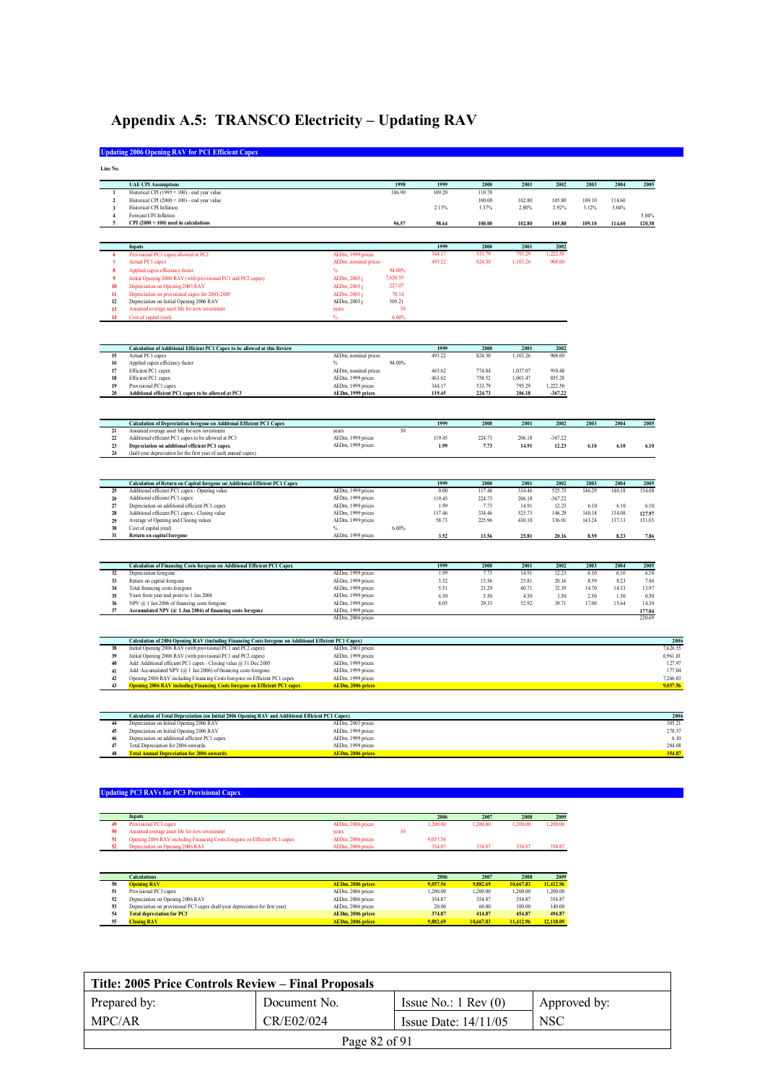# Appendix A.5: TRANSCO Electricity - Updating RAV

### **Updating 2006 Opening RAV for PC1 Efficient Capex**

| Line No.                     |                                                                                                                                                                 |                                             |        |        |          |           |        |        |                  |                    |
|------------------------------|-----------------------------------------------------------------------------------------------------------------------------------------------------------------|---------------------------------------------|--------|--------|----------|-----------|--------|--------|------------------|--------------------|
|                              | <b>UAE CPI Assumptions</b>                                                                                                                                      | 1998                                        | 1999   | 2000   | 2001     | 2002      | 2003   | 2004   | 2005             |                    |
| $\mathbf{1}$                 | Historical CPI (1995 = 100) - end year value                                                                                                                    | 106.90                                      | 109.20 | 110.70 |          |           |        |        |                  |                    |
| $\mathbf 2$                  | Historical CPI (2000 = 100) - end year value                                                                                                                    |                                             |        | 100.00 | 102.80   | 105.80    | 109.10 | 114.60 |                  |                    |
| $\mathbf{3}$                 | Historical CPI Inflation                                                                                                                                        |                                             | 2.15%  | 1.37%  | 2.80%    | 2.92%     | 3.12%  | 5.04%  |                  |                    |
| $\overline{\mathbf{4}}$<br>5 | Forecast CPI Inflation                                                                                                                                          |                                             |        |        |          |           |        |        | 5.04%            |                    |
|                              | CPI $(2000 = 100)$ used in calculations                                                                                                                         | 96.57                                       | 98.64  | 100.00 | 102.80   | 105.80    | 109.10 | 114.60 | 120.38           |                    |
|                              | Inputs                                                                                                                                                          |                                             | 1999   | 2000   | 2001     | 2002      |        |        |                  |                    |
| 6                            | Provisional PC1 capex allowed at PC2                                                                                                                            | AEDm, 1999 prices                           | 344.17 | 533.79 | 795.29   | 1.222.50  |        |        |                  |                    |
| 7                            | <b>Actual PC1 capex</b>                                                                                                                                         | AEDm, nominal prices                        | 493.22 | 824.30 | 1,103.26 | 968.60    |        |        |                  |                    |
| 8                            | Applied capex efficiency factor                                                                                                                                 | 94.00%<br>%                                 |        |        |          |           |        |        |                  |                    |
| 9                            | Initial Opening 2006 RAV (with provisional PC1 and PC2 capex)                                                                                                   | AEDm, 2003 p<br>7,626.55                    |        |        |          |           |        |        |                  |                    |
| 10                           | Depreciation on Opening 2003 RAV                                                                                                                                | 227.07<br>AEDm, 2003 p                      |        |        |          |           |        |        |                  |                    |
| $_{11}$                      | Depreciation on provisional capex for 2003-2005                                                                                                                 | AEDm, 2003 p<br>78.14                       |        |        |          |           |        |        |                  |                    |
| 12                           | Depreciation on Initial Opening 2006 RAV                                                                                                                        | 305.21<br>AEDm, 2003 p                      |        |        |          |           |        |        |                  |                    |
| 13                           | Assumed average asset life for new investment                                                                                                                   | 30<br>years                                 |        |        |          |           |        |        |                  |                    |
| 14                           | Cost of capital (real)                                                                                                                                          | 6.00%                                       |        |        |          |           |        |        |                  |                    |
|                              |                                                                                                                                                                 |                                             |        |        |          |           |        |        |                  |                    |
|                              | Calculation of Additional Efficient PC1 Capex to be allowed at this Review                                                                                      |                                             | 1999   | 2000   | 2001     | 2002      |        |        |                  |                    |
| 15                           | Actual PC1 capex                                                                                                                                                | AEDm, nominal prices                        | 493.22 | 824.30 | 1,103.26 | 968.60    |        |        |                  |                    |
| 16<br>17                     | Applied capex efficiency factor<br>Efficient PC1 capex                                                                                                          | 94.00%<br>%<br>AEDm, nominal prices         | 463.62 | 774.84 | 1,037.07 | 910.48    |        |        |                  |                    |
| 18                           | Efficient PC1 capex                                                                                                                                             | AEDm, 1999 prices                           | 463.62 | 758.52 | 1.001.47 | 855.28    |        |        |                  |                    |
| 19                           | Provisional PC1 capex                                                                                                                                           | AEDm, 1999 prices                           | 344.17 | 533.79 | 795.29   | 1,222.50  |        |        |                  |                    |
| 20                           | Additional efficient PC1 capex to be allowed at PC3                                                                                                             | AEDm, 1999 prices                           | 119.45 | 224.73 | 206.18   | $-367.22$ |        |        |                  |                    |
|                              |                                                                                                                                                                 |                                             |        |        |          |           |        |        |                  |                    |
|                              |                                                                                                                                                                 |                                             |        |        |          |           |        |        |                  |                    |
| 21                           | Calculation of Depreciation foregone on Additonal Efficient PC1 Capex<br>Assumed average asset life for new investment                                          | 30<br>years                                 | 1999   | 2000   | 2001     | 2002      | 2003   | 2004   | 2005             |                    |
| $22\,$                       | Additional efficient PC1 capex to be allowed at PC3                                                                                                             | AEDm, 1999 prices                           | 119.45 | 224.73 | 206.18   | $-367.22$ |        |        |                  |                    |
| 23                           | Depreciation on additional efficient PC1 capex                                                                                                                  | AEDm, 1999 prices                           | 1.99   | 7.73   | 14.91    | 12.23     | 6.10   | 6.10   | 6.10             |                    |
| $\bf{24}$                    | (half-year depreciation for the first year of each annual capex)                                                                                                |                                             |        |        |          |           |        |        |                  |                    |
|                              |                                                                                                                                                                 |                                             |        |        |          |           |        |        |                  |                    |
|                              |                                                                                                                                                                 |                                             |        |        |          |           |        |        |                  |                    |
|                              | Calculation of Return on Capital foregone on Additional Efficient PC1 Capex                                                                                     |                                             | 1999   | 2000   | 2001     | 2002      | 2003   | 2004   | 2005             |                    |
| 25                           | Additional efficient PC1 capex - Opening value                                                                                                                  | AEDm, 1999 prices                           | 0.00   | 117.46 | 33446    | 525.73    | 146.29 | 140.18 | 134.08           |                    |
| $26\,$                       | Additional efficient PC1 capex                                                                                                                                  | AEDm, 1999 prices                           | 119.45 | 224.73 | 206.18   | $-367.22$ |        |        |                  |                    |
| $27\,$                       | Depreciation on additional efficient PC1 capex                                                                                                                  | AEDm, 1999 prices                           | 1.99   | 7.73   | 14.91    | 12.23     | 6.10   | 6.10   | 6.10             |                    |
| 28<br>29                     | Additional efficient PC1 capex - Closing value                                                                                                                  | AEDm, 1999 prices                           | 117.46 | 334.46 | 525.73   | 146.29    | 140.18 | 134.08 | 127.97           |                    |
| 30                           | Average of Opening and Closing values<br>Cost of capital (real)                                                                                                 | AEDm, 1999 prices<br>6.00%<br>$\frac{0}{2}$ | 58.73  | 225.96 | 430.10   | 336.01    | 143.24 | 137.13 | 131.03           |                    |
| 31                           | Return on capital foregone                                                                                                                                      | AEDm, 1999 prices                           | 3.52   | 13.56  | 25.81    | 20.16     | 8.59   | 8.23   | 7.86             |                    |
|                              |                                                                                                                                                                 |                                             |        |        |          |           |        |        |                  |                    |
|                              | Calculation of Financing Costs foregone on Additional Efficient PCI Capex                                                                                       |                                             | 1999   | 2000   | 2001     | 2002      | 2003   | 2004   | 2005             |                    |
| 32                           | Depreciation foregone                                                                                                                                           | AEDm, 1999 prices                           | 1.99   | 7.73   | 14.91    | 12.23     | 6.10   | 6.10   | 6.10             |                    |
| 33                           | Return on capital foregone                                                                                                                                      | AEDm, 1999 prices                           | 3.52   | 13.56  | 25.81    | 20.16     | 859    | 8.23   | 786              |                    |
| 34                           | Total financing costs foregone                                                                                                                                  | AEDm, 1999 prices                           | 5.51   | 21.29  | 40.71    | 32.39     | 14.70  | 14.33  | 13.97            |                    |
| 35                           | Years from year mid point to 1 Jan 2006                                                                                                                         | AEDm, 1999 prices                           | 6.50   | 5.50   | 4.50     | 3.50      | 2.50   | 1.50   | 0.50             |                    |
| 36<br>37                     | NPV @ 1 Jan 2006 of financing costs foregone                                                                                                                    | AEDm, 1999 prices                           | 8.05   | 29.33  | 52.92    | 39.71     | 17.00  | 15.64  | 14.38            |                    |
|                              | Accumulated NPV (@ 1 Jan 2006) of financing costs foregone                                                                                                      | AEDm, 1999 prices<br>AEDm, 2006 prices      |        |        |          |           |        |        | 177.04<br>220.69 |                    |
|                              |                                                                                                                                                                 |                                             |        |        |          |           |        |        |                  |                    |
|                              | Calculation of 2006 Opening RAV (including Financing Costs foregone on Additional Efficient PC1 Capex)                                                          |                                             |        |        |          |           |        |        |                  | 2006               |
| 38                           | Initial Opening 2006 RAV (with provisional PC1 and PC2 capex)                                                                                                   | AEDm, 2003 prices                           |        |        |          |           |        |        |                  | 7,626.55           |
| 39                           | Initial Opening 2006 RAV (with provisional PC1 and PC2 capex)                                                                                                   | AEDm, 1999 prices                           |        |        |          |           |        |        |                  | 6,961.01           |
| 40                           | Add: Additional efficient PC1 capex - Closing value @ 31 Dec 2005                                                                                               | AEDm, 1999 prices                           |        |        |          |           |        |        |                  | 127.97             |
| 41<br>42                     | Add: Accumulated NPV (@ 1 Jan 2006) of financing costs foregone                                                                                                 | AEDm, 1999 prices<br>AEDm, 1999 prices      |        |        |          |           |        |        |                  | 177.04<br>7,266.03 |
| 43                           | Opening 2006 RAV including Financing Costs foregone on Efficient PC1 capex<br><b>Opening 2006 RAV including Financing Costs foregone on Efficient PC1 capex</b> | <b>AEDm, 2006 prices</b>                    |        |        |          |           |        |        |                  | 9,057.56           |
|                              |                                                                                                                                                                 |                                             |        |        |          |           |        |        |                  |                    |
|                              | Calculation of Total Depreciation (on Initial 2006 Opening RAV and Additional Efficient PC1 Capex)                                                              |                                             |        |        |          |           |        |        |                  | 2006               |
| 44                           | Depreciation on Initial Opening 2006 RAV                                                                                                                        | AEDm, 2003 prices                           |        |        |          |           |        |        |                  | 305.21             |
| 45                           | Depreciation on Initial Opening 2006 RAV                                                                                                                        | AEDm, 1999 prices                           |        |        |          |           |        |        |                  | 278.57             |
| 46                           | Depreciation on additional efficient PC1 capex                                                                                                                  | AEDm, 1999 prices                           |        |        |          |           |        |        |                  | 6.10               |
| 47<br>48                     | Total Depreciation for 2006 onwards<br><b>Total Annual Depreciation for 2006 onwards</b>                                                                        | AEDm, 1999 prices<br>AEDm, 2006 prices      |        |        |          |           |        |        |                  | 284.68<br>354.87   |

 $\mathcal{L}(\mathcal{L}(\mathcal{L}(\mathcal{L}(\mathcal{L}(\mathcal{L}(\mathcal{L}(\mathcal{L}(\mathcal{L}(\mathcal{L}(\mathcal{L}(\mathcal{L}(\mathcal{L}(\mathcal{L}(\mathcal{L}(\mathcal{L}(\mathcal{L}(\mathcal{L}(\mathcal{L}(\mathcal{L}(\mathcal{L}(\mathcal{L}(\mathcal{L}(\mathcal{L}(\mathcal{L}(\mathcal{L}(\mathcal{L}(\mathcal{L}(\mathcal{L}(\mathcal{L}(\mathcal{L}(\mathcal{L}(\mathcal{L}(\mathcal{L}(\mathcal{L}(\mathcal{L}(\mathcal{$ 

#### **Updating PC3 RAVs for PC3 Provisional Capex**

| Inputs                                                                     |                   |    | 2006     | 2007    | 2008     | 2009    |
|----------------------------------------------------------------------------|-------------------|----|----------|---------|----------|---------|
| Provisional PC3 capex                                                      | AEDm. 2006 prices |    | .200.00  | .200.00 | 1.200.00 | .200.00 |
| Assumed average asset life for new investment                              | vears             | 30 |          |         |          |         |
| Opening 2006 RAV including Financing Costs foregone on Efficient PC1 capex | AEDm, 2006 prices |    | 9.057.56 |         |          |         |
| Depreciation on Opening 2006 RAV                                           | AEDm. 2006 prices |    | 354.87   | 354.87  | 354.87   | 354.87  |

|    | <b>Calculations</b>                                                           |                   | 2006     | 2007      | 2008      | 2009      |
|----|-------------------------------------------------------------------------------|-------------------|----------|-----------|-----------|-----------|
| 50 | <b>Opening RAV</b>                                                            | AEDm, 2006 prices | 9.057.56 | 9.882.69  | 10,667.83 | 11,412.96 |
| 51 | Provisional PC3 capex                                                         | AEDm, 2006 prices | 1.200.00 | 1.200.00  | 1.200.00  | 1.200.00  |
| 52 | Depreciation on Opening 2006 RAV                                              | AEDm, 2006 prices | 354.87   | 354.87    | 354.87    | 354.87    |
| 53 | Depreciation on provisional PC3 capex (half-year depreciation for first year) | AEDm, 2006 prices | 20.00    | 60.00     | 100.00    | 140.00    |
| 54 | <b>Total depreciation for PC3</b>                                             | AEDm, 2006 prices | 374.87   | 414.87    | 454.87    | 494.87    |
| 55 | <b>Tosing RAV</b>                                                             | AEDm, 2006 prices | 9.882.69 | 10,667.83 | 11,412.96 | 12,118.09 |

| Title: 2005 Price Controls Review – Final Proposals |              |                               |              |  |  |  |  |  |  |
|-----------------------------------------------------|--------------|-------------------------------|--------------|--|--|--|--|--|--|
| Prepared by:                                        | Document No. | Issue No.: $1 \text{ Rev}(0)$ | Approved by: |  |  |  |  |  |  |
| MPC/AR                                              | CR/E02/024   | Issue Date: $14/11/05$        | <b>NSC</b>   |  |  |  |  |  |  |
| Page 82 of 91                                       |              |                               |              |  |  |  |  |  |  |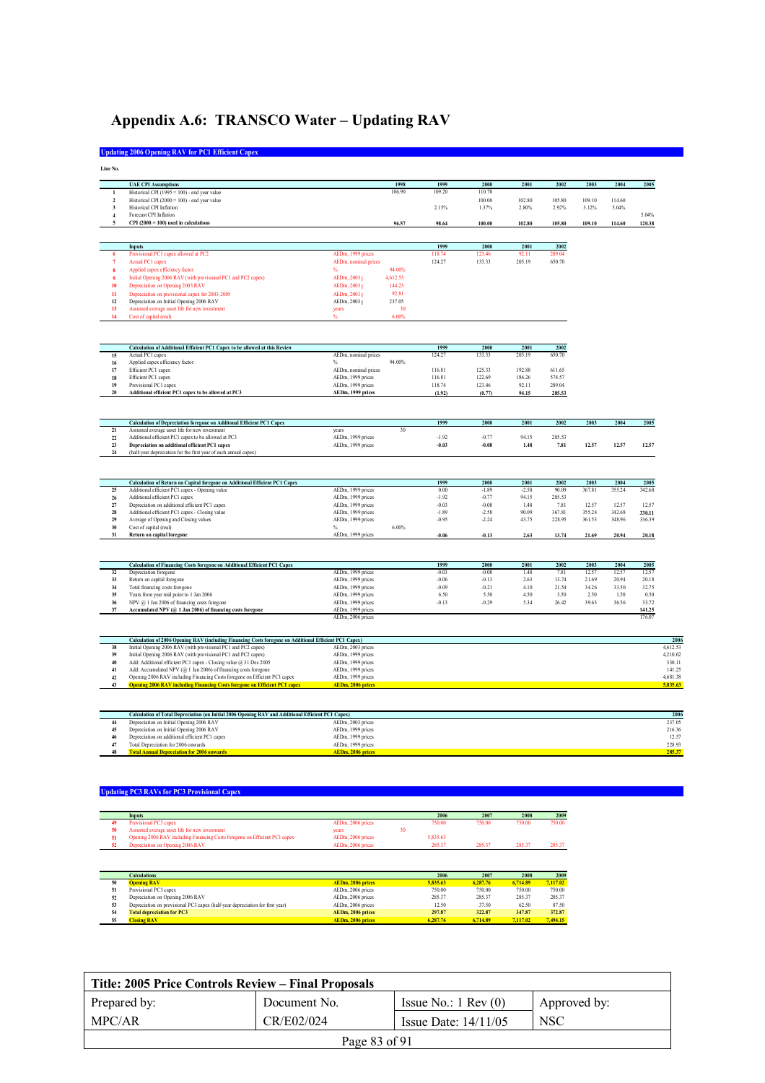# Appendix A.6: TRANSCO Water - Updating RAV

# **Updating 2006 Opening RAV for PC1 Efficient Capex**

| Line No.         |                                                                                                                                      |                                           |              |                    |                    |                   |                  |               |               |                 |                  |
|------------------|--------------------------------------------------------------------------------------------------------------------------------------|-------------------------------------------|--------------|--------------------|--------------------|-------------------|------------------|---------------|---------------|-----------------|------------------|
|                  | <b>UAE CPI Assumptions</b>                                                                                                           |                                           | 1998         | 1999               | 2000               | 2001              | 2002             | 2003          | 2004          | 2005            |                  |
| $\mathbf{1}$     | Historical CPI (1995 = 100) - end year value                                                                                         |                                           | 106.90       | 109.20             | 110.70             |                   |                  |               |               |                 |                  |
| $\boldsymbol{2}$ | Historical CPI (2000 = 100) - end year value                                                                                         |                                           |              |                    | 100 00             | 102.80            | 105.80           | 10910         | 114.60        |                 |                  |
| $\mathbf{3}$     | Historical CPI Inflation                                                                                                             |                                           |              | 2.15%              | 1.37%              | 2.80%             | 2.92%            | 3.12%         | 5.04%         |                 |                  |
| $\overline{4}$   | Forecast CPI Inflation                                                                                                               |                                           |              |                    |                    |                   |                  |               |               | 5.04%           |                  |
|                  | CPI $(2000 = 100)$ used in calculations                                                                                              |                                           | 96.57        | 98.64              | 100.00             | 102.80            | 105.80           | 109.10        | 114.60        | 120.38          |                  |
|                  |                                                                                                                                      |                                           |              |                    |                    |                   |                  |               |               |                 |                  |
|                  | <b>Inputs</b>                                                                                                                        |                                           |              | 1999               | 2000               | 2001              | 2002             |               |               |                 |                  |
|                  | Provisional PC1 capex allowed at PC2<br><b>Actual PC1 capex</b>                                                                      | AEDm, 1999 prices<br>AEDm. nominal prices |              | 11874<br>124.27    | 123.46<br>133.33   | 92.11<br>205.19   | 289.04<br>650.70 |               |               |                 |                  |
|                  | Applied capex efficiency factor                                                                                                      | $\%$                                      | 94.00%       |                    |                    |                   |                  |               |               |                 |                  |
| 9                | Initial Opening 2006 RAV (with provisional PC1 and PC2 capex)                                                                        | AEDm. 2003 r                              | 4.612.53     |                    |                    |                   |                  |               |               |                 |                  |
| 10               | Depreciation on Opening 2003 RAV                                                                                                     | AEDm, 2003 p                              | 144.23       |                    |                    |                   |                  |               |               |                 |                  |
| $\mathbf{H}$     | Depreciation on provisional capex for 2003-2005                                                                                      | AEDm 2003 r                               | 92.81        |                    |                    |                   |                  |               |               |                 |                  |
| 12<br>13         | Depreciation on Initial Opening 2006 RAV<br>Assumed average asset life for new investment                                            | AEDm, 2003 p                              | 237.05<br>30 |                    |                    |                   |                  |               |               |                 |                  |
| 14               | Cost of capital (real)                                                                                                               | years                                     | 6.00%        |                    |                    |                   |                  |               |               |                 |                  |
|                  |                                                                                                                                      |                                           |              |                    |                    |                   |                  |               |               |                 |                  |
|                  |                                                                                                                                      |                                           |              |                    |                    |                   |                  |               |               |                 |                  |
|                  | Calculation of Additional Efficient PC1 Capex to be allowed at this Review                                                           |                                           |              | 1999               | 2000               | 2001              | 2002<br>650.70   |               |               |                 |                  |
| 15<br>$16\,$     | Actual PC1 capex<br>Applied capex efficiency factor                                                                                  | AEDm, nominal prices                      | 94.00%       | 124.27             | 133.33             | 205.19            |                  |               |               |                 |                  |
| 17               | Efficient PC1 capex                                                                                                                  | AEDm, nominal prices                      |              | 116.81             | 125.33             | 192.88            | 611.65           |               |               |                 |                  |
| 18               | Efficient PC1 capex                                                                                                                  | AEDm, 1999 prices                         |              | 116.81             | 122.69             | 186.26            | 574.57           |               |               |                 |                  |
| 19               | Provisional PC1 capex                                                                                                                | AEDm, 1999 prices                         |              | 118.74             | 123.46             | 92.11             | 289.04           |               |               |                 |                  |
| 20               | Additional efficient PC1 capex to be allowed at PC3                                                                                  | AEDm, 1999 prices                         |              | (1.92)             | (0.77)             | 94.15             | 285.53           |               |               |                 |                  |
|                  |                                                                                                                                      |                                           |              |                    |                    |                   |                  |               |               |                 |                  |
|                  | Calculation of Depreciation foregone on Additonal Efficient PC1 Capex                                                                |                                           |              | 1999               | 2000               | 2001              | 2002             | 2003          | 2004          | 2005            |                  |
| 21               | Assumed average asset life for new investment                                                                                        | years                                     | 30           |                    |                    |                   |                  |               |               |                 |                  |
| 22<br>23         | Additional efficient PC1 capex to be allowed at PC3<br>Depreciation on additional efficient PC1 capex                                | AEDm, 1999 prices<br>AEDm, 1999 prices    |              | $-1.92$<br>$-0.03$ | $-0.77$<br>$-0.08$ | 94.15<br>$1.48\,$ | 285.53<br>7.81   | 12.57         | 12.57         | 12.57           |                  |
| $\bf{24}$        | (half-year depreciation for the first year of each annual capex)                                                                     |                                           |              |                    |                    |                   |                  |               |               |                 |                  |
|                  |                                                                                                                                      |                                           |              |                    |                    |                   |                  |               |               |                 |                  |
|                  |                                                                                                                                      |                                           |              |                    |                    |                   |                  |               |               |                 |                  |
|                  | Calculation of Return on Capital foregone on Additional Efficient PC1 Capex                                                          |                                           |              | 1999               | 2000               | 2001              | 2002             | 2003          | 2004          | 2005            |                  |
| 25<br>26         | Additional efficient PC1 capex - Opening value<br>Additional efficient PC1 capex                                                     | AEDm, 1999 prices<br>AEDm, 1999 prices    |              | 0.00<br>$-1.92$    | $-1.89$<br>$-0.77$ | $-2.58$<br>94.15  | 90.09<br>285.53  | 367.81        | 355.24        | 342.68          |                  |
| $\sqrt{27}$      | Depreciation on additional efficient PC1 capex                                                                                       | AEDm, 1999 prices                         |              | $-0.03$            | $-0.08$            | 1.48              | 7.81             | 12.57         | 12.57         | 12.57           |                  |
| 28               | Additional efficient PC1 capex - Closing value                                                                                       | AEDm, 1999 prices                         |              | $-1.89$            | $-2.58$            | 90.09             | 367.81           | 355.24        | 342.68        | 330.11          |                  |
| 29               | Average of Opening and Closing values                                                                                                | AEDm, 1999 prices                         | 6.00%        | $-0.95$            | $-2.24$            | 43.75             | 228.95           | 361.53        | 348.96        | 336.39          |                  |
| 30<br>31         | Cost of capital (real)<br>Return on capital foregone                                                                                 | AEDm, 1999 prices                         |              | $-0.06$            | $-0.13$            | 2.63              | 13.74            | 21.69         | 20.94         | 20.18           |                  |
|                  |                                                                                                                                      |                                           |              |                    |                    |                   |                  |               |               |                 |                  |
|                  |                                                                                                                                      |                                           |              |                    |                    |                   |                  |               |               |                 |                  |
| 32               | Calculation of Financing Costs foregone on Additional Efficient PC1 Capex<br>Depreciation foregone                                   | AEDm, 1999 prices                         |              | 1999<br>$-0.03$    | 2000<br>$-0.08$    | 2001<br>1.48      | 2002<br>7.81     | 2003<br>12.57 | 2004<br>12.57 | 2005<br>12.57   |                  |
| 33               | Return on capital foregone                                                                                                           | AEDm, 1999 prices                         |              | $-0.06$            | $-0.13$            | 2.63              | 13.74            | 21.69         | 20.94         | 20.18           |                  |
| 34               | Total financing costs foregone                                                                                                       | AEDm. 1999 prices                         |              | $-0.09$            | $-0.21$            | 4.10              | 21.54            | 34.26         | 33.50         | 32.75           |                  |
| 35               | Years from year mid point to 1 Jan 2006                                                                                              | AEDm, 1999 prices                         |              | 6.50               | 5.50               | 4.50              | 3.50             | 2.50          | 1.50          | 0.50            |                  |
| 36<br>37         | NPV @ 1 Jan 2006 of financing costs foregone<br>Accumulated NPV (@ 1 Jan 2006) of financing costs foregone                           | AEDm, 1999 prices<br>AEDm, 1999 prices    |              | $-0.13$            | $-0.29$            | 5.34              | 26.42            | 39.63         | 36.56         | 33.72<br>141.25 |                  |
|                  |                                                                                                                                      | AEDm, 2006 prices                         |              |                    |                    |                   |                  |               |               | 176.07          |                  |
|                  |                                                                                                                                      |                                           |              |                    |                    |                   |                  |               |               |                 |                  |
|                  | Calculation of 2006 Opening RAV (including Financing Costs foregone on Additional Efficient PC1 Capex)                               |                                           |              |                    |                    |                   |                  |               |               |                 | 2006             |
| 38               | Initial Opening 2006 RAV (with provisional PC1 and PC2 capex)                                                                        | AEDm, 2003 prices                         |              |                    |                    |                   |                  |               |               |                 | 4,612.53         |
| 39               | Initial Opening 2006 RAV (with provisional PC1 and PC2 capex)                                                                        | AEDm, 1999 prices                         |              |                    |                    |                   |                  |               |               |                 | 4.210.02         |
| 40<br>41         | Add: Additional efficient PC1 capex - Closing value @ 31 Dec 2005<br>Add: Accumulated NPV (@ 1 Jan 2006) of financing costs foregone | AEDm, 1999 prices<br>AEDm, 1999 prices    |              |                    |                    |                   |                  |               |               |                 | 330.11<br>141.25 |
| 42               | Opening 2006 RAV including Financing Costs foregone on Efficient PC1 capex                                                           | AEDm, 1999 prices                         |              |                    |                    |                   |                  |               |               |                 | 4.681.38         |
| 43               | <b>Opening 2006 RAV including Financing Costs foregone on Efficient PC1 cape</b>                                                     | AEDm, 2006 prices                         |              |                    |                    |                   |                  |               |               |                 | 5,835.63         |
|                  |                                                                                                                                      |                                           |              |                    |                    |                   |                  |               |               |                 |                  |
|                  | Calculation of Total Depreciation (on Initial 2006 Opening RAV and Additional Efficient PC1 Capex).                                  |                                           |              |                    |                    |                   |                  |               |               |                 | 2006             |
| 44               | Depreciation on Initial Opening 2006 RAV                                                                                             | AEDm, 2003 prices                         |              |                    |                    |                   |                  |               |               |                 | 237.05           |
| 45<br>46         | Depreciation on Initial Opening 2006 RAV<br>Depreciation on additional efficient PC1 capex                                           | AEDm, 1999 prices<br>AEDm, 1999 prices    |              |                    |                    |                   |                  |               |               |                 | 216.36<br>12.57  |
| 47               | Total Depreciation for 2006 onwards                                                                                                  | AEDm, 1999 prices                         |              |                    |                    |                   |                  |               |               |                 | 228.93           |
| 48               | <b>Total Annual Depreciation for 2006 o</b>                                                                                          | AEDm, 2006 price                          |              |                    |                    |                   |                  |               |               |                 | 285.37           |
|                  |                                                                                                                                      |                                           |              |                    |                    |                   |                  |               |               |                 |                  |
|                  |                                                                                                                                      |                                           |              |                    |                    |                   |                  |               |               |                 |                  |
|                  | <b>Updating PC3 RAVs for PC3 Provisional Capex</b>                                                                                   |                                           |              |                    |                    |                   |                  |               |               |                 |                  |
|                  |                                                                                                                                      |                                           |              |                    |                    |                   |                  |               |               |                 |                  |
|                  | <b>Inputs</b>                                                                                                                        |                                           |              | 2006               | 2007               | 2008              | 2009             |               |               |                 |                  |
| 49<br>50         | Provisional PC3 capex<br>sset life for new investment                                                                                | AEDm, 2006 prices                         | 30           | 750.00             | 750.00             | 750.00            | 750.00           |               |               |                 |                  |
|                  |                                                                                                                                      |                                           |              |                    |                    |                   |                  |               |               |                 |                  |

|  | <b>THE CONSISTENT OF THE MULTISTIC SERVICE SUPPLIES AND SERVICE SERVICES OF THE CONSISTENT OF THE CONSISTENT OF T</b> |                   |              |  |  |
|--|-----------------------------------------------------------------------------------------------------------------------|-------------------|--------------|--|--|
|  | Opening 2006 RAV including Financing Costs foregone on Efficient PC1 capex                                            | AEDm. 2006 prices | 5.835.63     |  |  |
|  | Depreciation on Opening 2006 RAV                                                                                      | AEDm. 2006 prices | <b>18537</b> |  |  |
|  |                                                                                                                       |                   |              |  |  |
|  |                                                                                                                       |                   |              |  |  |

| <b>Calculations</b>                                                           |                   | 2006     | 2007     | 2008     | 2009     |
|-------------------------------------------------------------------------------|-------------------|----------|----------|----------|----------|
| <b>Opening RAV</b>                                                            | AEDm, 2006 prices | 5.835.63 | 6,287.76 | 6.714.89 | 7.117.02 |
| Provisional PC3 capex                                                         | AEDm, 2006 prices | 750.00   | 750.00   | 750.00   | 750.00   |
| Depreciation on Opening 2006 RAV                                              | AEDm, 2006 prices | 285.37   | 285.37   | 285.37   | 285.37   |
| Depreciation on provisional PC3 capex (half-year depreciation for first year) | AEDm. 2006 prices | 12.50    | 37.50    | 62.50    | 87.50    |
| <b>Total depreciation for PC3</b>                                             | AEDm, 2006 prices | 297.87   | 322.87   | 347.87   | 372.87   |
| <b>Tosing RAV</b>                                                             | AEDm, 2006 prices | 6.287.76 | 6,714.89 | 7.117.02 | 7.494.15 |
|                                                                               |                   |          |          |          |          |

| Title: 2005 Price Controls Review – Final Proposals |              |                               |              |  |  |  |  |  |  |
|-----------------------------------------------------|--------------|-------------------------------|--------------|--|--|--|--|--|--|
| Prepared by:                                        | Document No. | Issue No.: $1 \text{ Rev}(0)$ | Approved by: |  |  |  |  |  |  |
| MPC/AR                                              | CR/E02/024   | Issue Date: $14/11/05$        | <b>NSC</b>   |  |  |  |  |  |  |
| Page 83 of 91                                       |              |                               |              |  |  |  |  |  |  |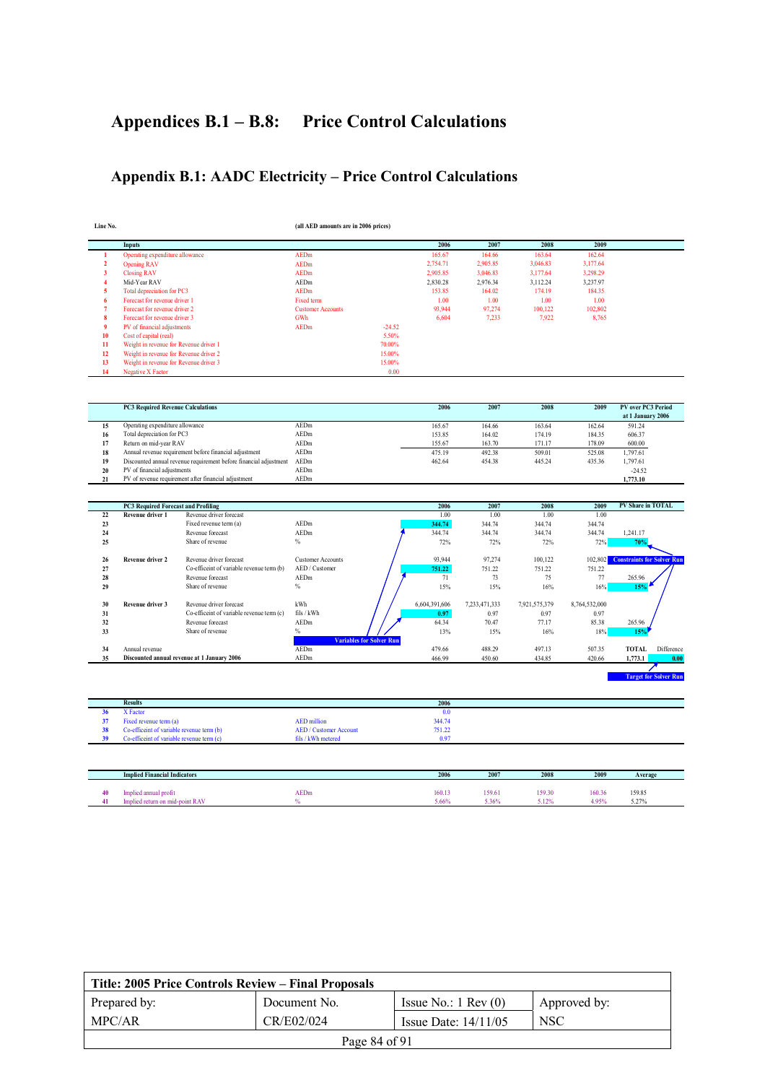# Appendices B.1 – B.8: Price Control Calculations

## Appendix B.1: AADC Electricity – Price Control Calculations

| Line No.       |                                                                     |                                                                   | (all AED amounts are in 2006 prices)    |          |                  |                 |                 |                 |                                                |
|----------------|---------------------------------------------------------------------|-------------------------------------------------------------------|-----------------------------------------|----------|------------------|-----------------|-----------------|-----------------|------------------------------------------------|
|                | <b>Inputs</b>                                                       |                                                                   |                                         |          | 2006             | 2007            | 2008            | 2009            |                                                |
| 1              | Operating expenditure allowance                                     |                                                                   | <b>AEDm</b>                             |          | 165.67           | 164.66          | 163.64          | 162.64          |                                                |
| $\overline{2}$ | <b>Opening RAV</b>                                                  |                                                                   | <b>AEDm</b>                             |          | 2,754.71         | 2,905.85        | 3,046.83        | 3,177.64        |                                                |
| 3              | <b>Closing RAV</b>                                                  |                                                                   | <b>AEDm</b>                             |          | 2,905.85         | 3,046.83        | 3,177.64        | 3,298.29        |                                                |
| 4              | Mid-Year RAV                                                        |                                                                   | AEDm                                    |          | 2,830.28         | 2,976.34        | 3,112.24        | 3,237.97        |                                                |
| 5              | <b>Total depreciation for PC3</b>                                   |                                                                   | <b>AEDm</b>                             |          | 153.85           | 164.02          | 174.19          | 184.35          |                                                |
| 6              | Forecast for revenue driver 1                                       |                                                                   | Fixed term                              |          | 1.00             | 1.00            | 1.00            | 1.00            |                                                |
|                | Forecast for revenue driver 2                                       |                                                                   | <b>Customer Accounts</b>                |          | 93.944           | 97,274          | 100,122         | 102,802         |                                                |
| 8              | Forecast for revenue driver 3                                       |                                                                   | GWh                                     |          | 6,604            | 7,233           | 7,922           | 8,765           |                                                |
| 9              | PV of financial adjustments                                         |                                                                   | <b>AEDm</b>                             | $-24.52$ |                  |                 |                 |                 |                                                |
| 10             | Cost of capital (real)                                              |                                                                   |                                         | 5.50%    |                  |                 |                 |                 |                                                |
| 11             | Weight in revenue for Revenue driver 1                              |                                                                   |                                         | 70.00%   |                  |                 |                 |                 |                                                |
| 12             | Weight in revenue for Revenue driver 2                              |                                                                   |                                         | 15.00%   |                  |                 |                 |                 |                                                |
| 13             | Weight in revenue for Revenue driver 3                              |                                                                   |                                         | 15.00%   |                  |                 |                 |                 |                                                |
| 14             | <b>Negative X Factor</b>                                            |                                                                   |                                         | 0.00     |                  |                 |                 |                 |                                                |
|                |                                                                     |                                                                   |                                         |          |                  |                 |                 |                 |                                                |
|                | <b>PC3 Required Revenue Calculations</b>                            |                                                                   |                                         |          | 2006             | 2007            | 2008            | 2009            | <b>PV</b> over PC3 Period<br>at 1 January 2006 |
| 15             | Operating expenditure allowance                                     |                                                                   | AEDm                                    |          | 165.67           | 164.66          | 163.64          | 162.64          | 591.24                                         |
| 16             | Total depreciation for PC3                                          |                                                                   | AEDm                                    |          | 153.85           | 164.02          | 174.19          | 184.35          | 606.37                                         |
| 17             | Return on mid-year RAV                                              |                                                                   | AEDm                                    |          | 155.67           | 163.70          | 171.17          | 178.09          | 600.00                                         |
| 18             |                                                                     | Annual revenue requirement before financial adjustment            | AEDm                                    |          | 475.19           | 492.38          | 509.01          | 525.08          | 1,797.61                                       |
| 19             |                                                                     | Discounted annual revenue requirement before financial adjustment | AEDm                                    |          | 462.64           | 454.38          | 445.24          | 435.36          | 1,797.61                                       |
| 20             | PV of financial adjustments                                         |                                                                   | AEDm                                    |          |                  |                 |                 |                 | $-24.52$                                       |
| 21             |                                                                     |                                                                   | AEDm                                    |          |                  |                 |                 |                 | 1,773.10                                       |
|                |                                                                     | PV of revenue requirement after financial adjustment              |                                         |          |                  |                 |                 |                 |                                                |
|                | <b>PC3 Required Forecast and Profiling</b>                          |                                                                   |                                         |          | 2006             | 2007            | 2008            | 2009            | PV Share in TOTAL                              |
| 22             | Revenue driver 1                                                    | Revenue driver forecast                                           |                                         |          | 1.00             | 1.00            | 1.00            | 1.00            |                                                |
| 23             |                                                                     | Fixed revenue term (a)                                            | AEDm                                    |          | 344.74           | 344.74          | 344.74          | 344.74          |                                                |
| 24             |                                                                     | Revenue forecast                                                  | AEDm                                    |          | 344.74           | 344.74          | 344.74          | 344.74          | 1,241.17                                       |
| 25             |                                                                     | Share of revenue                                                  | $\frac{0}{0}$                           |          | 72%              | 72%             | 72%             | 72%             | 70%                                            |
|                |                                                                     |                                                                   |                                         |          |                  |                 |                 |                 |                                                |
| 26             | Revenue driver 2                                                    | Revenue driver forecast                                           | <b>Customer Accounts</b>                |          | 93.944           | 97,274          | 100,122         | 102,802         | <b>Constraints for Solver Run</b>              |
| 27             |                                                                     | Co-efficeint of variable revenue term (b)                         | AED / Customer                          |          | 751.22           | 751.22          | 751.22          | 751.22          |                                                |
| 28             |                                                                     | Revenue forecast                                                  | AEDm                                    |          | 71               | 73              | 75              | 77              | 265.96                                         |
| 29             |                                                                     | Share of revenue                                                  | $\%$                                    |          | 15%              | 15%             | 16%             | 16%             | 15%                                            |
| 30             | Revenue driver 3                                                    | Revenue driver forecast                                           | kWh                                     |          | 6,604,391,606    | 7,233,471,333   | 7,921,575,379   | 8,764,532,000   |                                                |
| 31             |                                                                     | Co-efficeint of variable revenue term (c)                         | fils / kWh                              |          | 0.97             |                 |                 | 0.97            |                                                |
| 32             |                                                                     | Revenue forecast                                                  |                                         |          | 64.34            | 0.97            | 0.97            |                 | 265.96                                         |
|                |                                                                     |                                                                   | AEDm                                    |          |                  | 70.47           | 77.17           | 85.38           |                                                |
| 33             |                                                                     | Share of revenue                                                  | $\%$<br><b>Variables for Solver Run</b> |          | 13%              | 15%             | 16%             | 18%             | 15%                                            |
| 34             | Annual revenue                                                      |                                                                   | AEDm                                    |          | 479.66           | 488.29          | 497.13          | 507.35          | TOTAL<br>Difference                            |
| 35             |                                                                     | Discounted annual revenue at 1 January 2006                       | AEDm                                    |          | 466.99           | 450.60          | 434.85          | 420.66          | 1,773.1<br>0.00                                |
|                |                                                                     |                                                                   |                                         |          |                  |                 |                 |                 | <b>Target for Solver Run</b>                   |
|                |                                                                     |                                                                   |                                         |          |                  |                 |                 |                 |                                                |
| 36             | <b>Results</b><br>X Factor                                          |                                                                   |                                         |          | 2006<br>0.0      |                 |                 |                 |                                                |
| 37             |                                                                     |                                                                   | <b>AED</b> million                      |          |                  |                 |                 |                 |                                                |
| 38             | Fixed revenue term (a)<br>Co-efficeint of variable revenue term (b) |                                                                   | <b>AED</b> / Customer Account           |          | 344.74<br>751.22 |                 |                 |                 |                                                |
| 39             | Co-efficeint of variable revenue term (c)                           |                                                                   | fils / kWh metered                      |          | 0.97             |                 |                 |                 |                                                |
|                |                                                                     |                                                                   |                                         |          |                  |                 |                 |                 |                                                |
|                | <b>Implied Financial Indicators</b>                                 |                                                                   |                                         |          | 2006             | 2007            | 2008            | 2009            | Average                                        |
|                |                                                                     |                                                                   |                                         |          |                  |                 |                 |                 |                                                |
|                |                                                                     |                                                                   |                                         |          |                  |                 |                 |                 |                                                |
| 40<br>41       | Implied annual profit<br>Implied return on mid-point RAV            |                                                                   | <b>AEDm</b><br>$\frac{0}{6}$            |          | 160.13<br>5.66%  | 159.61<br>5.36% | 159.30<br>5.12% | 160.36<br>4.95% | 159.85<br>5.27%                                |

| Title: 2005 Price Controls Review – Final Proposals |              |                               |              |  |  |  |  |  |
|-----------------------------------------------------|--------------|-------------------------------|--------------|--|--|--|--|--|
| Prepared by:                                        | Document No. | Issue No.: $1 \text{ Rev}(0)$ | Approved by: |  |  |  |  |  |
| CR/E02/024<br>MPC/AR                                |              | Issue Date: $14/11/05$        | <b>NSC</b>   |  |  |  |  |  |
| Page 84 of 91                                       |              |                               |              |  |  |  |  |  |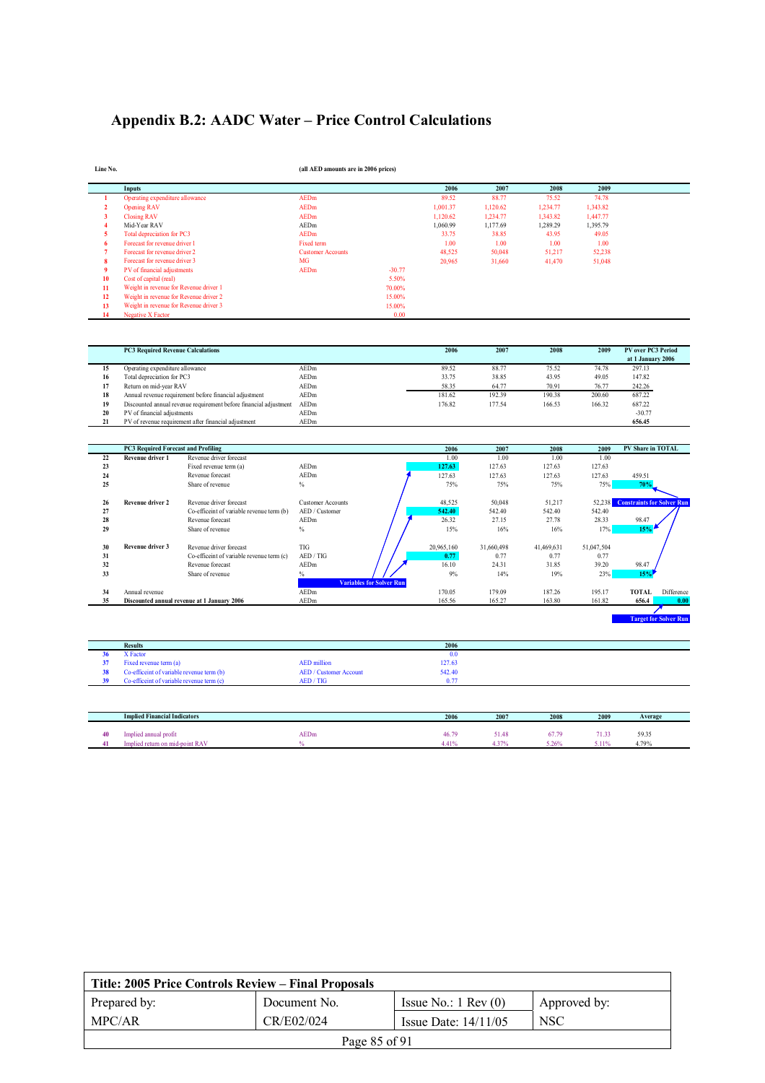## Appendix B.2: AADC Water – Price Control Calculations

| Line No. |                                        | (all AED amounts are in 2006 prices) |          |          |          |          |          |  |
|----------|----------------------------------------|--------------------------------------|----------|----------|----------|----------|----------|--|
|          | Inputs                                 |                                      |          | 2006     | 2007     | 2008     | 2009     |  |
|          | Operating expenditure allowance        | <b>AEDm</b>                          |          | 89.52    | 88.77    | 75.52    | 74.78    |  |
|          | <b>Opening RAV</b>                     | <b>AEDm</b>                          |          | 1.001.37 | 1,120.62 | 1,234.77 | 1,343.82 |  |
| 3        | <b>Closing RAV</b>                     | <b>AEDm</b>                          |          | 1,120.62 | 1,234.77 | 1,343.82 | 1,447.77 |  |
|          | Mid-Year RAV                           | AEDm                                 |          | 1,060.99 | 1,177.69 | 1,289.29 | 1,395.79 |  |
|          | Total depreciation for PC3             | <b>AEDm</b>                          |          | 33.75    | 38.85    | 43.95    | 49.05    |  |
| -6       | Forecast for revenue driver 1          | Fixed term                           |          | 1.00     | 1.00     | 1.00     | 1.00     |  |
|          | Forecast for revenue driver 2          | <b>Customer Accounts</b>             |          | 48,525   | 50,048   | 51,217   | 52,238   |  |
| 8        | Forecast for revenue driver 3          | <b>MG</b>                            |          | 20,965   | 31,660   | 41,470   | 51,048   |  |
| -9       | PV of financial adjustments            | <b>AEDm</b>                          | $-30.77$ |          |          |          |          |  |
| 10       | Cost of capital (real)                 |                                      | 5.50%    |          |          |          |          |  |
| 11       | Weight in revenue for Revenue driver 1 |                                      | 70.00%   |          |          |          |          |  |
| 12       | Weight in revenue for Revenue driver 2 |                                      | 15.00%   |          |          |          |          |  |
| 13       | Weight in revenue for Revenue driver 3 |                                      | 15.00%   |          |          |          |          |  |
| 14       | <b>Negative X Factor</b>               |                                      | 0.00     |          |          |          |          |  |

|    | <b>PC3 Required Revenue Calculations</b>                          |      | 2006   | 2007   | 2008   | 2009   | <b>PV over PC3 Period</b> |
|----|-------------------------------------------------------------------|------|--------|--------|--------|--------|---------------------------|
|    |                                                                   |      |        |        |        |        | at 1 January 2006         |
| 15 | Operating expenditure allowance                                   | AEDm | 89.52  | 88.77  | 75.52  | 74.78  | 297.13                    |
| 16 | Total depreciation for PC3                                        | AEDm | 33.75  | 38.85  | 43.95  | 49.05  | 147.82                    |
| 17 | Return on mid-year RAV                                            | AEDm | 58.35  | 64.77  | 70.91  | 76.77  | 242.26                    |
| 18 | Annual revenue requirement before financial adjustment            | AEDm | 181.62 | 192.39 | 190.38 | 200.60 | 687.22                    |
| 19 | Discounted annual revenue requirement before financial adjustment | AEDm | 176.82 | 177.54 | 166.53 | 166.32 | 687.22                    |
| 20 | PV of financial adjustments                                       | AEDm |        |        |        |        | $-30.77$                  |
| 21 | PV of revenue requirement after financial adjustment              | AEDm |        |        |        |        | 656.45                    |

|    | <b>PC3 Required Forecast and Profiling</b> |                                             |                          |                                 | 2006       | 2007       | 2008       | 2009       | <b>PV Share in TOTAL</b>          |
|----|--------------------------------------------|---------------------------------------------|--------------------------|---------------------------------|------------|------------|------------|------------|-----------------------------------|
| 22 | Revenue driver 1                           | Revenue driver forecast                     |                          |                                 | 1.00       | 1.00       | 1.00       | 1.00       |                                   |
| 23 |                                            | Fixed revenue term (a)                      | AEDm                     |                                 | 127.63     | 127.63     | 127.63     | 127.63     |                                   |
| 24 |                                            | Revenue forecast                            | AEDm                     |                                 | 127.63     | 127.63     | 127.63     | 127.63     | 459.51                            |
| 25 |                                            | Share of revenue                            | $\%$                     |                                 | 75%        | 75%        | 75%        | 75%        | 70%                               |
| 26 | Revenue driver 2                           | Revenue driver forecast                     | <b>Customer Accounts</b> |                                 | 48,525     | 50,048     | 51,217     | 52,238     | <b>Constraints for Solver Run</b> |
| 27 |                                            | Co-efficeint of variable revenue term (b)   | AED / Customer           |                                 | 542.40     | 542.40     | 542.40     | 542.40     |                                   |
| 28 |                                            | Revenue forecast                            | AEDm                     |                                 | 26.32      | 27.15      | 27.78      | 28.33      | 98.47                             |
| 29 |                                            | Share of revenue                            | $\%$                     |                                 | 15%        | 16%        | 16%        | 17%        | 15%                               |
| 30 | Revenue driver 3                           | Revenue driver forecast                     | <b>TIG</b>               |                                 | 20,965,160 | 31,660,498 | 41,469,631 | 51,047,504 |                                   |
| 31 |                                            | Co-efficeint of variable revenue term (c)   | AED / TIG                |                                 | 0.77       | 0.77       | 0.77       | 0.77       |                                   |
| 32 |                                            | Revenue forecast                            | AEDm                     |                                 | 16.10      | 24.31      | 31.85      | 39.20      | 98.47                             |
| 33 |                                            | Share of revenue                            | $\frac{0}{6}$            | <b>Variables for Solver Run</b> | 9%         | 14%        | 19%        | 23%        | 15%                               |
| 34 | Annual revenue                             |                                             | AEDm                     |                                 | 170.05     | 179.09     | 187.26     | 195.17     | Difference<br><b>TOTAL</b>        |
| 35 |                                            | Discounted annual revenue at 1 January 2006 | AEDm                     |                                 | 165.56     | 165.27     | 163.80     | 161.82     | 656.4<br>0.00                     |
|    |                                            |                                             |                          |                                 |            |            |            |            |                                   |
|    |                                            |                                             |                          |                                 |            |            |            |            | <b>Target for Solver Run</b>      |

|     | <b>Results</b>                            |                               | 2006   |  |
|-----|-------------------------------------------|-------------------------------|--------|--|
|     | X Factor                                  |                               | 0.0    |  |
|     | Fixed revenue term (a)                    | <b>AED</b> million            | 127.63 |  |
| 38. | Co-efficeint of variable revenue term (b) | <b>AED</b> / Customer Account | 542.40 |  |
|     | Co-efficeint of variable revenue term (c) | AED / TIG                     | 0.77   |  |
|     |                                           |                               |        |  |

|        | <b>Implied Financial Indicators</b>                      |      | 2006           | 2007       | 2008           | 2009                       | Average       |
|--------|----------------------------------------------------------|------|----------------|------------|----------------|----------------------------|---------------|
| 40<br> | Implied annual profit<br>Implied return on mid-point RAV | AEDm | 46.79<br>4.41% | $\sim$ $-$ | 67.79<br>5.26% | - -<br>.<br>$-1.10$<br>. . | 59.35<br>179% |

| Title: 2005 Price Controls Review – Final Proposals |               |                               |              |  |  |  |  |  |  |  |
|-----------------------------------------------------|---------------|-------------------------------|--------------|--|--|--|--|--|--|--|
| Prepared by:                                        | Document No.  | Issue No.: $1 \text{ Rev}(0)$ | Approved by: |  |  |  |  |  |  |  |
| MPC/AR                                              | CR/E02/024    | Issue Date: $14/11/05$        | <b>NSC</b>   |  |  |  |  |  |  |  |
|                                                     | Page 85 of 91 |                               |              |  |  |  |  |  |  |  |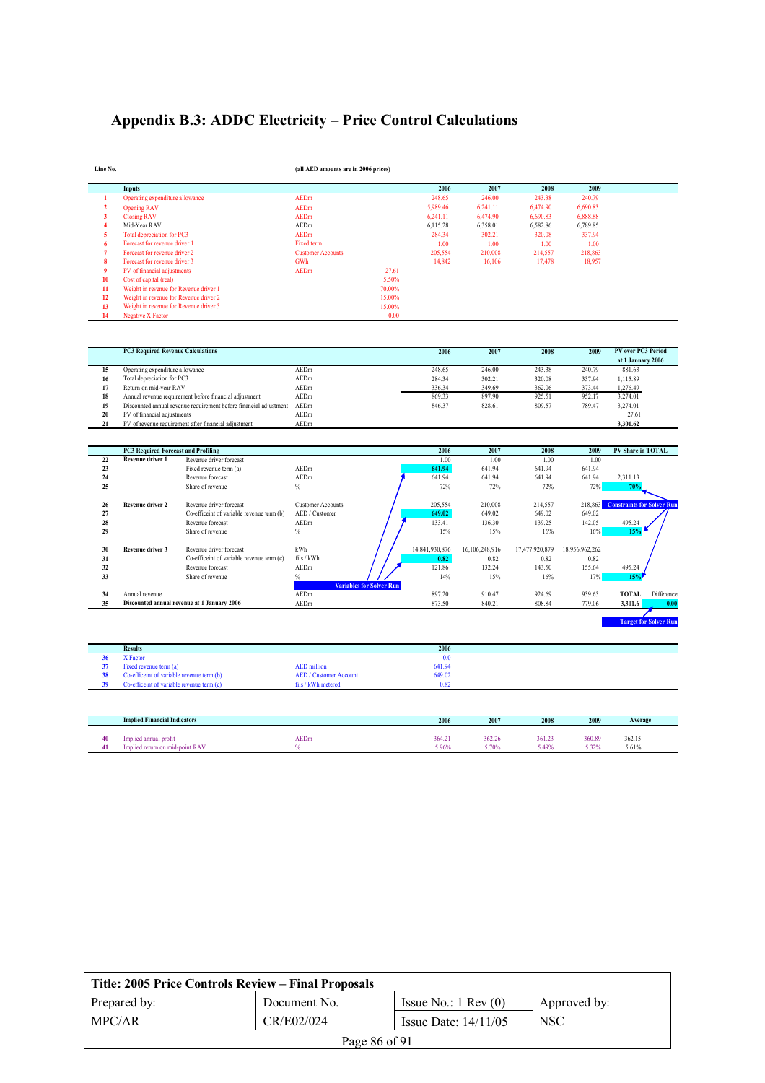## Appendix B.3: ADDC Electricity – Price Control Calculations

| Line No.                |                                                         |                                                                   | (all AED amounts are in 2006 prices) |                                 |                |                |                |                |                                                |
|-------------------------|---------------------------------------------------------|-------------------------------------------------------------------|--------------------------------------|---------------------------------|----------------|----------------|----------------|----------------|------------------------------------------------|
|                         | <b>Inputs</b>                                           |                                                                   |                                      |                                 | 2006           | 2007           | 2008           | 2009           |                                                |
|                         | Operating expenditure allowance                         |                                                                   | <b>AEDm</b>                          |                                 | 248.65         | 246.00         | 243.38         | 240.79         |                                                |
| $\overline{2}$          | <b>Opening RAV</b>                                      |                                                                   | AEDm                                 |                                 | 5,989.46       | 6,241.11       | 6,474.90       | 6,690.83       |                                                |
| $\overline{\mathbf{3}}$ | <b>Closing RAV</b>                                      |                                                                   | AEDm                                 |                                 | 6,241.11       | 6,474.90       | 6,690.83       | 6,888.88       |                                                |
| $\overline{4}$          | Mid-Year RAV                                            |                                                                   | AEDm                                 |                                 | 6,115.28       | 6,358.01       | 6,582.86       | 6,789.85       |                                                |
| 5                       | Total depreciation for PC3                              |                                                                   | AEDm                                 |                                 | 284.34         | 302.21         | 320.08         | 337.94         |                                                |
|                         | Forecast for revenue driver 1                           |                                                                   | Fixed term                           |                                 | 1.00           | 1.00           | 1.00           | 1.00           |                                                |
|                         | Forecast for revenue driver 2                           |                                                                   | <b>Customer Accounts</b>             |                                 | 205,554        | 210.008        | 214,557        | 218,863        |                                                |
| я                       | Forecast for revenue driver 3                           |                                                                   | GWh                                  |                                 | 14,842         | 16,106         | 17,478         | 18,957         |                                                |
| q                       | PV of financial adjustments                             |                                                                   | <b>AEDm</b>                          | 27.61                           |                |                |                |                |                                                |
| 10                      | Cost of capital (real)                                  |                                                                   |                                      | 5.50%                           |                |                |                |                |                                                |
| 11                      | Weight in revenue for Revenue driver 1                  |                                                                   |                                      | 70.00%                          |                |                |                |                |                                                |
| 12                      | Weight in revenue for Revenue driver 2                  |                                                                   |                                      | 15.00%                          |                |                |                |                |                                                |
| 13                      | Weight in revenue for Revenue driver 3                  |                                                                   |                                      | 15.00%                          |                |                |                |                |                                                |
| 14                      | <b>Negative X Factor</b>                                |                                                                   |                                      | 0.00                            |                |                |                |                |                                                |
|                         |                                                         |                                                                   |                                      |                                 |                |                |                |                |                                                |
|                         | <b>PC3 Required Revenue Calculations</b>                |                                                                   |                                      |                                 | 2006           | 2007           | 2008           | 2009           | <b>PV</b> over PC3 Period<br>at 1 January 2006 |
| 15                      | Operating expenditure allowance                         |                                                                   | AEDm                                 |                                 | 248.65         | 246.00         | 243.38         | 240.79         | 881.63                                         |
| 16                      | Total depreciation for PC3                              |                                                                   | AEDm                                 |                                 | 284.34         | 302.21         | 320.08         | 337.94         | 1,115.89                                       |
| 17                      | Return on mid-year RAV                                  |                                                                   | AEDm                                 |                                 | 336.34         | 349.69         | 362.06         | 373.44         | 1,276.49                                       |
| 18                      |                                                         | Annual revenue requirement before financial adjustment            | AEDm                                 |                                 | 869.33         | 897.90         | 925.51         | 952.17         | 3,274.01                                       |
| 19                      |                                                         | Discounted annual revenue requirement before financial adjustment | AEDm                                 |                                 | 846.37         | 828.61         | 809.57         | 789.47         | 3,274.01                                       |
| 20<br>21                | PV of financial adjustments                             |                                                                   | AEDm<br>AEDm                         |                                 |                |                |                |                | 27.61<br>3,301.62                              |
|                         |                                                         | PV of revenue requirement after financial adjustment              |                                      |                                 |                |                |                |                |                                                |
|                         |                                                         |                                                                   |                                      |                                 |                |                |                |                |                                                |
| 22                      | PC3 Required Forecast and Profiling<br>Revenue driver 1 | Revenue driver forecast                                           |                                      |                                 | 2006<br>1.00   | 2007<br>1.00   | 2008<br>1.00   | 2009<br>1.00   | PV Share in TOTAL                              |
| 23                      |                                                         | Fixed revenue term (a)                                            | AEDm                                 |                                 | 641.94         | 641.94         | 641.94         | 641.94         |                                                |
| 24                      |                                                         | Revenue forecast                                                  | AEDm                                 |                                 | 641.94         | 641.94         | 641.94         | 641.94         | 2,311.13                                       |
| 25                      |                                                         | Share of revenue                                                  | $\frac{0}{0}$                        |                                 | 72%            | 72%            | 72%            | 72%            | <b>70%</b>                                     |
|                         |                                                         |                                                                   |                                      |                                 |                |                |                |                |                                                |
| 26                      | Revenue driver 2                                        | Revenue driver forecast                                           | <b>Customer Accounts</b>             |                                 | 205,554        | 210,008        | 214,557        |                | 218,863 Constraints for Solver Run             |
| 27                      |                                                         | Co-efficeint of variable revenue term (b)                         | AED / Customer                       |                                 | 649.02         | 649.02         | 649.02         | 649.02         |                                                |
| 28                      |                                                         | Revenue forecast                                                  | AEDm                                 |                                 | 133.41         | 136.30         | 139.25         | 142.05         | 495.24                                         |
| 29                      |                                                         | Share of revenue                                                  | $\frac{0}{0}$                        |                                 | 15%            | 15%            | 16%            | 16%            | 15%                                            |
| 30                      | Revenue driver 3                                        | Revenue driver forecast                                           | kWh                                  |                                 | 14,841,930,876 | 16,106,248,916 | 17,477,920,879 | 18,956,962,262 |                                                |
| 31                      |                                                         | Co-efficeint of variable revenue term (c)                         | fils / kWh                           |                                 | 0.82           | 0.82           | 0.82           | 0.82           |                                                |
| 32                      |                                                         | Revenue forecast                                                  | AEDm                                 |                                 | 121.86         | 132.24         | 143.50         | 155.64         | 495.24                                         |
| 33                      |                                                         | Share of revenue                                                  | $\%$                                 |                                 | 14%            | 15%            | 16%            | 17%            | 15%                                            |
| 34                      | Annual revenue                                          |                                                                   | AEDm                                 | <b>Variables for Solver Run</b> | 897.20         | 910.47         | 924.69         | 939.63         | <b>TOTAL</b><br>Difference                     |
| 35                      |                                                         | Discounted annual revenue at 1 January 2006                       | AEDm                                 |                                 | 873.50         | 840.21         | 808.84         | 779.06         | 3,301.6<br>0.00                                |
|                         |                                                         |                                                                   |                                      |                                 |                |                |                |                | <b>Target for Solver Run</b>                   |
|                         | <b>Results</b>                                          |                                                                   |                                      |                                 | 2006           |                |                |                |                                                |
| 36                      | X Factor                                                |                                                                   |                                      |                                 | 0.0            |                |                |                |                                                |
| 37                      | Fixed revenue term (a)                                  |                                                                   | <b>AED</b> million                   |                                 | 641.94         |                |                |                |                                                |
| 38                      | Co-efficeint of variable revenue term (b)               |                                                                   | <b>AED</b> / Customer Account        |                                 | 649.02         |                |                |                |                                                |
| 39                      | Co-efficeint of variable revenue term (c)               |                                                                   | fils / kWh metered                   |                                 | 0.82           |                |                |                |                                                |

|    | <b>Implied Financial Indicators</b> |      | 2006   | 2007   | 2008   | 2009   | Average |
|----|-------------------------------------|------|--------|--------|--------|--------|---------|
|    |                                     |      |        |        |        |        |         |
| 40 | Implied annual profit               | AEDm | 364.21 | 362.26 | 361.23 | 360.89 | 362.15  |
|    | Implied return on mid-point RAV     |      | 5.96%  | 5.70%  | 5.49%  | 5.32%  | 5.61%   |

| Title: 2005 Price Controls Review – Final Proposals |               |                               |              |  |  |  |  |  |  |  |
|-----------------------------------------------------|---------------|-------------------------------|--------------|--|--|--|--|--|--|--|
| Prepared by:                                        | Document No.  | Issue No.: $1 \text{ Rev}(0)$ | Approved by: |  |  |  |  |  |  |  |
| MPC/AR                                              | CR/E02/024    | Issue Date: $14/11/05$        | <b>NSC</b>   |  |  |  |  |  |  |  |
|                                                     | Page 86 of 91 |                               |              |  |  |  |  |  |  |  |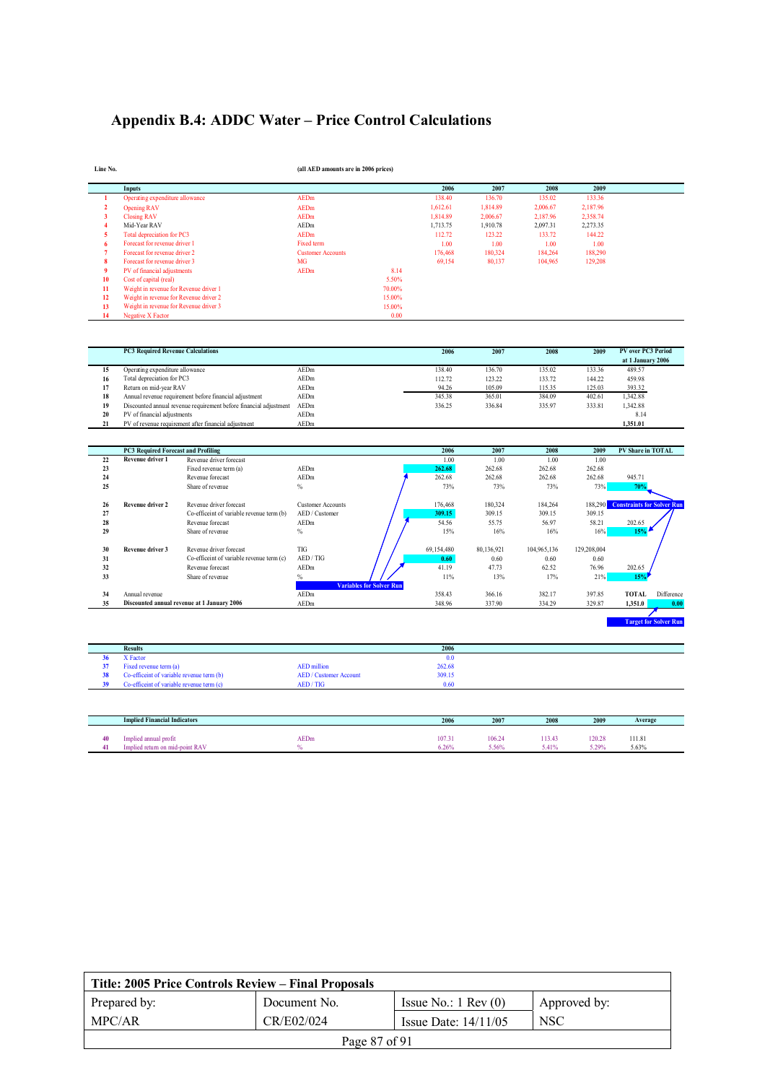## Appendix B.4: ADDC Water – Price Control Calculations

| Line No.       |                                                                   | (all AED amounts are in 2006 prices) |        |          |          |          |          |                                     |
|----------------|-------------------------------------------------------------------|--------------------------------------|--------|----------|----------|----------|----------|-------------------------------------|
|                | <b>Inputs</b>                                                     |                                      |        | 2006     | 2007     | 2008     | 2009     |                                     |
|                | Operating expenditure allowance                                   | <b>AEDm</b>                          |        | 138.40   | 136.70   | 135.02   | 133.36   |                                     |
| $\mathfrak{p}$ | <b>Opening RAV</b>                                                | <b>AEDm</b>                          |        | 1.612.61 | 1.814.89 | 2,006.67 | 2,187.96 |                                     |
| 3              | <b>Closing RAV</b>                                                | <b>AEDm</b>                          |        | 1.814.89 | 2.006.67 | 2.187.96 | 2,358.74 |                                     |
|                | Mid-Year RAV                                                      | AEDm                                 |        | 1,713.75 | 1,910.78 | 2,097.31 | 2,273.35 |                                     |
| 5              | Total depreciation for PC3                                        | <b>AEDm</b>                          |        | 112.72   | 123.22   | 133.72   | 144.22   |                                     |
| 6              | Forecast for revenue driver 1                                     | Fixed term                           |        | 1.00     | 1.00     | 1.00     | 1.00     |                                     |
|                | Forecast for revenue driver 2                                     | <b>Customer Accounts</b>             |        | 176,468  | 180,324  | 184,264  | 188,290  |                                     |
| 8              | Forecast for revenue driver 3                                     | <b>MG</b>                            |        | 69,154   | 80,137   | 104,965  | 129.208  |                                     |
| 9              | PV of financial adjustments                                       | <b>AEDm</b>                          | 8.14   |          |          |          |          |                                     |
| 10             | Cost of capital (real)                                            |                                      | 5.50%  |          |          |          |          |                                     |
| 11             | Weight in revenue for Revenue driver 1                            |                                      | 70.00% |          |          |          |          |                                     |
| 12             | Weight in revenue for Revenue driver 2                            |                                      | 15.00% |          |          |          |          |                                     |
| 13             | Weight in revenue for Revenue driver 3                            |                                      | 15.00% |          |          |          |          |                                     |
|                | <b>Negative X Factor</b>                                          |                                      | 0.00   |          |          |          |          |                                     |
| 14             |                                                                   |                                      |        |          |          |          |          |                                     |
|                | <b>PC3 Required Revenue Calculations</b>                          |                                      |        | 2006     | 2007     | 2008     | 2009     | at 1 January 2006                   |
| 15             | Operating expenditure allowance                                   | AEDm                                 |        | 138.40   | 136.70   | 135.02   | 133.36   | <b>PV</b> over PC3 Period<br>489.57 |
| 16             | Total depreciation for PC3                                        | AEDm                                 |        | 112.72   | 123.22   | 133.72   | 144.22   | 459.98                              |
| 17             | Return on mid-year RAV                                            | AEDm                                 |        | 94.26    | 105.09   | 115.35   | 125.03   | 393.32                              |
| 18             | Annual revenue requirement before financial adjustment            | AEDm                                 |        | 345.38   | 365.01   | 384.09   | 402.61   | 1.342.88                            |
| 19             | Discounted annual revenue requirement before financial adjustment | AEDm                                 |        | 336.25   | 336.84   | 335.97   | 333.81   | 1.342.88                            |
| 20             | PV of financial adjustments                                       | AEDm                                 |        |          |          |          |          | 8.14                                |
| 21             | PV of revenue requirement after financial adjustment              | AEDm                                 |        |          |          |          |          | 1,351.01                            |
|                |                                                                   |                                      |        |          |          |          |          |                                     |
|                | <b>PC3 Required Forecast and Profiling</b>                        |                                      |        | 2006     | 2007     | 2008     | 2009     | PV Share in TOTAL                   |
| 22             | Revenue driver 1<br>Revenue driver forecast                       |                                      |        | 1.00     | 1.00     | 1.00     | 1.00     |                                     |
| 23             | Fixed revenue term (a)                                            | AEDm                                 |        | 262.68   | 262.68   | 262.68   | 262.68   |                                     |
| 24             | Revenue forecast                                                  | AEDm                                 |        | 262.68   | 262.68   | 262.68   | 262.68   | 945.71                              |
| 25             | Share of revenue                                                  | $\frac{0}{0}$                        |        | 73%      | 73%      | 73%      | 73%      | 70%                                 |

| 26 | Revenue driver 2 | Revenue driver forecast                     | <b>Customer Accounts</b> |                                 | 176.468    | 180.324    | 184.264     |             | 188,290 Constraints for Solver Run |                              |
|----|------------------|---------------------------------------------|--------------------------|---------------------------------|------------|------------|-------------|-------------|------------------------------------|------------------------------|
| 27 |                  | Co-efficeint of variable revenue term (b)   | AED / Customer           |                                 | 309.15     | 309.15     | 309.15      | 309.15      |                                    |                              |
| 28 |                  | Revenue forecast                            | AEDm                     |                                 | 54.56      | 55.75      | 56.97       | 58.21       | 202.65                             |                              |
| 29 |                  | Share of revenue                            | $\frac{0}{0}$            |                                 | 15%        | 16%        | 16%         | 16%         | 15%                                |                              |
| 30 | Revenue driver 3 | Revenue driver forecast                     | TIG                      |                                 | 69,154,480 | 80.136.921 | 104.965.136 | 129.208.004 |                                    |                              |
| 31 |                  | Co-efficeint of variable revenue term (c)   | AED / TIG                |                                 | 0.60       | 0.60       | 0.60        | 0.60        |                                    |                              |
| 32 |                  | Revenue forecast                            | AEDm                     |                                 | 41.19      | 47.73      | 62.52       | 76.96       | 202.65                             |                              |
| 33 |                  | Share of revenue                            | $\%$                     |                                 | 11%        | 13%        | 17%         | 21%         | 15%                                |                              |
|    |                  |                                             |                          | <b>Variables for Solver Run</b> |            |            |             |             |                                    |                              |
| 34 | Annual revenue   |                                             | AEDm                     |                                 | 358.43     | 366.16     | 382.17      | 397.85      | <b>TOTAL</b>                       | Difference                   |
| 35 |                  | Discounted annual revenue at 1 January 2006 | AEDm                     |                                 | 348.96     | 337.90     | 334.29      | 329.87      | 1.351.0                            | 0.00                         |
|    |                  |                                             |                          |                                 |            |            |             |             |                                    |                              |
|    |                  |                                             |                          |                                 |            |            |             |             |                                    | <b>Target for Solver Run</b> |

|    | <b>Results</b>                            |                               | 2006   |      |      |      |         |
|----|-------------------------------------------|-------------------------------|--------|------|------|------|---------|
|    | X Factor                                  |                               | 0.0    |      |      |      |         |
| 37 | Fixed revenue term (a)                    | <b>AED</b> million            | 262.68 |      |      |      |         |
| 38 | Co-efficeint of variable revenue term (b) | <b>AED</b> / Customer Account | 309.15 |      |      |      |         |
|    | Co-efficeint of variable revenue term (c) | AED/TIG                       | 0.60   |      |      |      |         |
|    |                                           |                               |        |      |      |      |         |
|    |                                           |                               |        |      |      |      |         |
|    |                                           |                               |        |      |      |      |         |
|    | <b>Implied Financial Indicators</b>       |                               | 2006   | 2007 | 2008 | 2009 | Average |

|    | <b>Implied Financial Indicators</b> |      | 2006   | 2007         | 2008          | 2009   | Average |
|----|-------------------------------------|------|--------|--------------|---------------|--------|---------|
| 40 | Implied annual profit               | AEDm | 107.31 | 106.2<br>560 | 113.43<br>41% | 120.28 | 111.81  |
|    | Implied return on mid-point RA      |      | 0.26%  |              |               | 5.29%  | 5.63%   |

| Title: 2005 Price Controls Review – Final Proposals |              |                               |              |  |  |  |  |  |  |
|-----------------------------------------------------|--------------|-------------------------------|--------------|--|--|--|--|--|--|
| Prepared by:                                        | Document No. | Issue No.: $1 \text{ Rev}(0)$ | Approved by: |  |  |  |  |  |  |
| CR/E02/024<br>MPC/AR                                |              | Issue Date: $14/11/05$        | <b>NSC</b>   |  |  |  |  |  |  |
| Page 87 of 91                                       |              |                               |              |  |  |  |  |  |  |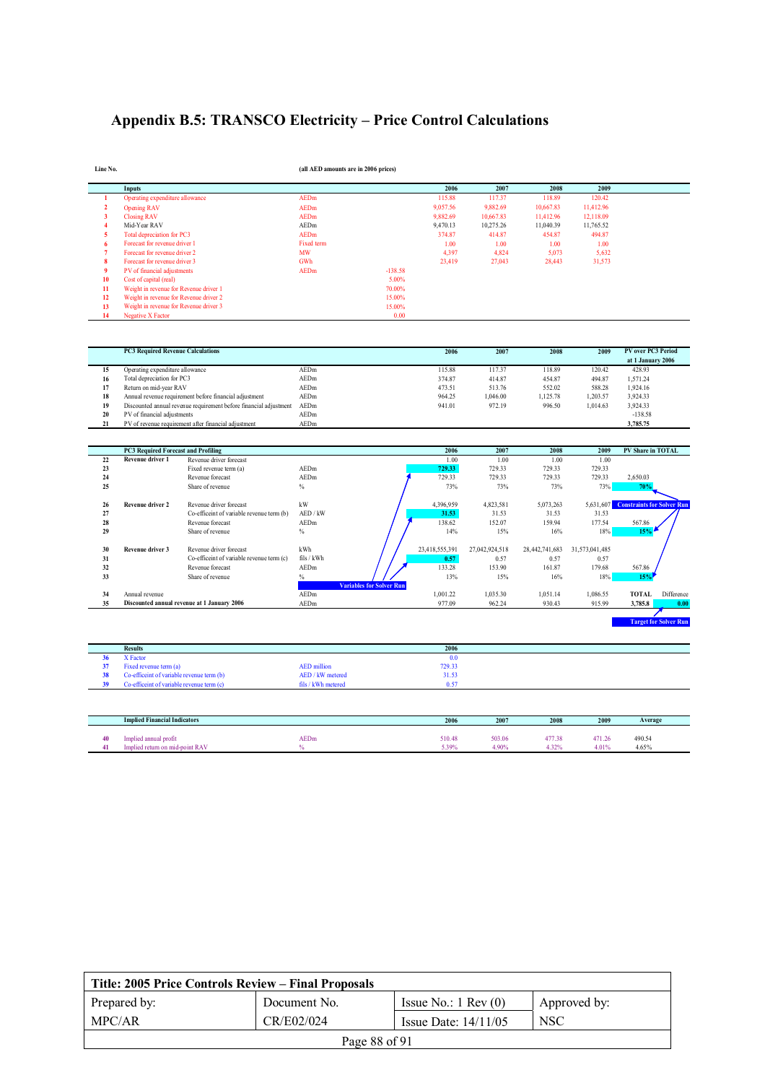# Appendix B.5: TRANSCO Electricity - Price Control Calculations

| une r |  |
|-------|--|
|       |  |

#### **Line No. (all AED amounts are in 2006 prices)**

|    | Inputs                                 |             |           | 2006     | 2007      | 2008      | 2009      |  |
|----|----------------------------------------|-------------|-----------|----------|-----------|-----------|-----------|--|
|    | Operating expenditure allowance        | <b>AEDm</b> |           | 115.88   | 117.37    | 118.89    | 120.42    |  |
|    | <b>Opening RAV</b>                     | <b>AEDm</b> |           | 9,057.56 | 9,882.69  | 10,667.83 | 11,412.96 |  |
|    | <b>Closing RAV</b>                     | <b>AEDm</b> |           | 9,882.69 | 10.667.83 | 11.412.96 | 12,118.09 |  |
|    | Mid-Year RAV                           | AEDm        |           | 9.470.13 | 10,275.26 | 11,040.39 | 11,765.52 |  |
|    | Total depreciation for PC3             | <b>AEDm</b> |           | 374.87   | 414.87    | 454.87    | 494.87    |  |
| 6  | Forecast for revenue driver 1          | Fixed term  |           | 1.00     | 1.00      | 1.00      | 1.00      |  |
|    | Forecast for revenue driver 2          | MW          |           | 4,397    | 4,824     | 5,073     | 5,632     |  |
| 8  | Forecast for revenue driver 3          | GWh         |           | 23.419   | 27,043    | 28,443    | 31,573    |  |
|    | PV of financial adjustments            | <b>AEDm</b> | $-138.58$ |          |           |           |           |  |
| 10 | Cost of capital (real)                 |             | 5.00%     |          |           |           |           |  |
| 11 | Weight in revenue for Revenue driver 1 |             | 70.00%    |          |           |           |           |  |
| 12 | Weight in revenue for Revenue driver 2 |             | 15.00%    |          |           |           |           |  |
| 13 | Weight in revenue for Revenue driver 3 |             | 15.00%    |          |           |           |           |  |
| 14 | <b>Negative X Factor</b>               |             | 0.00      |          |           |           |           |  |

|    | <b>PC3 Required Revenue Calculations</b>                          |      | 2006   | 2007     | 2008     | 2009     | <b>PV over PC3 Period</b><br>at 1 January 2006 |
|----|-------------------------------------------------------------------|------|--------|----------|----------|----------|------------------------------------------------|
| 15 | Operating expenditure allowance                                   | AEDm | 115.88 | 117.37   | 118.89   | 120.42   | 428.93                                         |
| 16 | Total depreciation for PC3                                        | AEDm | 374.87 | 414.87   | 454.87   | 494.87   | 1.571.24                                       |
| 17 | Return on mid-year RAV                                            | AEDm | 473.51 | 513.76   | 552.02   | 588.28   | 1.924.16                                       |
| 18 | Annual revenue requirement before financial adjustment            | AEDm | 964.25 | 1.046.00 | 1.125.78 | 1,203.57 | 3.924.33                                       |
| 19 | Discounted annual revenue requirement before financial adjustment | AEDm | 941.01 | 972.19   | 996.50   | 1.014.63 | 3.924.33                                       |
| 20 | PV of financial adjustments                                       | AEDm |        |          |          |          | $-138.58$                                      |
| 21 | PV of revenue requirement after financial adjustment              | AEDm |        |          |          |          | 3,785.75                                       |

|    | <b>PC3 Required Forecast and Profiling</b> |                                             |               |                                 | 2006           | 2007           | 2008           | 2009           | <b>PV Share in TOTAL</b>          |                              |
|----|--------------------------------------------|---------------------------------------------|---------------|---------------------------------|----------------|----------------|----------------|----------------|-----------------------------------|------------------------------|
| 22 | Revenue driver 1                           | Revenue driver forecast                     |               |                                 | 1.00           | 1.00           | 1.00           | 1.00           |                                   |                              |
| 23 |                                            | Fixed revenue term (a)                      | AEDm          |                                 | 729.33         | 729.33         | 729.33         | 729.33         |                                   |                              |
| 24 |                                            | Revenue forecast                            | AEDm          |                                 | 729.33         | 729.33         | 729.33         | 729.33         | 2,650.03                          |                              |
| 25 |                                            | Share of revenue                            | $\%$          |                                 | 73%            | 73%            | 73%            | 73%            | 70%                               |                              |
| 26 | Revenue driver 2                           | Revenue driver forecast                     | kW            |                                 | 4,396,959      | 4,823,581      | 5,073,263      | 5,631,607      | <b>Constraints for Solver Run</b> |                              |
| 27 |                                            | Co-efficeint of variable revenue term (b)   | AED / kW      |                                 | 31.53          | 31.53          | 31.53          | 31.53          |                                   |                              |
| 28 |                                            | Revenue forecast                            | AEDm          |                                 | 138.62         | 152.07         | 159.94         | 177.54         | 567.86                            |                              |
| 29 |                                            | Share of revenue                            | $\%$          |                                 | 14%            | 15%            | 16%            | 18%            | 15%                               |                              |
| 30 | Revenue driver 3                           | Revenue driver forecast                     | kWh           |                                 | 23,418,555,391 | 27,042,924,518 | 28,442,741,683 | 31,573,041,485 |                                   |                              |
| 31 |                                            | Co-efficeint of variable revenue term (c)   | fils / kWh    |                                 | 0.57           | 0.57           | 0.57           | 0.57           |                                   |                              |
| 32 |                                            | Revenue forecast                            | AEDm          |                                 | 133.28         | 153.90         | 161.87         | 179.68         | 567.86                            |                              |
| 33 |                                            | Share of revenue                            | $\frac{0}{0}$ |                                 | 13%            | 15%            | 16%            | 18%            | 15%                               |                              |
| 34 | Annual revenue                             |                                             | AEDm          | <b>Variables for Solver Run</b> | 1,001.22       | 1,035.30       | 1,051.14       | 1,086.55       | <b>TOTAL</b>                      | Difference                   |
| 35 |                                            | Discounted annual revenue at 1 January 2006 | AEDm          |                                 | 977.09         | 962.24         | 930.43         | 915.99         | 3,785.8                           | 0.00                         |
|    |                                            |                                             |               |                                 |                |                |                |                |                                   | <b>Target for Solver Run</b> |

|    | <b>Results</b>                            |                    | 2006   |  |
|----|-------------------------------------------|--------------------|--------|--|
|    | X Factor                                  |                    | 0.0    |  |
|    | Fixed revenue term (a)                    | <b>AED million</b> | 729.33 |  |
| 38 | Co-efficeint of variable revenue term (b) | AED / kW metered   | 31.53  |  |
|    | Co-efficeint of variable revenue term (c) | fils / kWh metered | 05     |  |
|    |                                           |                    |        |  |

|     | <b>Implied Financial Indicators</b> |             | 2006   | 2007   | 2008   | 2009   | Average |
|-----|-------------------------------------|-------------|--------|--------|--------|--------|---------|
|     |                                     |             |        |        |        |        |         |
| -40 | Implied annual profit               | <b>AEDm</b> | 510.48 | 503.06 | 477.38 | 471.26 | 490.54  |
|     | Implied return on mid-point RAV     |             | 5.39%  | 90%    | 320/   | 4.01%  | 4.65%   |

| Title: 2005 Price Controls Review – Final Proposals |              |                               |              |  |  |  |  |  |
|-----------------------------------------------------|--------------|-------------------------------|--------------|--|--|--|--|--|
| Prepared by:                                        | Document No. | Issue No.: $1 \text{ Rev}(0)$ | Approved by: |  |  |  |  |  |
| CR/E02/024<br>MPC/AR                                |              | Issue Date: $14/11/05$        | <b>NSC</b>   |  |  |  |  |  |
| Page 88 of 91                                       |              |                               |              |  |  |  |  |  |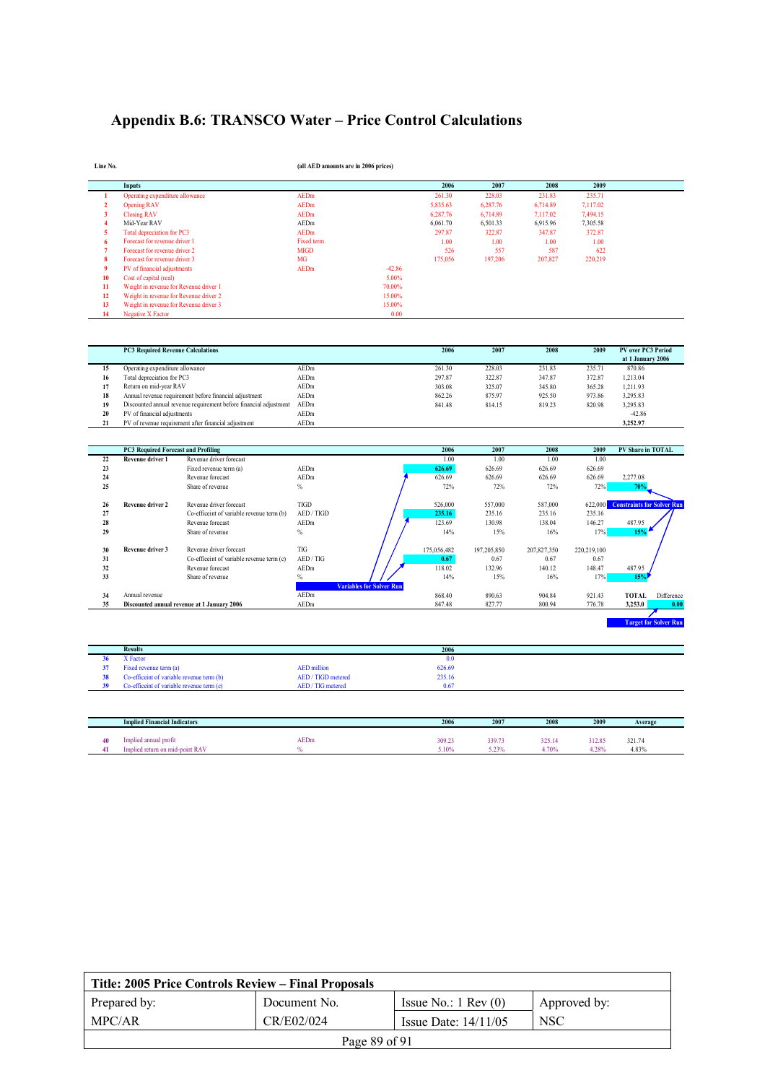# Appendix B.6: TRANSCO Water - Price Control Calculations

| Line No. |                                                                   | (all AED amounts are in 2006 prices) |          |          |          |          |          |                           |
|----------|-------------------------------------------------------------------|--------------------------------------|----------|----------|----------|----------|----------|---------------------------|
|          | <b>Inputs</b>                                                     |                                      |          | 2006     | 2007     | 2008     | 2009     |                           |
|          | Operating expenditure allowance                                   | <b>AEDm</b>                          |          | 261.30   | 228.03   | 231.83   | 235.71   |                           |
|          | <b>Opening RAV</b>                                                | <b>AEDm</b>                          |          | 5,835.63 | 6.287.76 | 6.714.89 | 7,117.02 |                           |
|          | <b>Closing RAV</b>                                                | <b>AEDm</b>                          |          | 6,287.76 | 6,714.89 | 7,117.02 | 7,494.15 |                           |
|          | Mid-Year RAV                                                      | AEDm                                 |          | 6.061.70 | 6.501.33 | 6.915.96 | 7,305.58 |                           |
|          | Total depreciation for PC3                                        | <b>AEDm</b>                          |          | 297.87   | 322.87   | 347.87   | 372.87   |                           |
|          | Forecast for revenue driver 1                                     | Fixed term                           |          | 1.00     | 1.00     | 1.00     | 1.00     |                           |
|          | Forecast for revenue driver 2                                     | <b>MIGD</b>                          |          | 526      | 557      | 587      | 622      |                           |
|          | Forecast for revenue driver 3                                     | <b>MG</b>                            |          | 175,056  | 197,206  | 207,827  | 220,219  |                           |
|          | PV of financial adjustments                                       | <b>AEDm</b>                          | $-42.86$ |          |          |          |          |                           |
| 10       | Cost of capital (real)                                            |                                      | 5.00%    |          |          |          |          |                           |
| 11       | Weight in revenue for Revenue driver 1                            |                                      | 70.00%   |          |          |          |          |                           |
| 12       | Weight in revenue for Revenue driver 2                            |                                      | 15.00%   |          |          |          |          |                           |
| 13       | Weight in revenue for Revenue driver 3                            |                                      | 15.00%   |          |          |          |          |                           |
| 14       | <b>Negative X Factor</b>                                          |                                      | 0.00     |          |          |          |          |                           |
|          | <b>PC3 Required Revenue Calculations</b>                          |                                      |          | 2006     | 2007     | 2008     | 2009     | <b>PV</b> over PC3 Period |
|          |                                                                   |                                      |          |          |          |          |          | at 1 January 2006         |
| 15       | Operating expenditure allowance                                   | AEDm                                 |          | 261.30   | 228.03   | 231.83   | 235.71   | 870.86                    |
| 16       | Total depreciation for PC3                                        | AEDm                                 |          | 297.87   | 322.87   | 347.87   | 372.87   | 1,213.04                  |
| 17       | Return on mid-year RAV                                            | AEDm                                 |          | 303.08   | 325.07   | 345.80   | 365.28   | 1,211.93                  |
| 18       | Annual revenue requirement before financial adjustment            | AEDm                                 |          | 862.26   | 875.97   | 925.50   | 973.86   | 3,295.83                  |
| 19       | Discounted annual revenue requirement before financial adjustment | AEDm                                 |          | 841.48   | 814.15   | 819.23   | 820.98   | 3,295.83                  |
| 20       | PV of financial adjustments                                       | AEDm                                 |          |          |          |          |          | $-42.86$                  |
| 21       | PV of revenue requirement after financial adjustment              | AEDm                                 |          |          |          |          |          | 3.252.97                  |

|                                           |                                             | 2006                            | 2007        | 2008        | 2009        | PV Share in TOTAL |                                                                   |
|-------------------------------------------|---------------------------------------------|---------------------------------|-------------|-------------|-------------|-------------------|-------------------------------------------------------------------|
| Revenue driver forecast                   |                                             | 1.00                            | 1.00        | 1.00        | 1.00        |                   |                                                                   |
| Fixed revenue term (a)                    | AEDm                                        | 626.69                          | 626.69      | 626.69      | 626.69      |                   |                                                                   |
| Revenue forecast                          | AEDm                                        | 626.69                          | 626.69      | 626.69      | 626.69      | 2,277.08          |                                                                   |
| Share of revenue                          | $\%$                                        | 72%                             | 72%         | 72%         | 72%         | <b>70%</b>        |                                                                   |
| Revenue driver forecast                   | <b>TIGD</b>                                 | 526,000                         | 557,000     | 587,000     | 622,000     |                   |                                                                   |
| Co-efficeint of variable revenue term (b) | AED / TIGD                                  | 235.16                          | 235.16      | 235.16      | 235.16      |                   |                                                                   |
| Revenue forecast                          | AEDm                                        | 123.69                          | 130.98      | 138.04      | 146.27      | 487.95            |                                                                   |
| Share of revenue                          | $\frac{0}{0}$                               | 14%                             | 15%         | 16%         | 17%         | 15%               |                                                                   |
| Revenue driver forecast                   | <b>TIG</b>                                  | 175,056,482                     | 197,205,850 | 207,827,350 | 220,219,100 |                   |                                                                   |
| Co-efficeint of variable revenue term (c) | AED / TIG                                   | 0.67                            | 0.67        | 0.67        | 0.67        |                   |                                                                   |
| Revenue forecast                          | AEDm                                        | 118.02                          | 132.96      | 140.12      | 148.47      | 487.95            |                                                                   |
| Share of revenue                          | $\frac{0}{0}$                               | 14%                             | 15%         | 16%         | 17%         | 15%               |                                                                   |
|                                           | AEDm                                        | 868.40                          | 890.63      | 904.84      | 921.43      | <b>TOTAL</b>      | Difference                                                        |
|                                           | AEDm                                        | 847.48                          | 827.77      | 800.94      | 776.78      | 3.253.0           | 0.00                                                              |
|                                           |                                             |                                 |             |             |             |                   |                                                                   |
|                                           | Discounted annual revenue at 1 January 2006 | <b>Variables for Solver Run</b> |             |             |             |                   | <b>Constraints for Solver Run</b><br><b>Target for Solver Run</b> |

| <b>Results</b>                            |                    | 2006   |  |
|-------------------------------------------|--------------------|--------|--|
| X Factor                                  |                    | 0.0    |  |
| Fixed revenue term (a)                    | <b>AED</b> million | 626.69 |  |
| Co-efficeint of variable revenue term (b) | AED / TIGD metered | 235.16 |  |
| Co-efficeint of variable revenue term (c) | AED / TIG metered  | 0.67   |  |
|                                           |                    |        |  |
|                                           |                    |        |  |

|    | <b>Implied Financial Indicators</b> |             | 2006   | 2007   | 2008            | 2009   | Average |
|----|-------------------------------------|-------------|--------|--------|-----------------|--------|---------|
|    |                                     |             |        |        |                 |        |         |
| 40 | Implied annual profit               | <b>AEDm</b> | 309.23 | 339.73 | 325.1.<br>243.1 | 312.85 | 321.74  |
|    | Implied return on mid-point RA      |             | 5.10%  | 5.23%  | 4.70%           | .28%   | 4.83%   |

| Title: 2005 Price Controls Review – Final Proposals |                                                    |                               |              |  |  |  |  |  |
|-----------------------------------------------------|----------------------------------------------------|-------------------------------|--------------|--|--|--|--|--|
| Prepared by:                                        | Document No.                                       | Issue No.: $1 \text{ Rev}(0)$ | Approved by: |  |  |  |  |  |
| MPC/AR                                              | CR/E02/024<br><b>NSC</b><br>Issue Date: $14/11/05$ |                               |              |  |  |  |  |  |
|                                                     | Page 89 of 91                                      |                               |              |  |  |  |  |  |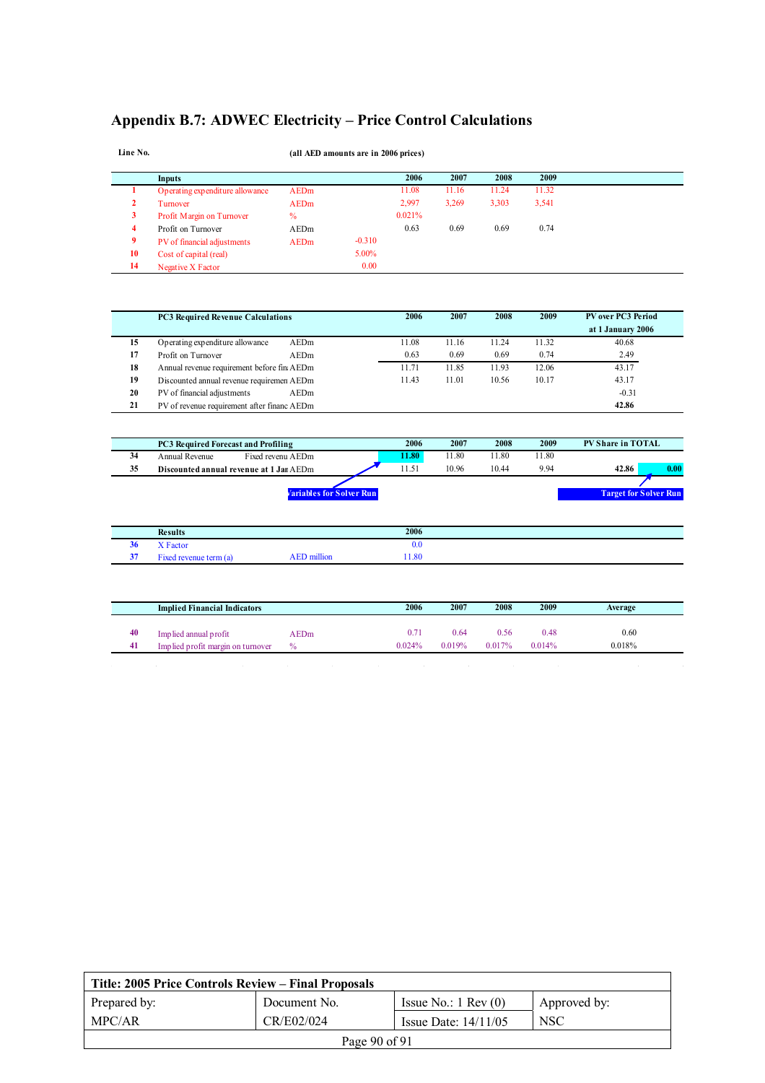## Appendix B.7: ADWEC Electricity – Price Control Calculations

| Line No. |                                 | (all AED amounts are in 2006 prices) |          |        |       |       |       |  |  |
|----------|---------------------------------|--------------------------------------|----------|--------|-------|-------|-------|--|--|
|          | Inputs                          |                                      |          | 2006   | 2007  | 2008  | 2009  |  |  |
|          | Operating expenditure allowance | <b>AEDm</b>                          |          | 11.08  | 11.16 | 11.24 | 11.32 |  |  |
| 2        | Turnover                        | <b>AEDm</b>                          |          | 2,997  | 3.269 | 3.303 | 3,541 |  |  |
| 3        | Profit Margin on Turnover       | $\%$                                 |          | 0.021% |       |       |       |  |  |
| 4        | Profit on Turnover              | AEDm                                 |          | 0.63   | 0.69  | 0.69  | 0.74  |  |  |
| 9        | PV of financial adjustments     | AEDm                                 | $-0.310$ |        |       |       |       |  |  |
| 10       | Cost of capital (real)          |                                      | 5.00%    |        |       |       |       |  |  |
| 14       | Negative X Factor               |                                      | 0.00     |        |       |       |       |  |  |

|    | <b>PC3 Required Revenue Calculations</b>    | 2006  | 2007  | 2008  | 2009  | <b>PV</b> over PC3 Period<br>at 1 January 2006 |
|----|---------------------------------------------|-------|-------|-------|-------|------------------------------------------------|
| 15 | AEDm<br>Operating expenditure allowance     | 11.08 | 11.16 | 11.24 | 11.32 | 40.68                                          |
| 17 | Profit on Turnover<br>AEDm                  | 0.63  | 0.69  | 0.69  | 0.74  | 2.49                                           |
| 18 | Annual revenue requirement before fina AEDm | 11.71 | 11.85 | 11.93 | 12.06 | 43.17                                          |
| 19 | Discounted annual revenue requiremen AEDm   | 11.43 | 11.01 | 10.56 | 10.17 | 43.17                                          |
| 20 | PV of financial adjustments<br>AEDm         |       |       |       |       | $-0.31$                                        |
| 21 | PV of revenue requirement after financ AEDm |       |       |       |       | 42.86                                          |

|    | PC3 Required Forecast and Profiling     |                                 | 2006  | 2007  | 2008  | 2009  | <b>PV Share in TOTAL</b> |                              |
|----|-----------------------------------------|---------------------------------|-------|-------|-------|-------|--------------------------|------------------------------|
| 34 | Fixed revenu AEDm<br>Annual Revenue     |                                 | 11.80 | 11.80 | 11.80 | 11.80 |                          |                              |
| 35 | Discounted annual revenue at 1 Jan AEDm |                                 | 11.51 | 10.96 | 10.44 | 9.94  | 42.86                    | 0.00 <sub>1</sub>            |
|    |                                         |                                 |       |       |       |       |                          |                              |
|    |                                         | <b>Variables for Solver Run</b> |       |       |       |       |                          | <b>Target for Solver Run</b> |

|                        | <b>Results</b>            |                  | 2006  |  |
|------------------------|---------------------------|------------------|-------|--|
| 30                     | <b>XZ THE</b><br>X Factor |                  | v.v   |  |
| $\sim$<br>$\mathbf{J}$ | Fixed revenue term (a)    | <b>D</b> million | 11.80 |  |

| <b>Implied Financial Indicators</b> |                                   | 2006          | 2007      | 2008   | 2009      | Average |        |  |
|-------------------------------------|-----------------------------------|---------------|-----------|--------|-----------|---------|--------|--|
| 40                                  | Implied annual profit             | AEDm          | 0.71      | 0.64   | 0.56      | 0.48    | 0.60   |  |
|                                     |                                   |               |           |        |           |         |        |  |
| 41                                  | Implied profit margin on turnover | $\frac{0}{0}$ | $0.024\%$ | 0.019% | $0.017\%$ | 0.014%  | 0.018% |  |

| Title: 2005 Price Controls Review – Final Proposals          |               |                               |              |  |  |  |  |
|--------------------------------------------------------------|---------------|-------------------------------|--------------|--|--|--|--|
| Prepared by:                                                 | Document No.  | Issue No.: $1 \text{ Rev}(0)$ | Approved by: |  |  |  |  |
| CR/E02/024<br><b>NSC</b><br>MPC/AR<br>Issue Date: $14/11/05$ |               |                               |              |  |  |  |  |
|                                                              | Page 90 of 91 |                               |              |  |  |  |  |